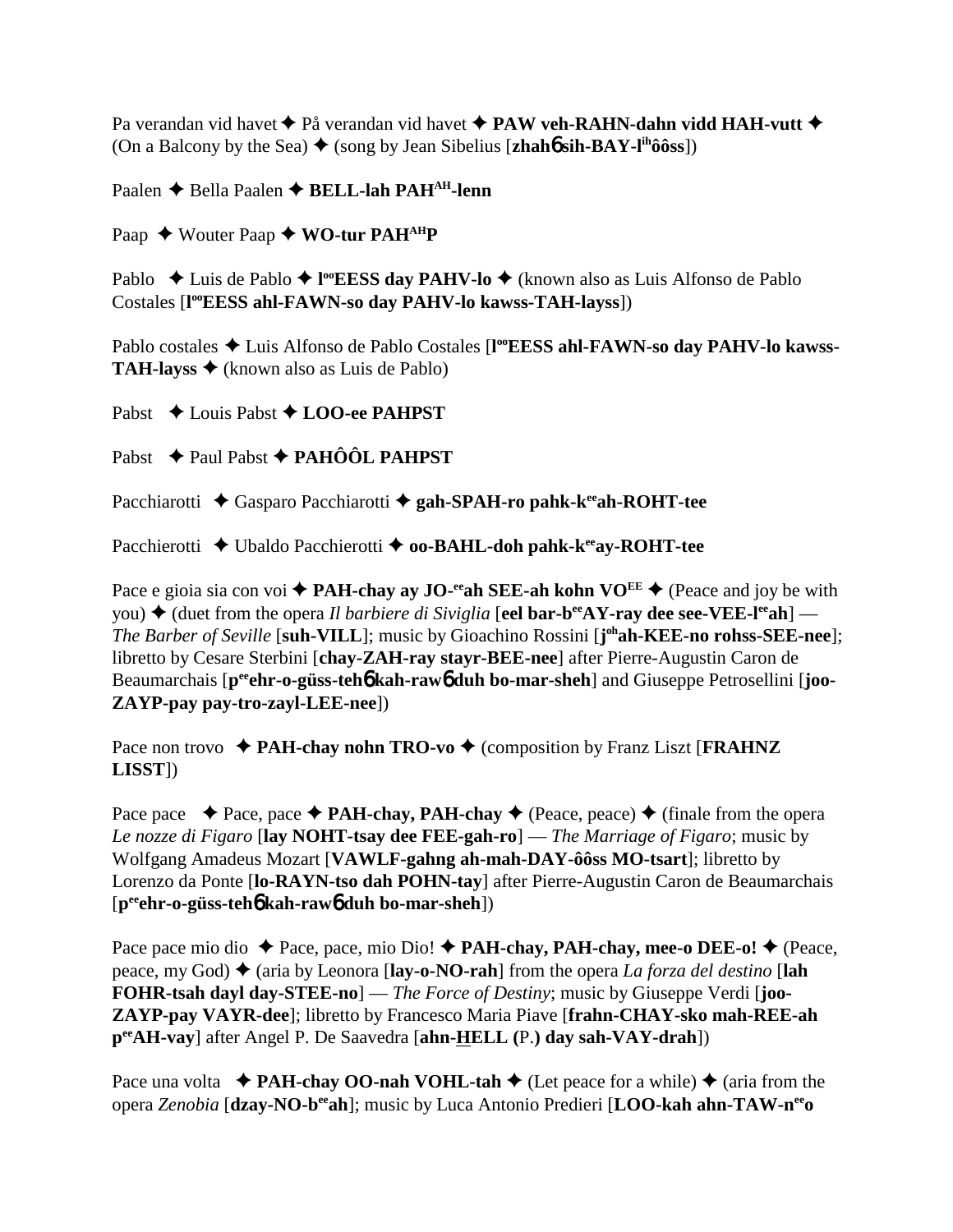Pa verandan vid havet  $\triangle$  På verandan vid havet  $\triangle$  **PAW veh-RAHN-dahn vidd HAH-vutt**  $\triangle$ (On a Balcony by the Sea)  $\blacklozenge$  (song by Jean Sibelius [**zhah6** sih-BAY-l<sup>ih</sup>ôôss])

Paalen **←** Bella Paalen ← **BELL-lah PAH<sup>AH</sup>-lenn** 

Paap ◆ Wouter Paap ◆ WO-tur PAH<sup>AH</sup>P

Pablo ◆ Luis de Pablo ◆ l<sup>oo</sup>EESS day PAHV-lo ◆ (known also as Luis Alfonso de Pablo Costales [**l ooEESS ahl-FAWN-so day PAHV-lo kawss-TAH-layss**])

Pablo costales  $\triangleleft$  Luis Alfonso de Pablo Costales [l<sup>oo</sup>EESS ahl-FAWN-so day PAHV-lo kawss-**TAH-layss**  $\triangle$  (known also as Luis de Pablo)

Pabst **→** Louis Pabst **→ LOO-ee PAHPST** 

Pabst **→** Paul Pabst → PAHÔÔL PAHPST

Pacchiarotti ◆ Gasparo Pacchiarotti ◆ gah-SPAH-ro pahk-k<sup>ee</sup>ah-ROHT-tee

Pacchierotti ◆ Ubaldo Pacchierotti ◆ **oo-BAHL-doh pahk-k<sup>ee</sup>ay-ROHT-tee** 

Pace e gioia sia con voi  $\triangle$  **PAH-chay ay JO-**<sup>ee</sup> ah SEE-ah kohn VO<sup>EE</sup>  $\triangle$  (Peace and joy be with you)  $\blacklozenge$  (duet from the opera *Il barbiere di Siviglia* [eel bar-b<sup>ee</sup>AY-ray dee see-VEE-l<sup>ee</sup>ah] — *The Barber of Seville* [**suh-VILL**]; music by Gioachino Rossini [**j ohah-KEE-no rohss-SEE-nee**]; libretto by Cesare Sterbini [**chay-ZAH-ray stayr-BEE-nee**] after Pierre-Augustin Caron de Beaumarchais [p<sup>ee</sup>ehr-o-güss-teh**6** kah-raw**6** duh bo-mar-sheh] and Giuseppe Petrosellini [joo-**ZAYP-pay pay-tro-zayl-LEE-nee**])

Pace non trovo  $\triangle$  **PAH-chay nohn TRO-vo**  $\triangle$  (composition by Franz Liszt [**FRAHNZ LISST**])

Pace pace  $\rightarrow$  Pace, pace  $\rightarrow$  **PAH-chay, PAH-chay**  $\rightarrow$  (Peace, peace)  $\rightarrow$  (finale from the opera *Le nozze di Figaro* [**lay NOHT-tsay dee FEE-gah-ro**] — *The Marriage of Figaro*; music by Wolfgang Amadeus Mozart [**VAWLF-gahng ah-mah-DAY-ôôss MO-tsart**]; libretto by Lorenzo da Ponte [**lo-RAYN-tso dah POHN-tay**] after Pierre-Augustin Caron de Beaumarchais [**peeehr-o-güss-teh**6 **kah-raw**6 **duh bo-mar-sheh**])

Pace pace mio dio ◆ Pace, pace, mio Dio! ◆ **PAH-chay, PAH-chay, mee-o DEE-o!** ◆ (Peace, peace, my God) ♦ (aria by Leonora [**lay-o-NO-rah**] from the opera *La forza del destino* [**lah FOHR-tsah dayl day-STEE-no**] — *The Force of Destiny*; music by Giuseppe Verdi [**joo-ZAYP-pay VAYR-dee**]; libretto by Francesco Maria Piave [**frahn-CHAY-sko mah-REE-ah peeAH-vay**] after Angel P. De Saavedra [**ahn-HELL (**P.**) day sah-VAY-drah**])

Pace una volta  $\rightarrow$  **PAH-chay OO-nah VOHL-tah**  $\rightarrow$  (Let peace for a while)  $\rightarrow$  (aria from the opera *Zenobia* [**dzay-NO-beeah**]; music by Luca Antonio Predieri [**LOO-kah ahn-TAW-neeo**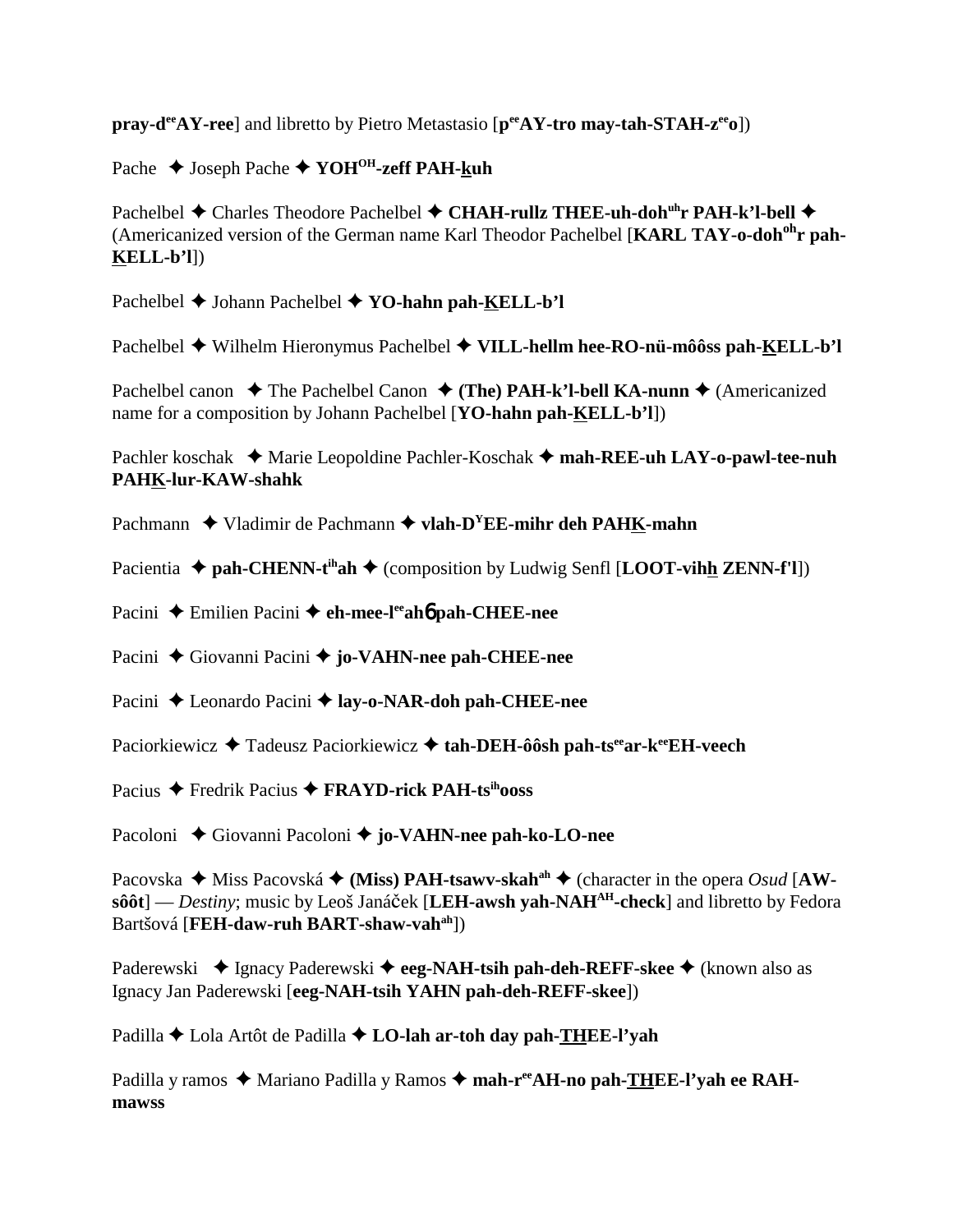**pray-deeAY-ree**] and libretto by Pietro Metastasio [ $p^{ee}AY$ -tro may-tah-STAH- $z^{ee}$ ])

Pache **→** Joseph Pache ◆ YOH<sup>OH</sup>-zeff PAH-kuh

Pachelbel ◆ Charles Theodore Pachelbel ◆ CHAH-rullz THEE-uh-doh<sup>uh</sup>r PAH-k'l-bell ◆ (Americanized version of the German name Karl Theodor Pachelbel [**KARL TAY-o-dohohr pah-KELL-b'l**])

Pachelbel **→** Johann Pachelbel **→ YO-hahn pah-KELL-b'l** 

Pachelbel Wilhelm Hieronymus Pachelbel **VILL-hellm hee-RO-nü-môôss pah-KELL-b'l**

Pachelbel canon  $\blacklozenge$  The Pachelbel Canon  $\blacklozenge$  (The) PAH-k'l-bell KA-nunn  $\blacklozenge$  (Americanized name for a composition by Johann Pachelbel [**YO-hahn pah-KELL-b'l**])

Pachler koschak  **★** Marie Leopoldine Pachler-Koschak **✦ mah-REE-uh LAY-o-pawl-tee-nuh PAHK-lur-KAW-shahk**

Pachmann **→** Vladimir de Pachmann → vlah-D<sup>Y</sup>EE-mihr deh PAHK-mahn

Pacientia  $\triangle$  pah-CHENN-t<sup>ih</sup>ah  $\triangle$  (composition by Ludwig Senfl [LOOT-vihh ZENN-f'l])

Pacini ◆ Emilien Pacini ◆ eh-mee-leeah**6** pah-CHEE-nee

Pacini ◆ Giovanni Pacini ◆ **jo-VAHN-nee pah-CHEE-nee** 

Pacini **←** Leonardo Pacini ← lay-o-NAR-doh pah-CHEE-nee

Paciorkiewicz **→** Tadeusz Paciorkiewicz → tah-DEH-ôôsh pah-ts<sup>ee</sup>ar-keeEH-veech

Pacius Fredrik Pacius **FRAYD-rick PAH-tsihooss**

Pacoloni ◆ Giovanni Pacoloni ◆ jo-VA**HN-nee pah-ko-LO-nee** 

Pacovska  $\blacklozenge$  Miss Pacovská  $\blacklozenge$  (Miss) PAH-tsawv-skah<sup>ah</sup>  $\blacklozenge$  (character in the opera *Osud* [AW**sôôt**] — *Destiny*; music by Leoš Janáček [LEH-awsh yah-NAH<sup>AH</sup>-check] and libretto by Fedora Bartšová [**FEH-daw-ruh BART-shaw-vahah**])

Paderewski ◆ Ignacy Paderewski ◆ eeg-NAH-tsih pah-deh-REFF-skee ◆ (known also as Ignacy Jan Paderewski [**eeg-NAH-tsih YAHN pah-deh-REFF-skee**])

Padilla **←** Lola Artôt de Padilla **← LO-lah ar-toh day pah-THEE-l'yah** 

Padilla y ramos ◆ Mariano Padilla y Ramos ◆ mah-r<sup>ee</sup>AH-no pah-THEE-l'yah ee RAH**mawss**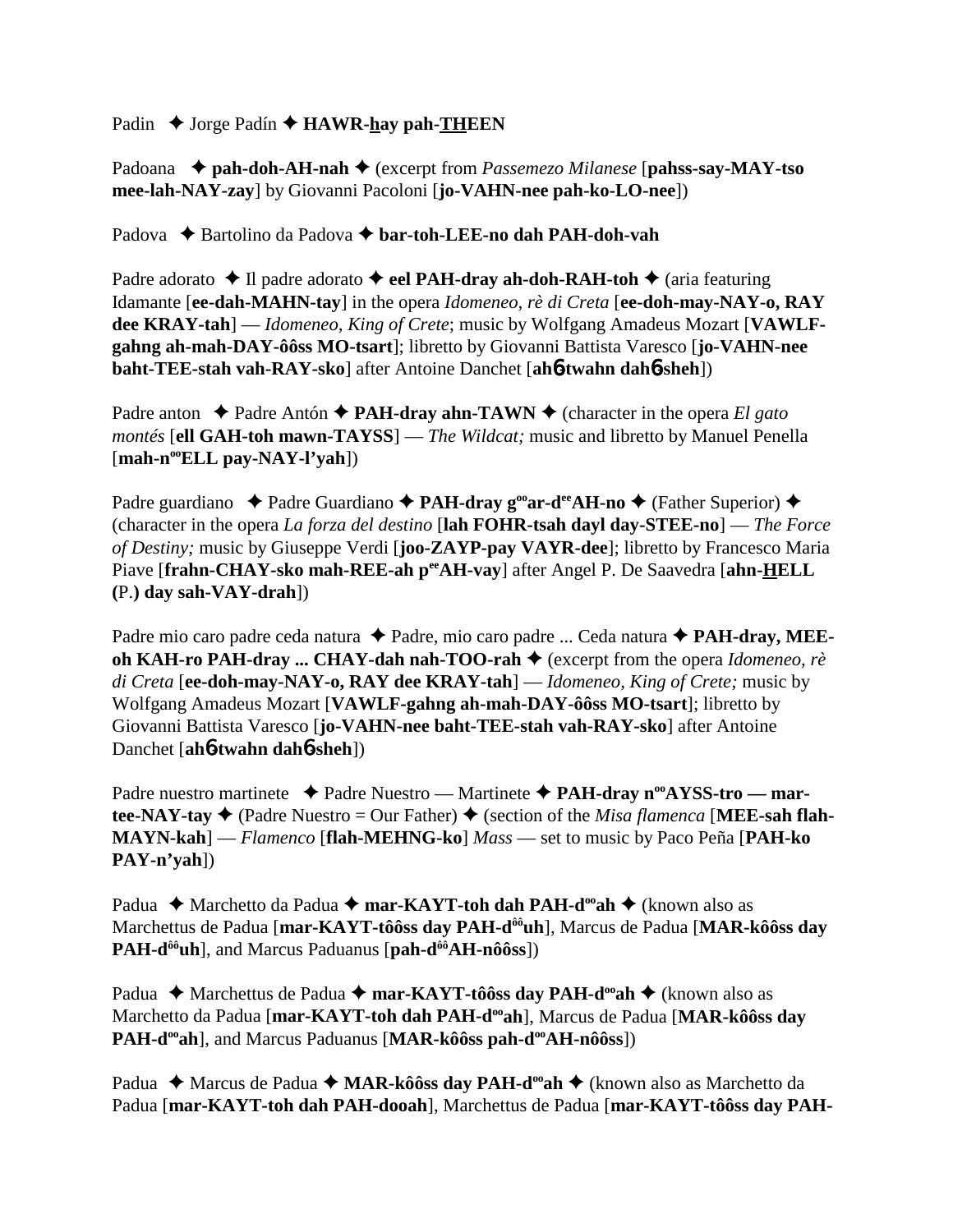Padin **→** Jorge Padín **→ HAWR-hay pah-THEEN** 

Padoana **pah-doh-AH-nah** (excerpt from *Passemezo Milanese* [**pahss-say-MAY-tso mee-lah-NAY-zay**] by Giovanni Pacoloni [**jo-VAHN-nee pah-ko-LO-nee**])

Padova  **→** Bartolino da Padova → bar-toh-LEE-no dah PAH-doh-vah

Padre adorato  $\triangle$  Il padre adorato  $\triangle$  eel PAH-dray ah-doh-RAH-toh  $\triangle$  (aria featuring Idamante [**ee-dah-MAHN-tay**] in the opera *Idomeneo, rè di Creta* [**ee-doh-may-NAY-o, RAY dee KRAY-tah**] — *Idomeneo, King of Crete*; music by Wolfgang Amadeus Mozart [**VAWLFgahng ah-mah-DAY-ôôss MO-tsart**]; libretto by Giovanni Battista Varesco [**jo-VAHN-nee baht-TEE-stah vah-RAY-sko**] after Antoine Danchet [**ah**6**-twahn dah**6**-sheh**])

Padre anton  $\triangle$  Padre Antón  $\triangle$  **PAH-dray ahn-TAWN**  $\triangle$  (character in the opera *El gato montés* [**ell GAH-toh mawn-TAYSS**] — *The Wildcat;* music and libretto by Manuel Penella [**mah-nooELL pay-NAY-l'yah**])

Padre guardiano ◆ Padre Guardiano ◆ PAH-dray g<sup>oo</sup>ar-d<sup>ee</sup>AH-no ◆ (Father Superior) ◆ (character in the opera *La forza del destino* [**lah FOHR-tsah dayl day-STEE-no**] — *The Force of Destiny;* music by Giuseppe Verdi [**joo-ZAYP-pay VAYR-dee**]; libretto by Francesco Maria Piave [frahn-CHAY-sko mah-REE-ah peeAH-vay] after Angel P. De Saavedra [ahn-HELL **(**P.**) day sah-VAY-drah**])

Padre mio caro padre ceda natura ◆ Padre, mio caro padre ... Ceda natura ◆ **PAH-dray, MEEoh KAH-ro PAH-dray ... CHAY-dah nah-TOO-rah ♦** (excerpt from the opera *Idomeneo, rè di Creta* [**ee-doh-may-NAY-o, RAY dee KRAY-tah**] — *Idomeneo, King of Crete;* music by Wolfgang Amadeus Mozart [**VAWLF-gahng ah-mah-DAY-ôôss MO-tsart**]; libretto by Giovanni Battista Varesco [**jo-VAHN-nee baht-TEE-stah vah-RAY-sko**] after Antoine Danchet [**ah**6**-twahn dah**6**-sheh**])

Padre nuestro martinete **→** Padre Nuestro — Martinete ◆ PAH-dray n<sup>oo</sup>AYSS-tro — martee-NAY-tay  $\blacklozenge$  (Padre Nuestro = Our Father)  $\blacklozenge$  (section of the *Misa flamenca* [MEE-sah flah-**MAYN-kah**] — *Flamenco* [**flah-MEHNG-ko**] *Mass* — set to music by Paco Peña [**PAH-ko PAY-n'yah**])

Padua **→** Marchetto da Padua 
→ mar-KAYT-toh dah PAH-d<sup>oo</sup>ah 
→ (known also as Marchettus de Padua [**mar-KAYT-tôôss day PAH-dôôuh**], Marcus de Padua [**MAR-kôôss day** PAH-d<sup>ôô</sup>uh], and Marcus Paduanus [pah-d<sup>ôô</sup>AH-nôôss])

Padua ◆ Marchettus de Padua ◆ mar-KAYT-tôôss day PAH-d<sup>oo</sup>ah ◆ (known also as Marchetto da Padua [**mar-KAYT-toh dah PAH-dooah**], Marcus de Padua [**MAR-kôôss day PAH-d<sup>oo</sup>ah**], and Marcus Paduanus [MAR-kôôss pah-d<sup>oo</sup>AH-nôôss])

Padua ◆ Marcus de Padua ◆ MAR-kôôss day PAH-d<sup>oo</sup>ah ◆ (known also as Marchetto da Padua [**mar-KAYT-toh dah PAH-dooah**], Marchettus de Padua [**mar-KAYT-tôôss day PAH-**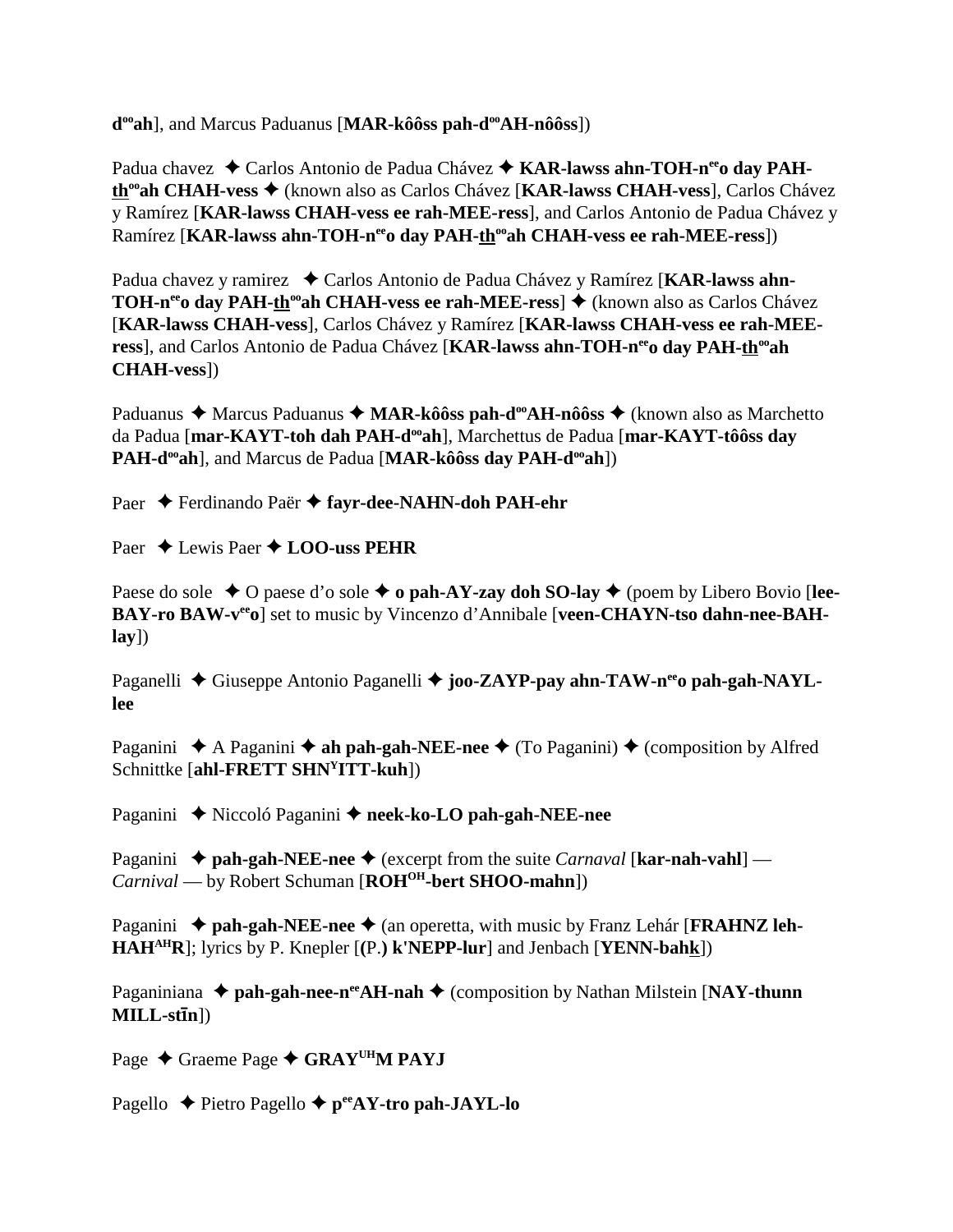**d<sup>oo</sup>ah**], and Marcus Paduanus [MAR-kôôss pah-d<sup>oo</sup>AH-nôôss])

Padua chavez ◆ Carlos Antonio de Padua Chávez ◆ KAR-lawss ahn-TOH-n<sup>ee</sup>o day PAH**th<sup>∞</sup>ah CHAH-vess ◆** (known also as Carlos Chávez [**KAR-lawss CHAH-vess**], Carlos Chávez y Ramírez [**KAR-lawss CHAH-vess ee rah-MEE-ress**], and Carlos Antonio de Padua Chávez y Ramírez [KAR-lawss ahn-TOH-n<sup>ee</sup>o day PAH-th<sup>oo</sup>ah CHAH-vess ee rah-MEE-ress])

Padua chavez y ramirez ◆ Carlos Antonio de Padua Chávez y Ramírez [**KAR-lawss ahn-TOH-n<sup>ee</sup>o day PAH-th<sup>oo</sup>ah CHAH-vess ee rah-MEE-ress**] ♦ (known also as Carlos Chávez [**KAR-lawss CHAH-vess**], Carlos Chávez y Ramírez [**KAR-lawss CHAH-vess ee rah-MEE**ress], and Carlos Antonio de Padua Chávez [KAR-lawss ahn-TOH-nee o day PAH-th<sup>oo</sup>ah **CHAH-vess**])

Paduanus ◆ Marcus Paduanus ◆ MAR-kôôss pah-d<sup>oo</sup>AH-nôôss ◆ (known also as Marchetto da Padua [mar-KAYT-toh dah PAH-d<sup>oo</sup>ah], Marchettus de Padua [mar-KAYT-tôôss day **PAH-d<sup>oo</sup>ah**], and Marcus de Padua [MAR-kôôss day PAH-d<sup>oo</sup>ah])

Paer ◆ Ferdinando Paër ◆ fayr-dee-NAHN-doh PAH-ehr

Paer  $\triangle$  Lewis Paer  $\triangle$  **LOO-uss PEHR** 

Paese do sole  $\triangle$  O paese d'o sole  $\triangle$  o pah-AY-zay doh SO-lay  $\triangle$  (poem by Libero Bovio [lee-BAY-ro BAW-v<sup>ee</sup>o] set to music by Vincenzo d'Annibale [veen-CHAYN-tso dahn-nee-BAH**lay**])

Paganelli ◆ Giuseppe Antonio Paganelli ◆ joo-ZAYP-pay ahn-TAW-n<sup>ee</sup>o pah-gah-NAYL**lee**

Paganini  $\triangle$  A Paganini  $\triangle$  **ah pah-gah-NEE-nee**  $\triangle$  (To Paganini)  $\triangle$  (composition by Alfred Schnittke [**ahl-FRETT SHNYITT-kuh**])

Paganini ◆ Niccoló Paganini ◆ neek-ko-LO pah-gah-NEE-nee

Paganini ◆ pah-gah-NEE-nee ◆ (excerpt from the suite *Carnaval* [kar-nah-vahl] — *Carnival* — by Robert Schuman [**ROH<sup>OH</sup>-bert SHOO-mahn**])

Paganini ◆ pah-gah-NEE-nee ◆ (an operetta, with music by Franz Lehár [**FRAHNZ** leh-**HAHAHR**]; lyrics by P. Knepler [**(**P.**) k'NEPP-lur**] and Jenbach [**YENN-bahk**])

Paganiniana ◆ pah-gah-nee-n<sup>ee</sup>AH-nah ◆ (composition by Nathan Milstein [NAY-thunn **MILL-stn**])

Page ◆ Graeme Page ◆ GRAY<sup>UH</sup>M PAYJ

Pagello **←** Pietro Pagello ← p<sup>ee</sup>AY-tro pah-JAYL-lo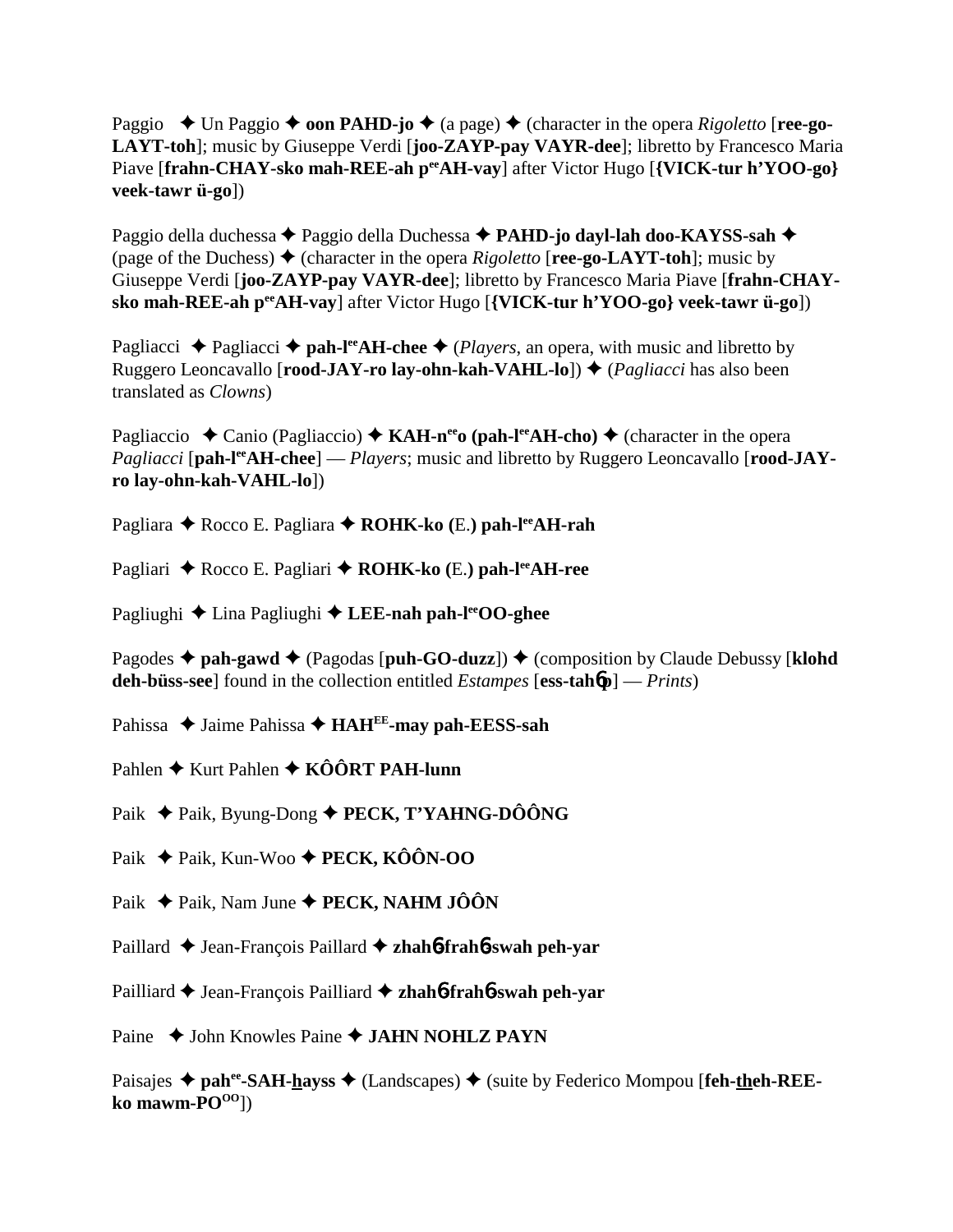Paggio  $\blacklozenge$  Un Paggio  $\blacklozenge$  **oon PAHD-jo**  $\blacklozenge$  (a page)  $\blacklozenge$  (character in the opera *Rigoletto* [**ree-go-LAYT-toh**]; music by Giuseppe Verdi [**joo-ZAYP-pay VAYR-dee**]; libretto by Francesco Maria Piave [frahn-CHAY-sko mah-REE-ah p<sup>ee</sup>AH-vay] after Victor Hugo [{VICK-tur h'YOO-go} **veek-tawr ü-go**])

Paggio della duchessa ◆ Paggio della Duchessa ◆ PAHD-jo dayl-lah doo-KAYSS-sah ◆ (page of the Duchess)  $\triangle$  (character in the opera *Rigoletto* [**ree-go-LAYT-toh**]; music by Giuseppe Verdi [**joo-ZAYP-pay VAYR-dee**]; libretto by Francesco Maria Piave [**frahn-CHAYsko mah-REE-ah peeAH-vay**] after Victor Hugo [**{VICK-tur h'YOO-go} veek-tawr ü-go**])

Pagliacci  $\triangle$  Pagliacci  $\triangle$  pah-l<sup>ee</sup>AH-chee  $\triangle$  (*Players*, an opera, with music and libretto by Ruggero Leoncavallo [**rood-JAY-ro lay-ohn-kah-VAHL-lo**])  $\triangle$  (*Pagliacci* has also been translated as *Clowns*)

Pagliaccio  $\triangle$  Canio (Pagliaccio)  $\triangle$  **KAH-n<sup>ee</sup>o (pah-l<sup>ee</sup>AH-cho)**  $\triangle$  (character in the opera *Pagliacci* [pah-l<sup>ee</sup>AH-chee] — *Players*; music and libretto by Ruggero Leoncavallo [rood-JAY-] **ro lay-ohn-kah-VAHL-lo**])

Pagliara ◆ Rocco E. Pagliara ◆ **ROHK-ko** (E.) **pah-l<sup>ee</sup>AH-rah** 

Pagliari ◆ Rocco E. Pagliari ◆ **ROHK-ko** (E.) **pah-l<sup>ee</sup>AH-ree** 

Pagliughi **→** Lina Pagliughi → LEE-nah pah-l<sup>ee</sup>OO-ghee

Pagodes  $\triangle$  pah-gawd  $\triangle$  (Pagodas [puh-GO-duzz])  $\triangle$  (composition by Claude Debussy [klohd **deh-büss-see**] found in the collection entitled *Estampes* [**ess-tah**6**p**] — *Prints*)

Pahissa ◆ Jaime Pahissa ◆ HAH<sup>EE</sup>-may pah-EESS-sah

Pahlen ◆ Kurt Pahlen ◆ KÔÔRT PAH-lunn

Paik **→** Paik, Byung-Dong ◆ **PECK, T'YAHNG-DÔÔNG** 

Paik **←** Paik, Kun-Woo ← **PECK, KÔÔN-OO** 

Paik **→** Paik, Nam June ◆ **PECK, NAHM JÔÔN** 

Paillard **←** Jean-François Paillard ← zhah6**-frah6-swah peh-yar** 

Pailliard **→** Jean-François Pailliard → zhah**6-frah6-swah peh-yar** 

Paine ◆ John Knowles Paine ◆ **JAHN NOHLZ PAYN** 

Paisajes ◆ pah<sup>ee</sup>-SAH-hayss ◆ (Landscapes) ◆ (suite by Federico Mompou [feh-theh-REEko mawm-PO<sup>OO</sup>])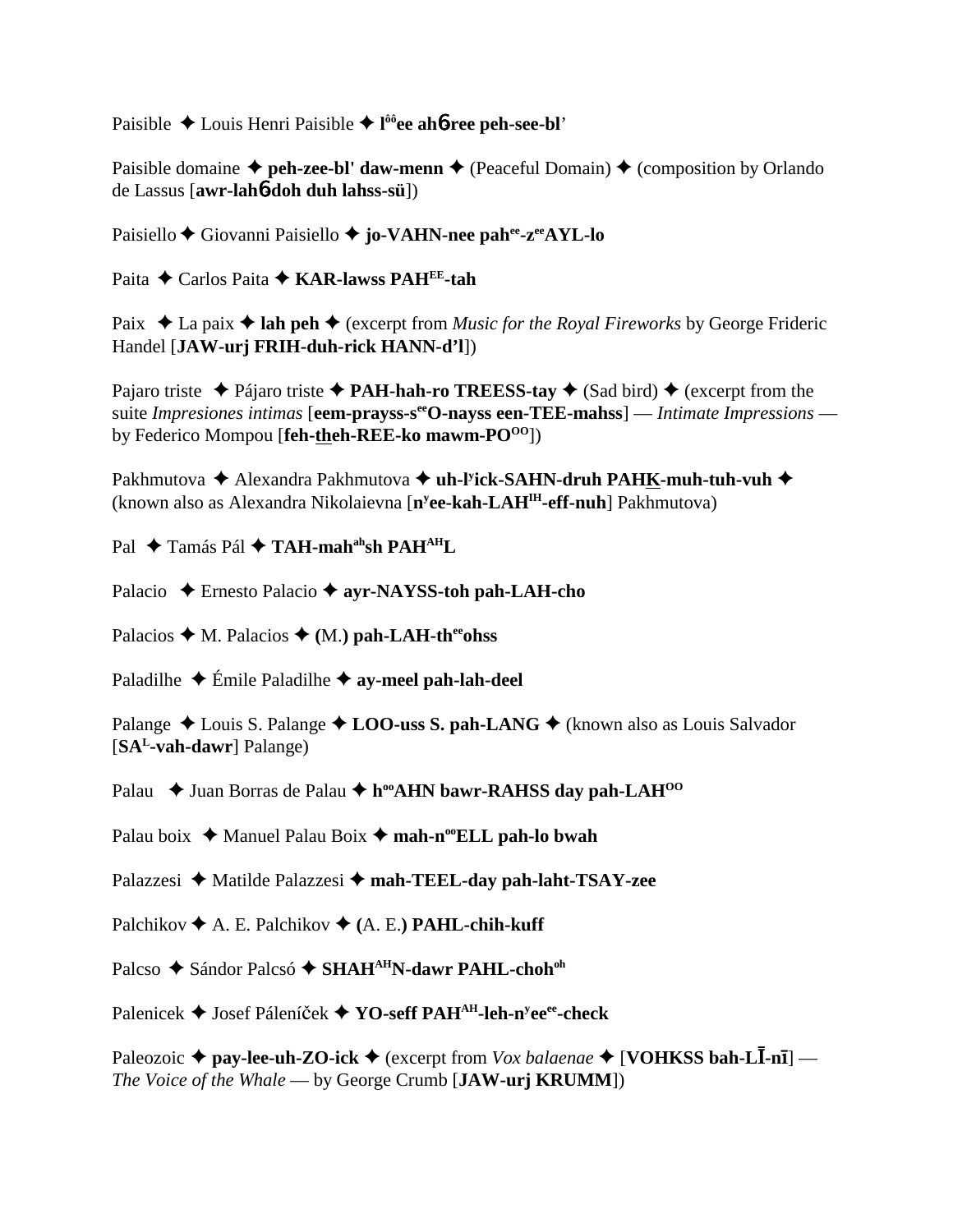Paisible Louis Henri Paisible **l ôôee ah**6**-ree peh-see-bl**'

Paisible domaine  $\triangleq$  peh-zee-bl' daw-menn  $\triangleq$  (Peaceful Domain)  $\triangleq$  (composition by Orlando de Lassus [**awr-lah**6**-doh duh lahss-sü**])

Paisiello **←** Giovanni Paisiello ← jo-VAHN-nee pahee-zeeAYL-lo

Paita **←** Carlos Paita ← **KAR-lawss PAH<sup>EE</sup>-tah** 

Paix  $\triangle$  La paix  $\triangle$  lah peh  $\triangle$  (excerpt from *Music for the Royal Fireworks* by George Frideric Handel [**JAW-urj FRIH-duh-rick HANN-d'l**])

Pajaro triste  $\triangle$  Pájaro triste  $\triangle$  **PAH-hah-ro TREESS-tay**  $\triangle$  (Sad bird)  $\triangle$  (excerpt from the suite *Impresiones intimas* [**eem-prayss-seeO-nayss een-TEE-mahss**] — *Intimate Impressions* by Federico Mompou [**feh-theh-REE-ko mawm-PO**<sup>00</sup>])

Pakhmutova ◆ Alexandra Pakhmutova **◆ uh-l<sup>y</sup>ick-SAHN-druh PAH<u>K</u>-muh-tuh-vuh ◆** (known also as Alexandra Nikolaievna [**ny ee-kah-LAHIH-eff-nuh**] Pakhmutova)

Pal **→** Tamás Pál → TAH-mah<sup>ah</sup>sh PAH<sup>AH</sup>L

Palacio Ernesto Palacio **ayr-NAYSS-toh pah-LAH-cho**

Palacios  $\triangleleft$  M. Palacios  $\triangleleft$  (M.) pah-LAH-thereohss

Paladilhe  $\triangle$  Émile Paladilhe  $\triangle$  **ay-meel pah-lah-deel** 

Palange  $\triangle$  Louis S. Palange  $\triangle$  **LOO-uss S. pah-LANG**  $\triangle$  (known also as Louis Salvador [**SAL-vah-dawr**] Palange)

Palau  **↓** Juan Borras de Palau ◆ h<sup>oo</sup>AHN bawr-RAHSS day pah-LAH<sup>00</sup>

Palau boix  $\triangle$  Manuel Palau Boix  $\triangle$  mah-n<sup>oo</sup>ELL pah-lo bwah

Palazzesi **→** Matilde Palazzesi → mah-TEEL-day pah-laht-TSAY-zee

Palchikov  $\blacklozenge$  A. E. Palchikov  $\blacklozenge$  (A. E.) **PAHL-chih-kuff** 

Palcso ◆ Sándor Palcsó ◆ SHAH<sup>AH</sup>N-dawr PAHL-choh<sup>oh</sup>

Palenicek ◆ Josef Páleníček ◆ YO-seff PAH<sup>AH</sup>-leh-n<sup>y</sup>ee<sup>ee</sup>-check

Paleozoic ◆ pay-lee-uh-ZO-ick ◆ (excerpt from *Vox balaenae* ◆ [VOHKSS bah-LĪ-nī] — *The Voice of the Whale* — by George Crumb [**JAW-urj KRUMM**])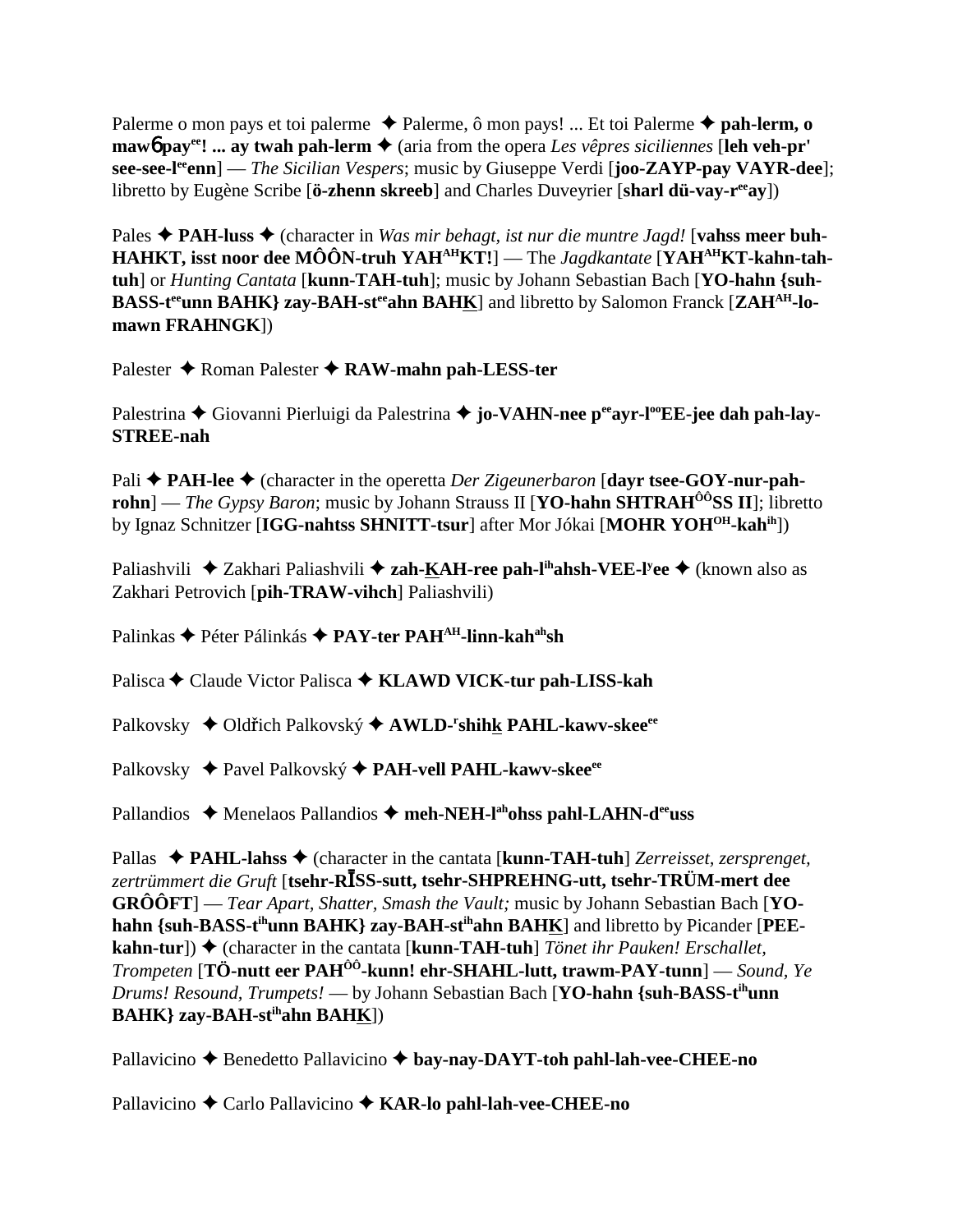Palerme o mon pays et toi palerme **→** Palerme, ô mon pays! ... Et toi Palerme **→ pah-lerm, o mawb** pay<sup>ee</sup>! ... ay twah pah-lerm  $\triangle$  (aria from the opera *Les vêpres siciliennes* [leh veh-pr' **see-see-leeenn**] — *The Sicilian Vespers*; music by Giuseppe Verdi [**joo-ZAYP-pay VAYR-dee**]; libretto by Eugène Scribe [**ö-zhenn skreeb**] and Charles Duveyrier [**sharl dü-vay-r<sup>ee</sup>ay**])

Pales **↑ PAH-luss ↑** (character in *Was mir behagt, ist nur die muntre Jagd!* [**vahss meer buh-**HAHKT, isst noor dee MÔÔN-truh YAH<sup>AH</sup>KT!] — The *Jagdkantate* [YAH<sup>AH</sup>KT-kahn-tah**tuh**] or *Hunting Cantata* [**kunn-TAH-tuh**]; music by Johann Sebastian Bach [**YO-hahn {suh-**BASS-t<sup>ee</sup>unn BAHK} zay-BAH-st<sup>ee</sup>ahn BAHK] and libretto by Salomon Franck [ZAH<sup>AH</sup>-lo**mawn FRAHNGK**])

Palester **→** Roman Palester **→ RAW-mahn pah-LESS-ter** 

Palestrina **←** Giovanni Pierluigi da Palestrina ← jo-VAHN-nee p<sup>ee</sup>ayr-l<sup>oo</sup>EE-jee dah pah-lay-**STREE-nah**

Pali **→ PAH-lee →** (character in the operetta *Der Zigeunerbaron* [davr tsee-GOY-nur-pah**rohn**] — *The Gypsy Baron*; music by Johann Strauss II [**YO-hahn SHTRAH<sup>ÔÔ</sup>SS II**]; libretto by Ignaz Schnitzer [**IGG-nahtss SHNITT-tsur**] after Mor Jókai [**MOHR YOHOH-kahih**])

Paliashvili ◆ Zakhari Paliashvili ◆ zah-KAH-ree pah-l<sup>ih</sup>ahsh-VEE-l<sup>y</sup>ee ◆ (known also as Zakhari Petrovich [**pih-TRAW-vihch**] Paliashvili)

Palinkas ◆ Péter Pálinkás ◆ PAY-ter PAH<sup>AH</sup>-linn-kah<sup>ah</sup>sh

Palisca **←** Claude Victor Palisca ← KLAWD VICK-tur pah-LISS-kah

Palkovsky ◆ Oldřich Palkovský ◆ AWLD-<sup>r</sup>shih<u>k</u> PAHL-kawv-skee<sup>ee</sup>

Palkovsky ◆ Pavel Palkovský ◆ PAH-vell PAHL-kawv-skee<sup>ee</sup>

Pallandios ◆ Menelaos Pallandios ◆ meh-NEH-l<sup>ah</sup>ohss pahl-LAHN-d<sup>ee</sup>uss

Pallas ◆ PAHL-lahss ◆ (character in the cantata [**kunn-TAH-tuh**] *Zerreisset, zersprenget,* zertrümmert die Gruft [**tsehr-RĪSS-sutt, tsehr-SHPREHNG-utt, tsehr-TRÜM-mert dee GRÔÔFT**] — *Tear Apart, Shatter, Smash the Vault;* music by Johann Sebastian Bach [**YO**hahn {suh-BASS-t<sup>ih</sup>unn BAHK} zay-BAH-st<sup>ih</sup>ahn BAHK] and libretto by Picander [PEE**kahn-tur**]) ◆ (character in the cantata [**kunn-TAH-tuh**] *Tönet ihr Pauken! Erschallet, Trompeten* [**TÖ-nutt eer PAHÔÔ-kunn! ehr-SHAHL-lutt, trawm-PAY-tunn**] — *Sound, Ye Drums! Resound, Trumpets!* — by Johann Sebastian Bach [**YO-hahn {suh-BASS-tihunn BAHK} zay-BAH-stihahn BAHK**])

Pallavicino ◆ Benedetto Pallavicino ◆ bay-nay-DAYT-toh pahl-lah-vee-CHEE-no

Pallavicino Carlo Pallavicino **KAR-lo pahl-lah-vee-CHEE-no**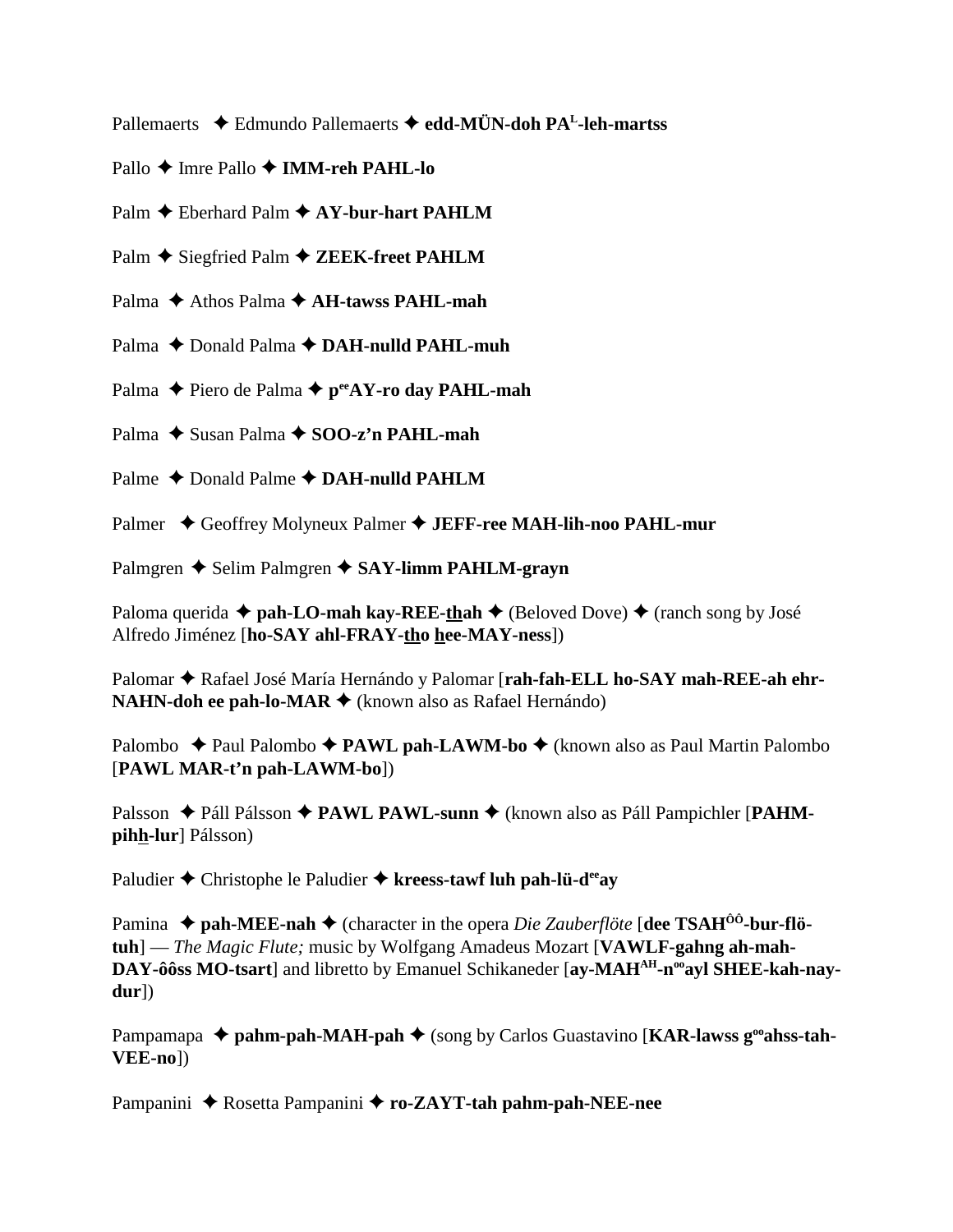Pallemaerts **→** Edmundo Pallemaerts → edd-MÜN-doh PA<sup>L</sup>-leh-martss

Pallo **→ Imre Pallo → IMM-reh PAHL-lo** 

Palm **←** Eberhard Palm **← AY-bur-hart PAHLM** 

Palm ◆ Siegfried Palm ◆ ZEEK-freet PAHLM

Palma **← Athos Palma ← AH-tawss PAHL-mah** 

Palma ◆ Donald Palma ◆ DAH-nulld PAHL-muh

Palma **←** Piero de Palma ← p<sup>ee</sup>AY-ro day PAHL-mah

Palma **→** Susan Palma → SOO-z'n PAHL-mah

Palme  $\triangle$  Donald Palme  $\triangle$  **DAH-nulld PAHLM** 

Palmer ◆ Geoffrey Molyneux Palmer ◆ **JEFF-ree MAH-lih-noo PAHL-mur** 

Palmgren **→** Selim Palmgren → SAY-limm PAHLM-grayn

Paloma querida  $\triangle$  pah-LO-mah kay-REE-thah  $\triangle$  (Beloved Dove)  $\triangle$  (ranch song by José Alfredo Jiménez [**ho-SAY ahl-FRAY-tho hee-MAY-ness**])

Palomar  $\triangle$  Rafael José María Hernándo y Palomar [rah-fah-ELL ho-SAY mah-REE-ah ehr-**NAHN-doh ee pah-lo-MAR ♦** (known also as Rafael Hernándo)

Palombo **→** Paul Palombo → **PAWL pah-LAWM-bo** → (known also as Paul Martin Palombo [**PAWL MAR-t'n pah-LAWM-bo**])

Palsson ◆ Páll Pálsson ◆ PAWL PAWL-sunn ◆ (known also as Páll Pampichler [PAHM**pihh-lur**] Pálsson)

Paludier **→** Christophe le Paludier → kreess-tawf luh pah-lü-d<sup>ee</sup>ay

Pamina ◆ pah-MEE-nah ◆ (character in the opera *Die Zauberflöte* [dee TSAH<sup>ôô</sup>-bur-flö**tuh**] — *The Magic Flute;* music by Wolfgang Amadeus Mozart [**VAWLF-gahng ah-mah-**DAY-ôôss MO-tsart] and libretto by Emanuel Schikaneder [ay-MAH<sup>AH</sup>-n<sup>oo</sup>ayl SHEE-kah-nay**dur**])

Pampamapa  $\triangle$  pahm-pah-MAH-pah  $\triangle$  (song by Carlos Guastavino [KAR-lawss g<sup>oo</sup>ahss-tah-**VEE-no**])

Pampanini ◆ Rosetta Pampanini ◆ ro-ZAYT-tah pahm-pah-NEE-nee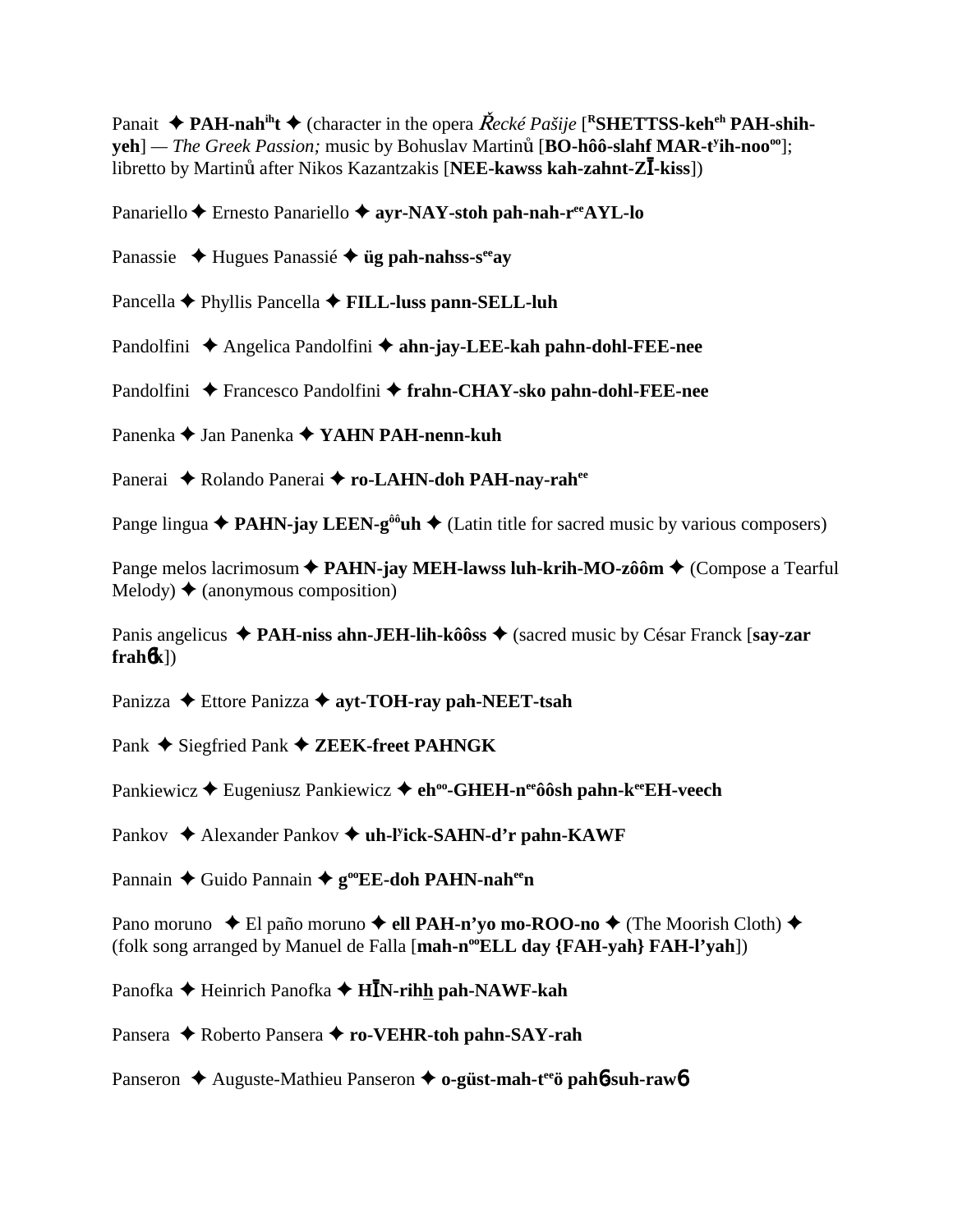Panait  $\triangle$  **PAH-nah**<sup>ih</sup>**t**  $\triangle$  (character in the opera *Recké Pašije* [<sup>R</sup>SHETTSS-keh<sup>eh</sup> PAH-shih- $\mathbf{yeh}]$  — *The Greek Passion;* music by Bohuslav Martinů [BO-hôô-slahf MAR-t<sup>y</sup>ih-noo<sup>oo</sup>]; **i** bretto by Martinů after Nikos Kazantzakis [**NEE-kawss kah-zahnt-ZĪ-kiss**])

Panariello **←** Ernesto Panariello ← ayr-NAY-stoh pah-nah-r<sup>ee</sup>AYL-lo

Panassie Hugues Panassié **üg pah-nahss-seeay**

Pancella Phyllis Pancella **FILL-luss pann-SELL-luh**

Pandolfini ◆ Angelica Pandolfini ◆ ahn-jay-LEE-kah pahn-dohl-FEE-nee

Pandolfini ◆ Francesco Pandolfini ◆ frahn-CHAY-sko pahn-dohl-FEE-nee

Panenka Jan Panenka **YAHN PAH-nenn-kuh**

Panerai ◆ Rolando Panerai ◆ ro-LAHN-doh PAH-nav-rah<sup>ee</sup>

Pange lingua  $\triangle$  **PAHN-jay LEEN-g<sup>ôô</sup>uh**  $\triangle$  (Latin title for sacred music by various composers)

Pange melos lacrimosum **◆ PAHN-jay MEH-lawss luh-krih-MO-zôôm ◆** (Compose a Tearful  $Melody$   $\bigstar$  (anonymous composition)

Panis angelicus ◆ **PAH-niss ahn-JEH-lih-kôôss ◆** (sacred music by César Franck [say-zar  $frah(6k)$ 

Panizza **→** Ettore Panizza → ayt-TOH-ray pah-NEET-tsah

Pank **→** Siegfried Pank **→ ZEEK-freet PAHNGK** 

Pankiewicz **→** Eugeniusz Pankiewicz → eh<sup>oo</sup>-GHEH-n<sup>ee</sup>ôôsh pahn-k<sup>ee</sup>EH-veech

Pankov ◆ Alexander Pankov ◆ uh-l<sup>y</sup>ick-SAHN-d'r pahn-KAWF

Pannain ◆ Guido Pannain ◆ g<sup>oo</sup>EE-doh PAHN-nah<sup>ee</sup>n

Pano moruno ◆ El paño moruno ◆ ell PAH-n'yo mo-ROO-no ◆ (The Moorish Cloth) ◆ (folk song arranged by Manuel de Falla [**mah-n<sup>oo</sup>ELL day {FAH-yah} FAH-l'yah**])

Panofka ◆ Heinrich Panofka ◆ **HĪN-rih<u>h</u> pah-NAWF-kah** 

Pansera **→** Roberto Pansera → ro-VEHR-toh pahn-SAY-rah

Panseron **→** Auguste-Mathieu Panseron → o-güst-mah-t<sup>ee</sup>ö pah**6**-suh-raw6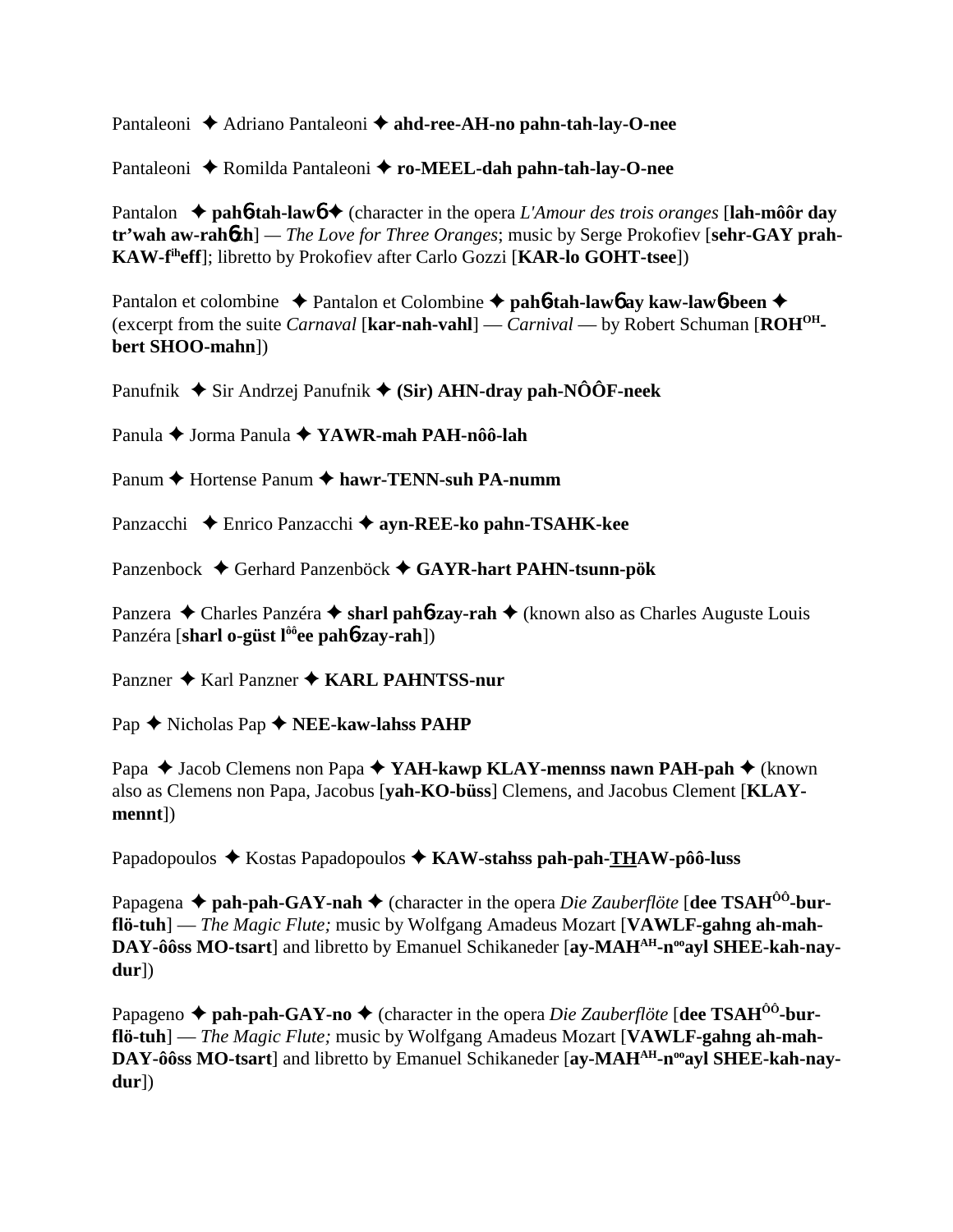Pantaleoni **→** Adriano Pantaleoni → ahd-ree-AH-no pahn-tah-lay-O-nee

Pantaleoni **↓** Romilda Pantaleoni **◆ ro-MEEL-dah pahn-tah-lay-O-nee** 

Pantalon ◆ pah**6-tah-law6**  (character in the opera *L'Amour des trois oranges* [lah-môôr day **tr'wah aw-rah**6**zh**] *— The Love for Three Oranges*; music by Serge Prokofiev [**sehr-GAY prah-KAW-fiheff**]; libretto by Prokofiev after Carlo Gozzi [**KAR-lo GOHT-tsee**])

Pantalon et colombine ◆ Pantalon et Colombine ◆ pah**6-tah-law6** ay kaw-law6-been ◆ (excerpt from the suite *Carnaval* [**kar-nah-vahl**] — *Carnival* — by Robert Schuman [**ROHOHbert SHOO-mahn**])

Panufnik **→** Sir Andrzej Panufnik → (Sir) AHN-dray pah-NÔÔF-neek

Panula Jorma Panula **YAWR-mah PAH-nôô-lah**

Panum **←** Hortense Panum ← hawr-TENN-suh PA-numm

Panzacchi Enrico Panzacchi **ayn-REE-ko pahn-TSAHK-kee**

Panzenbock Gerhard Panzenböck **GAYR-hart PAHN-tsunn-pök**

Panzera ◆ Charles Panzéra ◆ sharl pah**6-zay-rah** ◆ (known also as Charles Auguste Louis Panzéra [**sharl o-güst lôôee pah**6**-zay-rah**])

Panzner ◆ Karl Panzner ◆ KARL PAHNTSS-nur

Pap **↑** Nicholas Pap **↑** NEE-kaw-lahss PAHP

Papa **→** Jacob Clemens non Papa → YAH-kawp KLAY-mennss nawn PAH-pah → (known also as Clemens non Papa, Jacobus [**yah-KO-büss**] Clemens, and Jacobus Clement [**KLAYmennt**])

Papadopoulos ◆ Kostas Papadopoulos ◆ KAW-stahss pah-pah-THAW-pôô-luss

Papagena **← pah-pah-GAY-nah ←** (character in the opera *Die Zauberflöte* [**dee TSAH<sup>ôô</sup>-burflö-tuh**] — *The Magic Flute;* music by Wolfgang Amadeus Mozart [**VAWLF-gahng ah-mah-**DAY-ôôss MO-tsart] and libretto by Emanuel Schikaneder [av-MAH<sup>AH</sup>-n<sup>oo</sup>av] SHEE-kah-nav**dur**])

Papageno  $\triangle$  pah-pah-GAY-no  $\triangle$  (character in the opera *Die Zauberflöte* [dee TSAH<sup>00</sup>-bur**flö-tuh**] — *The Magic Flute;* music by Wolfgang Amadeus Mozart [**VAWLF-gahng ah-mah-**DAY-ôôss MO-tsart<sub>l</sub> and libretto by Emanuel Schikaneder [ay-MAH<sup>AH</sup>-n<sup>oo</sup>ayl SHEE-kah-nay**dur**])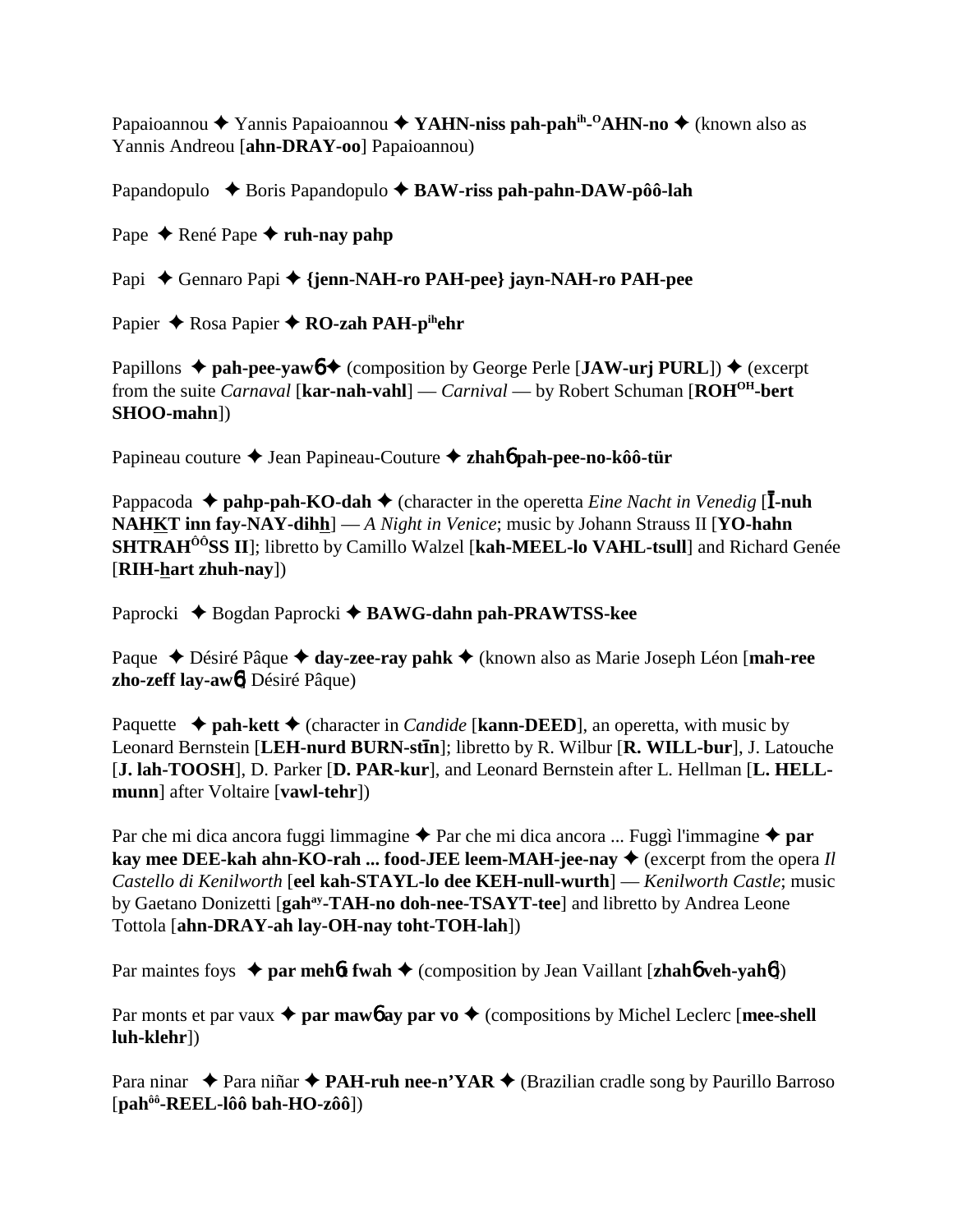Papaioannou ◆ Yannis Papaioannou ◆ YAHN-niss pah-pah<sup>ih</sup>-<sup>0</sup>AHN-no ◆ (known also as Yannis Andreou [**ahn-DRAY-oo**] Papaioannou)

Papandopulo **→** Boris Papandopulo → **BAW-riss pah-pahn-DAW-pôô-lah** 

Pape ◆ René Pape ◆ **ruh-nay pahp** 

Papi ◆ Gennaro Papi ◆ {jenn-NAH-ro PAH-pee} jayn-NAH-ro PAH-pee

Papier **← Rosa Papier ← RO-zah PAH-pihehr** 

Papillons  $\triangle$  pah-pee-yaw<sub>0</sub>  $\triangle$  (composition by George Perle [**JAW-urj PURL**])  $\triangle$  (excerpt from the suite *Carnaval* [**kar-nah-vahl**] — *Carnival* — by Robert Schuman [**ROHOH-bert SHOO-mahn**])

Papineau couture Jean Papineau-Couture **zhah**6 **pah-pee-no-kôô-tür**

Pappacoda ◆ pahp-pah-KO-dah ◆ (character in the operetta *Eine Nacht in Venedig* [**I-nuh NAHKT inn fay-NAY-dihh**] — *A Night in Venice*; music by Johann Strauss II [**YO-hahn SHTRAHÔÔSS II**]; libretto by Camillo Walzel [**kah-MEEL-lo VAHL-tsull**] and Richard Genée [**RIH-hart zhuh-nay**])

Paprocki ◆ Bogdan Paprocki ◆ BAWG-dahn pah-PRAWTSS-kee

Paque ◆ Désiré Pâque ◆ day-zee-ray pahk ◆ (known also as Marie Joseph Léon [**mah-ree zho-zeff lay-aw**6] Désiré Pâque)

Paquette  $\triangle$  **pah-kett**  $\triangle$  (character in *Candide* [**kann-DEED**], an operetta, with music by Leonard Bernstein [**LEH-nurd BURN-stn**]; libretto by R. Wilbur [**R. WILL-bur**], J. Latouche [**J. lah-TOOSH**], D. Parker [**D. PAR-kur**], and Leonard Bernstein after L. Hellman [**L. HELLmunn**] after Voltaire [**vawl-tehr**])

Par che mi dica ancora fuggi limmagine  $\triangle$  Par che mi dica ancora ... Fuggì l'immagine  $\triangle$  par **kay mee DEE-kah ahn-KO-rah ... food-JEE leem-MAH-jee-nay ♦** (excerpt from the opera *Il Castello di Kenilworth* [**eel kah-STAYL-lo dee KEH-null-wurth**] — *Kenilworth Castle*; music by Gaetano Donizetti [**gahay-TAH-no doh-nee-TSAYT-tee**] and libretto by Andrea Leone Tottola [**ahn-DRAY-ah lay-OH-nay toht-TOH-lah**])

Par maintes foys **↓ par meh6t fwah ◆** (composition by Jean Vaillant [**zhah6** veh-yah6])

Par monts et par vaux  $\triangle$  par mawb ay par vo  $\triangle$  (compositions by Michel Leclerc [mee-shell **luh-klehr**])

Para ninar  $\triangle$  Para niñar  $\triangle$  **PAH-ruh nee-n'YAR**  $\triangle$  (Brazilian cradle song by Paurillo Barroso [**pahôô-REEL-lôô bah-HO-zôô**])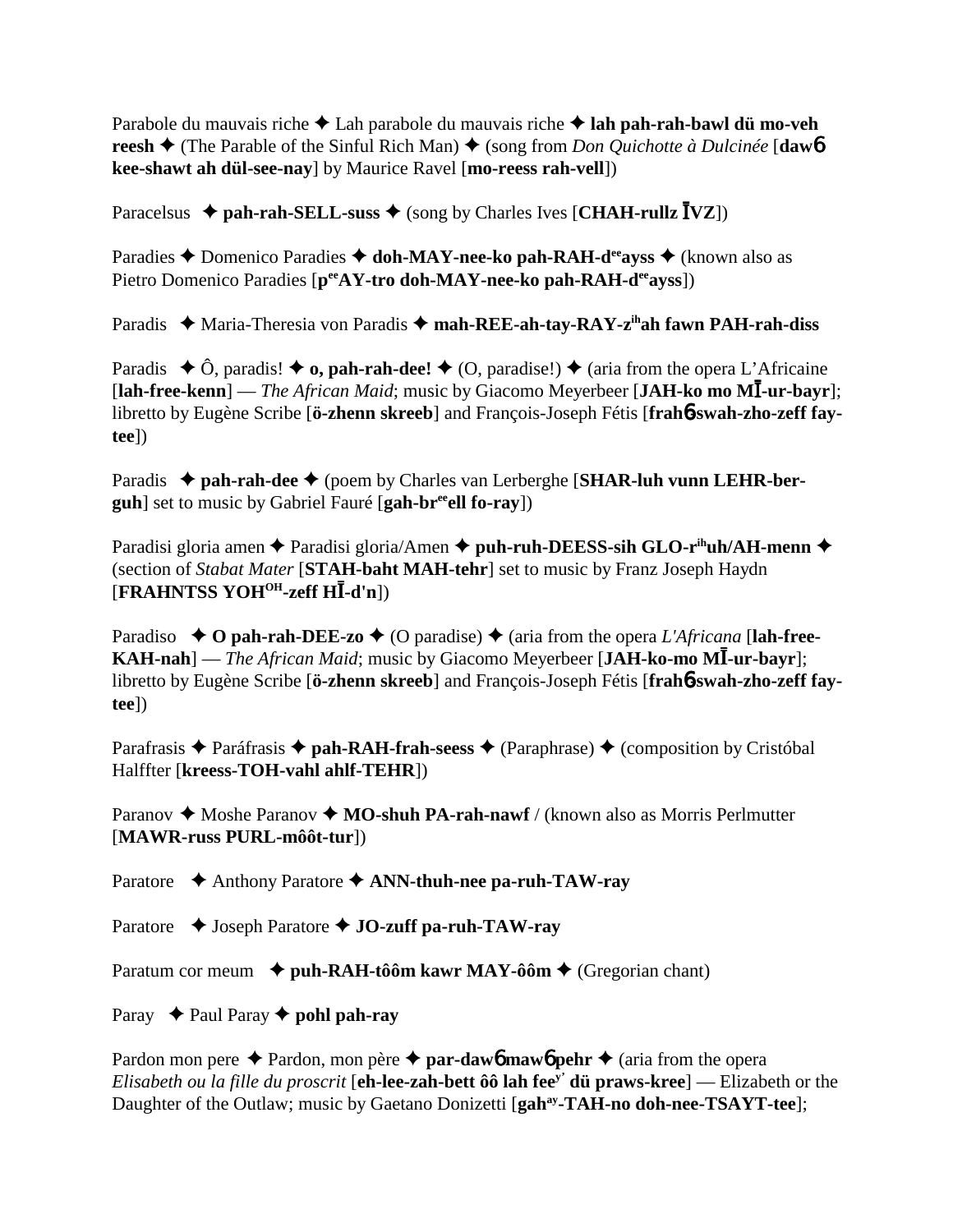Parabole du mauvais riche Lah parabole du mauvais riche **lah pah-rah-bawl dü mo-veh reesh ♦** (The Parable of the Sinful Rich Man) ♦ (song from *Don Quichotte à Dulcinée* [**daw**6] **kee-shawt ah dül-see-nay**] by Maurice Ravel [**mo-reess rah-vell**])

 $\text{Paracelsus} \triangleq \text{pah-rah-SELL-suss} \triangleq (\text{song by Charles Ives } [CHAH-rullz \bar{I} VZ])$ 

Paradies **↑** Domenico Paradies **↑ doh-MAY-nee-ko pah-RAH-d<sup>ee</sup>ayss ◆** (known also as Pietro Domenico Paradies [peeAY-tro doh-MAY-nee-ko pah-RAH-deeayss])

Paradis ◆ Maria-Theresia von Paradis ◆ mah-REE-ah-tay-RAY-z<sup>ih</sup>ah fawn PAH-rah-diss

Paradis  $\triangle$  Ô, paradis!  $\triangle$  **o, pah-rah-dee!**  $\triangle$  (O, paradise!)  $\triangle$  (aria from the opera L'Africaine [lah-free-kenn] — *The African Maid*; music by Giacomo Meyerbeer [JAH-ko mo MI-ur-bayr]; libretto by Eugène Scribe [**ö-zhenn skreeb**] and François-Joseph Fétis [**frah**6**-swah-zho-zeff faytee**])

Paradis ◆ pah-rah-dee ◆ (poem by Charles van Lerberghe [SHAR-luh vunn LEHR-ber**guh**] set to music by Gabriel Fauré [**gah-breeell fo-ray**])

Paradisi gloria amen **←** Paradisi gloria/Amen ← puh-ruh-DEESS-sih GLO-r<sup>ih</sup>uh/AH-menn ← (section of *Stabat Mater* [**STAH-baht MAH-tehr**] set to music by Franz Joseph Haydn  $\widehat{C}$ **FRAHNTSS YOH<sup>OH</sup>-zeff HI-d'n**])

Paradiso  $\triangle$  **O** pah-rah-DEE-zo  $\triangle$  (O paradise)  $\triangle$  (aria from the opera *L'Africana* [lah-free-**KAH-nah**] — *The African Maid*; music by Giacomo Meyerbeer [JAH-ko-mo MĪ-ur-bayr]; libretto by Eugène Scribe [**ö-zhenn skreeb**] and François-Joseph Fétis [**frah**6**-swah-zho-zeff faytee**])

Parafrasis **←** Paráfrasis ← **pah-RAH-frah-seess** ← (Paraphrase) ← (composition by Cristóbal Halffter [**kreess-TOH-vahl ahlf-TEHR**])

Paranov  $\triangle$  Moshe Paranov  $\triangle$  **MO-shuh PA-rah-nawf** / (known also as Morris Perlmutter [**MAWR-russ PURL-môôt-tur**])

Paratore **→** Anthony Paratore → **ANN-thuh-nee pa-ruh-TAW-ray** 

Paratore **→** Joseph Paratore ◆ **JO-zuff pa-ruh-TAW-ray** 

Paratum cor meum **↓ puh-RAH-tôôm kawr MAY-ôôm ◆** (Gregorian chant)

Paray  $\rightarrow$  Paul Paray  $\rightarrow$  **pohl pah-ray** 

Pardon mon pere  $\triangle$  Pardon, mon père  $\triangle$  **par-daw6** maw6 pehr  $\triangle$  (aria from the opera *Elisabeth ou la fille du proscrit* [**eh-lee-zah-bett ôô lah feey' dü praws-kree**] — Elizabeth or the Daughter of the Outlaw; music by Gaetano Donizetti [gah<sup>ay</sup>-TAH-no doh-nee-TSAYT-tee];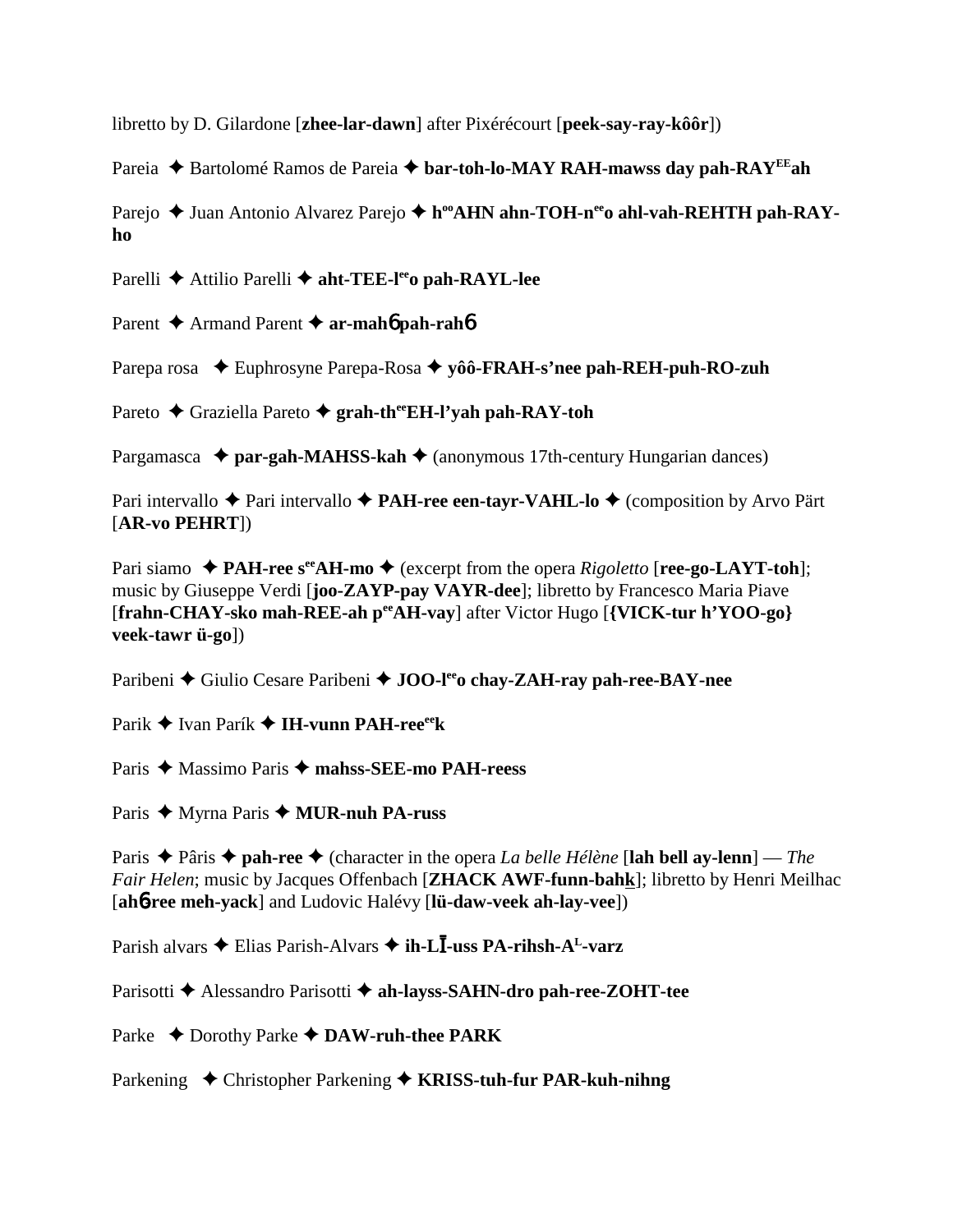libretto by D. Gilardone [**zhee-lar-dawn**] after Pixérécourt [**peek-say-ray-kôôr**])

Pareia ◆ Bartolomé Ramos de Pareia ◆ bar-toh-lo-MAY RAH-mawss day pah-RAY<sup>EE</sup>ah

Parejo ◆ Juan Antonio Alvarez Parejo ◆ h<sup>oo</sup>AHN ahn-TOH-n<sup>ee</sup>o ahl-vah-REHTH pah-RAY**ho**

Parelli **→** Attilio Parelli → aht-TEE-l<sup>ee</sup>o pah-RAYL-lee

Parent **→** Armand Parent → **ar-mah6** pah-rah6

Parepa rosa ◆ Euphrosyne Parepa-Rosa ◆ yôô-**FRAH-s'nee pah-REH-puh-RO-zuh** 

Pareto **←** Graziella Pareto ← grah-th<sup>ee</sup>EH-l'yah pah-RAY-toh

Pargamasca **↓ par-gah-MAHSS-kah ↓** (anonymous 17th-century Hungarian dances)

Pari intervallo **→** Pari intervallo **→ PAH-ree een-tayr-VAHL-lo →** (composition by Arvo Pärt [**AR-vo PEHRT**])

Pari siamo  $\triangle$  **PAH-ree s<sup>ee</sup>AH-mo**  $\triangle$  (excerpt from the opera *Rigoletto* [**ree-go-LAYT-toh**]; music by Giuseppe Verdi [**joo-ZAYP-pay VAYR-dee**]; libretto by Francesco Maria Piave [**frahn-CHAY-sko mah-REE-ah peeAH-vay**] after Victor Hugo [**{VICK-tur h'YOO-go} veek-tawr ü-go**])

Paribeni ◆ Giulio Cesare Paribeni ◆ **JOO-l<sup>ee</sup>o chay-ZAH-ray pah-ree-BAY-nee** 

Parik ◆ Ivan Parík ◆ I**H-vunn PAH-ree**ek

Paris **→** Massimo Paris → mahss-SEE-mo PAH-reess

Paris ◆ Myrna Paris ◆ MUR-nuh PA-russ

Paris **→** Pâris → **pah-ree** → (character in the opera *La belle Hélène* [lah bell ay-lenn] — *The Fair Helen*; music by Jacques Offenbach [**ZHACK AWF-funn-bahk**]; libretto by Henri Meilhac [**ah**6**-ree meh-yack**] and Ludovic Halévy [**lü-daw-veek ah-lay-vee**])

Parish alvars ◆ Elias Parish-Alvars ◆ **ih-LĪ-uss PA-rihsh-A<sup>L</sup>-varz** 

Parisotti ◆ Alessandro Parisotti ◆ ah-layss-SAHN-dro pah-ree-ZOHT-tee

Parke ◆ Dorothy Parke ◆ DAW-ruh-thee PARK

Parkening ◆ Christopher Parkening ◆ **KRISS-tuh-fur PAR-kuh-nihng**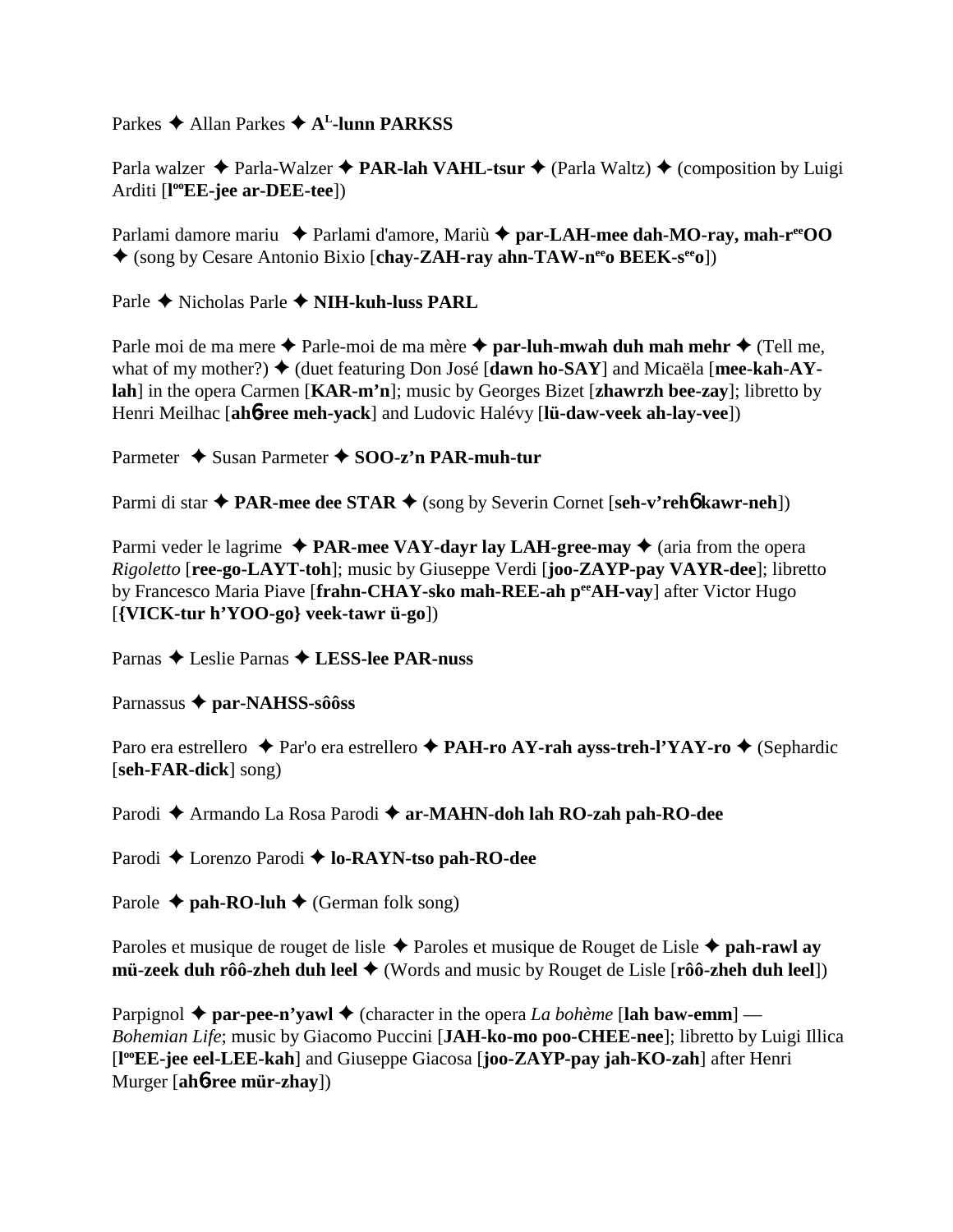Parkes **→** Allan Parkes → A<sup>L</sup>-lunn PARKSS

Parla walzer  $\triangle$  Parla-Walzer  $\triangle$  **PAR-lah VAHL-tsur**  $\triangle$  (Parla Waltz)  $\triangle$  (composition by Luigi Arditi [**l ooEE-jee ar-DEE-tee**])

Parlami damore mariu ◆ Parlami d'amore, Mariù ◆ par-LAH-mee dah-MO-ray, mah-r<sup>ee</sup>OO (song by Cesare Antonio Bixio [**chay-ZAH-ray ahn-TAW-neeo BEEK-seeo**])

Parle Nicholas Parle **NIH-kuh-luss PARL**

Parle moi de ma mere **→** Parle-moi de ma mère **→ par-luh-mwah duh mah mehr →** (Tell me, what of my mother?)  $\blacklozenge$  (duet featuring Don José [dawn ho-SAY] and Micaëla [mee-kah-AY**lah**] in the opera Carmen [**KAR-m'n**]; music by Georges Bizet [**zhawrzh bee-zay**]; libretto by Henri Meilhac [**ah**6**-ree meh-yack**] and Ludovic Halévy [**lü-daw-veek ah-lay-vee**])

Parmeter **→** Susan Parmeter → SOO-z'n PAR-muh-tur

Parmi di star  $\blacklozenge$  **PAR-mee dee STAR**  $\blacklozenge$  (song by Severin Cornet [seh-v'reh**6** kawr-neh])

Parmi veder le lagrime  $\triangle$  **PAR-mee VAY-dayr lay LAH-gree-may**  $\triangle$  (aria from the opera *Rigoletto* [**ree-go-LAYT-toh**]; music by Giuseppe Verdi [**joo-ZAYP-pay VAYR-dee**]; libretto by Francesco Maria Piave [frahn-CHAY-sko mah-REE-ah per AH-vav] after Victor Hugo [**{VICK-tur h'YOO-go} veek-tawr ü-go**])

Parnas Leslie Parnas **LESS-lee PAR-nuss**

Parnassus **par-NAHSS-sôôss**

Paro era estrellero **→** Par'o era estrellero **→ PAH-ro AY-rah ayss-treh-l'YAY-ro →** (Sephardic [**seh-FAR-dick**] song)

Parodi **→** Armando La Rosa Parodi → ar-MAHN-doh lah RO-zah pah-RO-dee

Parodi **←** Lorenzo Parodi ← **lo-RAYN-tso pah-RO-dee** 

Parole  $\triangle$  **pah-RO-luh**  $\triangle$  (German folk song)

Paroles et musique de rouget de lisle Paroles et musique de Rouget de Lisle **pah-rawl ay mü-zeek duh rôô-zheh duh leel ♦** (Words and music by Rouget de Lisle [**rôô-zheh duh leel**])

Parpignol  $\triangle$  par-pee-n'yawl  $\triangle$  (character in the opera *La bohème* [lah baw-emm] – *Bohemian Life*; music by Giacomo Puccini [**JAH-ko-mo poo-CHEE-nee**]; libretto by Luigi Illica [**l ooEE-jee eel-LEE-kah**] and Giuseppe Giacosa [**joo-ZAYP-pay jah-KO-zah**] after Henri Murger [**ah**6**-ree mür-zhay**])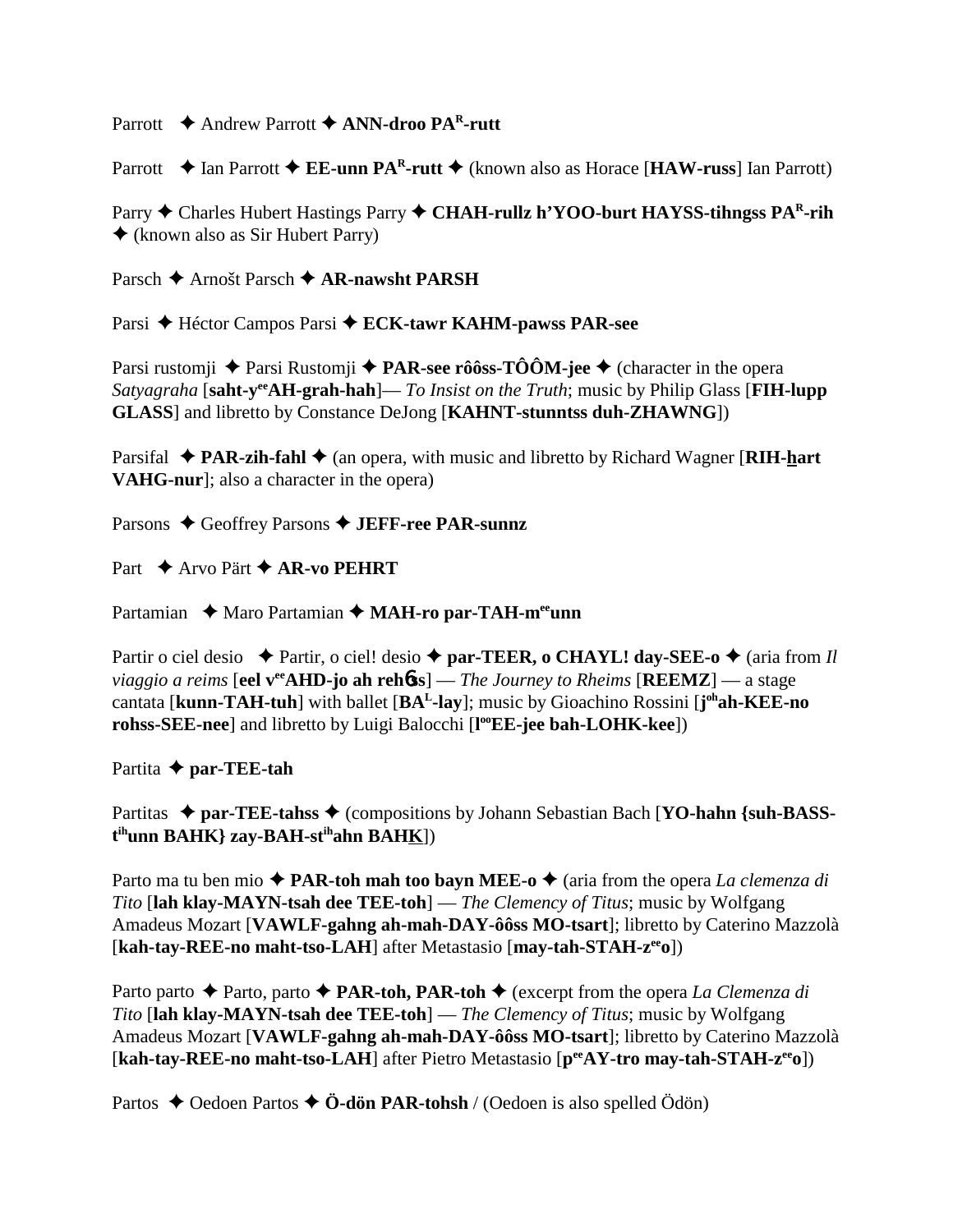Parrott **←** Andrew Parrott ← ANN-droo PA<sup>R</sup>-rutt

Parrott  $\triangle$  Ian Parrott  $\triangle$  **EE-unn PA<sup>R</sup>-rutt**  $\triangle$  (known also as Horace [**HAW-russ**] Ian Parrott)

Parry **↑** Charles Hubert Hastings Parry ◆ CHAH-rullz h'YOO-burt HAYSS-tihngss PAR-rih (known also as Sir Hubert Parry)

Parsch **→** Arnošt Parsch **→ AR-nawsht PARSH** 

Parsi ◆ Héctor Campos Parsi ◆ **ECK-tawr KAHM-pawss PAR-see** 

Parsi rustomji ◆ Parsi Rustomji ◆ **PAR-see rôôss-TÔÔM-jee** ◆ (character in the opera *Satyagraha* [**saht-yeeAH-grah-hah**]— *To Insist on the Truth*; music by Philip Glass [**FIH-lupp GLASS**] and libretto by Constance DeJong [**KAHNT-stunntss duh-ZHAWNG**])

Parsifal **◆ PAR-zih-fahl ◆** (an opera, with music and libretto by Richard Wagner [**RIH-hart VAHG-nur**]; also a character in the opera)

Parsons ♦ Geoffrey Parsons ♦ **JEFF-ree PAR-sunnz** 

Part **← Arvo Pärt ← AR-vo PEHRT** 

Partamian ◆ Maro Partamian ◆ MAH-ro par-TAH-m<sup>ee</sup>unn

Partir o ciel desio  $\rightarrow$  Partir, o ciel! desio  $\rightarrow$  par-TEER, o CHAYL! day-SEE-o  $\rightarrow$  (aria from *Il viaggio a reims* [eel v<sup>ee</sup>AHD-jo ah rehbss] — *The Journey to Rheims* [REEMZ] — a stage cantata [**kunn-TAH-tuh**] with ballet [**BAL-lay**]; music by Gioachino Rossini [**j ohah-KEE-no rohss-SEE-nee**] and libretto by Luigi Balocchi [**l ooEE-jee bah-LOHK-kee**])

Partita **par-TEE-tah**

Partitas  $\triangle$  par-TEE-tahss  $\triangle$  (compositions by Johann Sebastian Bach [YO-hahn {suh-BASS**t ihunn BAHK} zay-BAH-stihahn BAHK**])

Parto ma tu ben mio  $\triangle$  **PAR-toh mah too bayn MEE-o**  $\triangle$  (aria from the opera *La clemenza di Tito* [**lah klay-MAYN-tsah dee TEE-toh**] — *The Clemency of Titus*; music by Wolfgang Amadeus Mozart [**VAWLF-gahng ah-mah-DAY-ôôss MO-tsart**]; libretto by Caterino Mazzolà [**kah-tay-REE-no maht-tso-LAH**] after Metastasio [**may-tah-STAH-zeeo**])

Parto parto **→** Parto, parto ◆ **PAR-toh, PAR-toh** ◆ (excerpt from the opera *La Clemenza di Tito* [**lah klay-MAYN-tsah dee TEE-toh**] — *The Clemency of Titus*; music by Wolfgang Amadeus Mozart [**VAWLF-gahng ah-mah-DAY-ôôss MO-tsart**]; libretto by Caterino Mazzolà [**kah-tay-REE-no maht-tso-LAH**] after Pietro Metastasio [**peeAY-tro may-tah-STAH-zeeo**])

Partos  $\triangle$  Oedoen Partos  $\triangle$  **Ö-dön PAR-tohsh** / (Oedoen is also spelled Ödön)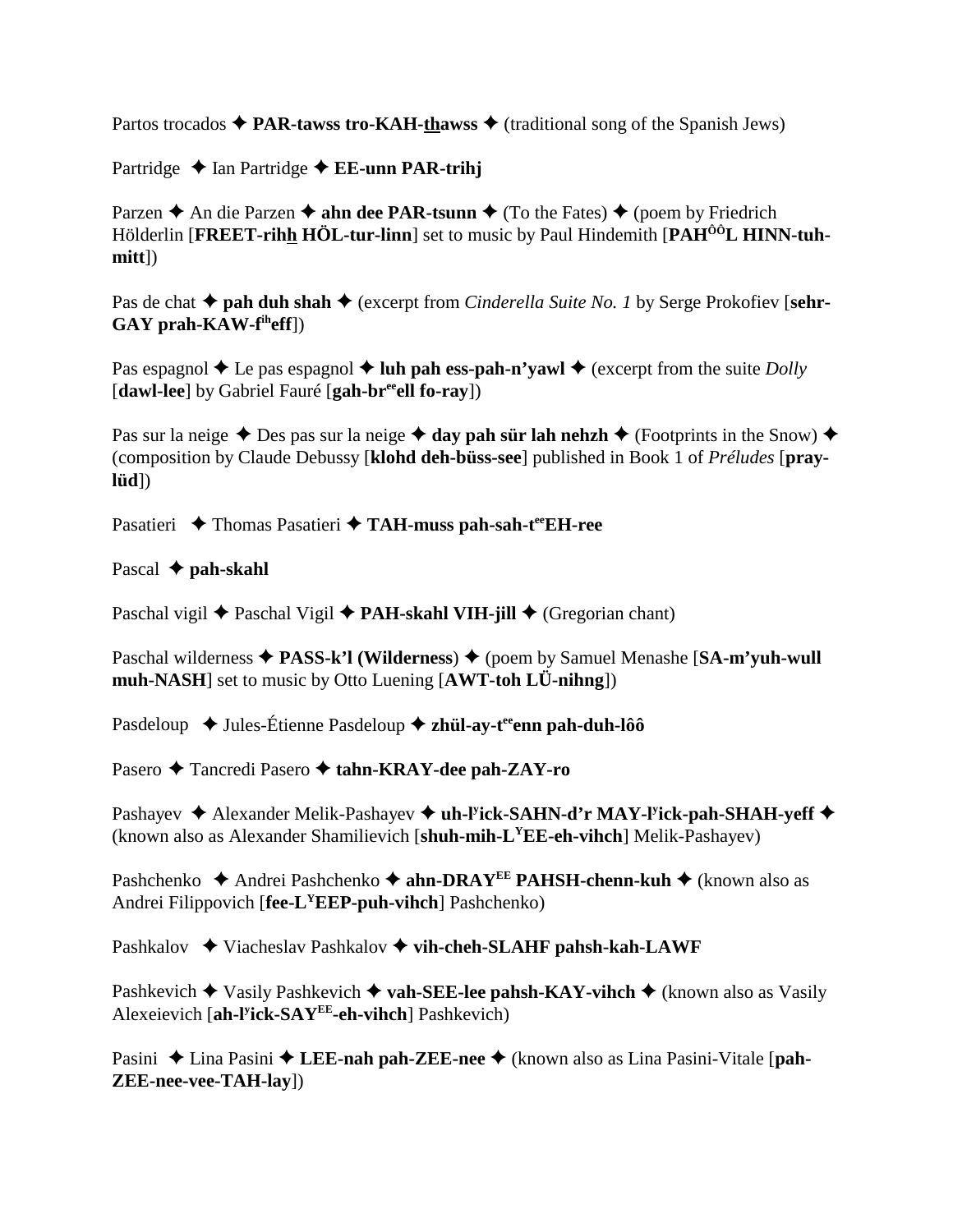Partos trocados  $\triangle$  **PAR-tawss tro-KAH-thawss**  $\triangle$  (traditional song of the Spanish Jews)

Partridge **→** Ian Partridge **→ EE-unn PAR-trihj** 

Parzen  $\triangle$  An die Parzen  $\triangle$  **ahn dee PAR-tsunn**  $\triangle$  (To the Fates)  $\triangle$  (poem by Friedrich Hölderlin [FREET-rihh HÖL-tur-linn] set to music by Paul Hindemith [PAH<sup>ÔÔ</sup>L HINN-tuh**mitt**])

Pas de chat **→ pah duh shah →** (excerpt from *Cinderella Suite No. 1* by Serge Prokofiev [sehr-**GAY prah-KAW-fiheff**])

Pas espagnol  $\triangle$  Le pas espagnol  $\triangle$  luh pah ess-pah-n'vawl  $\triangle$  (excerpt from the suite *Dolly* [**dawl-lee**] by Gabriel Fauré [**gah-breeell fo-ray**])

Pas sur la neige  $\triangle$  Des pas sur la neige  $\triangle$  day pah sür lah nehzh  $\triangle$  (Footprints in the Snow)  $\triangle$ (composition by Claude Debussy [**klohd deh-büss-see**] published in Book 1 of *Préludes* [**praylüd**])

Pasatieri ◆ Thomas Pasatieri ◆ TAH-muss pah-sah-t<sup>ee</sup>EH-ree

Pascal **← pah-skahl** 

Paschal vigil **◆** Paschal Vigil ◆ **PAH-skahl VIH-jill ◆** (Gregorian chant)

Paschal wilderness ◆ PASS-k'l (Wilderness) ◆ (poem by Samuel Menashe [SA-m'yuh-wull **muh-NASH**] set to music by Otto Luening [**AWT-toh LÜ-nihng**])

Pasdeloup ◆ Jules-Étienne Pasdeloup ◆ zh**ül-ay-t<sup>ee</sup>enn pah-duh-lôô** 

Pasero ◆ Tancredi Pasero ◆ tahn-KRAY-dee pah-ZAY-ro

Pashayev ◆ Alexander Melik-Pashayev ◆ uh-l<sup>y</sup>ick-SAHN-d'r MAY-l<sup>y</sup>ick-pah-SHAH-yeff ◆ (known also as Alexander Shamilievich [**shuh-mih-LYEE-eh-vihch**] Melik-Pashayev)

Pashchenko ◆ Andrei Pashchenko ◆ ahn-DRAY<sup>EE</sup> PAHSH-chenn-kuh ◆ (known also as Andrei Filippovich [**fee-LYEEP-puh-vihch**] Pashchenko)

Pashkalov **→** Viacheslav Pashkalov → vih-cheh-SLAHF pahsh-kah-LAWF

Pashkevich  $\blacklozenge$  Vasily Pashkevich  $\blacklozenge$  **vah-SEE-lee pahsh-KAY-vihch**  $\blacklozenge$  (known also as Vasily Alexeievich [**ah-ly ick-SAYEE-eh-vihch**] Pashkevich)

Pasini ◆ Lina Pasini ◆ LEE-nah pah-ZEE-nee ◆ (known also as Lina Pasini-Vitale [pah-**ZEE-nee-vee-TAH-lay**])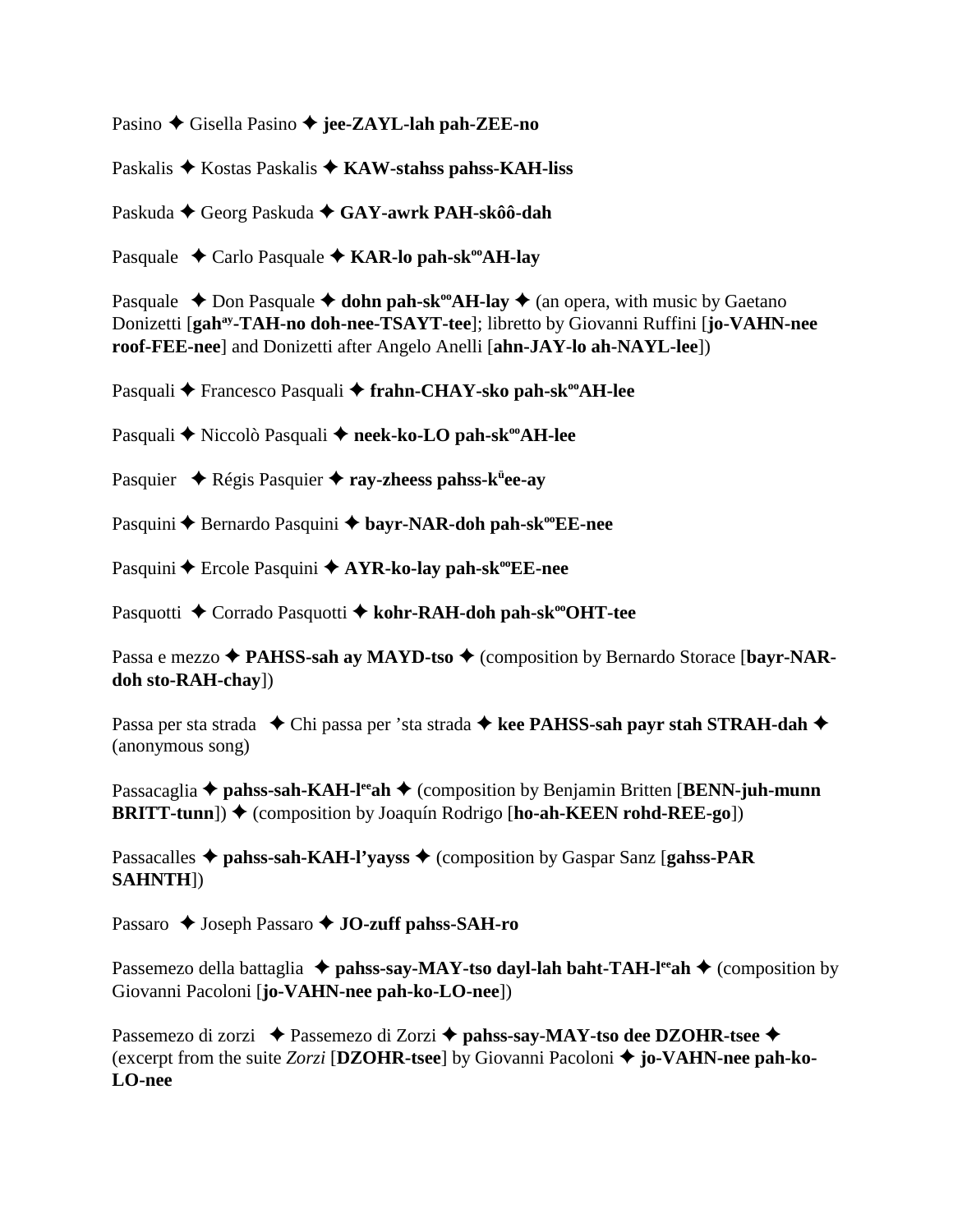Pasino ◆ Gisella Pasino ◆ jee-ZAYL-lah pah-ZEE-no

Paskalis **→** Kostas Paskalis ◆ KAW-stahss pahss-KAH-liss

Paskuda ◆ Georg Paskuda ◆ GAY-awrk PAH-skôô-dah

Pasquale **←** Carlo Pasquale ← KAR-lo pah-sk<sup>oo</sup>AH-lay

Pasquale  $\triangle$  Don Pasquale  $\triangle$  **dohn pah-sk<sup>oo</sup>AH-lay**  $\triangle$  (an opera, with music by Gaetano Donizetti [**gahay-TAH-no doh-nee-TSAYT-tee**]; libretto by Giovanni Ruffini [**jo-VAHN-nee roof-FEE-nee**] and Donizetti after Angelo Anelli [**ahn-JAY-lo ah-NAYL-lee**])

Pasquali **←** Francesco Pasquali ← frahn-CHAY-sko pah-sk<sup>oo</sup>AH-lee

Pasquali **→** Niccolò Pasquali → neek-ko-LO pah-sk<sup>oo</sup>AH-lee

Pasquier ◆ Régis Pasquier ◆ ray-zheess pahss-k<sup>ü</sup>ee-ay

Pasquini **←** Bernardo Pasquini ← bayr-NAR-doh pah-sk<sup>oo</sup>EE-nee

Pasquini ◆ Ercole Pasquini ◆ AYR-ko-lay pah-sk<sup>oo</sup>EE-nee

Pasquotti ◆ Corrado Pasquotti ◆ kohr-RAH-doh pah-sk<sup>oo</sup>OHT-tee

Passa e mezzo ◆ **PAHSS-sah ay MAYD-tso** ◆ (composition by Bernardo Storace [bayr-NAR**doh sto-RAH-chay**])

Passa per sta strada ◆ Chi passa per 'sta strada ◆ kee PAHSS-sah payr stah STRAH-dah ◆ (anonymous song)

Passacaglia **→ pahss-sah-KAH-l<sup>ee</sup>ah →** (composition by Benjamin Britten [**BENN-juh-munn BRITT-tunn**])  $\blacklozenge$  (composition by Joaquín Rodrigo [ho-ah-KEEN rohd-REE-go])

Passacalles **→ pahss-sah-KAH-l'yayss →** (composition by Gaspar Sanz [**gahss-PAR SAHNTH**])

Passaro ◆ Joseph Passaro ◆ **JO-zuff pahss-SAH-ro** 

Passemezo della battaglia **↓ pahss-say-MAY-tso dayl-lah baht-TAH-l<sup>ee</sup>ah ◆** (composition by Giovanni Pacoloni [**jo-VAHN-nee pah-ko-LO-nee**])

Passemezo di zorzi ◆ Passemezo di Zorzi ◆ pahss-say-MAY-tso dee DZOHR-tsee ◆ (excerpt from the suite *Zorzi* [**DZOHR-tsee**] by Giovanni Pacoloni  **jo-VAHN-nee pah-ko-LO-nee**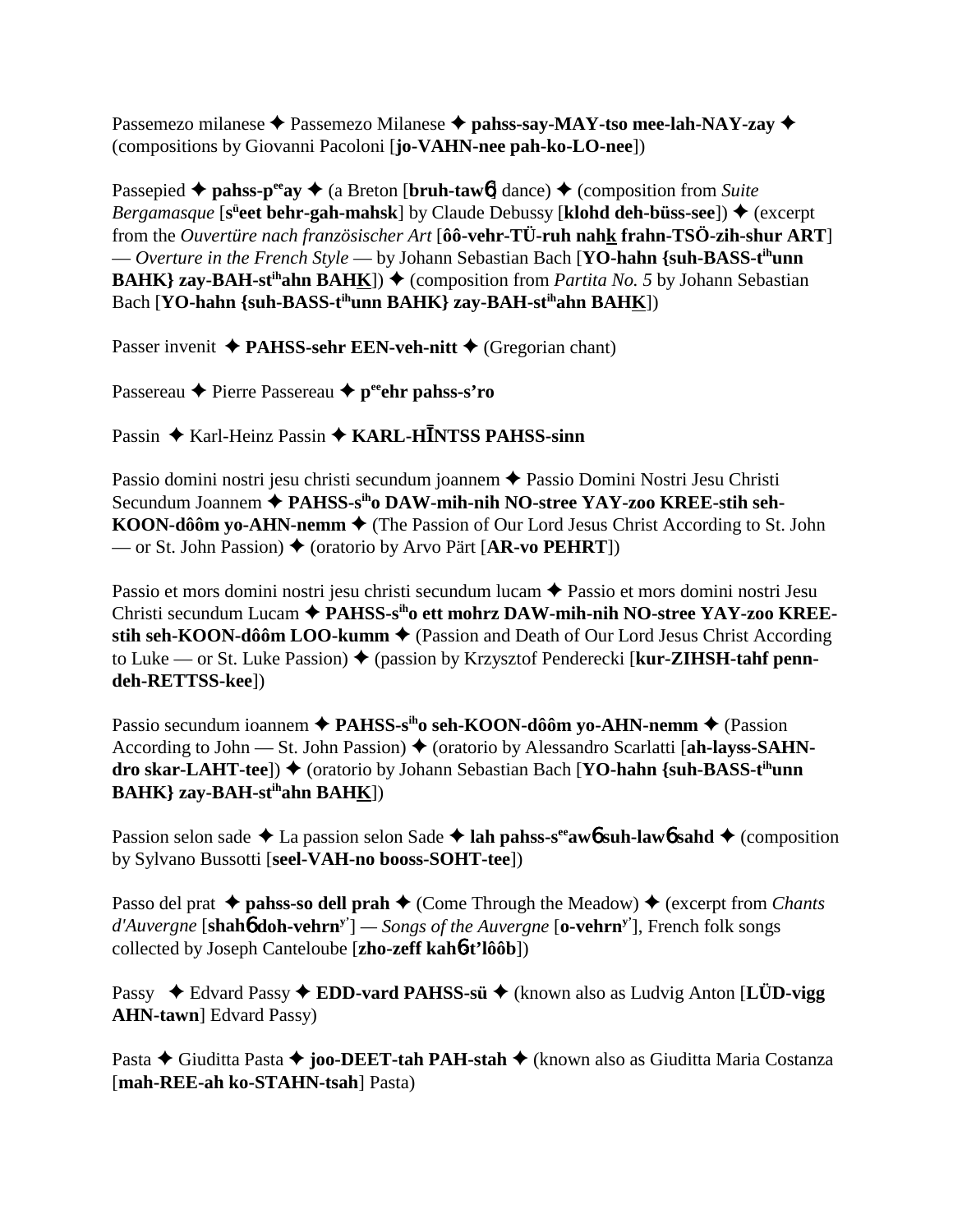Passemezo milanese **→** Passemezo Milanese → pahss-say-MAY-tso mee-lah-NAY-zay → (compositions by Giovanni Pacoloni [**jo-VAHN-nee pah-ko-LO-nee**])

Passepied  $\triangle$  **pahss-p<sup>ee</sup>ay**  $\triangle$  (a Breton [**bruh-taw6**] dance)  $\triangle$  (composition from *Suite Bergamasque* [s<sup>ü</sup>eet behr-gah-mahsk] by Claude Debussy [klohd deh-büss-see]) ♦ (excerpt from the *Ouvertüre nach französischer Art* [**ôô-vehr-TÜ-ruh nahk frahn-TSÖ-zih-shur ART**] — *Overture in the French Style* — by Johann Sebastian Bach [**YO-hahn {suh-BASS-tihunn BAHK**} zay-BAH-st<sup>ih</sup>ahn BAHK])  $\blacklozenge$  (composition from *Partita No. 5* by Johann Sebastian Bach [**YO-hahn** {suh-BASS-t<sup>ih</sup>unn BAHK} zay-BAH-st<sup>ih</sup>ahn BAHK])

Passer invenit  $\triangle$  **PAHSS-sehr EEN-veh-nitt**  $\triangle$  (Gregorian chant)

Passereau **←** Pierre Passereau ← p<sup>ee</sup>ehr pahss-s'ro

Passin ◆ Karl-Heinz Passin ◆ KARL-HĪNTSS PAHSS-sinn

Passio domini nostri jesu christi secundum joannem Passio Domini Nostri Jesu Christi Secundum Joannem **PAHSS-siho DAW-mih-nih NO-stree YAY-zoo KREE-stih seh-KOON-dôôm yo-AHN-nemm**  $\triangle$  (The Passion of Our Lord Jesus Christ According to St. John — or St. John Passion) (oratorio by Arvo Pärt [**AR-vo PEHRT**])

Passio et mors domini nostri jesu christi secundum lucam ◆ Passio et mors domini nostri Jesu Christi secundum Lucam **PAHSS-siho ett mohrz DAW-mih-nih NO-stree YAY-zoo KREEstih seh-KOON-dôôm LOO-kumm ♦** (Passion and Death of Our Lord Jesus Christ According to Luke — or St. Luke Passion) ♦ (passion by Krzysztof Penderecki [**kur-ZIHSH-tahf penndeh-RETTSS-kee**])

Passio secundum ioannem **← PAHSS-s<sup>ih</sup>o seh-KOON-dôôm yo-AHN-nemm ←** (Passion According to John — St. John Passion) ♦ (oratorio by Alessandro Scarlatti [ah-layss-SAHN**dro skar-LAHT-tee**]) ♦ (oratorio by Johann Sebastian Bach [YO-hahn {suh-BASS-t<sup>ih</sup>unn **BAHK} zay-BAH-stihahn BAHK**])

Passion selon sade  $\triangle$  La passion selon Sade  $\triangle$  lah pahss-s<sup>ee</sup>aw<sub>0</sub> suh-law<sub>0</sub> sahd  $\triangle$  (composition by Sylvano Bussotti [**seel-VAH-no booss-SOHT-tee**])

Passo del prat  $\triangle$  **pahss-so dell prah**  $\triangle$  (Come Through the Meadow)  $\triangle$  (excerpt from *Chants d'Auvergne* [**shah**6 **doh-vehrny'**] *— Songs of the Auvergne* [**o-vehrny'**], French folk songs collected by Joseph Canteloube [**zho-zeff kah**6**-t'lôôb**])

Passy ◆ Edvard Passy ◆ **EDD-vard PAHSS-sü** ◆ (known also as Ludvig Anton [**LÜD-vigg AHN-tawn**] Edvard Passy)

Pasta ◆ Giuditta Pasta ◆ **joo-DEET-tah PAH-stah** ◆ (known also as Giuditta Maria Costanza [**mah-REE-ah ko-STAHN-tsah**] Pasta)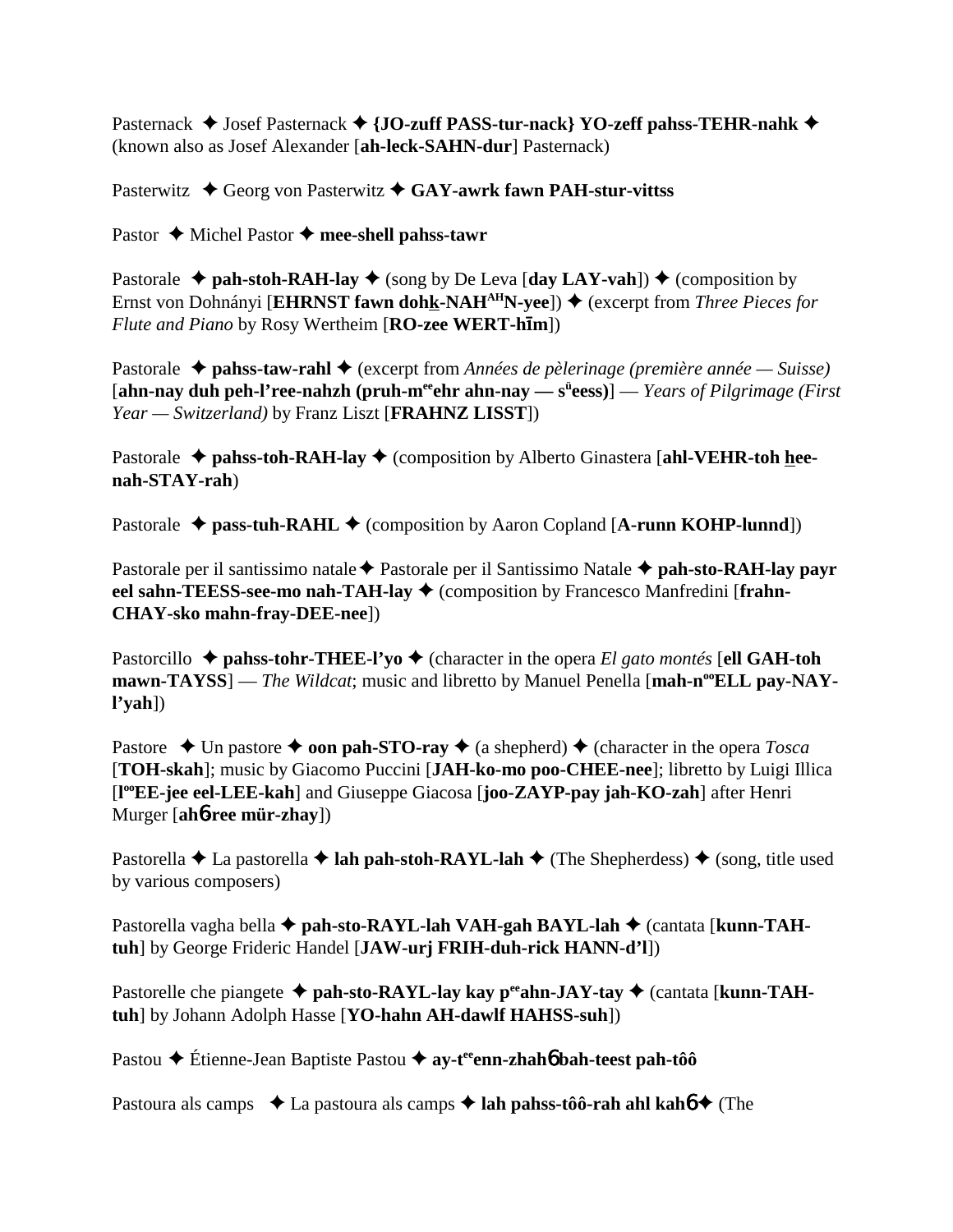Pasternack  $\blacklozenge$  Josef Pasternack  $\blacklozenge$  {JO-zuff PASS-tur-nack} YO-zeff pahss-TEHR-nahk  $\blacklozenge$ (known also as Josef Alexander [**ah-leck-SAHN-dur**] Pasternack)

Pasterwitz **→** Georg von Pasterwitz **→ GAY-awrk fawn PAH-stur-vittss** 

Pastor ♦ Michel Pastor ♦ mee-shell pahss-tawr

Pastorale  $\rightarrow$  pah-stoh-RAH-lay  $\rightarrow$  (song by De Leva [day LAY-vah])  $\rightarrow$  (composition by Ernst von Dohnányi [**EHRNST fawn dohk-NAH<sup>AH</sup>N-yee**]) ♦ (excerpt from *Three Pieces for Flute and Piano* by Rosy Wertheim [**RO-zee WERT-hm**])

Pastorale **→ pahss-taw-rahl →** (excerpt from *Années de pèlerinage (première année — Suisse)* [ahn-nay duh peh-l'ree-nahzh (pruh-m<sup>ee</sup>ehr ahn-nay — s<sup>ü</sup>eess)] — *Years of Pilgrimage (First Year — Switzerland)* by Franz Liszt [**FRAHNZ LISST**])

Pastorale  $\triangle$  pahss-toh-RAH-lay  $\triangle$  (composition by Alberto Ginastera [ahl-VEHR-toh hee**nah-STAY-rah**)

Pastorale  $\triangle$  pass-tuh-RAHL  $\triangle$  (composition by Aaron Copland [A-runn KOHP-lunnd])

Pastorale per il santissimo natale **→** Pastorale per il Santissimo Natale **→ pah-sto-RAH-lay payr eel sahn-TEESS-see-mo nah-TAH-lay ♦** (composition by Francesco Manfredini [frahn-**CHAY-sko mahn-fray-DEE-nee**])

Pastorcillo  $\triangle$  **pahss-tohr-THEE-l'yo**  $\triangle$  (character in the opera *El gato montés* [**ell GAH-toh** mawn-TAYSS] — *The Wildcat*; music and libretto by Manuel Penella [mah-n<sup>oo</sup>ELL pay-NAY**l'yah**])

Pastore  $\triangle$  Un pastore  $\triangle$  **oon pah-STO-ray**  $\triangle$  (a shepherd)  $\triangle$  (character in the opera *Tosca* [**TOH-skah**]; music by Giacomo Puccini [**JAH-ko-mo poo-CHEE-nee**]; libretto by Luigi Illica [**l ooEE-jee eel-LEE-kah**] and Giuseppe Giacosa [**joo-ZAYP-pay jah-KO-zah**] after Henri Murger [**ah**6**-ree mür-zhay**])

Pastorella  $\triangle$  La pastorella  $\triangle$  **lah pah-stoh-RAYL-lah**  $\triangle$  (The Shepherdess)  $\triangle$  (song, title used by various composers)

Pastorella vagha bella ◆ pah-sto-RAYL-lah VAH-gah BAYL-lah ◆ (cantata [kunn-TAH**tuh**] by George Frideric Handel [**JAW-urj FRIH-duh-rick HANN-d'l**])

Pastorelle che piangete ◆ pah-sto-RAYL-lay kay p<sup>ee</sup>ahn-JAY-tay ◆ (cantata [kunn-TAH**tuh**] by Johann Adolph Hasse [**YO-hahn AH-dawlf HAHSS-suh**])

Pastou **→** Étienne-Jean Baptiste Pastou → av-t<sup>ee</sup>enn-zhah**6** bah-teest pah-tôô

Pastoura als camps  $\triangle$  La pastoura als camps  $\triangle$  lah pahss-tôô-rah ahl kahô  $\triangle$  (The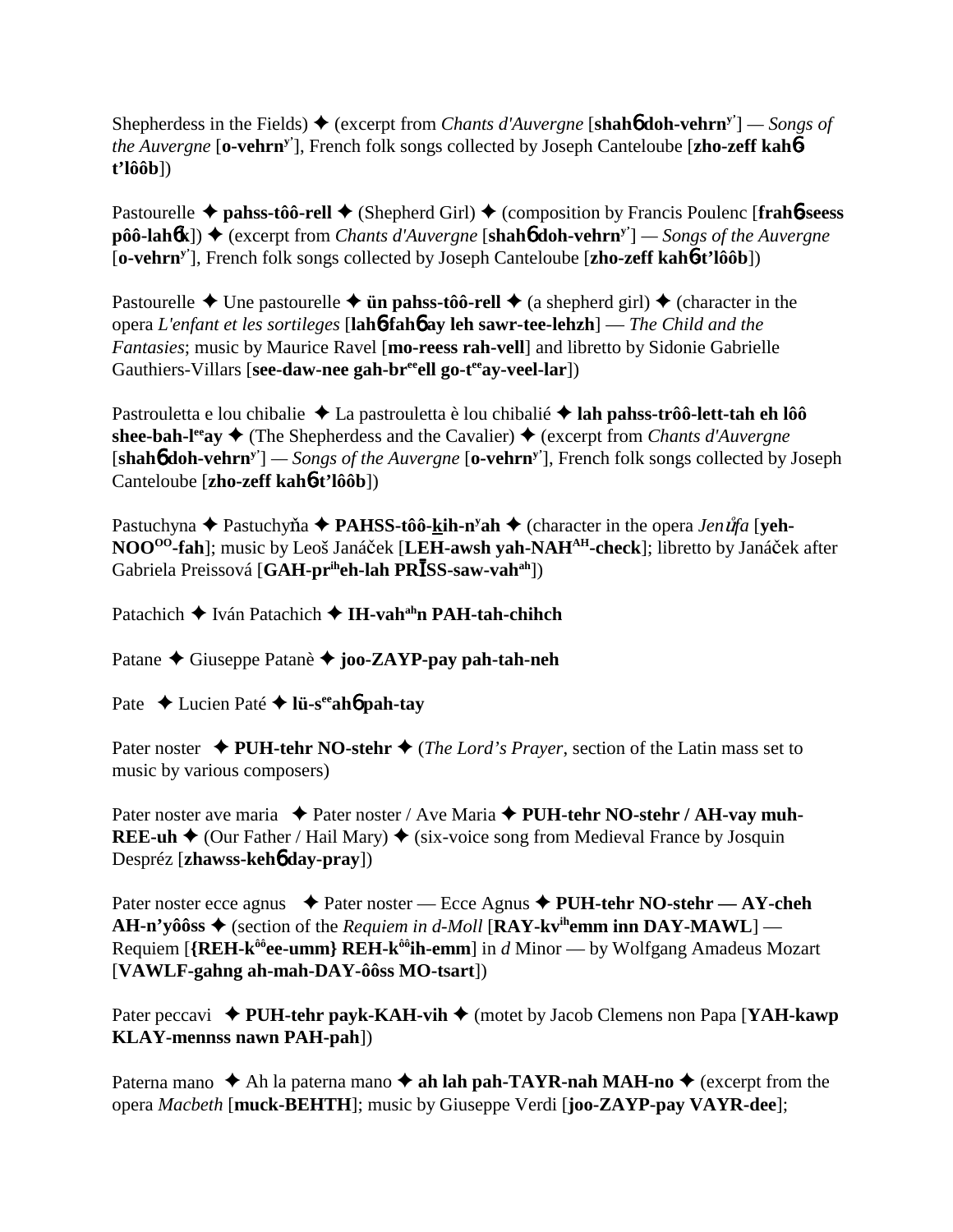Shepherdess in the Fields)  $\blacklozenge$  (excerpt from *Chants d'Auvergne* [**shahb doh-vehrn**<sup>y'</sup>] — *Songs of the Auvergne* [**o-vehrny'**], French folk songs collected by Joseph Canteloube [**zho-zeff kah**6 **t'lôôb**])

Pastourelle **→ pahss-tôô-rell →** (Shepherd Girl) → (composition by Francis Poulenc [frah6-seess **pôô-lah** $6$ **k**]) ◆ (excerpt from *Chants d'Auvergne* [**shah** $6$  doh-vehrn<sup>y'</sup>] — *Songs of the Auvergne* [**o-vehrny'**], French folk songs collected by Joseph Canteloube [**zho-zeff kah**6**-t'lôôb**])

Pastourelle  $\triangle$  Une pastourelle  $\triangle$  **ün pahss-tôô-rell**  $\triangle$  (a shepherd girl)  $\triangle$  (character in the opera *L'enfant et les sortileges* [**lah**6**-fah**6 **ay leh sawr-tee-lehzh**] — *The Child and the Fantasies*; music by Maurice Ravel [**mo-reess rah-vell**] and libretto by Sidonie Gabrielle Gauthiers-Villars [see-daw-nee gah-br<sup>ee</sup>ell go-t<sup>ee</sup>ay-veel-lar])

Pastrouletta e lou chibalie ◆ La pastrouletta è lou chibalié ◆ lah pahss-trôô-lett-tah eh lôô **shee-bah-l<sup>ee</sup>ay**  $\triangle$  (The Shepherdess and the Cavalier)  $\triangle$  (excerpt from *Chants d'Auvergne* [**shah**6 **doh-vehrny'**] *— Songs of the Auvergne* [**o-vehrny'**], French folk songs collected by Joseph Canteloube [**zho-zeff kah**6**-t'lôôb**])

Pastuchyna ◆ Pastuchyňa ◆ PAHSS-tôô-kih-n<sup>y</sup>ah ◆ (character in the opera *Jenůfa* [yeh-NOO<sup>00</sup>-fah]; music by Leoš Janáček [LEH-awsh yah-NAH<sup>AH</sup>-check]; libretto by Janáček after Gabriela Preissová [GAH-pr<sup>ih</sup>eh-lah PRĪSS-saw-vah<sup>ah</sup>])

Patachich **→** Iván Patachich → **IH-vah<sup>ah</sup>n PAH-tah-chihch** 

Patane Giuseppe Patanè **joo-ZAYP-pay pah-tah-neh**

Pate  $\triangle$  Lucien Paté  $\triangle$  l**ü-s<sup>ee</sup>ahó pah-tay** 

Pater noster  $\triangle$  PUH-tehr NO-stehr  $\triangle$  (*The Lord's Prayer*, section of the Latin mass set to music by various composers)

Pater noster ave maria  $\rightarrow$  Pater noster / Ave Maria  $\rightarrow$  PUH-tehr NO-stehr / AH-vay muh-**REE-uh**  $\triangle$  (Our Father / Hail Mary)  $\triangle$  (six-voice song from Medieval France by Josquin Despréz [**zhawss-keh**6 **day-pray**])

Pater noster ecce agnus **→** Pater noster — Ecce Agnus → PUH-tehr NO-stehr — AY-cheh **AH-n'yôôss**  $\triangle$  (section of the *Requiem in d-Moll* [RAY-kv<sup>ih</sup>emm inn DAY-MAWL] — Requiem [**{REH-kôôee-umm} REH-kôôih-emm**] in *d* Minor — by Wolfgang Amadeus Mozart [**VAWLF-gahng ah-mah-DAY-ôôss MO-tsart**])

Pater peccavi **→ PUH-tehr payk-KAH-vih →** (motet by Jacob Clemens non Papa [**YAH-kawp KLAY-mennss nawn PAH-pah**])

Paterna mano  $\triangle$  Ah la paterna mano  $\triangle$  ah lah pah-TAYR-nah MAH-no  $\triangle$  (excerpt from the opera *Macbeth* [**muck-BEHTH**]; music by Giuseppe Verdi [**joo-ZAYP-pay VAYR-dee**];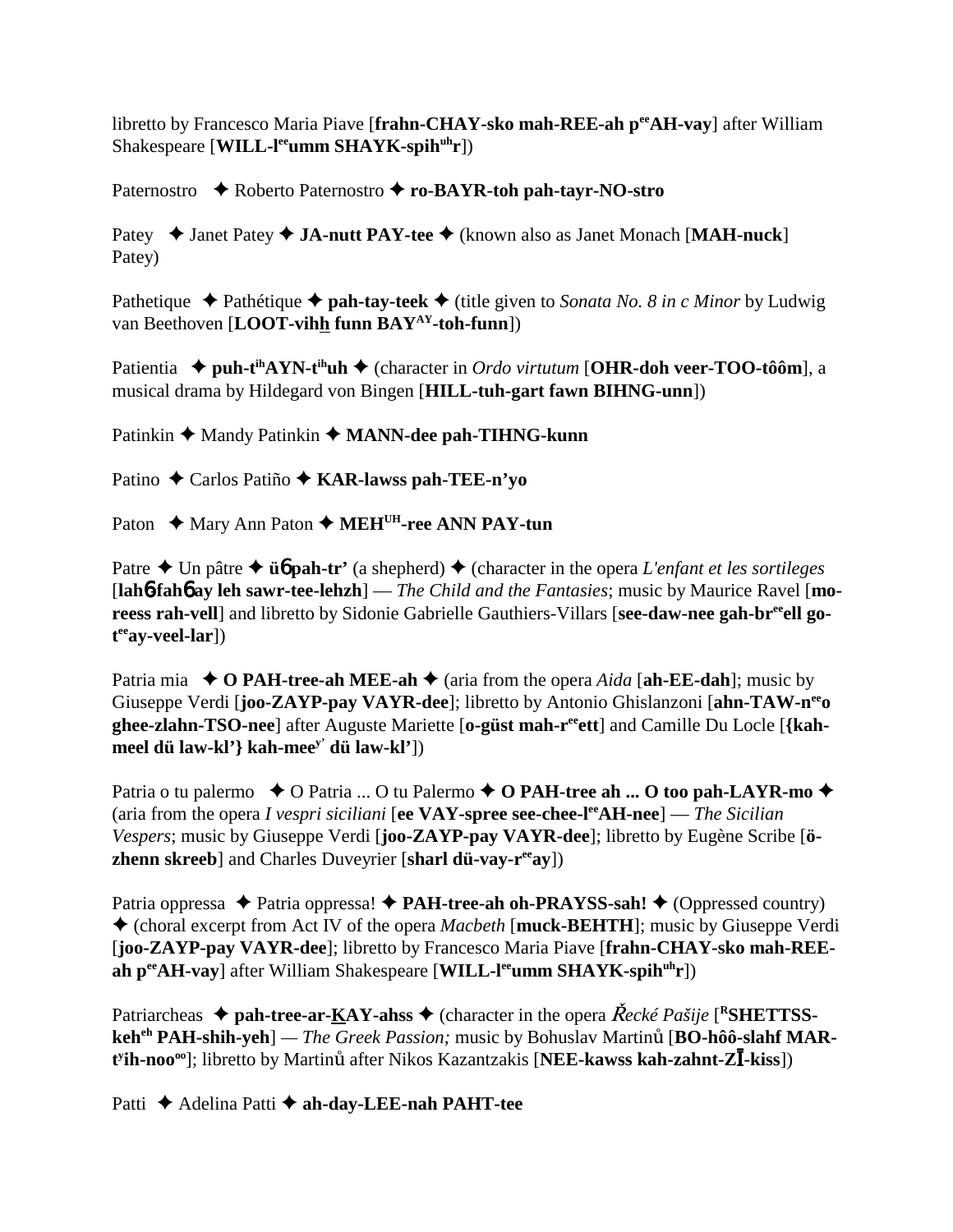libretto by Francesco Maria Piave [**frahn-CHAY-sko mah-REE-ah peeAH-vay**] after William Shakespeare [**WILL-l<sup>ee</sup>umm SHAYK-spih<sup>uh</sup>r**])

Paternostro  $\rightarrow$  Roberto Paternostro  $\rightarrow$  **ro-BAYR-toh pah-tayr-NO-stro** 

Patey ◆ Janet Patey ◆ JA-nutt PAY-tee ◆ (known also as Janet Monach [MAH-nuck] Patey)

Pathetique  $\triangle$  Pathétique  $\triangle$  **pah-tay-teek**  $\triangle$  (title given to *Sonata No. 8 in c Minor* by Ludwig van Beethoven [**LOOT-vihh funn BAYAY-toh-funn**])

Patientia ◆ puh-t<sup>ih</sup>AYN-t<sup>ih</sup>uh ◆ (character in *Ordo virtutum* [OHR-doh veer-TOO-tôôm], a musical drama by Hildegard von Bingen [**HILL-tuh-gart fawn BIHNG-unn**])

Patinkin ◆ Mandy Patinkin ◆ MANN-dee pah-TIHNG-kunn

Patino ◆ Carlos Patiño ◆ **KAR-lawss pah-TEE-n'yo** 

Paton ◆ Mary Ann Paton ◆ MEH<sup>UH</sup>-ree ANN PAY-tun

Patre  $\triangle$  Un pâtre  $\triangle$  **üb** pah-tr' (a shepherd)  $\triangle$  (character in the opera *L'enfant et les sortileges* [**lah**6**-fah**6 **ay leh sawr-tee-lehzh**] — *The Child and the Fantasies*; music by Maurice Ravel [**mo**reess rah-vell] and libretto by Sidonie Gabrielle Gauthiers-Villars [see-daw-nee gah-br<sup>ee</sup>ell go**t eeay-veel-lar**])

Patria mia  $\blacklozenge$  **O PAH-tree-ah MEE-ah**  $\blacklozenge$  (aria from the opera *Aida* [ah-**EE-dah**]; music by Giuseppe Verdi [**joo-ZAYP-pay VAYR-dee**]; libretto by Antonio Ghislanzoni [**ahn-TAW-neeo ghee-zlahn-TSO-nee**] after Auguste Mariette [**o-güst mah-reeett**] and Camille Du Locle [**{kahmeel dü law-kl'} kah-meey' dü law-kl'**])

Patria o tu palermo  $\rightarrow$  O Patria ... O tu Palermo  $\rightarrow$  O PAH-tree ah ... O too pah-LAYR-mo  $\rightarrow$ (aria from the opera *I vespri siciliani* [**ee VAY-spree see-chee-leeAH-nee**] — *The Sicilian Vespers*; music by Giuseppe Verdi [**joo-ZAYP-pay VAYR-dee**]; libretto by Eugène Scribe [**özhenn skreeb**] and Charles Duveyrier [**sharl dü-vay-reeay**])

Patria oppressa ◆ Patria oppressa! ◆ PAH-tree-ah oh-PRAYSS-sah! ◆ (Oppressed country) (choral excerpt from Act IV of the opera *Macbeth* [**muck-BEHTH**]; music by Giuseppe Verdi [**joo-ZAYP-pay VAYR-dee**]; libretto by Francesco Maria Piave [**frahn-CHAY-sko mah-REE**ah per**AH-vay**] after William Shakespeare [WILL-leeumm SHAYK-spih<sup>uh</sup>r])

Patriarcheas  $\triangle$  pah-tree-ar-KAY-ahss  $\triangle$  (character in the opera *Recké Pašije* [<sup>R</sup>SHETTSS**keh<sup>eh</sup> PAH-shih-yeh**] — *The Greek Passion*; music by Bohuslav Martinu [BO-hôô-slahf MAR- $\mathbf{t}^{\mathsf{y}}$ **ih-noo**<sup>oo</sup>]; libretto by Martinut after Nikos Kazantzakis [NEE-kawss kah-zahnt-ZI-kiss])

Patti **←** Adelina Patti ← ah-day-LEE-nah PAHT-tee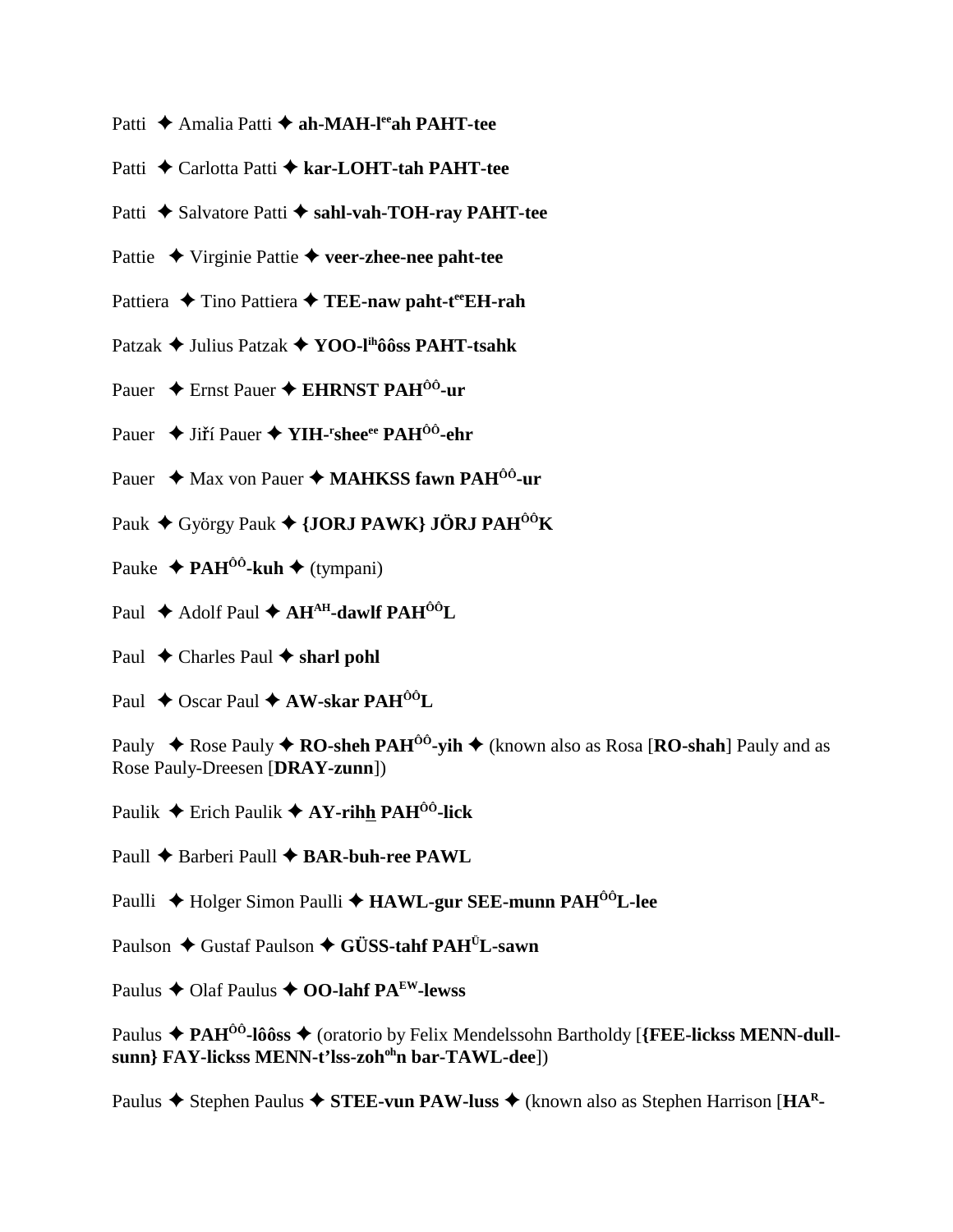- Patti **→** Amalia Patti → ah-MAH-l<sup>ee</sup>ah PAHT-tee
- Patti **←** Carlotta Patti ← kar-LOHT-tah PAHT-tee
- Patti ◆ Salvatore Patti ◆ sahl-vah-TOH-ray PAHT-tee
- Pattie Virginie Pattie **veer-zhee-nee paht-tee**
- Pattiera ◆ Tino Pattiera ◆ TEE-naw paht-t<sup>ee</sup>EH-rah
- Patzak Julius Patzak **YOO-lihôôss PAHT-tsahk**
- Pauer **←** Ernst Pauer ← **EHRNST PAH<sup>ÔÔ</sup>-ur**
- Pauer ◆ Jiří Pauer ◆ YIH-<sup>r</sup>shee<sup>ee</sup> PAH<sup>ôô</sup>-ehr
- Pauer ◆ Max von Pauer ◆ MAHKSS fawn PAH<sup>00</sup>-ur
- Pauk ◆ György Pauk ◆ {JORJ PAWK} JÖRJ PAH<sup>ôô</sup>K
- Pauke  $\triangleq$  **PAH<sup>ôô</sup>-kuh**  $\triangleq$  (tympani)
- Paul ◆ Adolf Paul ◆ AH<sup>AH</sup>-dawlf PAH<sup>ÔÔ</sup>L
- Paul  $\triangle$  Charles Paul  $\triangle$  sharl pohl
- Paul **←** Oscar Paul **← AW-skar PAH<sup>ÔÔ</sup>L**

Pauly  $\rightarrow$  Rose Pauly  $\rightarrow$  **RO-sheh PAH<sup>** $\hat{0}$ **</sup>-vih**  $\rightarrow$  (known also as Rosa [**RO-shah**] Pauly and as Rose Pauly-Dreesen [**DRAY-zunn**])

Paulik  $\triangle$  Erich Paulik  $\triangle$  AY-rihh PAH<sup>00</sup>-lick

- Paull ◆ Barberi Paull ◆ **BAR-buh-ree PAWL**
- Paulli ◆ Holger Simon Paulli ◆ HAWL-gur SEE-munn PAH<sup>ôô</sup>L-lee
- Paulson **←** Gustaf Paulson ← GÜSS-tahf PAH<sup>Ü</sup>L-sawn
- Paulus  $\triangle$  Olaf Paulus  $\triangle$  **OO-lahf PA<sup>EW</sup>-lewss**

Paulus  $\blacklozenge$  Stephen Paulus  $\blacklozenge$  **STEE-vun PAW-luss**  $\blacklozenge$  (known also as Stephen Harrison [**HA**<sup>R</sup>-

Paulus ◆ PAH<sup>ôô</sup>-lôôss ◆ (oratorio by Felix Mendelssohn Bartholdy [{FEE-lickss MENN-dull**sunn} FAY-lickss MENN-t'lss-zohohn bar-TAWL-dee**])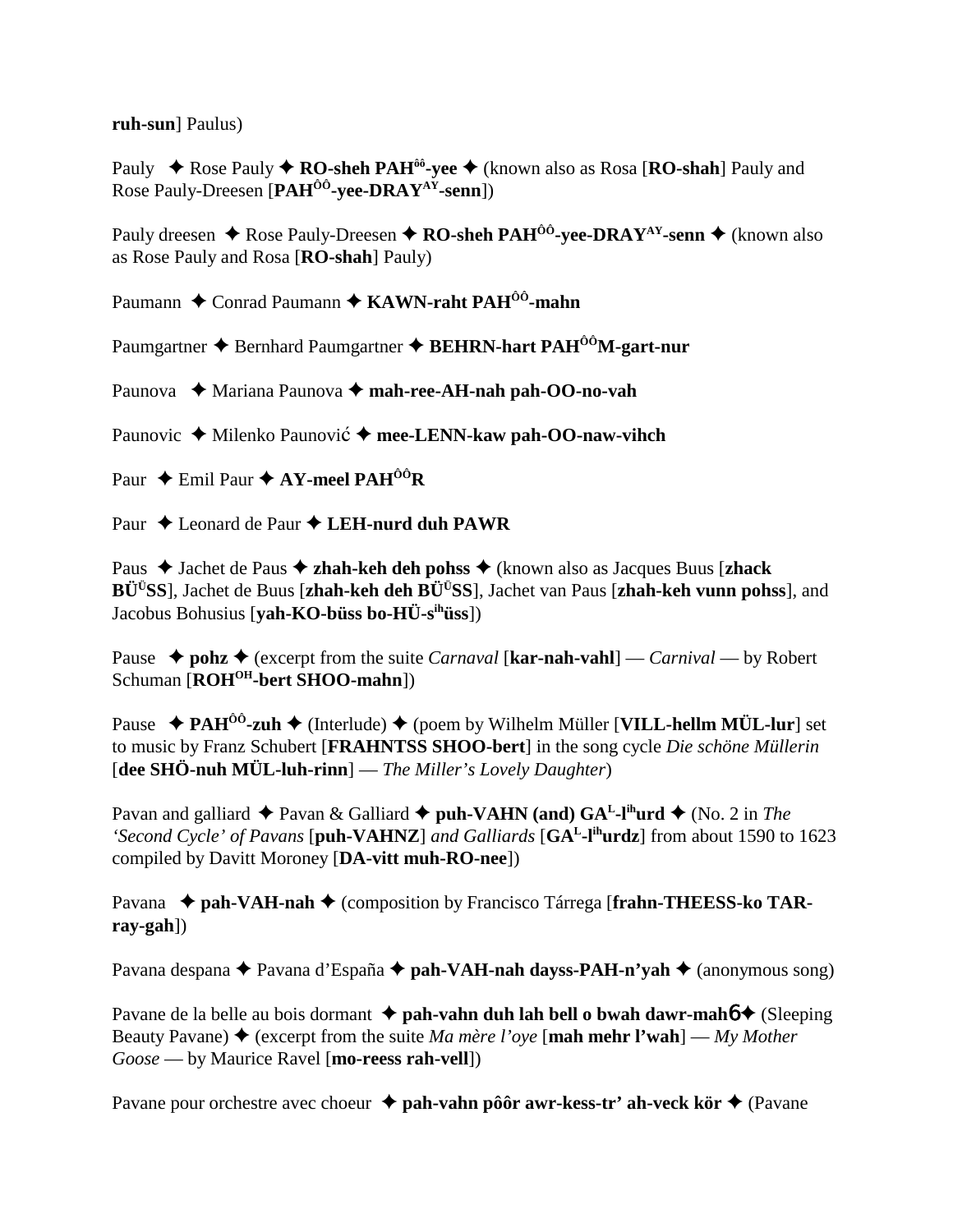**ruh-sun**] Paulus)

Pauly ◆ Rose Pauly ◆ **RO-sheh PAH<sup>ôô</sup>-yee** ◆ (known also as Rosa [**RO-shah**] Pauly and Rose Pauly-Dreesen [**PAHÔÔ-yee-DRAYAY-senn**])

Pauly dreesen  $\triangle$  Rose Pauly-Dreesen  $\triangle$  **RO-sheh PAH<sup>ôô</sup>-yee-DRAY**<sup>AY</sup>-senn  $\triangle$  (known also as Rose Pauly and Rosa [**RO-shah**] Pauly)

Paumann ◆ Conrad Paumann ◆ KAWN-raht PAH<sup>ôô</sup>-mahn

Paumgartner **→** Bernhard Paumgartner → **BEHRN-hart PAH<sup>ôô</sup>M-gart-nur** 

Paunova ◆ Mariana Paunova ◆ mah-ree-AH-nah pah-OO-no-vah

Paunovic ◆ Milenko Paunović ◆ mee-LENN-kaw pah-OO-naw-vihch

Paur **←** Emil Paur **← AY-meel PAH<sup>ÔÔ</sup>R** 

Paur **→** Leonard de Paur **→ LEH-nurd duh PAWR** 

Paus Jachet de Paus **zhah-keh deh pohss** (known also as Jacques Buus [**zhack BÜÜSS**], Jachet de Buus [**zhah-keh deh BÜÜSS**], Jachet van Paus [**zhah-keh vunn pohss**], and Jacobus Bohusius [**yah-KO-büss bo-HÜ-sihüss**])

Pause  $\rightarrow$  pohz $\rightarrow$  (excerpt from the suite *Carnaval* [kar-nah-vahl] — *Carnival* — by Robert Schuman [ROH<sup>OH</sup>-bert SHOO-mahn])

Pause  **↑ PAH<sup>ôô</sup>-zuh ◆** (Interlude) ◆ (poem by Wilhelm Müller [**VILL-hellm MÜL-lur**] set to music by Franz Schubert [**FRAHNTSS SHOO-bert**] in the song cycle *Die schöne Müllerin* [**dee SHÖ-nuh MÜL-luh-rinn**] — *The Miller's Lovely Daughter*)

Pavan and galliard  $\triangle$  Pavan & Galliard  $\triangle$  puh-VAHN (and) GA<sup>L</sup>-l<sup>ih</sup>urd  $\triangle$  (No. 2 in *The 'Second Cycle' of Pavans* [**puh-VAHNZ**] *and Galliards* [**GAL-lihurdz**] from about 1590 to 1623 compiled by Davitt Moroney [**DA-vitt muh-RO-nee**])

Pavana ◆ pah-VAH-nah ◆ (composition by Francisco Tárrega [frahn-THEESS-ko TAR**ray-gah**])

Pavana despana ◆ Pavana d'España ◆ pah-VA**H-nah dayss-PAH-n'yah ◆** (anonymous song)

Pavane de la belle au bois dormant **↓ pah-vahn duh lah bell o bwah dawr-mahó ◆** (Sleeping Beauty Pavane)  $\triangle$  (excerpt from the suite *Ma mère l'oye* [**mah mehr l'wah**] — *My Mother Goose* — by Maurice Ravel [**mo-reess rah-vell**])

Pavane pour orchestre avec choeur **↓ pah-vahn pôôr awr-kess-tr' ah-veck kör ◆** (Pavane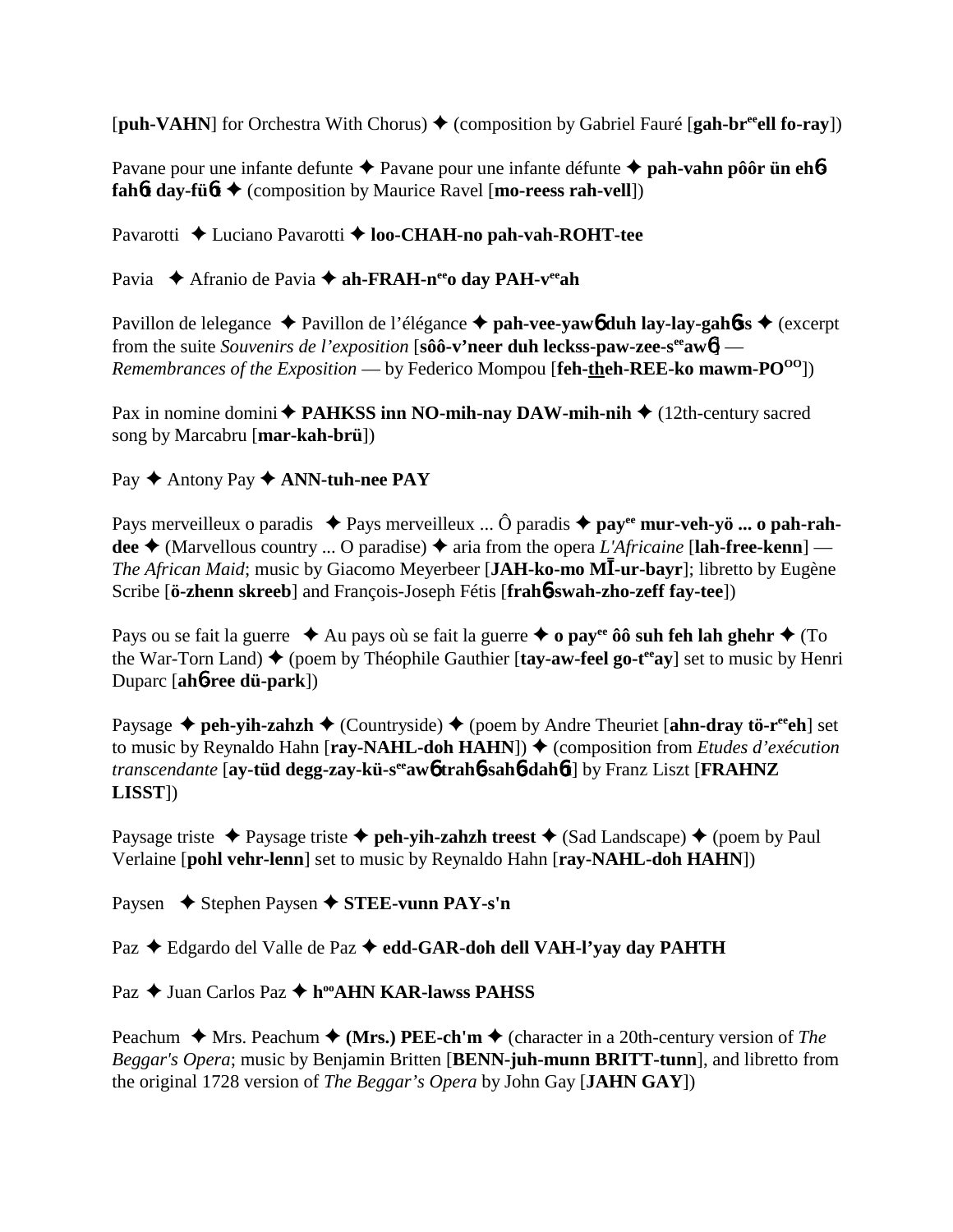[**puh-VAHN**] for Orchestra With Chorus)  $\blacklozenge$  (composition by Gabriel Fauré [**gah-br<sup>ee</sup>ell fo-ray**])

Pavane pour une infante defunte **→** Pavane pour une infante défunte **→ pah-vahn pôôr ün eh6 fahbt day-fübt**  $\triangle$  (composition by Maurice Ravel [mo-reess rah-vell])

Pavarotti ◆ Luciano Pavarotti ◆ **loo-CHAH-no pah-vah-ROHT-tee** 

Pavia ◆ Afranio de Pavia ◆ ah-FRAH-n<sup>ee</sup>o day PAH-v<sup>ee</sup>ah

Pavillon de lelegance ◆ Pavillon de l'élégance ◆ pah-vee-yaw6 duh lay-lay-gah6ss ◆ (excerpt from the suite *Souvenirs de l'exposition* [sôô-v'neer duh leckss-paw-zee-s<sup>ee</sup>aw6] — *Remembrances of the Exposition* — by Federico Mompou [**feh-theh-REE-ko mawm-PO**<sup>00</sup>])

Pax in nomine domini  $\triangle$  **PAHKSS inn NO-mih-nay DAW-mih-nih**  $\triangle$  (12th-century sacred song by Marcabru [**mar-kah-brü**])

Pay ◆ Antony Pay ◆ **ANN-tuh-nee PAY** 

Pays merveilleux o paradis ◆ Pays merveilleux ... Ô paradis ◆ pay<sup>ee</sup> mur-veh-yö ... o pah-rahdee  $\triangle$  (Marvellous country ... O paradise)  $\triangle$  aria from the opera *L'Africaine* [lah-free-kenn] — *The African Maid*; music by Giacomo Meyerbeer [JAH-ko-mo MI-ur-bayr]; libretto by Eugène Scribe [**ö-zhenn skreeb**] and François-Joseph Fétis [**frah**6**-swah-zho-zeff fay-tee**])

Pays ou se fait la guerre  $\triangle$  Au pays où se fait la guerre  $\triangle$  o pay<sup>ee</sup> ôô suh feh lah ghehr  $\triangle$  (To the War-Torn Land)  $\blacklozenge$  (poem by Théophile Gauthier [**tay-aw-feel go-t<sup>ee</sup>ay**] set to music by Henri Duparc [**ah**6**-ree dü-park**])

Paysage ◆ peh-yih-zahzh ◆ (Countryside) ◆ (poem by Andre Theuriet [ahn-dray tö-r<sup>ee</sup>eh] set to music by Reynaldo Hahn [**ray-NAHL-doh HAHN**]) ♦ (composition from *Etudes d'exécution transcendante* [**ay-tüd degg-zay-kü-seeaw**6 **trah**6**-sah**6**-dah**6**t**] by Franz Liszt [**FRAHNZ LISST**])

Paysage triste  $\triangle$  Paysage triste  $\triangle$  peh-yih-zahzh treest  $\triangle$  (Sad Landscape)  $\triangle$  (poem by Paul Verlaine [**pohl vehr-lenn**] set to music by Reynaldo Hahn [**ray-NAHL-doh HAHN**])

Paysen **→** Stephen Paysen → STEE-vunn PAY-s'n

Paz  **←** Edgardo del Valle de Paz ← edd-GAR-doh dell VAH-l'yay day PAHTH

Paz **→** Juan Carlos Paz → h<sup>oo</sup>AHN KAR-lawss PAHSS

Peachum  $\triangle$  Mrs. Peachum  $\triangle$  (Mrs.) PEE-ch'm  $\triangle$  (character in a 20th-century version of *The Beggar's Opera*; music by Benjamin Britten [**BENN-juh-munn BRITT-tunn**], and libretto from the original 1728 version of *The Beggar's Opera* by John Gay [**JAHN GAY**])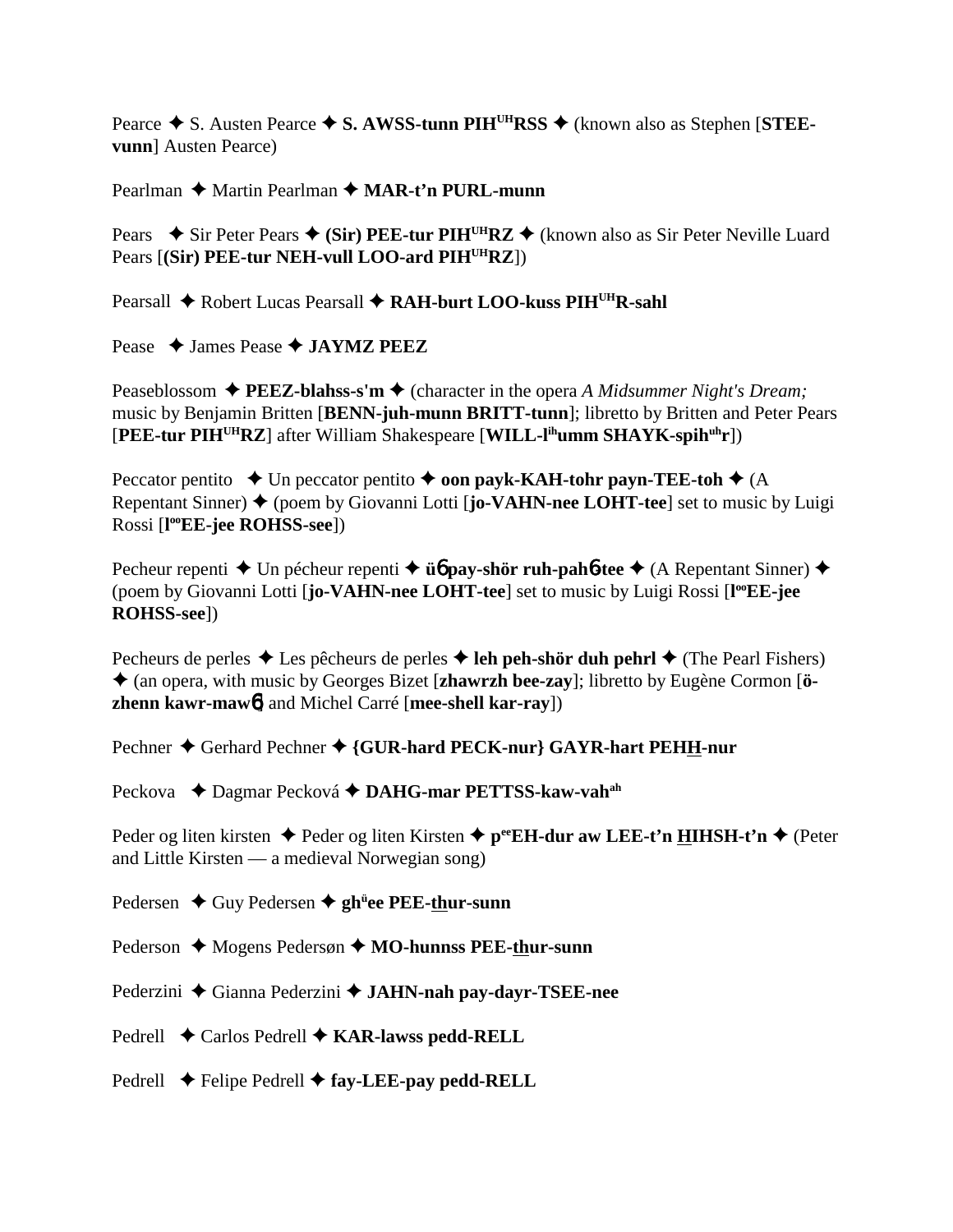Pearce  $\triangle$  S. Austen Pearce  $\triangle$  S. AWSS-tunn PIH<sup>UH</sup>RSS  $\triangle$  (known also as Stephen [STEE**vunn**] Austen Pearce)

Pearlman ◆ Martin Pearlman ◆ MAR-t'n PURL-munn

Pears  $\rightarrow$  Sir Peter Pears  $\rightarrow$  (Sir) PEE-tur PIH<sup>UH</sup>RZ  $\rightarrow$  (known also as Sir Peter Neville Luard Pears [**(Sir) PEE-tur NEH-vull LOO-ard PIH<sup>UH</sup>RZ**])

Pearsall ◆ Robert Lucas Pearsall ◆ RAH-burt LOO-kuss PIH<sup>UH</sup>R-sahl

Pease **→ James Pease → JAYMZ PEEZ** 

Peaseblossom **→ PEEZ-blahss-s'm →** (character in the opera *A Midsummer Night's Dream*; music by Benjamin Britten [**BENN-juh-munn BRITT-tunn**]; libretto by Britten and Peter Pears [**PEE-tur PIHUHRZ**] after William Shakespeare [**WILL-lihumm SHAYK-spihuhr**])

Peccator pentito  $\triangle$  Un peccator pentito  $\triangle$  **oon payk-KAH-tohr payn-TEE-toh**  $\triangle$  (A Repentant Sinner) ◆ (poem by Giovanni Lotti [jo-VAHN-nee LOHT-tee] set to music by Luigi Rossi [**l ooEE-jee ROHSS-see**])

Pecheur repenti **→** Un pécheur repenti → **ü** $\phi$  **pay-shör ruh-pah** $\phi$ **-tee** → (A Repentant Sinner) → (poem by Giovanni Lotti [jo-VAHN-nee LOHT-tee] set to music by Luigi Rossi [l<sup>oo</sup>EE-jee **ROHSS-see**])

Pecheurs de perles  $\triangle$  Les pêcheurs de perles  $\triangle$  leh peh-shör duh pehrl  $\triangle$  (The Pearl Fishers) (an opera, with music by Georges Bizet [**zhawrzh bee-zay**]; libretto by Eugène Cormon [**özhenn kawr-maw**6] and Michel Carré [**mee-shell kar-ray**])

Pechner  $\triangle$  Gerhard Pechner  $\triangle$  {GUR-hard PECK-nur} GAYR-hart PEHH-nur

Peckova **←** Dagmar Pecková ← DAHG-mar PETTSS-kaw-vah<sup>ah</sup>

Peder og liten kirsten ◆ Peder og liten Kirsten ◆ p<sup>ee</sup>EH-dur aw LEE-t'n HIHSH-t'n ◆ (Peter and Little Kirsten — a medieval Norwegian song)

Pedersen ◆ Guy Pedersen ◆ gh<sup>ü</sup>ee PEE-thur-sunn

Pederson ◆ Mogens Pedersøn ◆ MO-hunnss PEE-thur-sunn

Pederzini ◆ Gianna Pederzini ◆ JAHN-nah pay-dayr-TSEE-nee

Pedrell **←** Carlos Pedrell ← **KAR-lawss pedd-RELL** 

Pedrell **←** Felipe Pedrell ← fay-LEE-pay pedd-RELL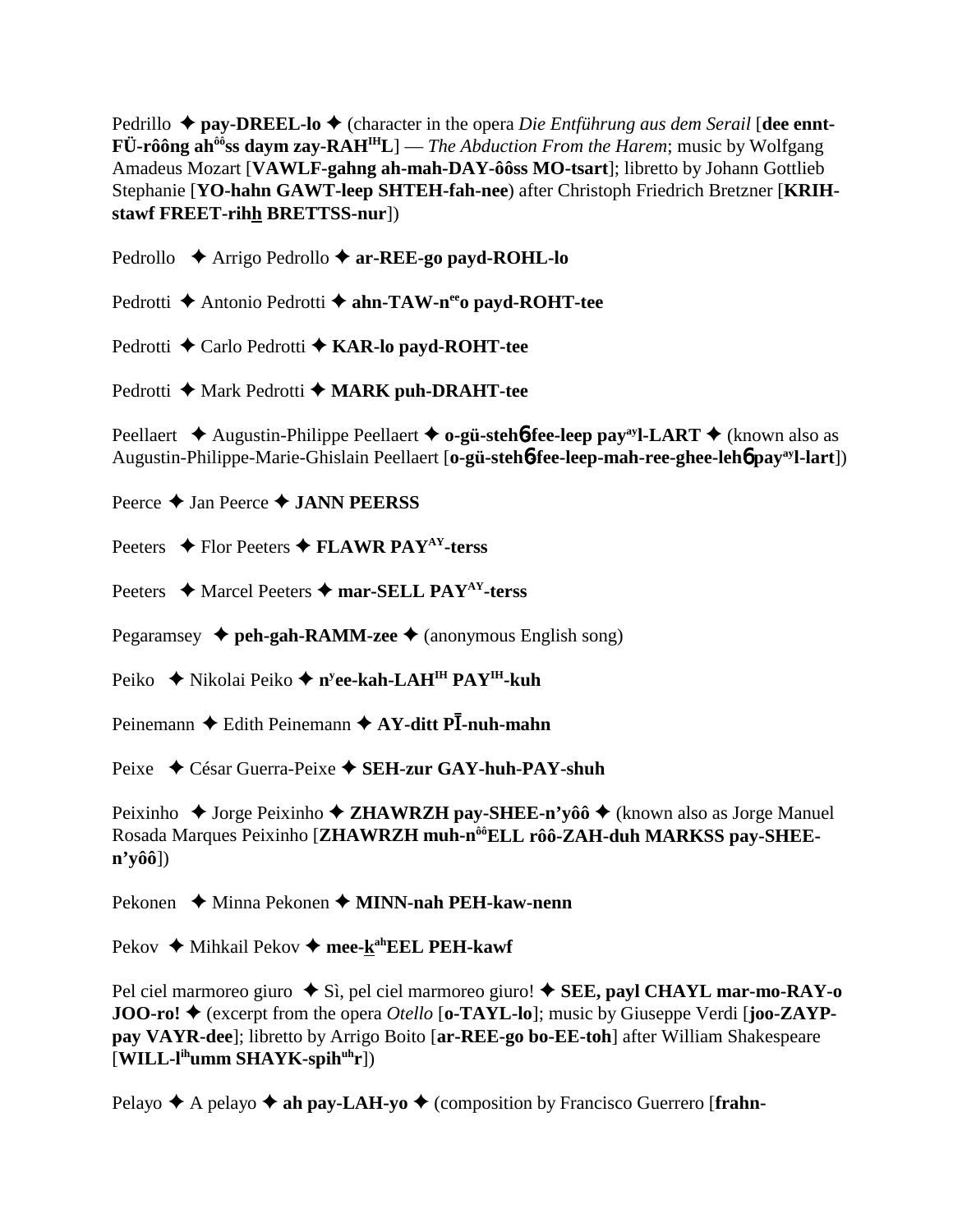Pedrillo ◆ **pay-DREEL-lo ◆** (character in the opera *Die Entführung aus dem Serail* [dee ennt-**FÜ-rôông ahôôss daym zay-RAHIHL**] — *The Abduction From the Harem*; music by Wolfgang Amadeus Mozart [**VAWLF-gahng ah-mah-DAY-ôôss MO-tsart**]; libretto by Johann Gottlieb Stephanie [**YO-hahn GAWT-leep SHTEH-fah-nee**) after Christoph Friedrich Bretzner [**KRIHstawf FREET-rihh BRETTSS-nur**])

Pedrollo **→** Arrigo Pedrollo → **ar-REE-go payd-ROHL-lo** 

Pedrotti **→** Antonio Pedrotti → ahn-TAW-n<sup>ee</sup>o payd-ROHT-tee

Pedrotti **←** Carlo Pedrotti ← KAR-lo payd-ROHT-tee

Pedrotti ◆ Mark Pedrotti ◆ MARK puh-DRAHT-tee

Peellaert **→** Augustin-Philippe Peellaert → **o-gü-stehb-fee-leep pay**<sup>ay</sup>l-LART → (known also as Augustin-Philippe-Marie-Ghislain Peellaert [**o-gü-steh**6**-fee-leep-mah-ree-ghee-leh**6 **payayl-lart**])

Peerce **→ Jan Peerce → JANN PEERSS** 

Peeters **→** Flor Peeters **→ FLAWR PAY<sup>AY</sup>-terss** 

Peeters **→** Marcel Peeters → mar-SELL PAY<sup>AY</sup>-terss

Pegaramsey **→ peh-gah-RAMM-zee** → (anonymous English song)

Peiko ◆ Nikolai Peiko ◆ n<sup>y</sup>**ee-kah-LAH<sup>IH</sup> PAY<sup>IH</sup>-kuh** 

Peinemann ◆ Edith Peinemann ◆ AY-ditt Pl-nuh-mahn

Peixe César Guerra-Peixe **SEH-zur GAY-huh-PAY-shuh**

Peixinho  $\triangle$  Jorge Peixinho  $\triangle$  **ZHAWRZH pay-SHEE-n'yôô**  $\triangle$  (known also as Jorge Manuel Rosada Marques Peixinho [**ZHAWRZH muh-nôôELL rôô-ZAH-duh MARKSS pay-SHEEn'yôô**])

Pekonen ◆ Minna Pekonen ◆ **MINN-nah PEH-kaw-nenn** 

Pekov ◆ Mihkail Pekov ◆ mee-k<sup>ah</sup>EEL PEH-kawf

Pel ciel marmoreo giuro  $\blacklozenge$  Sì, pel ciel marmoreo giuro!  $\blacklozenge$  **SEE, payl CHAYL mar-mo-RAY-o JOO-ro! ♦** (excerpt from the opera *Otello* [**o-TAYL-lo**]; music by Giuseppe Verdi [**joo-ZAYPpay VAYR-dee**]; libretto by Arrigo Boito [**ar-REE-go bo-EE-toh**] after William Shakespeare [**WILL-lihumm SHAYK-spihuhr**])

Pelayo  $\blacklozenge$  A pelayo  $\blacklozenge$  **ah pay-LAH-yo**  $\blacklozenge$  (composition by Francisco Guerrero [frahn-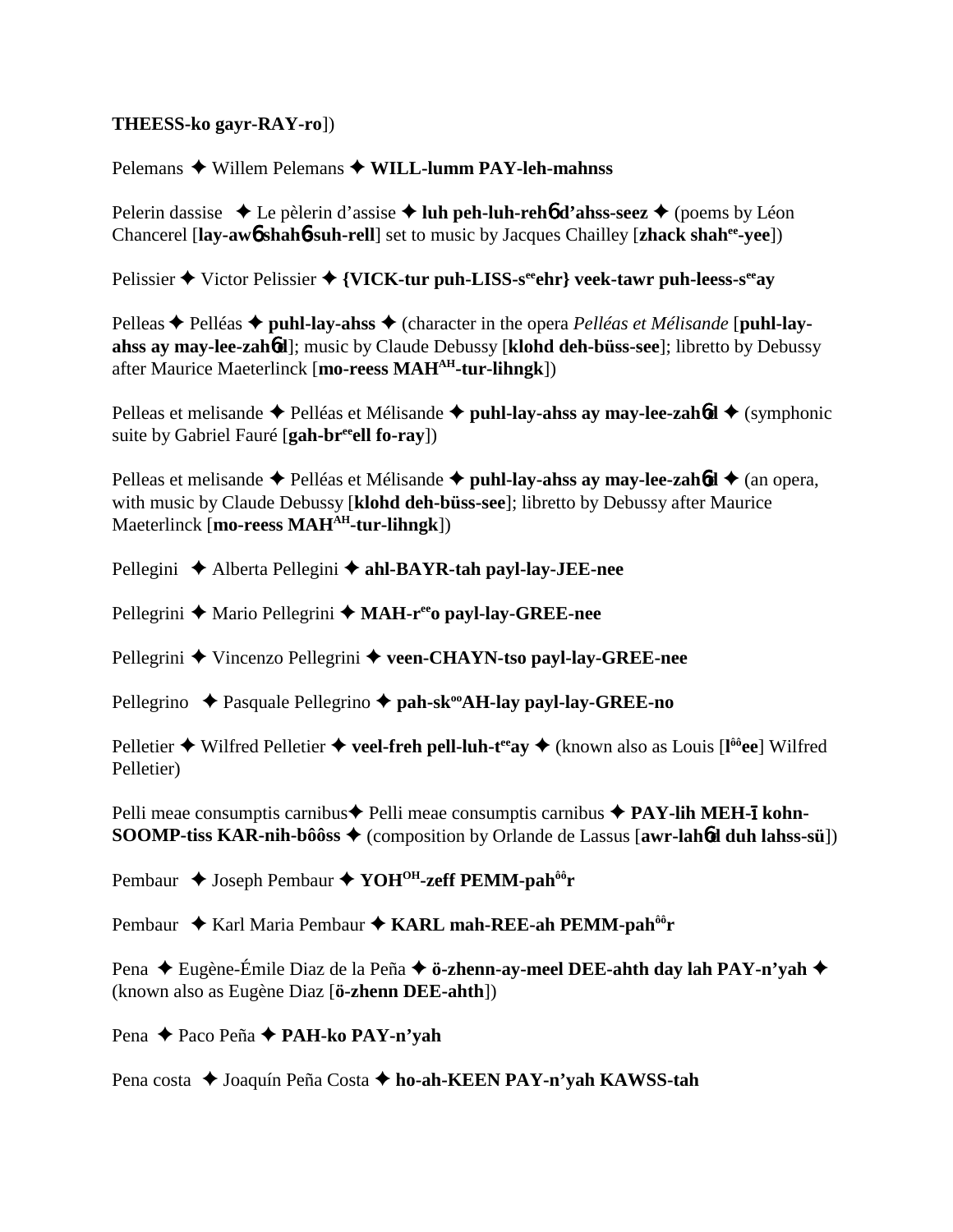### **THEESS-ko gayr-RAY-ro**])

Pelemans ◆ Willem Pelemans ◆ WILL-lumm PAY-leh-mahnss

Pelerin dassise ◆ Le pèlerin d'assise ◆ luh peh-luh-reh6 d'ahss-seez ◆ (poems by Léon Chancerel [**lay-aw**6 **shah**6**-suh-rell**] set to music by Jacques Chailley [**zhack shahee-yee**])

Pelissier  $\triangle$  Victor Pelissier  $\triangle$  {VICK-tur puh-LISS-s<sup>ee</sup> ehr} veek-tawr puh-leess-s<sup>ee</sup>ay

Pelleas ◆ Pelléas ◆ puhl-lay-ahss ◆ (character in the opera *Pelléas et Mélisande* [puhl-lay**ahss ay may-lee-zah**6**d**]; music by Claude Debussy [**klohd deh-büss-see**]; libretto by Debussy after Maurice Maeterlinck [**mo-reess MAHAH-tur-lihngk**])

Pelleas et melisande  $\triangle$  Pelléas et Mélisande  $\triangle$  puhl-lay-ahss ay may-lee-zaho  $\triangle$  (symphonic suite by Gabriel Fauré [**gah-breeell fo-ray**])

Pelleas et melisande  $\triangle$  Pelléas et Mélisande  $\triangle$  puhl-lay-ahss ay may-lee-zahod  $\triangle$  (an opera, with music by Claude Debussy [**klohd deh-büss-see**]; libretto by Debussy after Maurice Maeterlinck [**mo-reess MAHAH-tur-lihngk**])

Pellegini **→** Alberta Pellegini → ahl-BAYR-tah payl-lay-JEE-nee

Pellegrini ◆ Mario Pellegrini ◆ MAH-r<sup>ee</sup>o payl-lay-GREE-nee

Pellegrini **→** Vincenzo Pellegrini → veen-CHAYN-tso payl-lay-GREE-nee

Pellegrino **→** Pasquale Pellegrino → pah-sk<sup>oo</sup>AH-lay payl-lay-GREE-no

Pelletier ◆ Wilfred Pelletier ◆ veel-freh pell-luh-t<sup>ee</sup>ay ◆ (known also as Louis [l<sup>ôô</sup>ee] Wilfred Pelletier)

Pelli meae consumptis carnibus **←** Pelli meae consumptis carnibus ← PAY-lih MEH-**1** kohn-**SOOMP-tiss KAR-nih-bôôss** (composition by Orlande de Lassus [**awr-lah**6**d duh lahss-sü**])

Pembaur ◆ Joseph Pembaur ◆ YOH<sup>OH</sup>-zeff PEMM-pah<sup>ôô</sup>r

Pembaur ◆ Karl Maria Pembaur ◆ KARL mah-REE-ah PEMM-pah<sup>ôô</sup>r

Pena ◆ Eugène-Émile Diaz de la Peña ◆ **ö-zhenn-ay-meel DEE-ahth day lah PAY-n'yah** ◆ (known also as Eugène Diaz [**ö-zhenn DEE-ahth**])

Pena Paco Peña **PAH-ko PAY-n'yah**

Pena costa ◆ Joaquín Peña Costa ◆ ho-ah-KEEN PAY-n'yah KAWSS-tah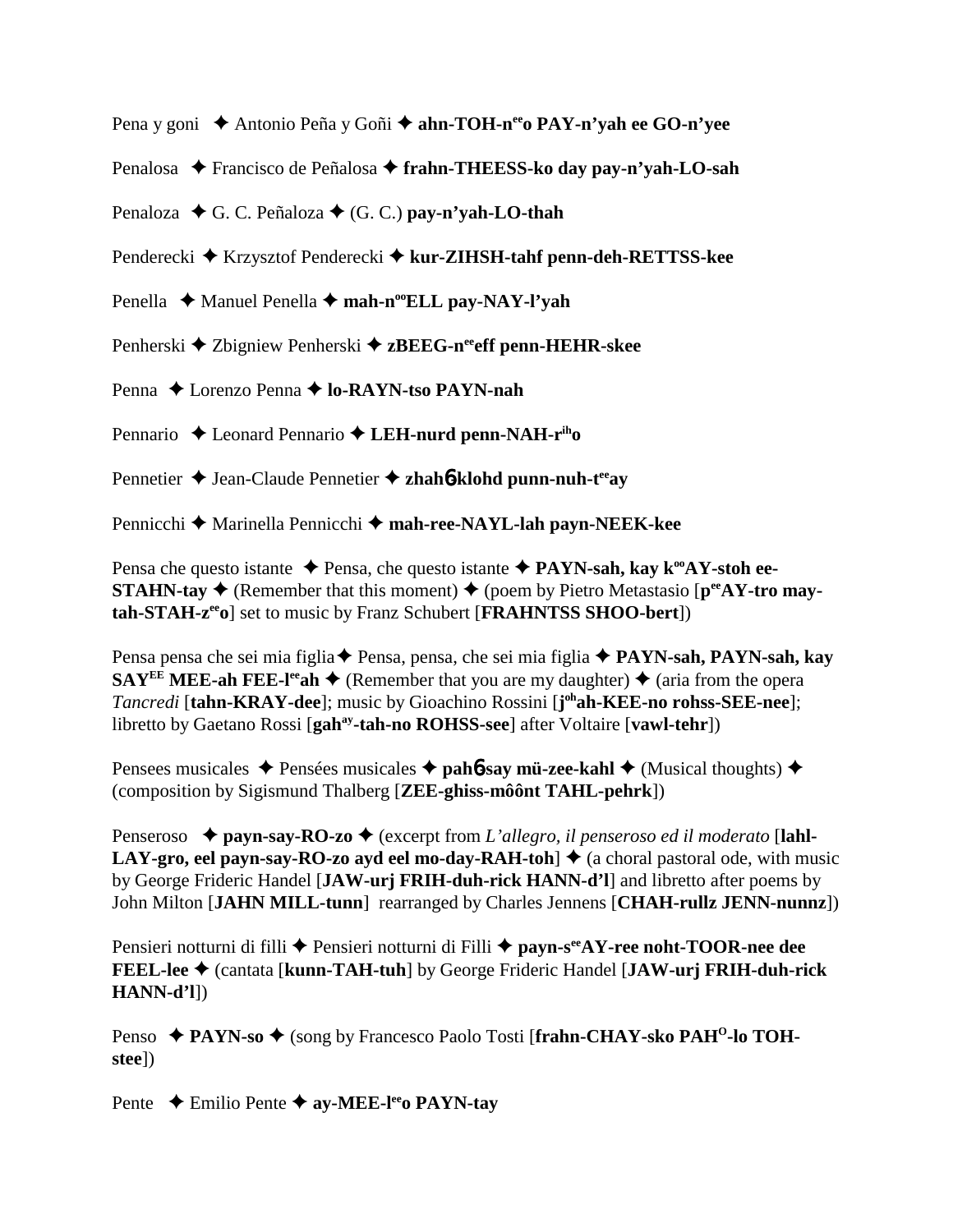Pena y goni ◆ Antonio Peña y Goñi ◆ ahn-TOH-n<sup>ee</sup>o PAY-n'yah ee GO-n'vee

Penalosa ◆ Francisco de Peñalosa ◆ frahn-THEESS-ko day pay-n'yah-LO-sah

Penaloza  $\blacklozenge$  G. C. Peñaloza  $\blacklozenge$  (G. C.) **pay-n'yah-LO-thah** 

Penderecki ◆ Krzysztof Penderecki ◆ kur-ZIHSH-tahf penn-deh-RETTSS-kee

Penella ◆ Manuel Penella ◆ mah-n<sup>oo</sup>ELL pay-NAY-l'yah

Penherski ◆ Zbigniew Penherski ◆ zBEEG-neeff penn-HEHR-skee

Penna ◆ Lorenzo Penna **→ lo-RAYN-tso PAYN-nah** 

Pennario ◆ Leonard Pennario ◆ LEH-nurd penn-NAH-r<sup>ih</sup>o

Pennetier ◆ Jean-Claude Pennetier ◆ zhah**6-klohd punn-nuh-t<sup>ee</sup>ay** 

Pennicchi **→** Marinella Pennicchi → mah-ree-NAYL-lah payn-NEEK-kee

Pensa che questo istante **→** Pensa, che questo istante ◆ PAYN-sah, kay k<sup>oo</sup>AY-stoh ee-**STAHN-tay**  $\blacklozenge$  (Remember that this moment)  $\blacklozenge$  (poem by Pietro Metastasio [ $p^{ee}AY$ -tro may**tah-STAH-zeeo**] set to music by Franz Schubert [**FRAHNTSS SHOO-bert**])

Pensa pensa che sei mia figlia Pensa, pensa, che sei mia figlia **PAYN-sah, PAYN-sah, kay SAY<sup>EE</sup>** MEE-ah FEE-l<sup>ee</sup>ah  $\blacklozenge$  (Remember that you are my daughter)  $\blacklozenge$  (aria from the opera *Tancredi* [**tahn-KRAY-dee**]; music by Gioachino Rossini [**j ohah-KEE-no rohss-SEE-nee**]; libretto by Gaetano Rossi [gah<sup>ay</sup>-tah-no ROHSS-see] after Voltaire [vawl-tehr])

Pensees musicales  $\triangle$  Pensées musicales  $\triangle$  **pah<sup>6</sup>-say mü-zee-kahl**  $\triangle$  (Musical thoughts)  $\triangle$ (composition by Sigismund Thalberg [**ZEE-ghiss-môônt TAHL-pehrk**])

Penseroso  $\triangle$  **payn-say-RO-zo**  $\triangle$  (excerpt from *L'allegro, il penseroso ed il moderato* [lahl-**LAY-gro, eel payn-say-RO-zo ayd eel mo-day-RAH-toh**  $\triangleq$  **(a choral pastoral ode, with music** by George Frideric Handel [**JAW-urj FRIH-duh-rick HANN-d'l**] and libretto after poems by John Milton [**JAHN MILL-tunn**] rearranged by Charles Jennens [**CHAH-rullz JENN-nunnz**])

Pensieri notturni di filli ◆ Pensieri notturni di Filli ◆ payn-s<sup>ee</sup>AY-ree noht-TOOR-nee dee **FEEL-lee** (cantata [**kunn-TAH-tuh**] by George Frideric Handel [**JAW-urj FRIH-duh-rick HANN-d'l**])

Penso ◆ PAYN-so ◆ (song by Francesco Paolo Tosti [frahn-CHAY-sko PAH<sup>O</sup>-lo TOH**stee**])

Pente **←** Emilio Pente ← ay-MEE-lee<sub>o</sub> PAYN-tay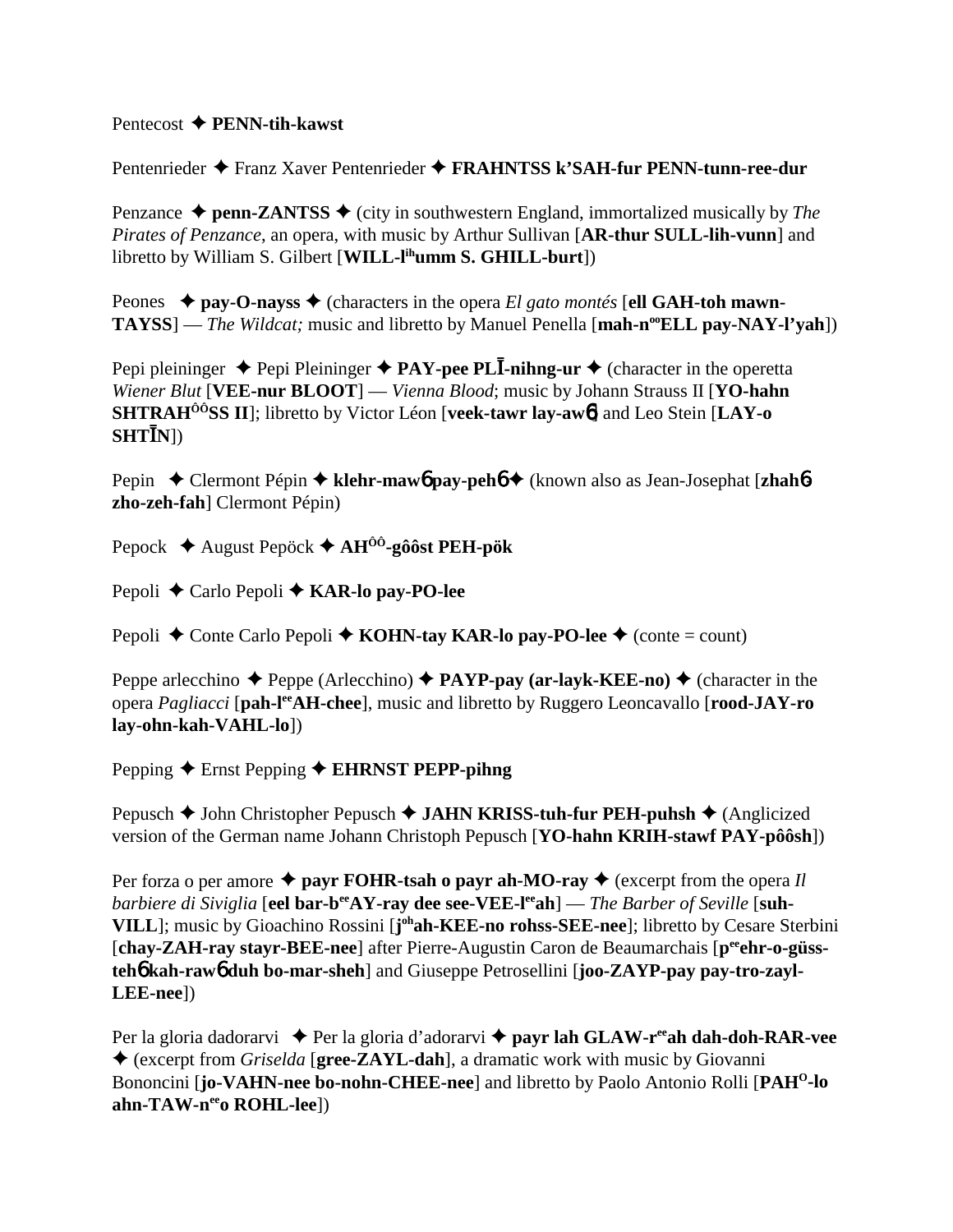Pentecost **PENN-tih-kawst**

Pentenrieder Franz Xaver Pentenrieder **FRAHNTSS k'SAH-fur PENN-tunn-ree-dur**

Penzance  $\triangle$  penn-ZANTSS  $\triangle$  (city in southwestern England, immortalized musically by *The Pirates of Penzance*, an opera, with music by Arthur Sullivan [**AR-thur SULL-lih-vunn**] and libretto by William S. Gilbert [WILL-l<sup>ih</sup>umm S. GHILL-burt])

Peones **→ pay-O-nayss →** (characters in the opera *El gato montés* [**ell GAH-toh mawn-TAYSS**] — *The Wildcat*; music and libretto by Manuel Penella [**mah-n<sup>oo</sup>ELL pay-NAY-l'yah**])

Pepi pleininger ◆ Pepi Pleininger ◆ PAY-pee PL**I-nihng-ur** ◆ (character in the operetta *Wiener Blut* [**VEE-nur BLOOT**] — *Vienna Blood*; music by Johann Strauss II [**YO-hahn SHTRAHÔÔSS II**]; libretto by Victor Léon [**veek-tawr lay-aw**6] and Leo Stein [**LAY-o**  $\textbf{SHT} \mathbf{\bar{I}}\textbf{N}$ ])

Pepin Clermont Pépin **klehr-maw**6 **pay-peh**6 (known also as Jean-Josephat [**zhah**6 **zho-zeh-fah**] Clermont Pépin)

Pepock August Pepöck **AHÔÔ-gôôst PEH-pök**

Pepoli **←** Carlo Pepoli ← **KAR-lo pay-PO-lee** 

Pepoli  $\triangle$  Conte Carlo Pepoli  $\triangle$  **KOHN-tay KAR-lo pay-PO-lee**  $\triangle$  (conte = count)

Peppe arlecchino  $\triangle$  Peppe (Arlecchino)  $\triangle$  **PAYP-pay (ar-layk-KEE-no)**  $\triangle$  (character in the opera *Pagliacci* [**pah-leeAH-chee**], music and libretto by Ruggero Leoncavallo [**rood-JAY-ro lay-ohn-kah-VAHL-lo**])

Pepping **←** Ernst Pepping ← **EHRNST PEPP-pihng** 

Pepusch **→** John Christopher Pepusch **→ JAHN KRISS-tuh-fur PEH-puhsh →** (Anglicized version of the German name Johann Christoph Pepusch [**YO-hahn KRIH-stawf PAY-pôôsh**])

Per forza o per amore  $\triangle$  payr FOHR-tsah o payr ah-MO-ray  $\triangle$  (excerpt from the opera *Il barbiere di Siviglia* [eel bar-b<sup>ee</sup>AY-ray dee see-VEE-l<sup>ee</sup>ah] — *The Barber of Seville* [suh-**VILL**]; music by Gioachino Rossini [**j ohah-KEE-no rohss-SEE-nee**]; libretto by Cesare Sterbini [chay-ZAH-ray stayr-BEE-nee] after Pierre-Augustin Caron de Beaumarchais [p<sup>ee</sup>ehr-o-güss**teh**6 **kah-raw**6 **duh bo-mar-sheh**] and Giuseppe Petrosellini [**joo-ZAYP-pay pay-tro-zayl-LEE-nee**])

Per la gloria dadorarvi ◆ Per la gloria d'adorarvi ◆ payr lah GLAW-r<sup>ee</sup>ah dah-doh-RAR-vee (excerpt from *Griselda* [**gree-ZAYL-dah**], a dramatic work with music by Giovanni Bononcini [**jo-VAHN-nee bo-nohn-CHEE-nee**] and libretto by Paolo Antonio Rolli [**PAHO-lo** ahn-TAW-nee<sub>0</sub> ROHL-lee])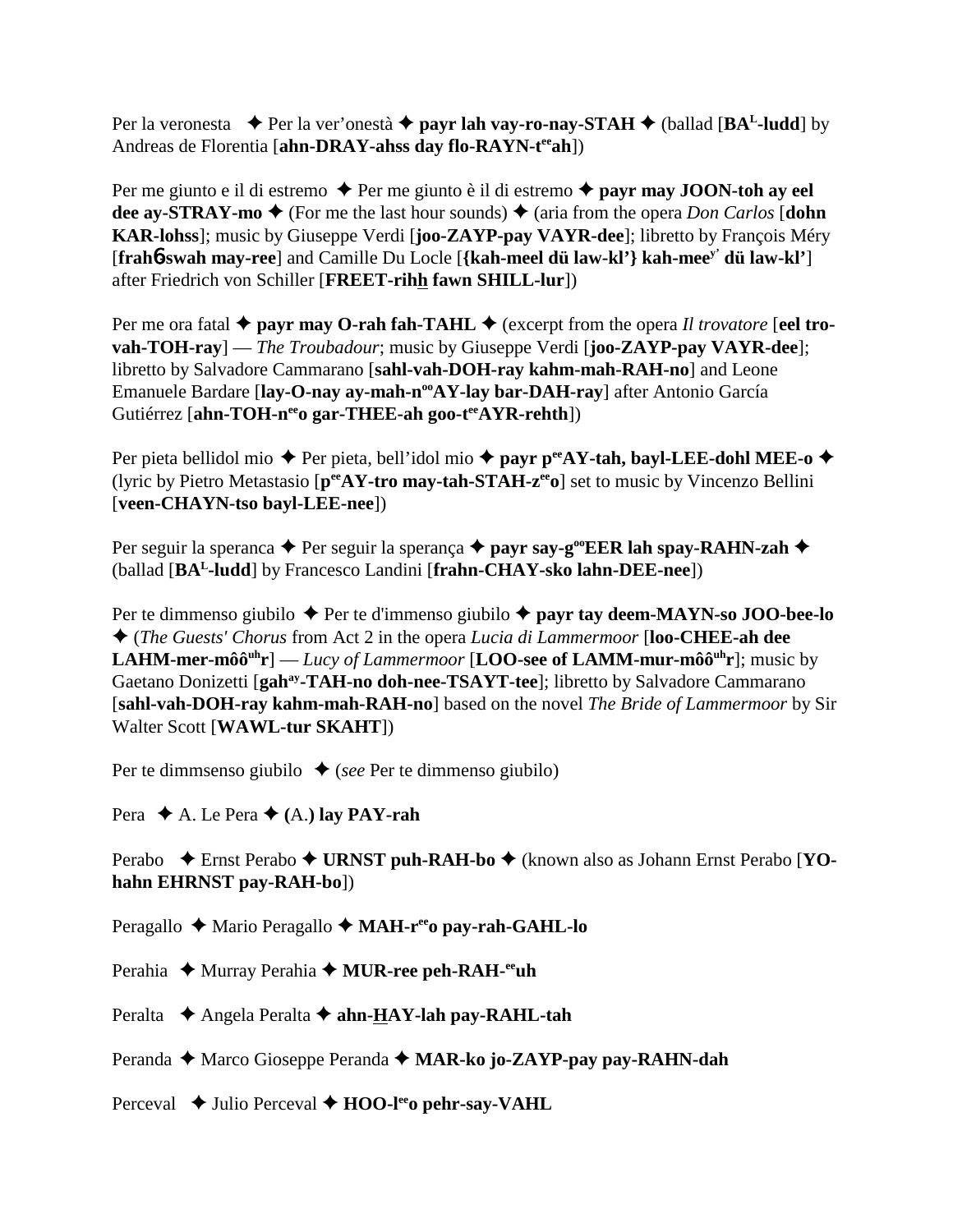Per la veronesta  $\blacklozenge$  Per la ver'onestà  $\blacklozenge$  **payr lah vay-ro-nay-STAH**  $\blacklozenge$  (ballad [**BA<sup>L</sup>-ludd**] by Andreas de Florentia [**ahn-DRAY-ahss day flo-RAYN-teeah**])

Per me giunto e il di estremo  $\triangle$  Per me giunto è il di estremo  $\triangle$  **payr may JOON-toh ay eel dee ay-STRAY-mo**  $\blacklozenge$  (For me the last hour sounds)  $\blacklozenge$  (aria from the opera *Don Carlos* [**dohn KAR-lohss**]; music by Giuseppe Verdi [**joo-ZAYP-pay VAYR-dee**]; libretto by François Méry [**frah**6**-swah may-ree**] and Camille Du Locle [**{kah-meel dü law-kl'} kah-meey' dü law-kl'**] after Friedrich von Schiller [**FREET-rihh fawn SHILL-lur**])

Per me ora fatal  $\triangle$  payr may O-rah fah-TAHL  $\triangle$  (excerpt from the opera *Il trovatore* [eel tro**vah-TOH-ray**] — *The Troubadour*; music by Giuseppe Verdi [**joo-ZAYP-pay VAYR-dee**]; libretto by Salvadore Cammarano [**sahl-vah-DOH-ray kahm-mah-RAH-no**] and Leone Emanuele Bardare [lay-O-nay ay-mah-n<sup>oo</sup>AY-lay bar-DAH-ray] after Antonio García Gutiérrez [ahn-TOH-n<sup>ee</sup>o gar-THEE-ah goo-t<sup>ee</sup>AYR-rehth])

Per pieta bellidol mio ◆ Per pieta, bell'idol mio ◆ payr p<sup>ee</sup>AY-tah, bayl-LEE-dohl MEE-o ◆ (lyric by Pietro Metastasio [**peeAY-tro may-tah-STAH-zeeo**] set to music by Vincenzo Bellini [**veen-CHAYN-tso bayl-LEE-nee**])

Per seguir la speranca  $\triangle$  Per seguir la sperança  $\triangle$  payr say-g<sup>oo</sup>EER lah spay-RAHN-zah  $\triangle$ (ballad [**BAL-ludd**] by Francesco Landini [**frahn-CHAY-sko lahn-DEE-nee**])

Per te dimmenso giubilo ◆ Per te d'immenso giubilo ◆ **payr tay deem-MAYN-so JOO-bee-lo**  (*The Guests' Chorus* from Act 2 in the opera *Lucia di Lammermoor* [**loo-CHEE-ah dee LAHM-mer-môô<sup>uh</sup>r**] — *Lucy of Lammermoor* [**LOO-see of LAMM-mur-môô**<sup>uh</sup>**r**]; music by Gaetano Donizetti [gah<sup>ay</sup>-TAH-no doh-nee-TSAYT-tee]; libretto by Salvadore Cammarano [**sahl-vah-DOH-ray kahm-mah-RAH-no**] based on the novel *The Bride of Lammermoor* by Sir Walter Scott [**WAWL-tur SKAHT**])

Per te dimmsenso giubilo  $\triangle$  (*see* Per te dimmenso giubilo)

Pera  $\blacklozenge$  A. Le Pera  $\blacklozenge$  (A.) lay PAY-rah

Perabo ◆ Ernst Perabo ◆ URNST puh-RAH-bo ◆ (known also as Johann Ernst Perabo [YO**hahn EHRNST pay-RAH-bo**])

Peragallo ◆ Mario Peragallo ◆ MAH-r<sup>ee</sup>o pay-rah-GAHL-lo

Perahia ◆ Murray Perahia ◆ MUR-ree peh-RAH-<sup>ee</sup>uh

Peralta **→** Angela Peralta → **ahn-HAY-lah pay-RAHL-tah** 

Peranda ◆ Marco Gioseppe Peranda ◆ MAR-ko jo-ZAYP-pay pay-RAHN-dah

Perceval **→** Julio Perceval → **HOO-l<sup>ee</sup>o pehr-say-VAHL**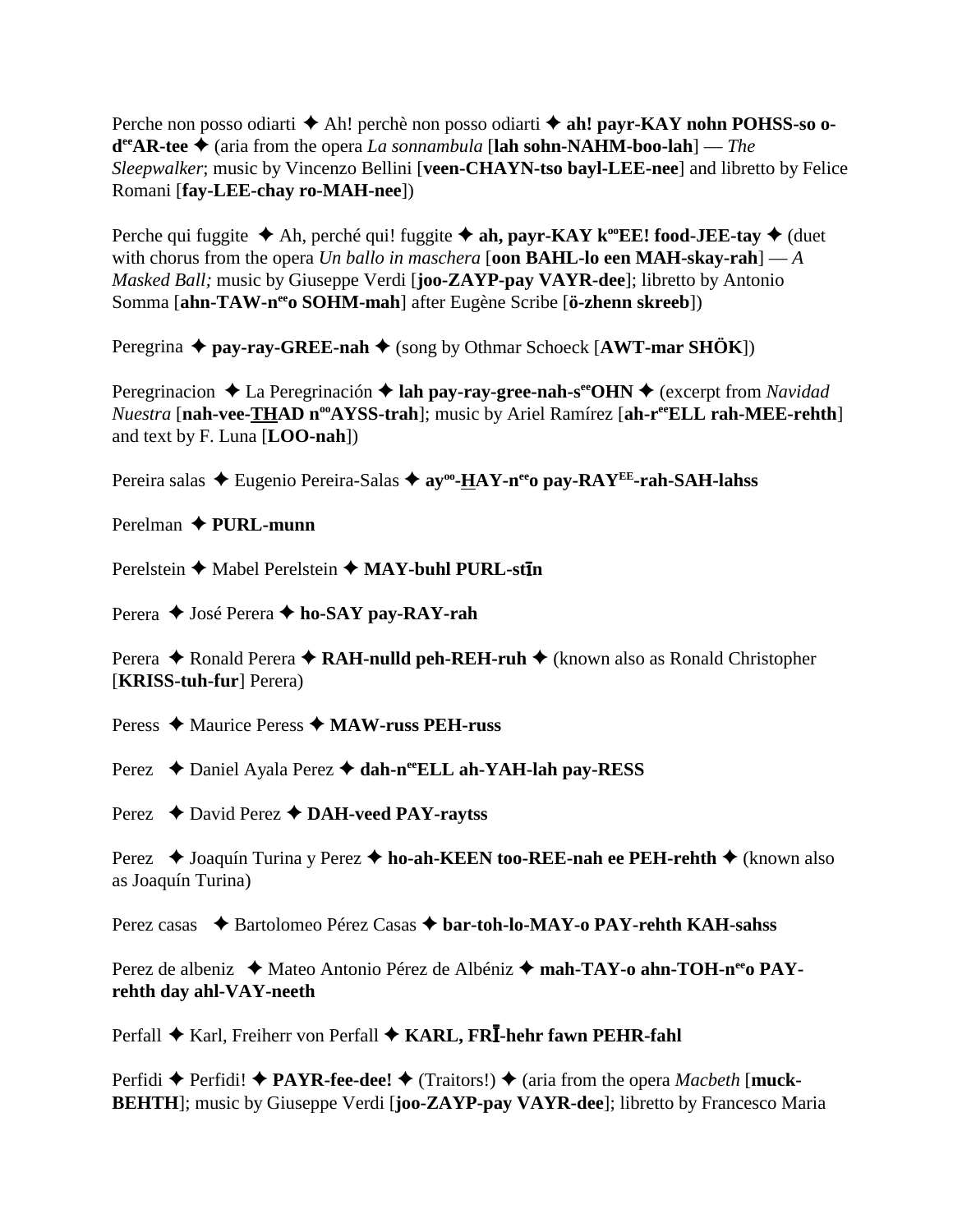Perche non posso odiarti **→** Ah! perchè non posso odiarti **→ ah! payr-KAY nohn POHSS-so odeeAR-tee** (aria from the opera *La sonnambula* [**lah sohn-NAHM-boo-lah**] — *The Sleepwalker*; music by Vincenzo Bellini [**veen-CHAYN-tso bayl-LEE-nee**] and libretto by Felice Romani [**fay-LEE-chay ro-MAH-nee**])

Perche qui fuggite  $\triangle$  Ah, perché qui! fuggite  $\triangle$  ah, payr-KAY k<sup>oo</sup>EE! food-JEE-tay  $\triangle$  (duet with chorus from the opera *Un ballo in maschera* [**oon BAHL-lo een MAH-skay-rah**] — *A Masked Ball;* music by Giuseppe Verdi [**joo-ZAYP-pay VAYR-dee**]; libretto by Antonio Somma [**ahn-TAW-neeo SOHM-mah**] after Eugène Scribe [**ö-zhenn skreeb**])

Peregrina ◆ pay-ray-GREE-nah ◆ (song by Othmar Schoeck [AWT-mar SHÖK])

Peregrinacion ◆ La Peregrinación ◆ lah pay-ray-gree-nah-s<sup>ee</sup>OHN ◆ (excerpt from *Navidad Nuestra* [nah-vee-THAD n<sup>oo</sup>AYSS-trah]; music by Ariel Ramírez [ah-r<sup>ee</sup>ELL rah-MEE-rehth] and text by F. Luna [**LOO-nah**])

Pereira salas ◆ Eugenio Pereira-Salas ◆ av<sup>oo</sup>-HAY-n<sup>ee</sup>o pay-RAY<sup>EE</sup>-rah-SAH-lahss

Perelman **PURL-munn**

Perelstein **←** Mabel Perelstein ← MAY-buhl PURL-st**in** 

Perera **→** José Perera **→ ho-SAY pay-RAY-rah** 

Perera ◆ Ronald Perera ◆ RAH-nulld peh-REH-ruh ◆ (known also as Ronald Christopher [**KRISS-tuh-fur**] Perera)

Peress Maurice Peress **MAW-russ PEH-russ**

Perez ◆ Daniel Ayala Perez ◆ dah-n<sup>ee</sup>ELL ah-YAH-lah pay-RESS

Perez **→** David Perez **→ DAH-veed PAY-raytss** 

Perez  **→** Joaquín Turina y Perez **→ ho-ah-KEEN too-REE-nah ee PEH-rehth →** (known also as Joaquín Turina)

Perez casas ◆ Bartolomeo Pérez Casas ◆ bar-toh-lo-MAY-o PAY-rehth KAH-sahss

Perez de albeniz ◆ Mateo Antonio Pérez de Albéniz ◆ mah-TAY-o ahn-TOH-n<sup>ee</sup>o PAY**rehth day ahl-VAY-neeth**

Perfall ◆ Karl, Freiherr von Perfall ◆ KARL, FRĪ-hehr fawn PEHR-fahl

 $Perfidi \rightarrow Perfidi! \rightarrow PAYR-free-dee! \rightarrow (Traitors!) \rightarrow (aria from the opera *Macbeth* [muck-$ **BEHTH**]; music by Giuseppe Verdi [**joo-ZAYP-pay VAYR-dee**]; libretto by Francesco Maria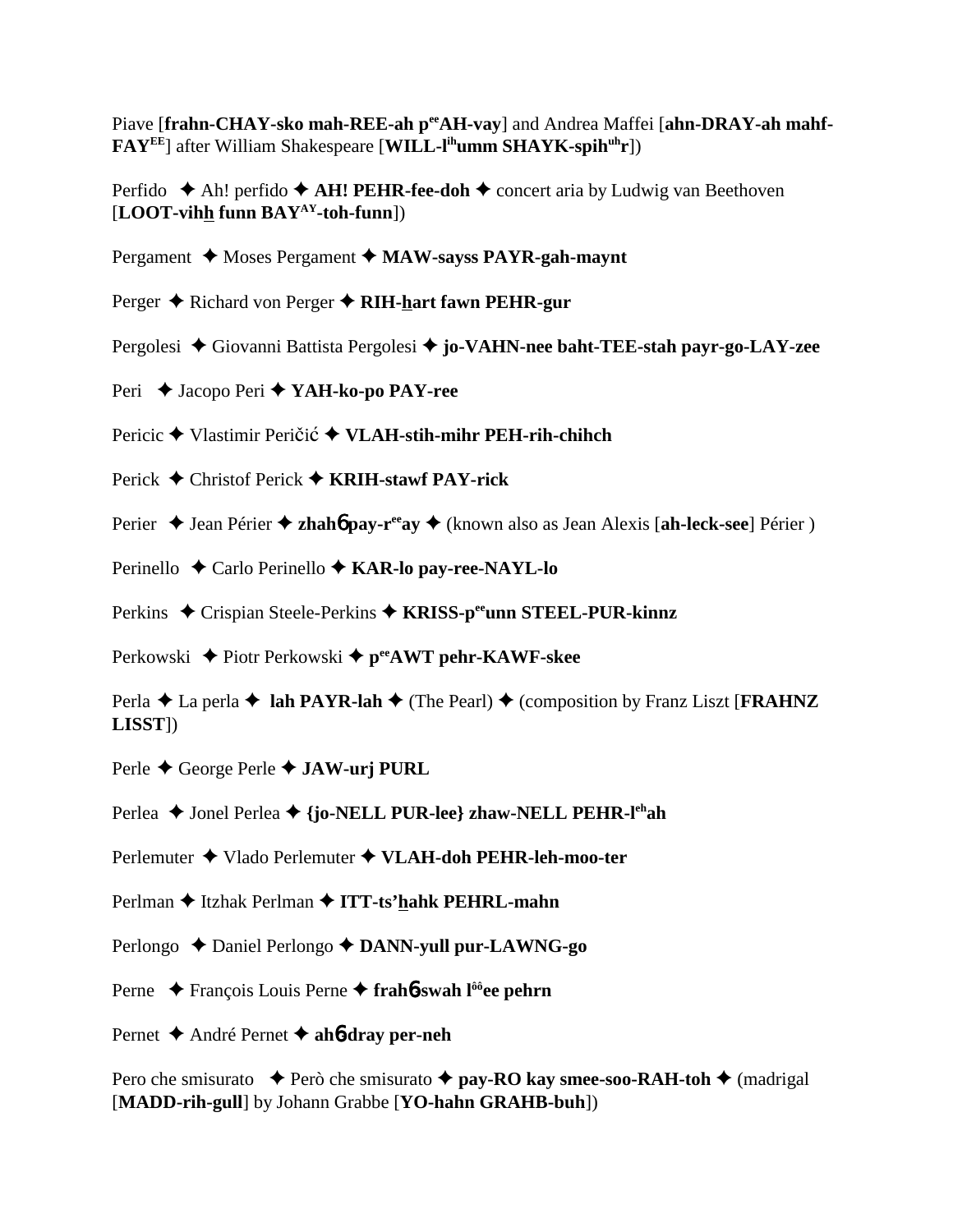Piave [frahn-CHAY-sko mah-REE-ah p<sup>ee</sup>AH-vay] and Andrea Maffei [ahn-DRAY-ah mahf-**FAY<sup>EE</sup>**] after William Shakespeare [WILL-l<sup>ih</sup>umm SHAYK-spih<sup>uh</sup>r])

Perfido  $\triangle$  Ah! perfido  $\triangle$  AH! PEHR-fee-doh  $\triangle$  concert aria by Ludwig van Beethoven [**LOOT-vihh funn BAYAY-toh-funn**])

- Pergament **→** Moses Pergament → MAW-sayss PAYR-gah-maynt
- Perger **→** Richard von Perger → RIH-hart fawn PEHR-gur
- Pergolesi Giovanni Battista Pergolesi **jo-VAHN-nee baht-TEE-stah payr-go-LAY-zee**
- Peri Jacopo Peri **YAH-ko-po PAY-ree**
- Pericic ◆ Vlastimir Peričić ◆ VLAH-stih-mihr PEH-rih-chihch
- Perick Christof Perick **KRIH-stawf PAY-rick**
- Perier **→** Jean Périer → **zhahó pay-r<sup>ee</sup>ay** → (known also as Jean Alexis [ah-leck-see] Périer )
- Perinello ◆ Carlo Perinello **◆ KAR-lo pay-ree-NAYL-lo**
- Perkins ◆ Crispian Steele-Perkins ◆ KRISS-p<sup>ee</sup>unn STEEL-PUR-kinnz
- Perkowski ◆ Piotr Perkowski ◆ p<sup>ee</sup>AWT pehr-KAWF-skee

Perla  $\triangle$  La perla  $\triangle$  **lah PAYR-lah**  $\triangle$  (The Pearl)  $\triangle$  (composition by Franz Liszt [**FRAHNZ LISST**])

- Perle George Perle **JAW-urj PURL**
- Perlea ◆ Jonel Perlea ◆ {**jo-NELL PUR-lee} zhaw-NELL PEHR-l<sup>eh</sup>ah**
- Perlemuter Vlado Perlemuter **VLAH-doh PEHR-leh-moo-ter**
- Perlman ◆ Itzhak Perlman ◆ **ITT-ts'hahk PEHRL-mahn**
- Perlongo ◆ Daniel Perlongo **◆ DANN-yull pur-LAWNG-go**
- Perne ◆ François Louis Perne ◆ frah**6**-swah l<sup>ôô</sup>ee pehrn
- Pernet André Pernet **ah**6**-dray per-neh**

Pero che smisurato  $\rightarrow$  Però che smisurato  $\rightarrow$  **pay-RO kay smee-soo-RAH-toh**  $\rightarrow$  (madrigal [**MADD-rih-gull**] by Johann Grabbe [**YO-hahn GRAHB-buh**])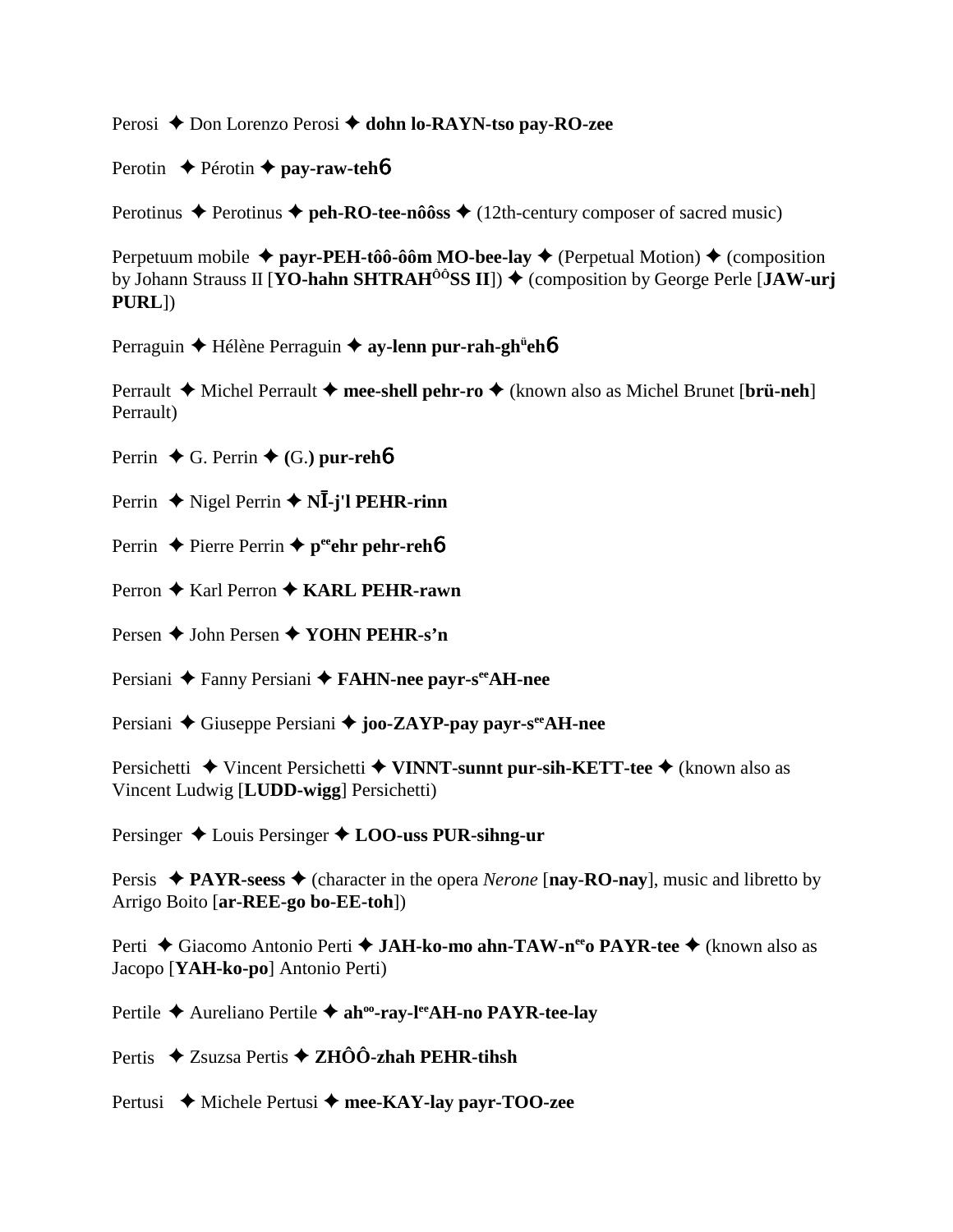Perosi ◆ Don Lorenzo Perosi ◆ dohn lo-RAYN-tso pay-RO-zee

Perotin **←** Pérotin ← pay-raw-teh**6** 

Perotinus  $\triangle$  Perotinus  $\triangle$  **peh-RO-tee-nôôss**  $\triangle$  (12th-century composer of sacred music)

Perpetuum mobile  $\triangleq$  payr-PEH-tôô-ôôm MO-bee-lay  $\triangleq$  (Perpetual Motion)  $\triangleq$  (composition by Johann Strauss II [**YO-hahn SHTRAH<sup>ÔÔ</sup>SS II**])  $\blacklozenge$  (composition by George Perle [**JAW-urj PURL**])

Perraguin ◆ Hélène Perraguin ◆ ay-lenn pur-rah-gh<sup>ü</sup>eh**6** 

Perrault **→** Michel Perrault → mee-shell pehr-ro → (known also as Michel Brunet [brü-neh] Perrault)

Perrin  $\blacklozenge$  G. Perrin  $\blacklozenge$  (G.) pur-reh**6** 

Perrin ◆ Nigel Perrin ◆ N**Ī-j'l PEHR-rinn** 

- Perrin **←** Pierre Perrin ← peehr pehr-reh6
- Perron **←** Karl Perron ← **KARL PEHR-rawn**

Persen **→** John Persen **→ YOHN PEHR-s'n** 

Persiani ◆ Fanny Persiani ◆ **FAHN-nee payr-s<sup>ee</sup>AH-nee** 

Persiani ◆ Giuseppe Persiani ◆ joo-ZAYP-pay payr-s<sup>ee</sup>AH-nee

Persichetti **→** Vincent Persichetti **→ VINNT-sunnt pur-sih-KETT-tee** → (known also as Vincent Ludwig [**LUDD-wigg**] Persichetti)

Persinger Louis Persinger **LOO-uss PUR-sihng-ur**

Persis  $\triangle$  **PAYR-seess**  $\triangle$  (character in the opera *Nerone* [**nay-RO-nay**], music and libretto by Arrigo Boito [**ar-REE-go bo-EE-toh**])

Perti ◆ Giacomo Antonio Perti ◆ **JAH-ko-mo ahn-TAW-n<sup>ee</sup>o PAYR-tee** ◆ (known also as Jacopo [**YAH-ko-po**] Antonio Perti)

Pertile ◆ Aureliano Pertile ◆ ah<sup>oo</sup>-ray-l<sup>ee</sup>AH-no PAYR-tee-lay

Pertis ◆ Zsuzsa Pertis **◆ ZHÔÔ-zhah PEHR-tihsh** 

Pertusi ◆ Michele Pertusi ◆ mee-KAY-lay payr-TOO-zee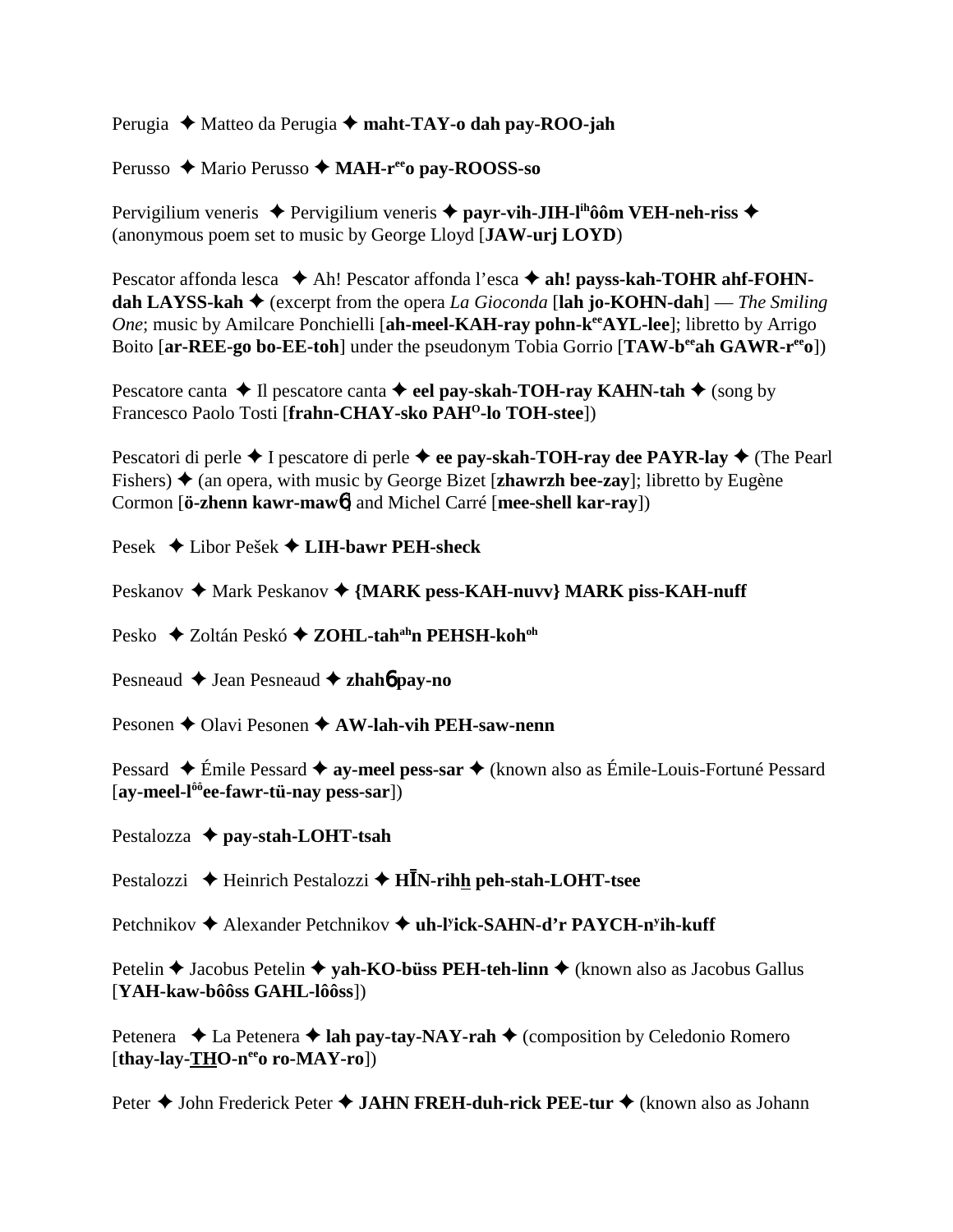Perugia ◆ Matteo da Perugia ◆ maht-TAY-o dah pay-ROO-jah

Perusso ◆ Mario Perusso ◆ MAH-r<sup>ee</sup>o pay-ROOSS-so

Pervigilium veneris **→** Pervigilium veneris → payr-vih-JIH-l<sup>ih</sup>ôôm VEH-neh-riss → (anonymous poem set to music by George Lloyd [**JAW-urj LOYD**)

Pescator affonda lesca ◆ Ah! Pescator affonda l'esca ◆ ah! payss-kah-TOHR ahf-FOHN**dah LAYSS-kah**  $\blacklozenge$  (excerpt from the opera *La Gioconda* [lah jo-KOHN-dah] — *The Smiling One*; music by Amilcare Ponchielli [ah-meel-KAH-ray pohn-k<sup>ee</sup>AYL-lee]; libretto by Arrigo Boito [**ar-REE-go bo-EE-toh**] under the pseudonym Tobia Gorrio [**TAW-b<sup>ee</sup>ah GAWR-r<sup>ee</sup>o**])

Pescatore canta  $\triangle$  Il pescatore canta  $\triangle$  eel pay-skah-TOH-ray KAHN-tah  $\triangle$  (song by Francesco Paolo Tosti [**frahn-CHAY-sko PAHO-lo TOH-stee**])

Pescatori di perle **→** I pescatore di perle → ee pay-skah-TOH-ray dee PAYR-lay → (The Pearl Fishers)  $\triangle$  (an opera, with music by George Bizet [**zhawrzh bee-zay**]; libretto by Eugène Cormon [**ö-zhenn kawr-maw**6] and Michel Carré [**mee-shell kar-ray**])

Pesek Libor Pešek **LIH-bawr PEH-sheck**

Peskanov ◆ Mark Peskanov ◆ {MARK pess-KAH-nuvv} MARK piss-KAH-nuff

Pesko **→ Zoltán Peskó → ZOHL-tah<sup>ah</sup>n PEHSH-koh<sup>oh</sup>** 

Pesneaud **→** Jean Pesneaud **→ zhahó pay-no** 

Pesonen **←** Olavi Pesonen ← AW-lah-vih PEH-saw-nenn

Pessard ◆ Émile Pessard ◆ **ay-meel pess-sar** ◆ (known also as Émile-Louis-Fortuné Pessard [**ay-meel-lôôee-fawr-tü-nay pess-sar**])

Pestalozza **pay-stah-LOHT-tsah**

Pestalozzi ◆ Heinrich Pestalozzi ◆ H**IN-rihh peh-stah-LOHT-tsee** 

Petchnikov **→** Alexander Petchnikov ◆ uh-l<sup>y</sup>ick-SAHN-d'r PAYCH-n<sup>y</sup>ih-kuff

Petelin **→** Jacobus Petelin → **yah-KO-büss PEH-teh-linn** → (known also as Jacobus Gallus [**YAH-kaw-bôôss GAHL-lôôss**])

Petenera  $\triangleleft$  La Petenera  $\triangleleft$  **lah pay-tay-NAY-rah**  $\triangleleft$  (composition by Celedonio Romero [thay-lay-THO-n<sup>ee</sup>o ro-MAY-ro])

Peter **→** John Frederick Peter ◆ JAHN FREH-duh-rick PEE-tur ◆ (known also as Johann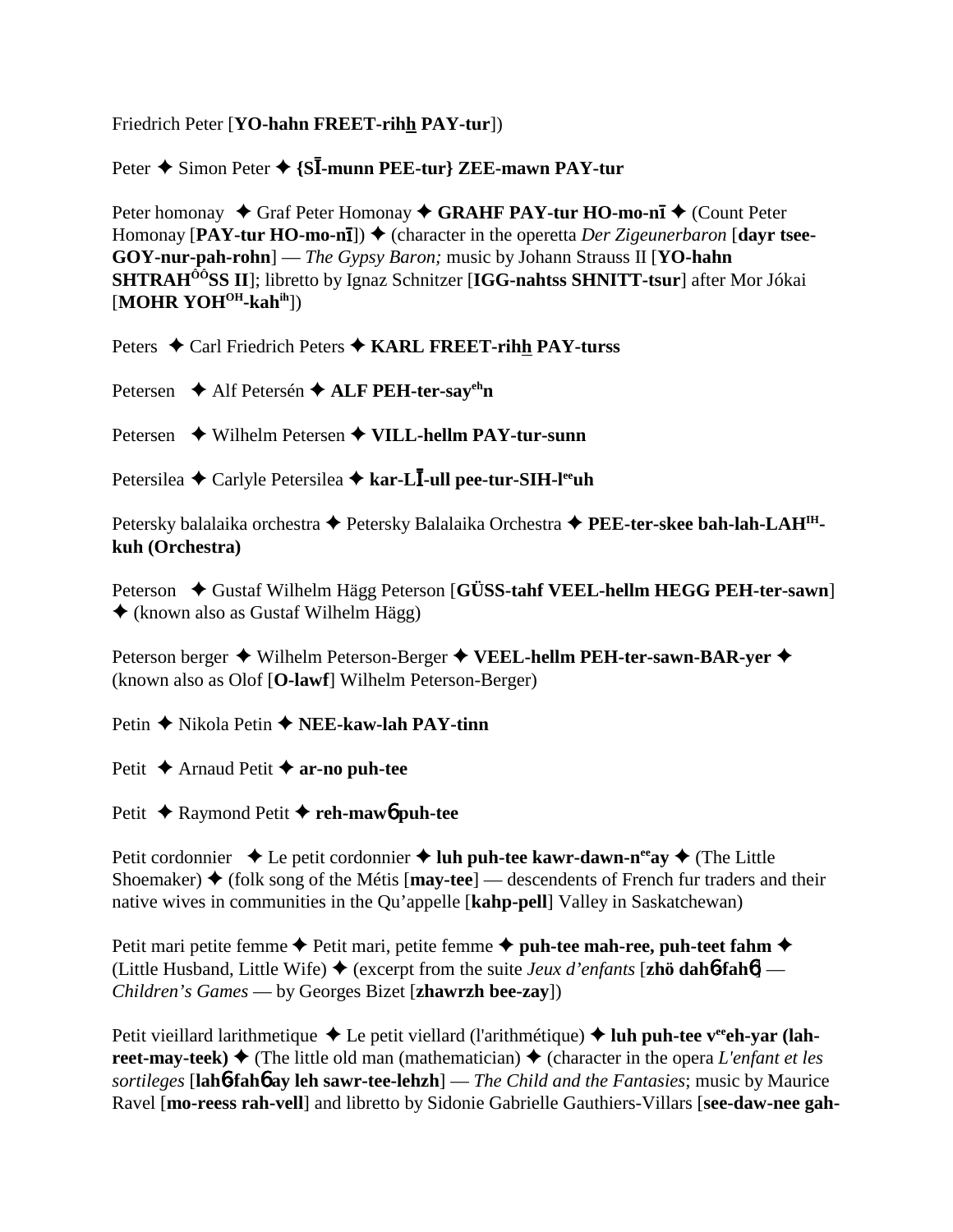## Friedrich Peter [**YO-hahn FREET-rihh PAY-tur**])

# Peter ◆ Simon Peter ◆ {S**I-munn PEE-tur} ZEE-mawn PAY-tur**

Peter homonay ◆ Graf Peter Homonay ◆ GRAHF PAY-tur HO-mo-n**ī** ◆ (Count Peter Homonay [PAY-tur HO-mo-n**i**])  $\blacklozenge$  (character in the operetta *Der Zigeunerbaron* [dayr tsee-**GOY-nur-pah-rohn**] — *The Gypsy Baron;* music by Johann Strauss II [**YO-hahn SHTRAHÔÔSS II**]; libretto by Ignaz Schnitzer [**IGG-nahtss SHNITT-tsur**] after Mor Jókai [**MOHR YOH<sup>OH</sup>-kah<sup>ih</sup>]**)

Peters ♦ Carl Friedrich Peters ♦ KARL FREET-rihh PAY-turss

Petersen **→** Alf Petersén **→ ALF PEH-ter-say<sup>eh</sup>n** 

Petersen **→** Wilhelm Petersen → VILL-hellm PAY-tur-sunn

Petersilea ◆ Carlyle Petersilea ◆ k**ar-LĪ-ull pee-tur-SIH-l<sup>ee</sup>uh** 

Petersky balalaika orchestra ◆ Petersky Balalaika Orchestra ◆ PEE-ter-skee bah-lah-LAH<sup>IH</sup>**kuh (Orchestra)**

Peterson  $\blacklozenge$  Gustaf Wilhelm Hägg Peterson [GÜSS-tahf VEEL-hellm HEGG PEH-ter-sawn] (known also as Gustaf Wilhelm Hägg)

Peterson berger ◆ Wilhelm Peterson-Berger ◆ VEEL-hellm PEH-ter-sawn-BAR-yer ◆ (known also as Olof [**O-lawf**] Wilhelm Peterson-Berger)

Petin **→** Nikola Petin **→ NEE-kaw-lah PAY-tinn** 

Petit **→** Arnaud Petit **→ ar-no puh-tee** 

Petit **→** Raymond Petit **→ reh-maw6 puh-tee** 

Petit cordonnier  $\triangle$  Le petit cordonnier  $\triangle$  luh puh-tee kawr-dawn-n<sup>ee</sup>ay  $\triangle$  (The Little Shoemaker)  $\triangle$  (folk song of the Métis [**may-tee**] — descendents of French fur traders and their native wives in communities in the Qu'appelle [**kahp-pell**] Valley in Saskatchewan)

Petit mari petite femme  $\triangle$  Petit mari, petite femme  $\triangle$  puh-tee mah-ree, puh-teet fahm  $\triangle$ (Little Husband, Little Wife)  $\blacklozenge$  (excerpt from the suite *Jeux d'enfants* [**zhö dahb-fahb**] — *Children's Games* — by Georges Bizet [**zhawrzh bee-zay**])

Petit vieillard larithmetique ◆ Le petit viellard (l'arithmétique) ◆ luh puh-tee v<sup>ee</sup>eh-var (lah**reet-may-teek)**  $\blacklozenge$  (The little old man (mathematician)  $\blacklozenge$  (character in the opera *L'enfant et les sortileges* [**lah**6**-fah**6 **ay leh sawr-tee-lehzh**] — *The Child and the Fantasies*; music by Maurice Ravel [**mo-reess rah-vell**] and libretto by Sidonie Gabrielle Gauthiers-Villars [**see-daw-nee gah-**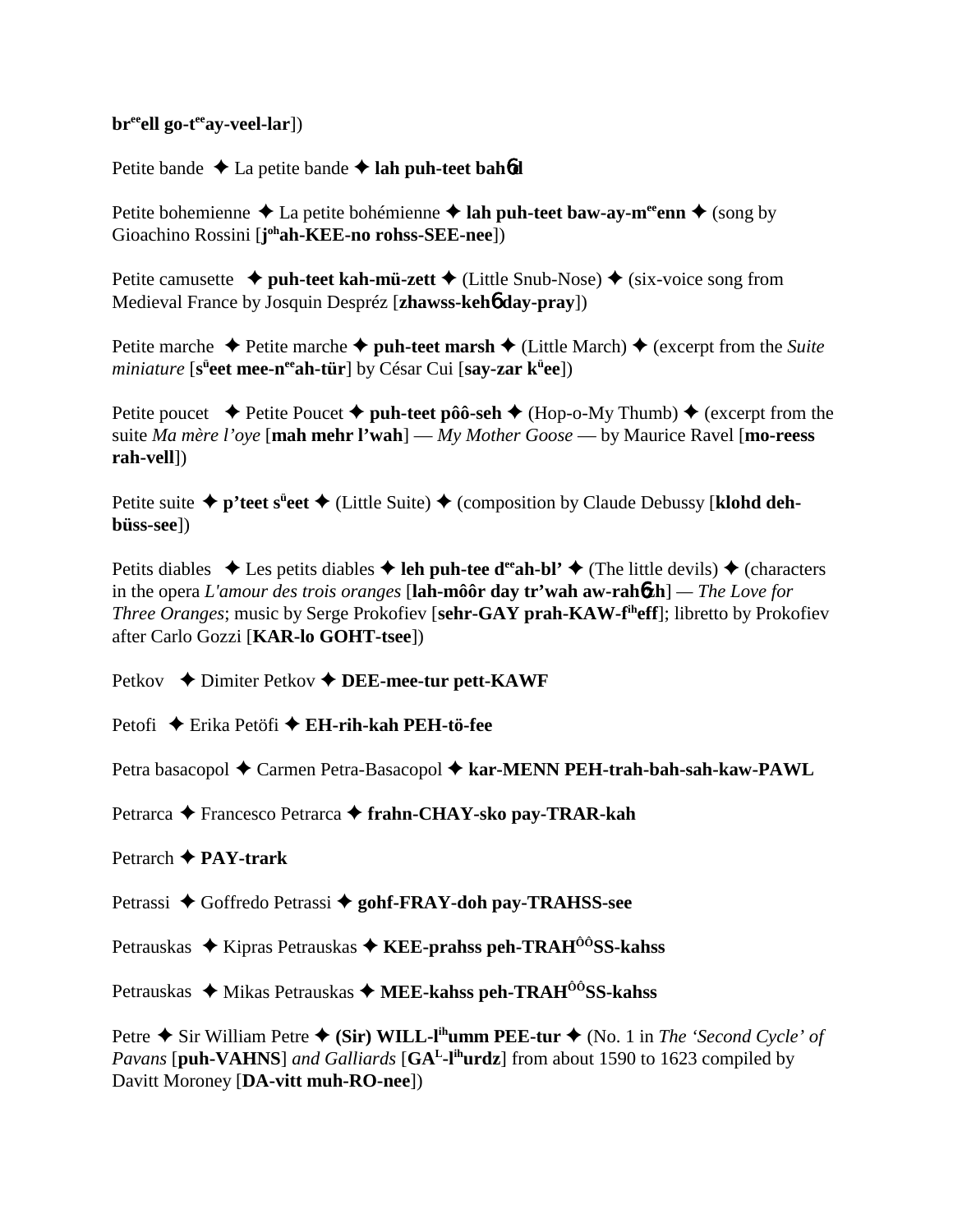### br<sup>ee</sup>ell go-t<sup>ee</sup>ay-veel-lar])

Petite bande  $\triangle$  La petite bande  $\triangle$  lah puh-teet bah**6d** 

Petite bohemienne  $\triangle$  La petite bohémienne  $\triangle$  lah puh-teet baw-ay-m<sup>ee</sup>enn  $\triangle$  (song by Gioachino Rossini [**j**<sup>oh</sup>**ah-KEE-no rohss-SEE-nee**])

Petite camusette  $\triangleq$  puh-teet kah-mü-zett  $\triangleq$  (Little Snub-Nose)  $\triangleq$  (six-voice song from Medieval France by Josquin Despréz [**zhawss-keh**6 **day-pray**])

Petite marche  $\triangle$  Petite marche  $\triangle$  puh-teet marsh  $\triangle$  (Little March)  $\triangle$  (excerpt from the *Suite* miniature [s<sup>ü</sup>eet mee-n<sup>ee</sup>ah-tür] by César Cui [say-zar k<sup>ü</sup>ee])

Petite poucet  $\rightarrow$  Petite Poucet  $\rightarrow$  **puh-teet pôô-seh**  $\rightarrow$  (Hop-o-My Thumb)  $\rightarrow$  (excerpt from the suite *Ma mère l'oye* [**mah mehr l'wah**] — *My Mother Goose* — by Maurice Ravel [**mo-reess rah-vell**])

Petite suite ◆ p'teet s<sup>ü</sup>eet ◆ (Little Suite) ◆ (composition by Claude Debussy [klohd deh**büss-see**])

Petits diables  $\triangle$  Les petits diables  $\triangle$  leh puh-tee d<sup>ee</sup>ah-bl'  $\triangle$  (The little devils)  $\triangle$  (characters in the opera *L'amour des trois oranges* [**lah-môôr day tr'wah aw-rah**6**zh**] *— The Love for Three Oranges*; music by Serge Prokofiev [**sehr-GAY prah-KAW-fiheff**]; libretto by Prokofiev after Carlo Gozzi [**KAR-lo GOHT-tsee**])

Petkov **→** Dimiter Petkov ◆ DEE-mee-tur pett-KAWF

Petofi **→** Erika Petöfi → **EH-rih-kah PEH-tö-fee** 

Petra basacopol ◆ Carmen Petra-Basacopol ◆ kar-MENN PEH-trah-bah-sah-kaw-PAWL

Petrarca **←** Francesco Petrarca ← frahn-CHAY-sko pay-TRAR-kah

## Petrarch **PAY-trark**

Petrassi ◆ Goffredo Petrassi ◆ gohf-FRAY-doh pay-TRAHSS-see

Petrauskas ◆ Kipras Petrauskas ◆ KEE-prahss peh-TRAH<sup>ôô</sup>SS-kahss

Petrauskas ◆ Mikas Petrauskas ◆ MEE-kahss peh-TRAH<sup>ôô</sup>SS-kahss

Petre  $\triangle$  Sir William Petre  $\triangle$  (Sir) WILL-l<sup>ih</sup>umm PEE-tur  $\triangle$  (No. 1 in *The 'Second Cycle' of Pavans* [**puh-VAHNS**] *and Galliards* [**GAL-lihurdz**] from about 1590 to 1623 compiled by Davitt Moroney [**DA-vitt muh-RO-nee**])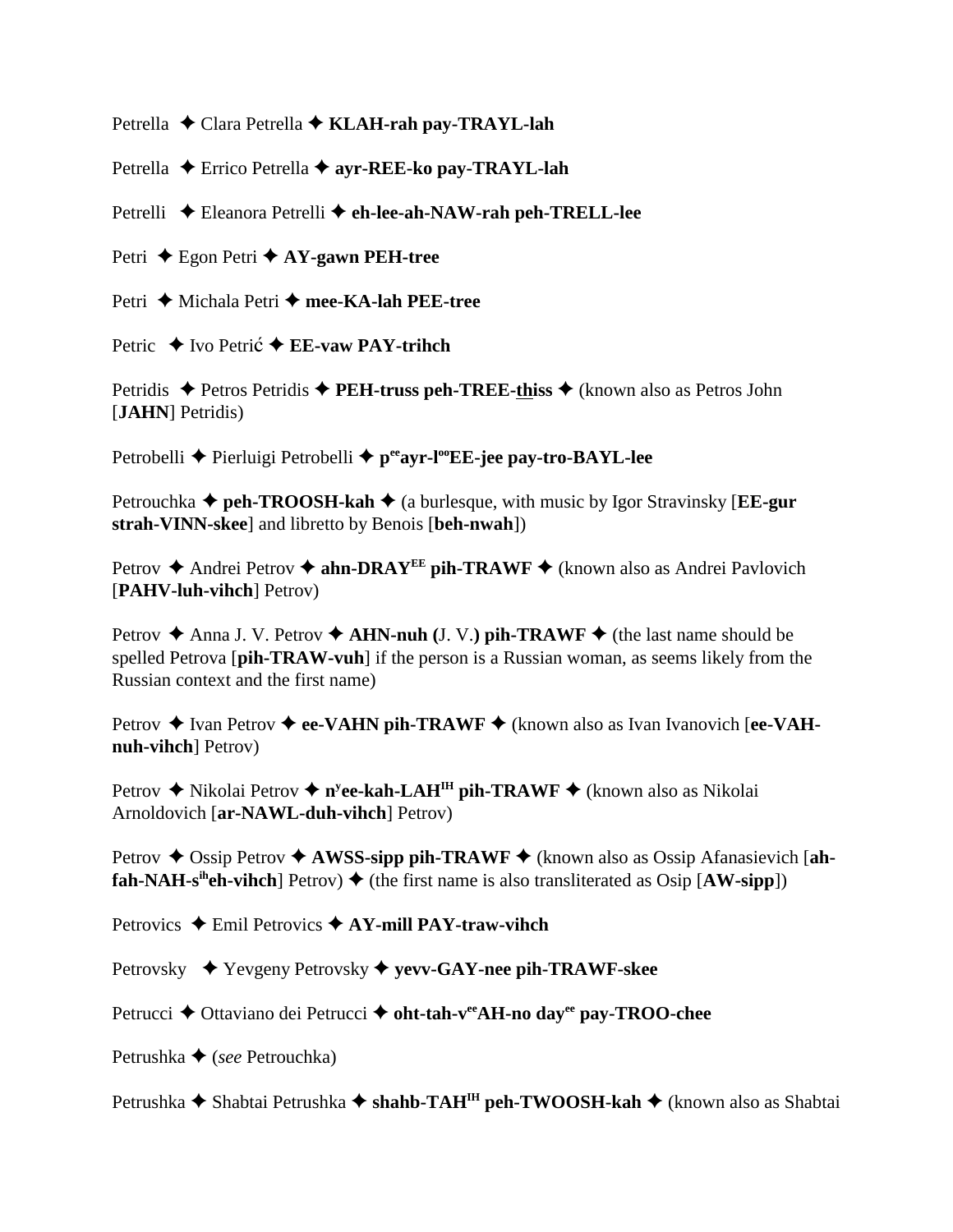Petrella **←** Clara Petrella ← KLAH-rah pay-TRAYL-lah

Petrella **←** Errico Petrella ← avr-REE-ko pav-TRAYL-lah

Petrelli **←** Eleanora Petrelli ← **eh-lee-ah-NAW-rah peh-TRELL-lee** 

Petri **←** Egon Petri ← AY-gawn PEH-tree

Petri ◆ Michala Petri ◆ mee-KA-lah PEE-tree

Petric **→** Ivo Petri**c → EE-vaw PAY-trihch** 

Petridis ◆ Petros Petridis ◆ **PEH-truss peh-TREE-thiss** ◆ (known also as Petros John [**JAHN**] Petridis)

Petrobelli **←** Pierluigi Petrobelli ← p<sup>ee</sup>ayr-l<sup>oo</sup>EE-jee pay-tro-BAYL-lee

Petrouchka  $\triangle$  **peh-TROOSH-kah**  $\triangle$  (a burlesque, with music by Igor Stravinsky [**EE-gur strah-VINN-skee**] and libretto by Benois [**beh-nwah**])

Petrov **→** Andrei Petrov → **ahn-DRAY<sup>EE</sup> pih-TRAWF** → (known also as Andrei Pavlovich [**PAHV-luh-vihch**] Petrov)

Petrov  $\triangle$  Anna J. V. Petrov  $\triangle$  AHN-nuh (J. V.) pih-TRAWF  $\triangle$  (the last name should be spelled Petrova [**pih-TRAW-vuh**] if the person is a Russian woman, as seems likely from the Russian context and the first name)

Petrov **→** Ivan Petrov **→ ee-VAHN pih-TRAWF** → (known also as Ivan Ivanovich [ee-VAH**nuh-vihch**] Petrov)

Petrov ◆ Nikolai Petrov ◆ n<sup>y</sup>ee-kah-LAH<sup>IH</sup> pih-TRAWF ◆ (known also as Nikolai Arnoldovich [**ar-NAWL-duh-vihch**] Petrov)

Petrov  $\triangle$  Ossip Petrov  $\triangle$  **AWSS-sipp pih-TRAWF**  $\triangle$  (known also as Ossip Afanasievich [ah**fah-NAH-s<sup>ih</sup>eh-vihch**] Petrov)  $\blacklozenge$  (the first name is also transliterated as Osip [AW-sipp])

Petrovics **→** Emil Petrovics **→ AY-mill PAY-traw-vihch** 

Petrovsky Yevgeny Petrovsky **yevv-GAY-nee pih-TRAWF-skee**

Petrucci **→** Ottaviano dei Petrucci → oht-tah-v<sup>ee</sup>AH-no day<sup>ee</sup> pay-TROO-chee

Petrushka **→** (*see* Petrouchka)

Petrushka **→** Shabtai Petrushka → shahb-TAH<sup>IH</sup> peh-TWOOSH-kah → (known also as Shabtai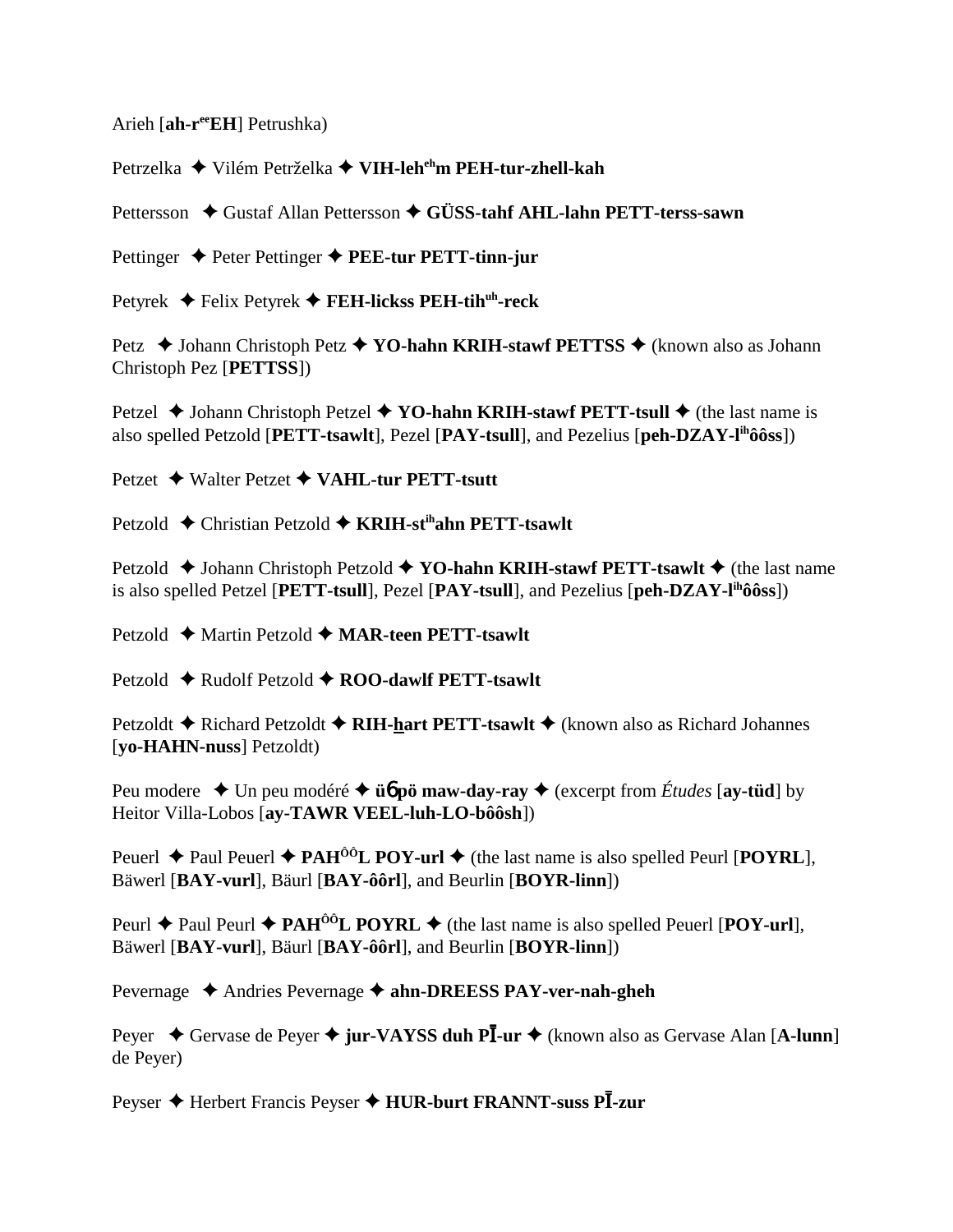Arieh [ah-r<sup>ee</sup>EH] Petrushka)

Petrzelka ◆ Vilém Petrželka ◆ VIH-leh<sup>eh</sup>m PEH-tur-zhell-kah

Pettersson ♦ Gustaf Allan Pettersson ♦ GÜSS-tahf AHL-lahn PETT-terss-sawn

Pettinger  $\triangle$  Peter Pettinger  $\triangle$  PEE-tur PETT-tinn-jur

Petyrek ◆ Felix Petyrek ◆ FEH-lickss PEH-tih<sup>uh</sup>-reck

Petz  $\triangle$  Johann Christoph Petz  $\triangle$  YO-hahn KRIH-stawf PETTSS  $\triangle$  (known also as Johann Christoph Pez [PETTSS])

Petzel  $\blacklozenge$  Johann Christoph Petzel  $\blacklozenge$  YO-hahn KRIH-stawf PETT-tsull  $\blacklozenge$  (the last name is also spelled Petzold [PETT-tsawlt], Pezel [PAY-tsull], and Pezelius [peh-DZAY-I<sup>th</sup>ôôss])

Petzet ◆ Walter Petzet ◆ VAHL-tur PETT-tsutt

Petzold ♦ Christian Petzold ♦ KRIH-st<sup>ih</sup>ahn PETT-tsawlt

Petzold  $\triangle$  Johann Christoph Petzold  $\triangle$  YO-hahn KRIH-stawf PETT-tsawlt  $\triangle$  (the last name is also spelled Petzel [PETT-tsull], Pezel [PAY-tsull], and Pezelius [peh-DZAY-l<sup>th</sup>ôôss])

Petzold ♦ Martin Petzold ♦ MAR-teen PETT-tsawlt

Petzold  $\triangle$  Rudolf Petzold  $\triangle$  ROO-dawlf PETT-tsawlt

Petzoldt  $\triangle$  Richard Petzoldt  $\triangle$  RIH-hart PETT-tsawlt  $\triangle$  (known also as Richard Johannes [vo-HAHN-nuss] Petzoldt)

Peu modere  $\triangle$  Un peu modéré  $\triangle$  **üó pö maw-day-ray**  $\triangle$  (excerpt from *Études* [ay-tüd] by Heitor Villa-Lobos [ay-TAWR VEEL-luh-LO-bôôsh])

Peuerl  $\triangle$  Paul Peuerl  $\triangle$  PAH<sup>ôô</sup>L POY-url  $\triangle$  (the last name is also spelled Peurl [POYRL], Bäwerl [BAY-vurl], Bäurl [BAY-ôôrl], and Beurlin [BOYR-linn])

Peurl  $\triangle$  Paul Peurl  $\triangle$  PAH<sup>ÔÔ</sup>L POYRL  $\triangle$  (the last name is also spelled Peuerl [POY-url], Bäwerl [BAY-vurl], Bäurl [BAY-ôôrl], and Beurlin [BOYR-linn])

Pevernage  $\triangle$  Andries Pevernage  $\triangle$  ahn-DREESS PAY-ver-nah-gheh

Peyer  $\triangle$  Gervase de Peyer  $\triangle$  jur-VAYSS duh PI-ur  $\triangle$  (known also as Gervase Alan [A-lunn] de Peyer)

Peyser ♦ Herbert Francis Peyser ♦ HUR-burt FRANNT-suss Pl-zur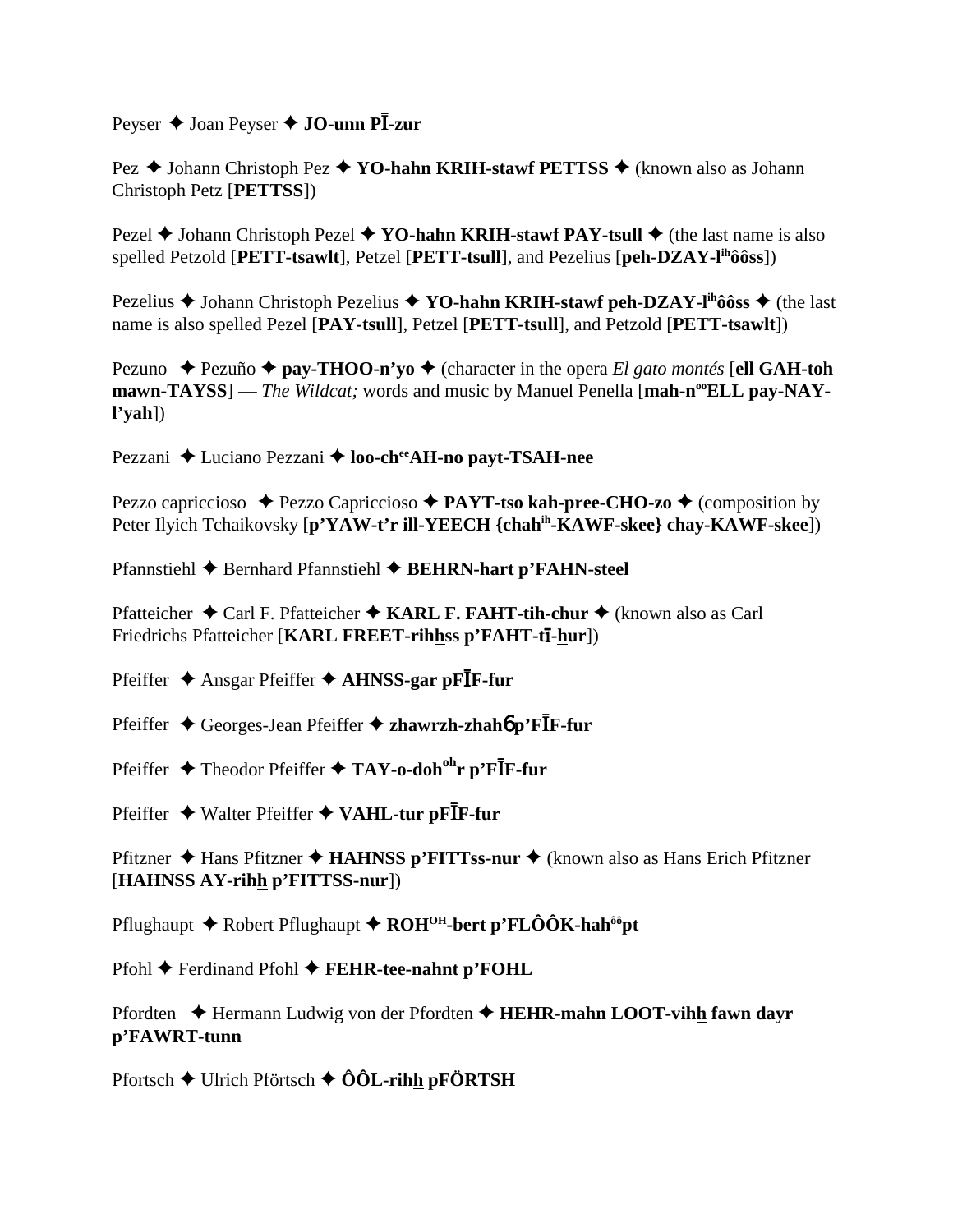Peyser  $\triangleq$  Joan Peyser  $\triangleq$  JO-unn PI-zur

Pez ◆ Johann Christoph Pez ◆ YO-hahn KRIH-stawf PETTSS ◆ (known also as Johann Christoph Petz [PETTSS])

Pezel  $\triangle$  Johann Christoph Pezel  $\triangle$  YO-hahn KRIH-stawf PAY-tsull  $\triangle$  (the last name is also spelled Petzold [PETT-tsawlt], Petzel [PETT-tsull], and Pezelius [peh-DZAY-l<sup>ih</sup>ôôss])

Pezelius  $\triangle$  Johann Christoph Pezelius  $\triangle$  YO-hahn KRIH-stawf peh-DZAY-l<sup>ih</sup>ôôss  $\triangle$  (the last name is also spelled Pezel [PAY-tsull], Petzel [PETT-tsull], and Petzold [PETT-tsawlt])

Pezuno  $\rightarrow$  Pezuño  $\rightarrow$  pay-THOO-n'vo  $\rightarrow$  (character in the opera *El gato montés* [ell GAH-toh mawn-TAYSS] — The Wildcat; words and music by Manuel Penella [mah-n<sup>oo</sup>ELL pay-NAY $l'yah$ ])

Pezzani ↓ Luciano Pezzani ♦ loo-ch<sup>ee</sup>AH-no payt-TSAH-nee

Pezzo capriccioso  $\rightarrow$  Pezzo Capriccioso  $\rightarrow$  PAYT-tso kah-pree-CHO-zo  $\rightarrow$  (composition by Peter Ilyich Tchaikovsky [p'YAW-t'r ill-YEECH {chah<sup>ih</sup>-KAWF-skee} chay-KAWF-skee])

Pfannstiehl  $\triangle$  Bernhard Pfannstiehl  $\triangle$  BEHRN-hart p'FAHN-steel

Pfatteicher  $\triangle$  Carl F. Pfatteicher  $\triangle$  KARL F. FAHT-tih-chur  $\triangle$  (known also as Carl Friedrichs Pfatteicher [KARL FREET-rihhss p'FAHT-tī-hur])

Pfeiffer  $\triangle$  Ansgar Pfeiffer  $\triangle$  AHNSS-gar pF**I**F-fur

Pfeiffer  $\triangle$  Georges-Jean Pfeiffer  $\triangle$  zhawrzh-zhahó p'FIF-fur

Pfeiffer ◆ Theodor Pfeiffer ◆ TAY-o-doh<sup>oh</sup>r p'FIF-fur

Pfeiffer ◆ Walter Pfeiffer ◆ VAHL-tur pFIF-fur

Pfitzner ◆ Hans Pfitzner ◆ HAHNSS p'FITTss-nur ◆ (known also as Hans Erich Pfitzner [HAHNSS AY-rihh p'FITTSS-nur])

Pflughaupt  $\blacklozenge$  Robert Pflughaupt  $\blacklozenge$  ROH<sup>OH</sup>-bert p'FLÔÔK-hah<sup>ôô</sup>pt

 $Pfohl \triangleleft Ferdinand Pfohl \triangleleft FEHR-tee-nahnt p'FOHL$ 

Pfordten  $\triangle$  Hermann Ludwig von der Pfordten  $\triangle$  HEHR-mahn LOOT-vihh fawn dayr p'FAWRT-tunn

Pfortsch  $\blacklozenge$  Ulrich Pförtsch  $\blacklozenge$   $\hat{O}$ OL-rihh pFÖRTSH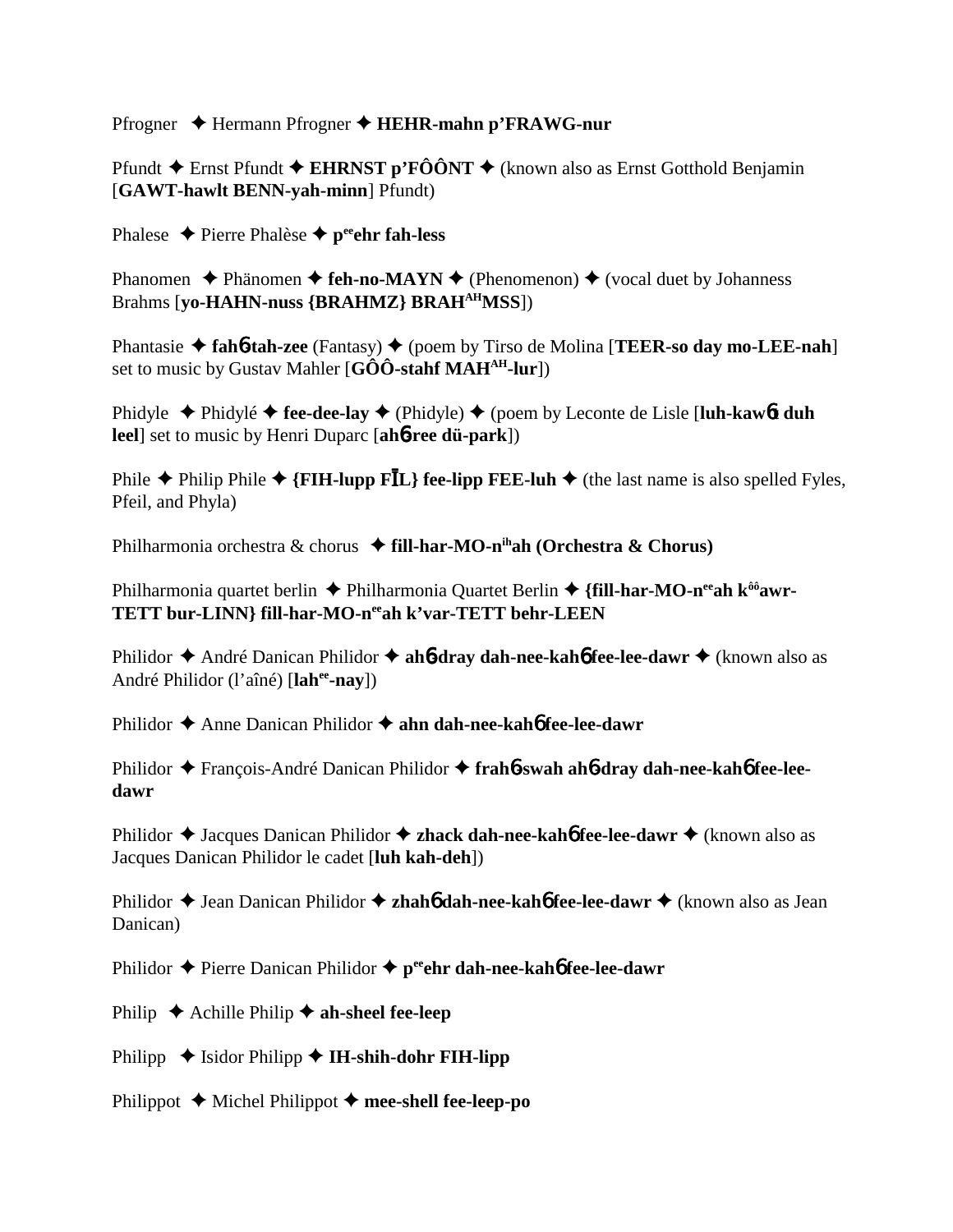Pfrogner Hermann Pfrogner **HEHR-mahn p'FRAWG-nur**

Pfundt  $\triangle$  Ernst Pfundt  $\triangle$  EHRNST p'FÔÔNT  $\triangle$  (known also as Ernst Gotthold Benjamin [**GAWT-hawlt BENN-yah-minn**] Pfundt)

Phalese  $\triangle$  Pierre Phalèse  $\triangle$  p<sup>ee</sup>ehr fah-less

Phanomen  $\triangle$  Phänomen  $\triangle$  **feh-no-MAYN**  $\triangle$  (Phenomenon)  $\triangle$  (vocal duet by Johanness Brahms [**yo-HAHN-nuss {BRAHMZ} BRAHAHMSS**])

Phantasie ◆ fah**6-tah-zee** (Fantasy) ◆ (poem by Tirso de Molina [**TEER-so day mo-LEE-nah**] set to music by Gustav Mahler [**GÔÔ-stahf MAHAH-lur**])

Phidyle Phidylé **fee-dee-lay** (Phidyle) (poem by Leconte de Lisle [**luh-kaw**6**t duh leel**] set to music by Henri Duparc [**ah**6**-ree dü-park**])

Phile  $\triangle$  Philip Phile  $\triangle$  {**FIH-lupp FIL**} fee-lipp FEE-luh  $\triangle$  (the last name is also spelled Fyles, Pfeil, and Phyla)

Philharmonia orchestra & chorus **fill-har-MO-nihah (Orchestra & Chorus)**

Philharmonia quartet berlin ♦ Philharmonia Quartet Berlin ♦ {**fill-har-MO-n<sup>ee</sup>ah k<sup>ôô</sup>awr-TETT bur-LINN} fill-har-MO-neeah k'var-TETT behr-LEEN**

Philidor ◆ André Danican Philidor ◆ ah6**-dray dah-nee-kah6 fee-lee-dawr** ◆ (known also as André Philidor (l'aîné) [**lahee-nay**])

Philidor ◆ Anne Danican Philidor ◆ ahn dah-nee-kah6 fee-lee-dawr

Philidor ◆ François-André Danican Philidor ◆ frah**6**-swah ah**6-dray dah-nee-kah6** fee-lee**dawr**

Philidor ◆ Jacques Danican Philidor ◆ **zhack dah-nee-kah6 fee-lee-dawr** ◆ (known also as Jacques Danican Philidor le cadet [**luh kah-deh**])

Philidor ◆ Jean Danican Philidor ◆ **zhah6** dah-nee-kah6 fee-lee-dawr ◆ (known also as Jean Danican)

Philidor **→** Pierre Danican Philidor → peehr dah-nee-kah6 fee-lee-dawr

Philip  $\triangle$  Achille Philip  $\triangle$  ah-sheel fee-leep

Philipp  $\blacklozenge$  Isidor Philipp  $\blacklozenge$  IH-shih-dohr FIH-lipp

Philippot  $\blacklozenge$  Michel Philippot  $\blacklozenge$  mee-shell fee-leep-po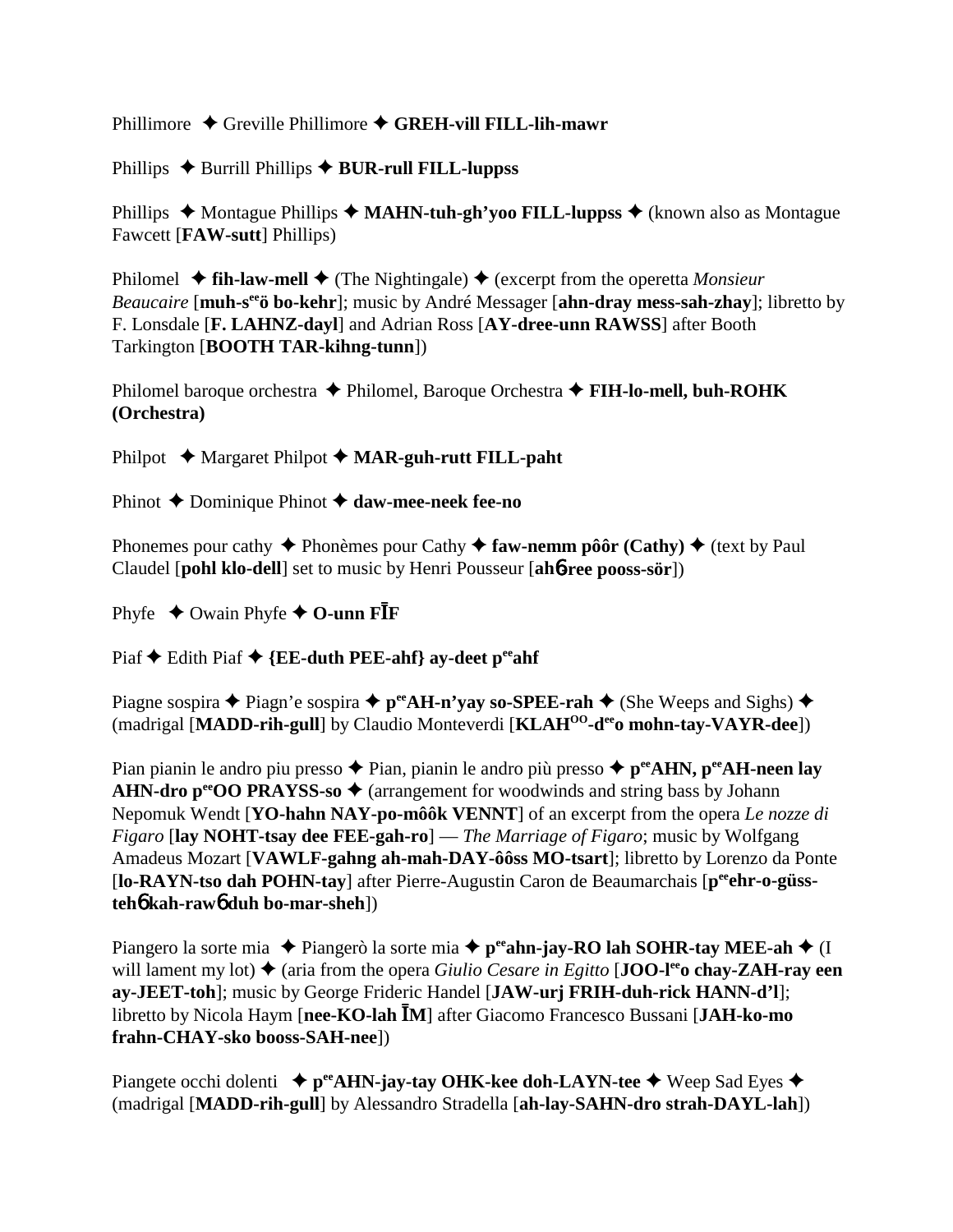Phillimore ◆ Greville Phillimore ◆ GREH-vill FILL-lih-mawr

Phillips  $\triangle$  Burrill Phillips  $\triangle$  **BUR-rull FILL-luppss** 

Phillips ◆ Montague Phillips ◆ MAHN-tuh-gh'yoo FILL-luppss ◆ (known also as Montague Fawcett [**FAW-sutt**] Phillips)

Philomel  $\triangle$  fih-law-mell  $\triangle$  (The Nightingale)  $\triangle$  (excerpt from the operetta *Monsieur Beaucaire* [**muh-s<sup>ee</sup>'o bo-kehr**]; music by André Messager [**ahn-dray mess-sah-zhay**]; libretto by F. Lonsdale [**F. LAHNZ-dayl**] and Adrian Ross [**AY-dree-unn RAWSS**] after Booth Tarkington [**BOOTH TAR-kihng-tunn**])

Philomel baroque orchestra Philomel, Baroque Orchestra **FIH-lo-mell, buh-ROHK (Orchestra)**

Philpot ◆ Margaret Philpot ◆ MAR-guh-rutt FILL-paht

Phinot **←** Dominique Phinot ← daw-mee-neek fee-no

Phonemes pour cathy  $\triangle$  Phonèmes pour Cathy  $\triangle$  faw-nemm pôôr (Cathy)  $\triangle$  (text by Paul Claudel [**pohl klo-dell**] set to music by Henri Pousseur [**ah**6**-ree pooss-sör**])

Phyfe  $\triangle$  Owain Phyfe  $\triangle$  O-unn F**I**F

Piaf  $\triangle$  Edith Piaf  $\triangle$  {**EE-duth PEE-ahf**} ay-deet peeahf

Piagne sospira  $\triangle$  Piagn'e sospira  $\triangle$  p<sup>ee</sup>AH-n'yay so-SPEE-rah  $\triangle$  (She Weeps and Sighs)  $\triangle$ (madrigal [**MADD-rih-gull**] by Claudio Monteverdi [**KLAHOO-deeo mohn-tay-VAYR-dee**])

Pian pianin le andro piu presso  $\triangle$  Pian, pianin le andro più presso  $\triangle$  p<sup>ee</sup>AHN, p<sup>ee</sup>AH-neen lay **AHN-dro p<sup>ee</sup>OO PRAYSS-so**  $\triangle$  (arrangement for woodwinds and string bass by Johann Nepomuk Wendt [**YO-hahn NAY-po-môôk VENNT**] of an excerpt from the opera *Le nozze di Figaro* [**lay NOHT-tsay dee FEE-gah-ro**] — *The Marriage of Figaro*; music by Wolfgang Amadeus Mozart [**VAWLF-gahng ah-mah-DAY-ôôss MO-tsart**]; libretto by Lorenzo da Ponte [lo-RAYN-tso dah POHN-tay] after Pierre-Augustin Caron de Beaumarchais [p<sup>ee</sup>ehr-o-güss**teh**6 **kah-raw**6 **duh bo-mar-sheh**])

Piangero la sorte mia  $\triangle$  Piangerò la sorte mia  $\triangle$  p<sup>ee</sup>ahn-jay-RO lah SOHR-tay MEE-ah  $\triangle$  (I) will lament my lot)  $\triangle$  (aria from the opera *Giulio Cesare in Egitto* [**JOO-l<sup>ee</sup>o chay-ZAH-ray een ay-JEET-toh**]; music by George Frideric Handel [**JAW-urj FRIH-duh-rick HANN-d'l**]; libretto by Nicola Haym [nee-KO-lah <sup>[M]</sup> after Giacomo Francesco Bussani [JAH-ko-mo **frahn-CHAY-sko booss-SAH-nee**])

Piangete occhi dolenti **↓ p<sup>ee</sup>AHN-jay-tay OHK-kee doh-LAYN-tee →** Weep Sad Eyes ◆ (madrigal [**MADD-rih-gull**] by Alessandro Stradella [**ah-lay-SAHN-dro strah-DAYL-lah**])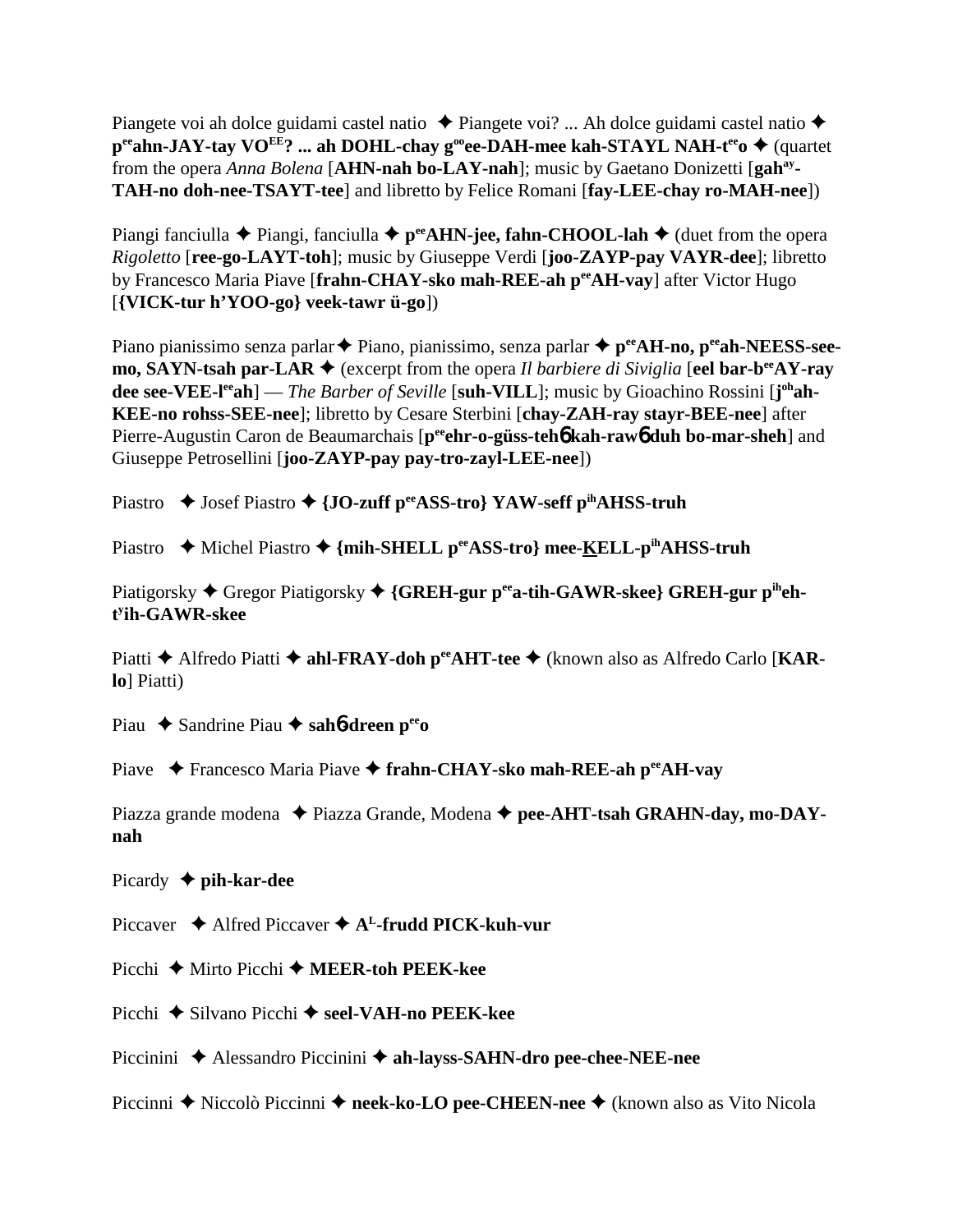Piangete voi ah dolce guidami castel natio  $\triangle$  Piangete voi? ... Ah dolce guidami castel natio  $\triangle$ **p<sup>ee</sup>ahn-JAY-tay VO<sup>EE</sup>? ... ah DOHL-chay g<sup>oo</sup>ee-DAH-mee kah-STAYL NAH-t<sup>ee</sup>o ◆ (quartet** from the opera *Anna Bolena* [**AHN-nah bo-LAY-nah**]; music by Gaetano Donizetti [**gahay-TAH-no doh-nee-TSAYT-tee**] and libretto by Felice Romani [**fay-LEE-chay ro-MAH-nee**])

Piangi fanciulla  $\blacklozenge$  Piangi, fanciulla  $\blacklozenge$  p<sup>ee</sup>AHN-jee, fahn-CHOOL-lah  $\blacklozenge$  (duet from the opera *Rigoletto* [**ree-go-LAYT-toh**]; music by Giuseppe Verdi [**joo-ZAYP-pay VAYR-dee**]; libretto by Francesco Maria Piave [frahn-CHAY-sko mah-REE-ah per AH-vay] after Victor Hugo [**{VICK-tur h'YOO-go} veek-tawr ü-go**])

Piano pianissimo senza parlar **◆** Piano, pianissimo, senza parlar ◆ p<sup>ee</sup>AH-no, p<sup>ee</sup>ah-NEESS-see**mo, SAYN-tsah par-LAR ♦** (excerpt from the opera *Il barbiere di Siviglia* [**eel bar-b<sup>ee</sup>AY-rav dee see-VEE-l<sup>ee</sup>ah**] — *The Barber of Seville* [suh-VILL]; music by Gioachino Rossini [j<sup>oh</sup>ah-**KEE-no rohss-SEE-nee**]; libretto by Cesare Sterbini [**chay-ZAH-ray stayr-BEE-nee**] after Pierre-Augustin Caron de Beaumarchais [peehr-o-güss-teh**6** kah-raw6 duh bo-mar-sheh] and Giuseppe Petrosellini [**joo-ZAYP-pay pay-tro-zayl-LEE-nee**])

Piastro ◆ Josef Piastro ◆ {JO-zuff p<sup>ee</sup>ASS-tro} YAW-seff p<sup>ih</sup>AHSS-truh

Piastro ◆ Michel Piastro ◆ {mih-SHELL p<sup>ee</sup>ASS-tro} mee-KELL-p<sup>ih</sup>AHSS-truh

Piatigorsky Gregor Piatigorsky **{GREH-gur peea-tih-GAWR-skee} GREH-gur piheht y ih-GAWR-skee**

Piatti **→** Alfredo Piatti ◆ ahl-FRAY-doh p<sup>ee</sup>AHT-tee ◆ (known also as Alfredo Carlo [KAR**lo**] Piatti)

Piau ◆ Sandrine Piau ◆ sah**6-dreen p<sup>ee</sup>o** 

Piave ◆ Francesco Maria Piave ◆ frahn-CHAY-sko mah-REE-ah p<sup>ee</sup>AH-vay

Piazza grande modena  $\triangle$  Piazza Grande, Modena  $\triangle$  pee-AHT-tsah GRAHN-day, mo-DAY**nah**

Picardy **pih-kar-dee**

Piccaver **→** Alfred Piccaver → A<sup>L</sup>-frudd PICK-kuh-vur

Picchi **→** Mirto Picchi **→ MEER-toh PEEK-kee** 

Picchi **→** Silvano Picchi → seel-VAH-no PEEK-kee

Piccinini Alessandro Piccinini **ah-layss-SAHN-dro pee-chee-NEE-nee**

Piccinni ◆ Niccolò Piccinni ◆ neek-ko-LO pee-CHEEN-nee ◆ (known also as Vito Nicola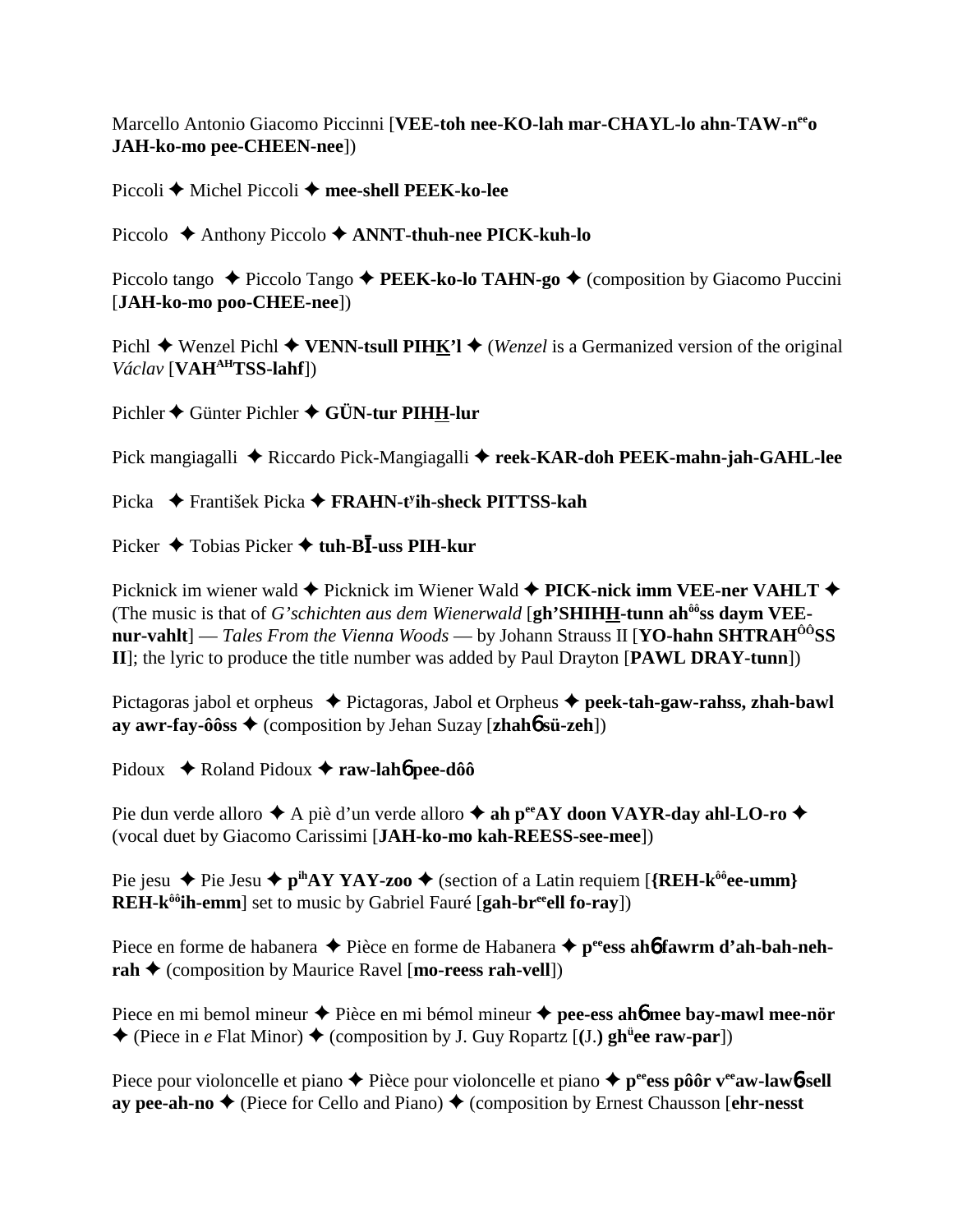Marcello Antonio Giacomo Piccinni [**VEE-toh nee-KO-lah mar-CHAYL-lo ahn-TAW-neeo JAH-ko-mo pee-CHEEN-nee**])

Piccoli **←** Michel Piccoli ← mee-shell PEEK-ko-lee

Piccolo Anthony Piccolo **ANNT-thuh-nee PICK-kuh-lo**

Piccolo tango ◆ Piccolo Tango ◆ **PEEK-ko-lo TAHN-go** ◆ (composition by Giacomo Puccini [**JAH-ko-mo poo-CHEE-nee**])

Pichl  $\blacklozenge$  Wenzel Pichl  $\blacklozenge$  VENN-tsull PIHK'l  $\blacklozenge$  (*Wenzel* is a Germanized version of the original *Václav* [**VAHAHTSS-lahf**])

Pichler ♦ Günter Pichler ♦ GÜN-tur PIHH-lur

Pick mangiagalli **→** Riccardo Pick-Mangiagalli → reek-KAR-doh PEEK-mahn-jah-GAHL-lee

Picka František Picka **FRAHN-ty ih-sheck PITTSS-kah**

Picker ◆ Tobias Picker ◆ tuh-B**I**-uss PIH-kur

Picknick im wiener wald **←** Picknick im Wiener Wald **← PICK-nick imm VEE-ner VAHLT ←** (The music is that of *G'schichten aus dem Wienerwald* [**gh'SHIHH-tunn ahôôss daym VEEnur-vahlt**] — *Tales From the Vienna Woods* — by Johann Strauss II [**YO-hahn SHTRAHÔÔSS II**]; the lyric to produce the title number was added by Paul Drayton [**PAWL DRAY-tunn**])

Pictagoras jabol et orpheus  $\triangle$  Pictagoras, Jabol et Orpheus  $\triangle$  peek-tah-gaw-rahss, zhah-bawl **ay awr-fay-ôôss**  $\blacklozenge$  (composition by Jehan Suzay [**zhah6** sü-zeh])

Pidoux **→** Roland Pidoux → raw-lah**6** pee-dôô

Pie dun verde alloro  $\blacklozenge$  A piè d'un verde alloro  $\blacklozenge$  **ah p<sup>ee</sup>AY doon VAYR-day ahl-LO-ro**  $\blacklozenge$ (vocal duet by Giacomo Carissimi [**JAH-ko-mo kah-REESS-see-mee**])

Pie jesu  $\triangle$  Pie Jesu  $\triangle$  p<sup>ih</sup>AY YAY-zoo  $\triangle$  (section of a Latin requiem [{REH-k<sup>ôô</sup>ee-umm} **REH-k<sup>ôô</sup>ih-emm** set to music by Gabriel Fauré [**gah-br<sup>ee</sup>ell fo-ray**])

Piece en forme de habanera  $\triangle$  Pièce en forme de Habanera  $\triangle$  p<sup>ee</sup>ess ah**6** fawrm d'ah-bah-neh**rah ♦** (composition by Maurice Ravel [**mo-reess rah-vell**])

Piece en mi bemol mineur **→** Pièce en mi bémol mineur **→ pee-ess ah6 mee bay-mawl mee-nör**  $\triangle$  (Piece in *e* Flat Minor)  $\triangle$  (composition by J. Guy Ropartz [(J.) gh<sup>ut</sup>ee raw-par])

Piece pour violoncelle et piano  $\triangle$  Pièce pour violoncelle et piano  $\triangle$  p<sup>ee</sup>ess pôôr v<sup>ee</sup>aw-lawb-sell **ay pee-ah-no ♦** (Piece for Cello and Piano) ♦ (composition by Ernest Chausson [**ehr-nesst**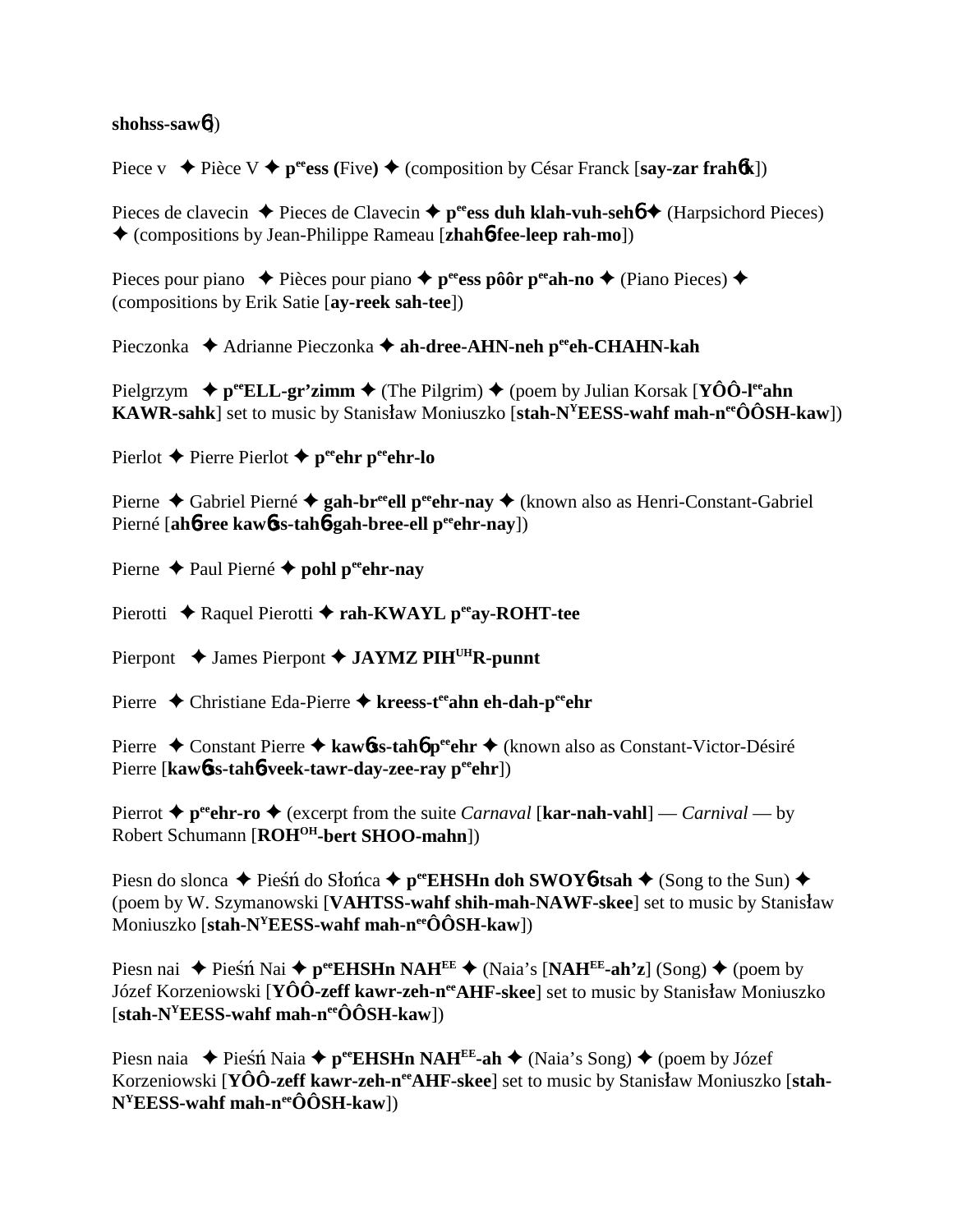## **shohss-saw**6])

Piece v  $\triangle$  Pièce V  $\triangle$  p<sup>ee</sup>ess (Five)  $\triangle$  (composition by César Franck [say-zar frah**6**k])

Pieces de clavecin  $\triangle$  Pieces de Clavecin  $\triangle$  p<sup>ee</sup>ess duh klah-vuh-seh $\phi$  (Harpsichord Pieces) (compositions by Jean-Philippe Rameau [**zhah**6**-fee-leep rah-mo**])

Pieces pour piano  $\triangle$  Pièces pour piano  $\triangle$  p<sup>ee</sup>ess pôôr p<sup>ee</sup>ah-no  $\triangle$  (Piano Pieces)  $\triangle$ (compositions by Erik Satie [**ay-reek sah-tee**])

Pieczonka ◆ Adrianne Pieczonka ◆ ah-dree-AHN-neh p<sup>ee</sup>eh-CHAHN-kah

Pielgrzym  $\rightarrow$  p<sup>ee</sup>ELL-gr'zimm  $\rightarrow$  (The Pilgrim)  $\rightarrow$  (poem by Julian Korsak [**YÔÔ-l<sup>ee</sup>ahn**] **KAWR-sahk**] set to music by Stanisław Moniuszko [stah-N<sup>Y</sup>EESS-wahf mah-n<sup>ee</sup>ÔÔSH-kaw])

Pierlot **←** Pierre Pierlot ← p<sup>ee</sup>ehr p<sup>ee</sup>ehr-lo

Pierne ◆ Gabriel Pierné ◆ gah-br<sup>ee</sup>ell p<sup>ee</sup>ehr-nay ◆ (known also as Henri-Constant-Gabriel Pierné [ah**6-ree kaw6ss-tah6-gah-bree-ell p<sup>ee</sup>ehr-nay**])

Pierne **←** Paul Pierné ← pohl peehr-nay

Pierotti ◆ Raquel Pierotti ◆ rah-KWAYL p<sup>ee</sup>ay-ROHT-tee

Pierpont  $\blacklozenge$  James Pierpont  $\blacklozenge$  **JAYMZ PIH<sup>UH</sup>R-punnt** 

Pierre ◆ Christiane Eda-Pierre ◆ kreess-t<sup>ee</sup>ahn eh-dah-p<sup>ee</sup>ehr

Pierre ◆ Constant Pierre ◆ kawbss-tahb p<sup>ee</sup>ehr ◆ (known also as Constant-Victor-Désiré Pierre [kawbss-tahb-veek-tawr-day-zee-ray peehr])

Pierrot  $\triangle$  p<sup>ee</sup>ehr-ro  $\triangle$  (excerpt from the suite *Carnaval* [kar-nah-vahl] — *Carnival* — by Robert Schumann [**ROHOH-bert SHOO-mahn**])

Piesn do slonca  $\blacklozenge$  Piesn do Słonca  $\blacklozenge$  **p**ee**EHSHn doh SWOY6-tsah**  $\blacklozenge$  (Song to the Sun)  $\blacklozenge$ (poem by W. Szymanowski [**VAHTSS-wahf shih-mah-NAWF-skee**] set to music by Stanisaw Moniuszko [**stah-N<sup>Y</sup>EESS-wahf mah-n<sup>ee</sup>ÔÔSH-kaw**])

Piesn nai  $\triangle$  Piesn Nai  $\triangle$  p<sup>ee</sup>**EHSHn NAH<sup>EE</sup>**  $\triangle$  (Naia's [**NAH<sup>EE</sup>-ah'z**] (Song)  $\triangle$  (poem by Józef Korzeniowski [**YÔÔ-zeff kawr-zeh-n<sup>ee</sup>AHF-skee**] set to music by Stanisław Moniuszko [**stah-NYEESS-wahf mah-neeÔÔSH-kaw**])

Piesn naia  $\blacklozenge$  Piesn Naia  $\blacklozenge$  p<sup>ee</sup>**EHSHn NAH<sup>EE</sup>-ah**  $\blacklozenge$  (Naia's Song)  $\blacklozenge$  (poem by Józef Korzeniowski [YÔÔ-zeff kawr-zeh-n<sup>ee</sup>AHF-skee] set to music by Stanisław Moniuszko [stah-**NYEESS-wahf mah-neeÔÔSH-kaw**])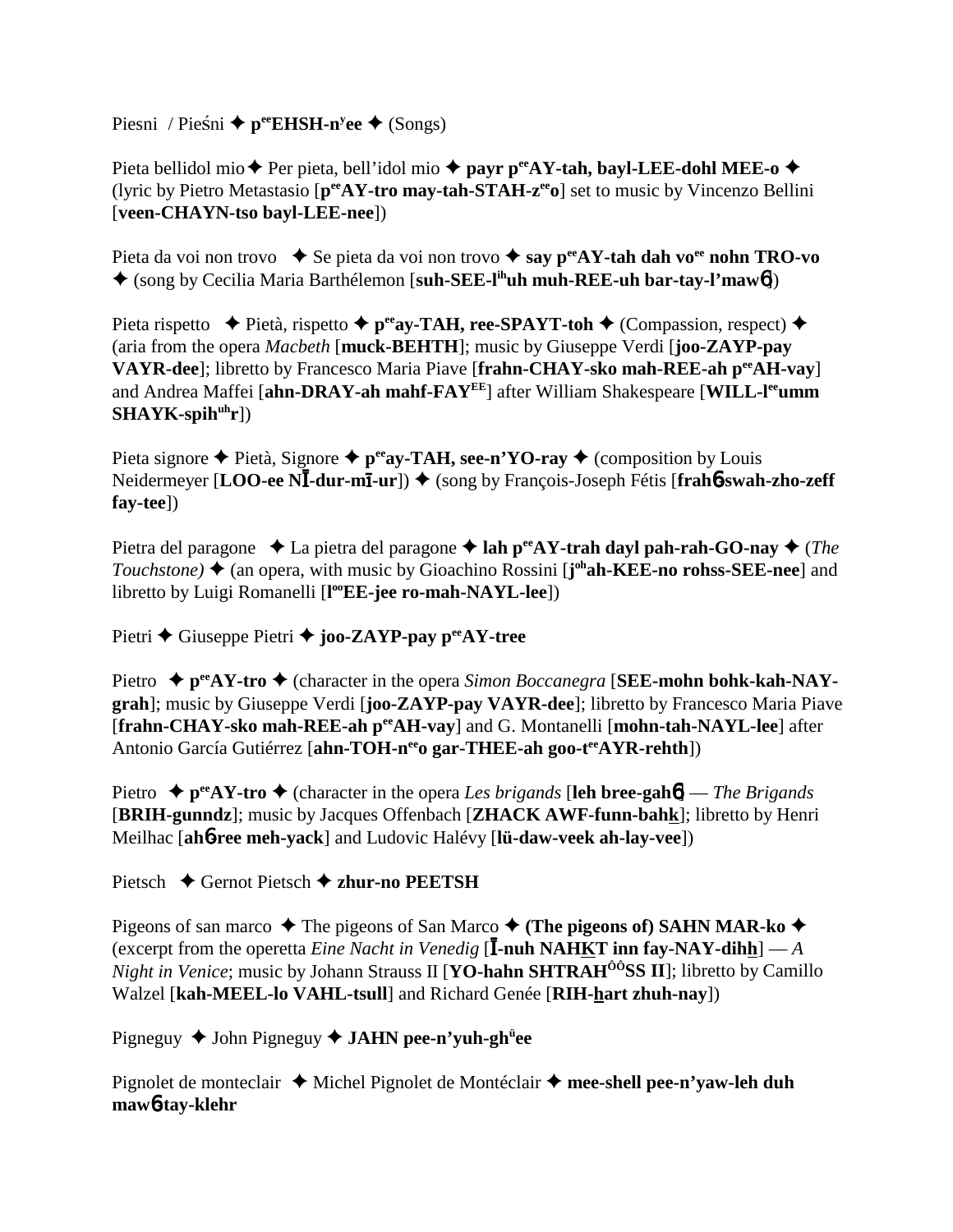Piesni / Pieśni ◆ p<sup>ee</sup>EHSH-n<sup>y</sup>ee ◆ (Songs)

Pieta bellidol mio **→** Per pieta, bell'idol mio ◆ payr p<sup>ee</sup>AY-tah, bayl-LEE-dohl MEE-o ◆ (lyric by Pietro Metastasio [**peeAY-tro may-tah-STAH-zeeo**] set to music by Vincenzo Bellini [**veen-CHAYN-tso bayl-LEE-nee**])

Pieta da voi non trovo **→** Se pieta da voi non trovo **→ say p<sup>ee</sup>AY-tah dah vo<sup>ee</sup> nohn TRO-vo** (song by Cecilia Maria Barthélemon [**suh-SEE-lihuh muh-REE-uh bar-tay-l'maw**6])

Pieta rispetto  $\blacklozenge$  Pietà, rispetto  $\blacklozenge$  p<sup>ee</sup>ay-TAH, ree-SPAYT-toh  $\blacklozenge$  (Compassion, respect)  $\blacklozenge$ (aria from the opera *Macbeth* [**muck-BEHTH**]; music by Giuseppe Verdi [**joo-ZAYP-pay VAYR-dee**]; libretto by Francesco Maria Piave [**frahn-CHAY-sko mah-REE-ah peeAH-vay**] and Andrea Maffei [**ahn-DRAY-ah mahf-FAYEE**] after William Shakespeare [**WILL-leeumm** SHAYK-spih<sup>uh</sup>r])

Pieta signore  $\triangle$  Pietà, Signore  $\triangle$  p<sup>ee</sup>ay-TAH, see-n'YO-ray  $\triangle$  (composition by Louis Neidermeyer [**LOO-ee NI-dur-mi-ur**]) ◆ (song by François-Joseph Fétis [frah6-swah-zho-zeff **fay-tee**])

Pietra del paragone  $\triangle$  La pietra del paragone  $\triangle$  lah p<sup>ee</sup>AY-trah dayl pah-rah-GO-nay  $\triangle$  (*The Touchstone*) ♦ (an opera, with music by Gioachino Rossini [**j**<sup>oh</sup>**ah-KEE-no rohss-SEE-nee**] and libretto by Luigi Romanelli [**l ooEE-jee ro-mah-NAYL-lee**])

Pietri **←** Giuseppe Pietri ← joo-ZAYP-pay p<sup>ee</sup>AY-tree

Pietro  $\rightarrow$  p<sup>ee</sup>AY-tro  $\rightarrow$  (character in the opera *Simon Boccanegra* [SEE-mohn bohk-kah-NAY**grah**]; music by Giuseppe Verdi [**joo-ZAYP-pay VAYR-dee**]; libretto by Francesco Maria Piave [**frahn-CHAY-sko mah-REE-ah peeAH-vay**] and G. Montanelli [**mohn-tah-NAYL-lee**] after Antonio García Gutiérrez [ahn-TOH-neeo gar-THEE-ah goo-teeAYR-rehth])

Pietro  $\triangle$  p<sup>ee</sup>AY-tro  $\triangle$  (character in the opera *Les brigands* [leh bree-gah**6**] — *The Brigands* [**BRIH-gunndz**]; music by Jacques Offenbach [**ZHACK AWF-funn-bahk**]; libretto by Henri Meilhac [**ah**6**-ree meh-yack**] and Ludovic Halévy [**lü-daw-veek ah-lay-vee**])

Pietsch **→** Gernot Pietsch **→ zhur-no PEETSH** 

Pigeons of san marco  $\triangle$  The pigeons of San Marco  $\triangle$  (The pigeons of) SAHN MAR-ko  $\triangle$ (excerpt from the operetta *Eine Nacht in Venedig* [**I-nuh NAHKT inn fay-NAY-dihh**] — *A Night in Venice*; music by Johann Strauss II [**YO-hahn SHTRAH<sup>ôô</sup>SS II**]; libretto by Camillo Walzel [**kah-MEEL-lo VAHL-tsull**] and Richard Genée [**RIH-hart zhuh-nay**])

Pigneguy ◆ John Pigneguy ◆ **JAHN pee-n'yuh-gh<sup>ü</sup>ee** 

Pignolet de monteclair **→** Michel Pignolet de Montéclair → mee-shell pee-n'yaw-leh duh **maw**6**-tay-klehr**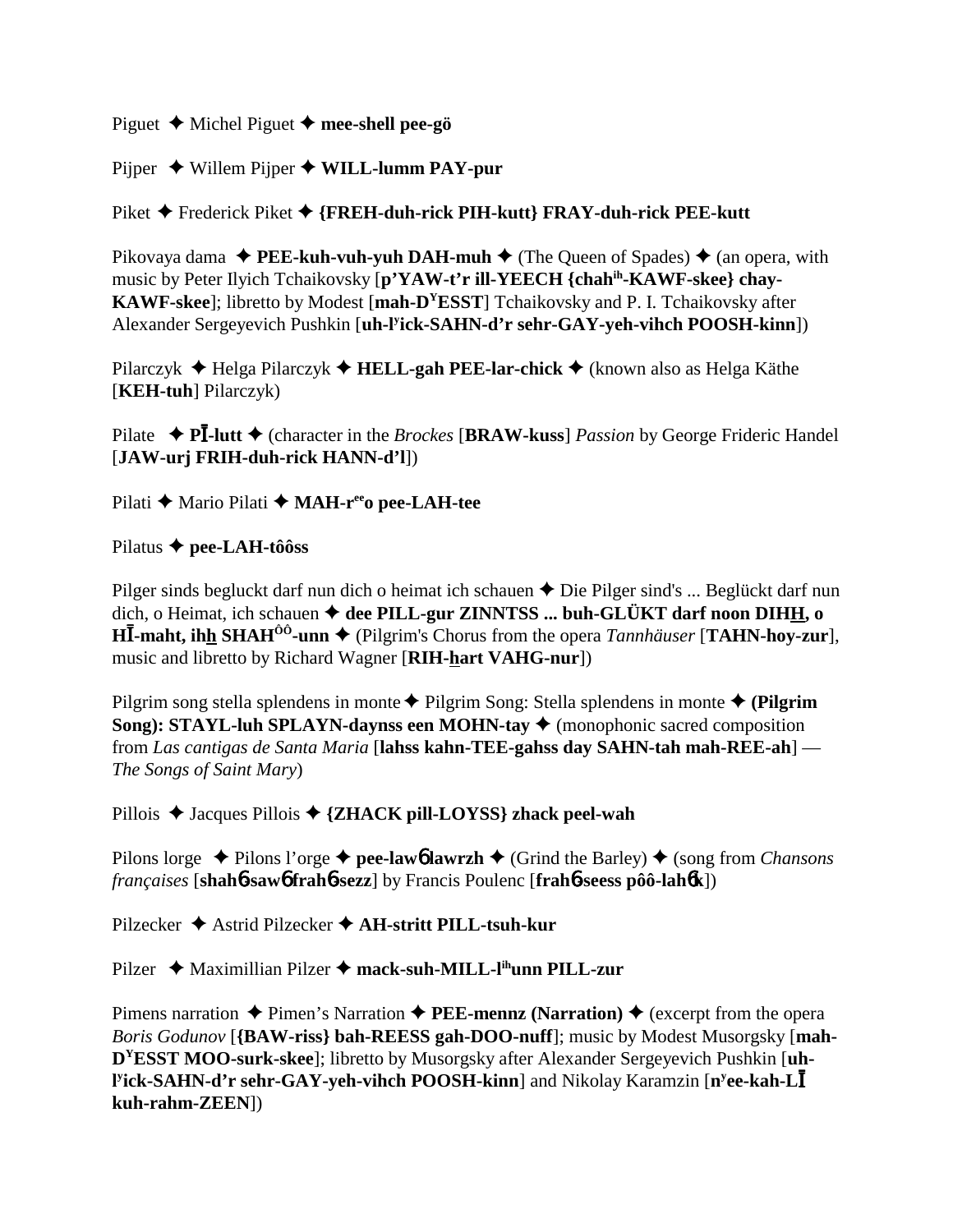Piguet Michel Piguet **mee-shell pee-gö**

Pijper ◆ Willem Pijper ◆ WILL-lumm PAY-pur

Piket **←** Frederick Piket ← {FREH-duh-rick PIH-kutt} FRAY-duh-rick PEE-kutt

Pikovaya dama  $\triangle$  **PEE-kuh-vuh-yuh DAH-muh**  $\triangle$  (The Queen of Spades)  $\triangle$  (an opera, with music by Peter Ilyich Tchaikovsky [**p'YAW-t'r ill-YEECH {chahih-KAWF-skee} chay-KAWF-skee**]; libretto by Modest [**mah-DYESST**] Tchaikovsky and P. I. Tchaikovsky after Alexander Sergeyevich Pushkin [**uh-ly ick-SAHN-d'r sehr-GAY-yeh-vihch POOSH-kinn**])

Pilarczyk Helga Pilarczyk **HELL-gah PEE-lar-chick** (known also as Helga Käthe [**KEH-tuh**] Pilarczyk)

Pilate **→ PI-lutt** ◆ (character in the *Brockes* [BRAW-kuss] *Passion* by George Frideric Handel [**JAW-urj FRIH-duh-rick HANN-d'l**])

Pilati **←** Mario Pilati ← **MAH-r<sup>ee</sup>o pee-LAH-tee** 

Pilatus **pee-LAH-tôôss**

Pilger sinds begluckt darf nun dich o heimat ich schauen  $\triangle$  Die Pilger sind's ... Beglückt darf nun dich, o Heimat, ich schauen  $\triangleq$  dee PILL-gur ZINNTSS ... buh-GLÜKT darf noon DIHH, o **H**-**-maht, ihh SHAHÔÔ-unn** (Pilgrim's Chorus from the opera *Tannhäuser* [**TAHN-hoy-zur**], music and libretto by Richard Wagner [**RIH-hart VAHG-nur**])

Pilgrim song stella splendens in monte Pilgrim Song: Stella splendens in monte **(Pilgrim Song): STAYL-luh SPLAYN-daynss een MOHN-tay ♦** (monophonic sacred composition from *Las cantigas de Santa Maria* [**lahss kahn-TEE-gahss day SAHN-tah mah-REE-ah**] — *The Songs of Saint Mary*)

Pillois ◆ Jacques Pillois ◆ {ZHACK pill-LOYSS} zhack peel-wah

Pilons lorge  $\triangle$  Pilons l'orge  $\triangle$  pee-lawb lawrzh  $\triangle$  (Grind the Barley)  $\triangle$  (song from *Chansons françaises* [**shah**6**-saw**6 **frah**6**-sezz**] by Francis Poulenc [**frah**6**-seess pôô-lah**6**k**])

Pilzecker Astrid Pilzecker **AH-stritt PILL-tsuh-kur**

Pilzer **→** Maximillian Pilzer → mack-suh-MILL-l<sup>ih</sup>unn PILL-zur

Pimens narration  $\triangle$  Pimen's Narration  $\triangle$  **PEE-mennz** (Narration)  $\triangle$  (excerpt from the opera *Boris Godunov* [**{BAW-riss} bah-REESS gah-DOO-nuff**]; music by Modest Musorgsky [**mah-DYESST MOO-surk-skee**]; libretto by Musorgsky after Alexander Sergeyevich Pushkin [**uh-Pick-SAHN-d'r sehr-GAY-yeh-vihch POOSH-kinn**] and Nikolay Karamzin [n<sup>y</sup>ee-kah-L**I kuh-rahm-ZEEN**])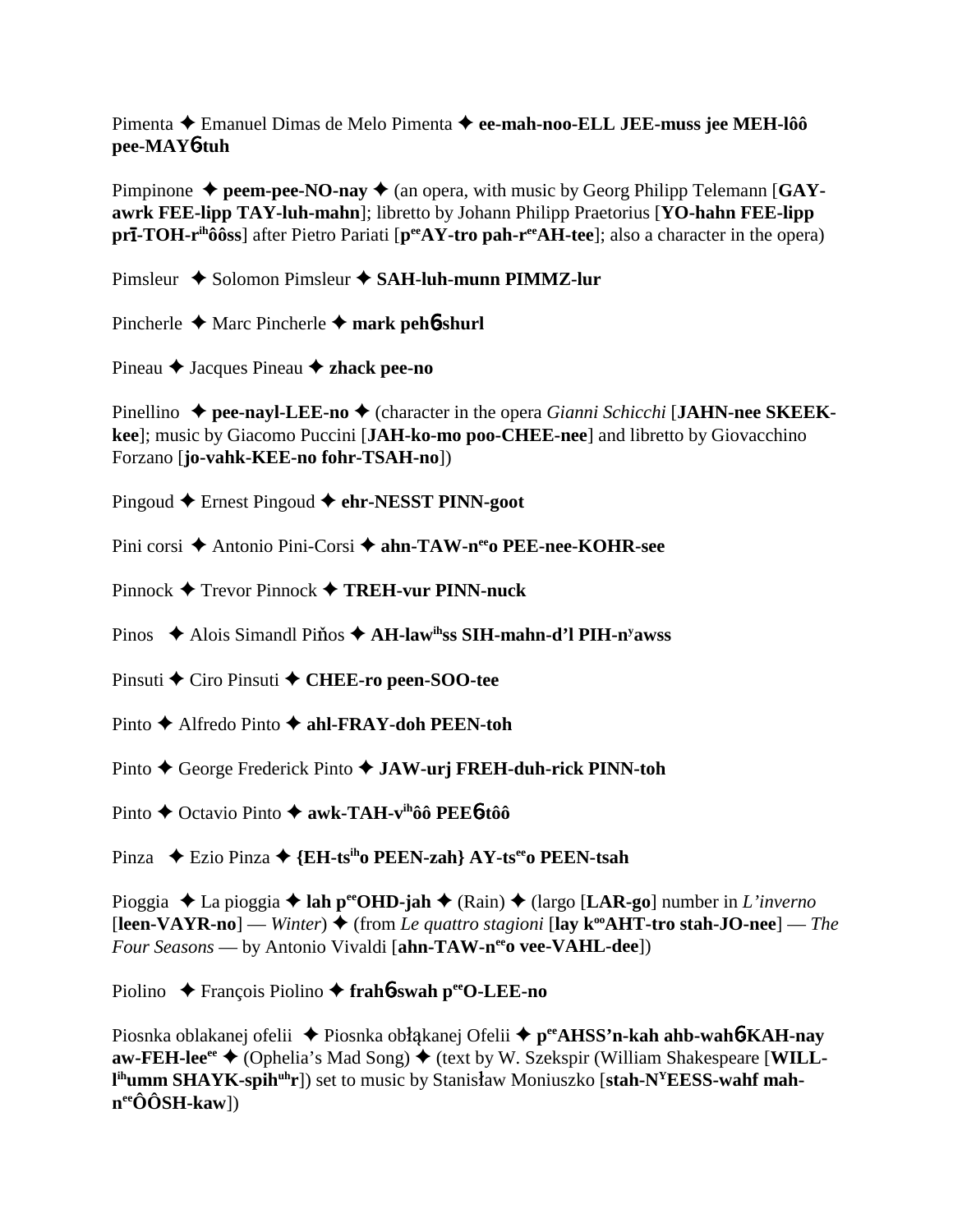Pimenta Emanuel Dimas de Melo Pimenta **ee-mah-noo-ELL JEE-muss jee MEH-lôô pee-MAY**6**-tuh**

Pimpinone  $\triangle$  peem-pee-NO-nay  $\triangle$  (an opera, with music by Georg Philipp Telemann [GAY**awrk FEE-lipp TAY-luh-mahn**]; libretto by Johann Philipp Praetorius [**YO-hahn FEE-lipp prI**-TOH-r<sup>ih</sup>ôôss] after Pietro Pariati [ $p^{ee}AY$ -tro pah-r<sup>ee</sup>AH-tee]; also a character in the opera)

Pimsleur ◆ Solomon Pimsleur **◆ SAH-luh-munn PIMMZ-lur** 

Pincherle Marc Pincherle **mark peh**6**-shurl**

Pineau **→** Jacques Pineau **→ zhack pee-no** 

Pinellino  $\triangle$  pee-nayl-LEE-no  $\triangle$  (character in the opera *Gianni Schicchi* [JAHN-nee SKEEK**kee**]; music by Giacomo Puccini [**JAH-ko-mo poo-CHEE-nee**] and libretto by Giovacchino Forzano [**jo-vahk-KEE-no fohr-TSAH-no**])

Pingoud Ernest Pingoud **ehr-NESST PINN-goot**

Pini corsi ◆ Antonio Pini-Corsi ◆ **ahn-TAW-n<sup>ee</sup>o PEE-nee-KOHR-see** 

Pinnock Trevor Pinnock **TREH-vur PINN-nuck**

Pinos ◆ Alois Simandl Pi**nos ◆ AH-law<sup>ih</sup>ss SIH-mahn-d'l PIH-n<sup>y</sup>awss** 

Pinsuti ◆ Ciro Pinsuti ◆ CHEE-ro peen-SOO-tee

Pinto **→** Alfredo Pinto **→ ahl-FRAY-doh PEEN-toh** 

Pinto ♦ George Frederick Pinto ♦ **JAW-urj FREH-duh-rick PINN-toh** 

Pinto **→** Octavio Pinto **→ awk-TAH-v<sup>ih</sup>ôô PEE<sup>6</sup>-tôô** 

Pinza Ezio Pinza **{EH-tsiho PEEN-zah} AY-tseeo PEEN-tsah**

Pioggia La pioggia **lah peeOHD-jah** (Rain) (largo [**LAR-go**] number in *L'inverno*  $[**leen-VAYR-no**]$  — *Winter*)  $\blacklozenge$  (from *Le quattro stagioni* [ **—** *The Four Seasons* — by Antonio Vivaldi [**ahn-TAW-n<sup>ee</sup>o vee-VAHL-dee**])

Piolino ◆ François Piolino ◆ frah**6**-swah perO-LEE-no

Piosnka oblakanej ofelii ◆ Piosnka obłąkanej Ofelii ◆ p<sup>ee</sup>AHSS'n-kah ahb-wah**6-KAH-nay aw-FEH-lee<sup>ee</sup> ◆ (Ophelia's Mad Song) ◆ (text by W. Szekspir (William Shakespeare [WILL**l<sup>ih</sup>umm SHAYK-spih<sup>uh</sup>r]) set to music by Stanisław Moniuszko [**stah-N<sup>Y</sup>EESS-wahf mahneeÔÔSH-kaw**])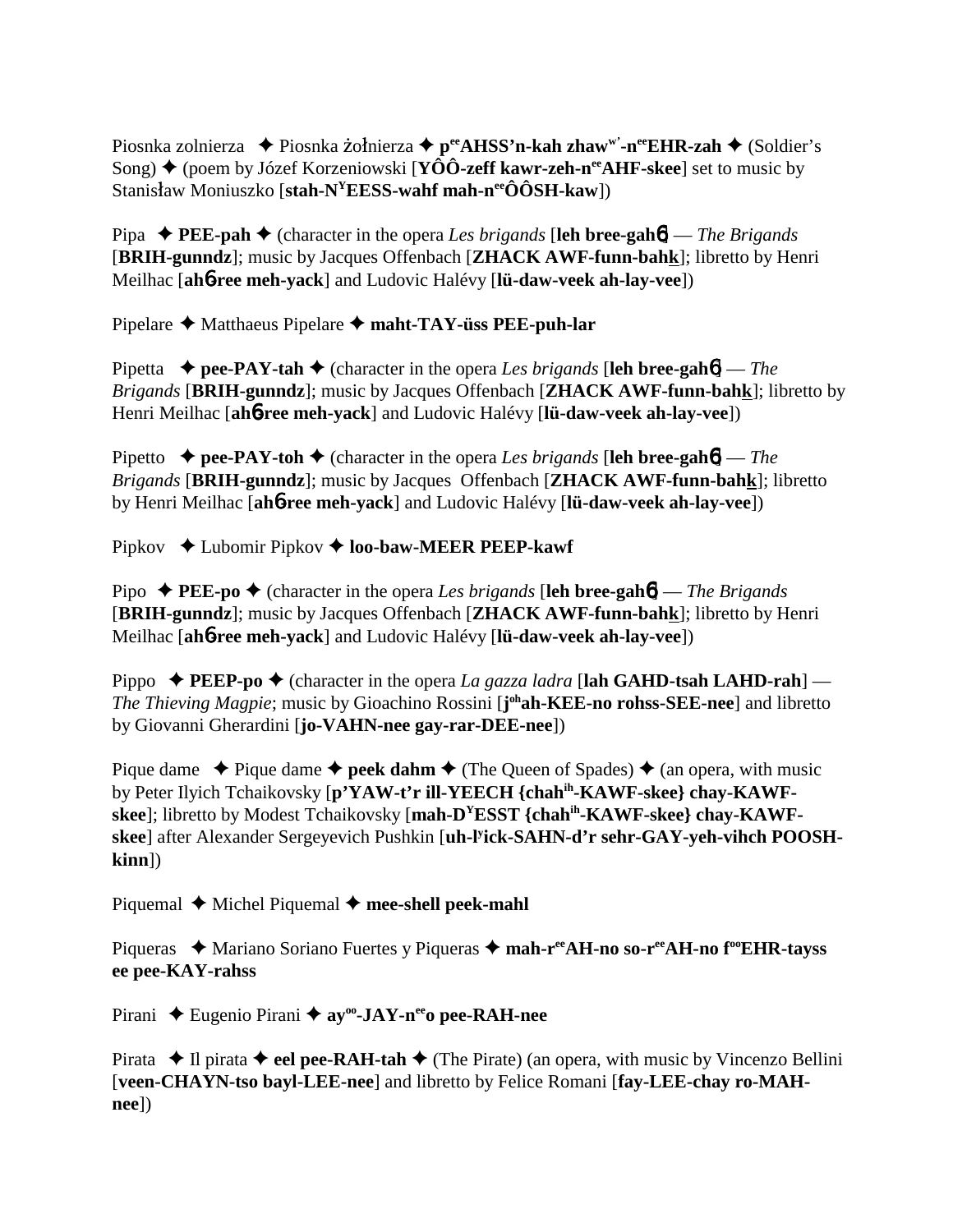Piosnka zolnierza ◆ Piosnka żołnierza ◆ p<sup>ee</sup>AHSS'n-kah zhaw<sup>w</sup>'-n<sup>ee</sup>EHR-zah ◆ (Soldier's Song) **→** (poem by Józef Korzeniowski [**YÔÔ-zeff kawr-zeh-n<sup>ee</sup>AHF-skee**] set to music by Stanisław Moniuszko [stah-N<sup>Y</sup>EESS-wahf mah-n<sup>ee</sup>ÔÔSH-kaw])

Pipa  $\blacklozenge$  **PEE-pah**  $\blacklozenge$  (character in the opera *Les brigands* [leh bree-gah**6**] — *The Brigands* [**BRIH-gunndz**]; music by Jacques Offenbach [**ZHACK AWF-funn-bahk**]; libretto by Henri Meilhac [**ah**6**-ree meh-yack**] and Ludovic Halévy [**lü-daw-veek ah-lay-vee**])

Pipelare Matthaeus Pipelare **maht-TAY-üss PEE-puh-lar**

Pipetta  $\rightarrow$  **pee-PAY-tah**  $\rightarrow$  (character in the opera *Les brigands* [leh bree-gah**6**] — *The Brigands* [**BRIH-gunndz**]; music by Jacques Offenbach [**ZHACK AWF-funn-bahk**]; libretto by Henri Meilhac [**ah**6**-ree meh-yack**] and Ludovic Halévy [**lü-daw-veek ah-lay-vee**])

Pipetto  $\rightarrow$  **pee-PAY-toh**  $\rightarrow$  (character in the opera *Les brigands* [leh bree-gah**6**] — *The Brigands* [**BRIH-gunndz**]; music by Jacques Offenbach [**ZHACK AWF-funn-bahk**]; libretto by Henri Meilhac [**ah**6**-ree meh-yack**] and Ludovic Halévy [**lü-daw-veek ah-lay-vee**])

Pipkov ◆ Lubomir Pipkov ◆ **loo-baw-MEER PEEP-kawf** 

Pipo  $\triangle$  **PEE-po**  $\triangle$  (character in the opera *Les brigands* [leh bree-gah**6**] — *The Brigands* [**BRIH-gunndz**]; music by Jacques Offenbach [**ZHACK AWF-funn-bahk**]; libretto by Henri Meilhac [**ah**6**-ree meh-yack**] and Ludovic Halévy [**lü-daw-veek ah-lay-vee**])

Pippo  $\triangle$  **PEEP-po**  $\triangle$  (character in the opera *La gazza ladra* [lah GAHD-tsah LAHD-rah] — *The Thieving Magpie*; music by Gioachino Rossini [**j ohah-KEE-no rohss-SEE-nee**] and libretto by Giovanni Gherardini [**jo-VAHN-nee gay-rar-DEE-nee**])

Pique dame  $\triangle$  Pique dame  $\triangle$  **peek dahm**  $\triangle$  (The Queen of Spades)  $\triangle$  (an opera, with music by Peter Ilyich Tchaikovsky [**p'YAW-t'r ill-YEECH {chahih-KAWF-skee} chay-KAWFskee**]; libretto by Modest Tchaikovsky [**mah-DYESST {chahih-KAWF-skee} chay-KAWFskee**] after Alexander Sergeyevich Pushkin [**uh-ly ick-SAHN-d'r sehr-GAY-yeh-vihch POOSHkinn**])

Piquemal  $\blacklozenge$  Michel Piquemal  $\blacklozenge$  mee-shell peek-mahl

Piqueras ◆ Mariano Soriano Fuertes y Piqueras ◆ mah-r<sup>ee</sup>AH-no so-r<sup>ee</sup>AH-no f<sup>oo</sup>EHR-tayss **ee pee-KAY-rahss**

Pirani ◆ Eugenio Pirani ◆ ay<sup>oo</sup>-JAY-n<sup>ee</sup>o pee-RAH-nee

Pirata  $\blacklozenge$  Il pirata  $\blacklozenge$  **eel pee-RAH-tah**  $\blacklozenge$  (The Pirate) (an opera, with music by Vincenzo Bellini [**veen-CHAYN-tso bayl-LEE-nee**] and libretto by Felice Romani [**fay-LEE-chay ro-MAHnee**])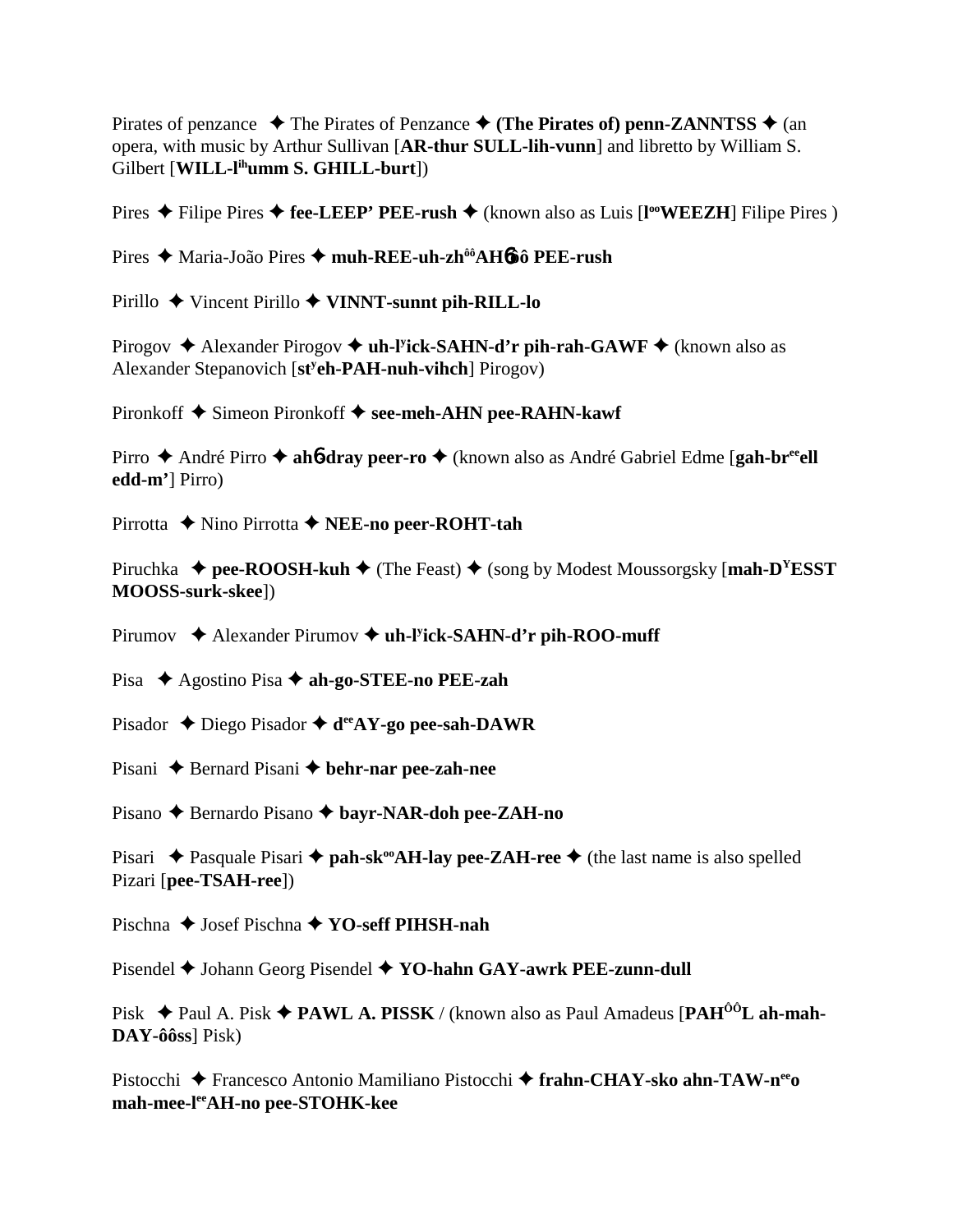Pirates of penzance  $\rightarrow$  The Pirates of Penzance  $\rightarrow$  (The Pirates of) penn-ZANNTSS  $\rightarrow$  (an opera, with music by Arthur Sullivan [AR-thur SULL-lih-vunn] and libretto by William S. Gilbert [WILL-l<sup>ih</sup>umm S. GHILL-burt])

Pires ◆ Filipe Pires ◆ fee-LEEP' PEE-rush ◆ (known also as Luis [I<sup>oo</sup>WEEZH] Filipe Pires )

Pires → Maria-João Pires → muh-REE-uh-zh<sup>ôô</sup>AH6ôô PEE-rush

Pirillo  $\blacklozenge$  Vincent Pirillo  $\blacklozenge$  VINNT-sunnt pih-RILL-lo

Pirogov  $\triangle$  Alexander Pirogov  $\triangle$  uh-Pick-SAHN-d'r pih-rah-GAWF  $\triangle$  (known also as Alexander Stepanovich [st<sup>y</sup>**eh-PAH-nuh-vihch**] Pirogov)

Pironkoff  $\blacklozenge$  Simeon Pironkoff  $\blacklozenge$  see-meh-AHN pee-RAHN-kawf

Pirro  $\triangle$  André Pirro  $\triangle$  ah**6-dray peer-ro**  $\triangle$  (known also as André Gabriel Edme [gah-br<sup>ee</sup>el] edd-m'] Pirro)

Pirrotta  $\blacklozenge$  Nino Pirrotta  $\blacklozenge$  NEE-no peer-ROHT-tah

Piruchka  $\triangleq$  pee-ROOSH-kuh  $\triangleq$  (The Feast)  $\triangleq$  (song by Modest Moussorgsky [mah-D<sup>Y</sup>ESST] MOOSS-surk-skee])

Pirumov  $\triangleleft$  Alexander Pirumov  $\triangleleft$  uh-Fick-SAHN-d'r pih-ROO-muff

Pisa  $\triangle$  Agostino Pisa  $\triangle$  ah-go-STEE-no PEE-zah

Pisador  $\triangle$  Diego Pisador  $\triangle$  d<sup>ee</sup>AY-go pee-sah-DAWR

Pisani  $\triangle$  Bernard Pisani  $\triangle$  behr-nar pee-zah-nee

Pisano  $\triangle$  Bernardo Pisano  $\triangle$  bayr-NAR-doh pee-ZAH-no

Pisari ◆ Pasquale Pisari ◆ pah-sk<sup>oo</sup>AH-lay pee-ZAH-ree ◆ (the last name is also spelled Pizari [pee-TSAH-ree])

Pischna  $\triangle$  Josef Pischna  $\triangle$  YO-seff PIHSH-nah

Pisendel  $\blacklozenge$  Johann Georg Pisendel  $\blacklozenge$  YO-hahn GAY-awrk PEE-zunn-dull

Pisk  $\triangleq$  Paul A. Pisk  $\triangleq$  **PAWL A. PISSK** / (known also as Paul Amadeus [**PAH<sup>ôô</sup>L** ah-mah- $\bf{DAY}\text{-}\hat{o}\hat{o}ss$  Pisk)

Pistocchi ◆ Francesco Antonio Mamiliano Pistocchi ◆ frahn-CHAY-sko ahn-TAW-n<sup>ee</sup>o mah-mee-lee AH-no pee-STOHK-kee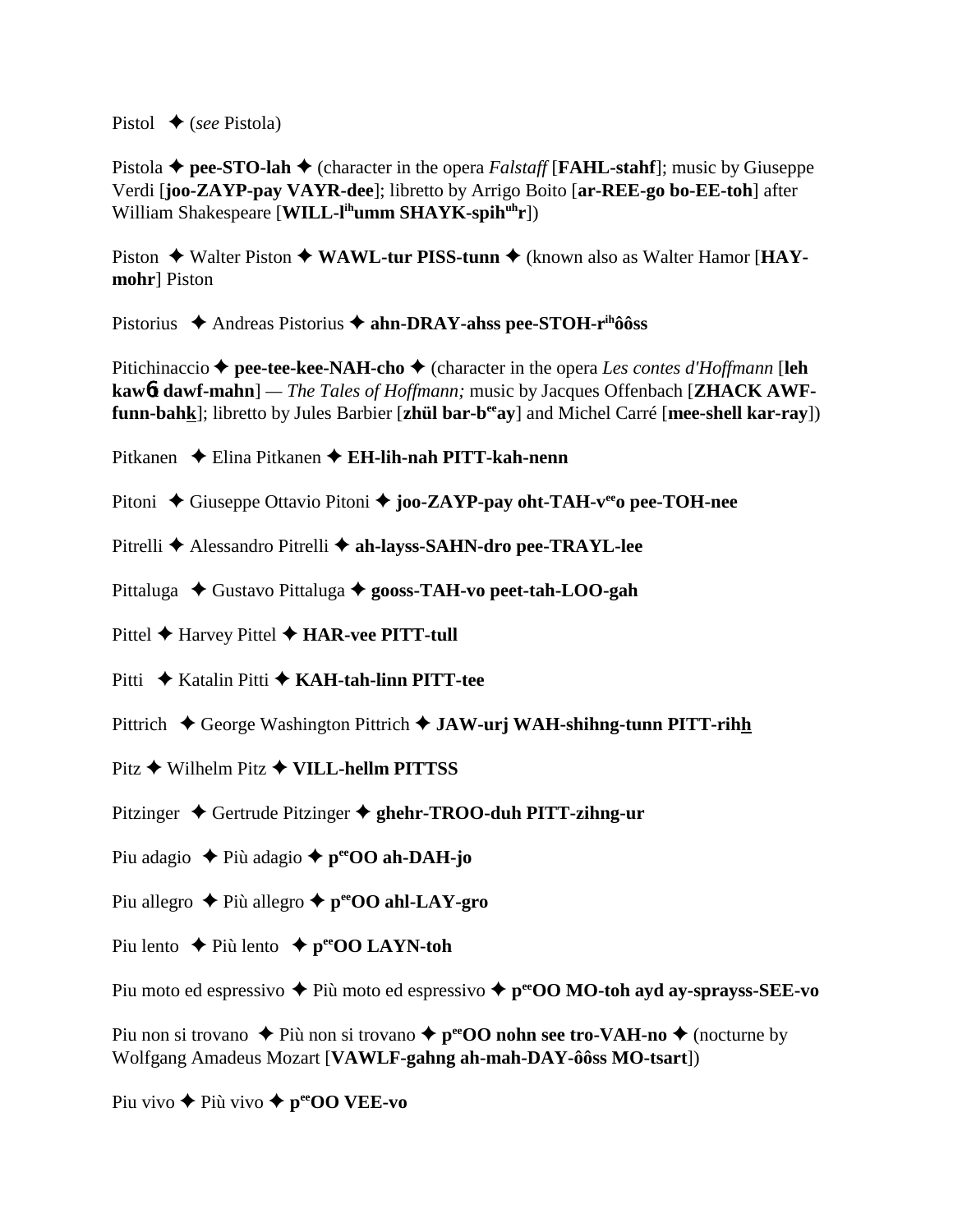Pistol (*see* Pistola)

Pistola  $\blacklozenge$  pee-STO-lah  $\blacklozenge$  (character in the opera *Falstaff* [**FAHL-stahf**]; music by Giuseppe Verdi [**joo-ZAYP-pay VAYR-dee**]; libretto by Arrigo Boito [**ar-REE-go bo-EE-toh**] after William Shakespeare [**WILL-l<sup>ih</sup>umm SHAYK-spih<sup>uh</sup>r**])

Piston  $\triangle$  Walter Piston  $\triangle$  WAWL-tur PISS-tunn  $\triangle$  (known also as Walter Hamor [HAY**mohr**] Piston

Pistorius ◆ Andreas Pistorius ◆ ahn-DRAY-ahss pee-STOH-r<sup>ih</sup>ôôss

Pitichinaccio  $\triangle$  pee-tee-kee-NAH-cho  $\triangle$  (character in the opera *Les contes d'Hoffmann* [leh **kaw**6**t dawf-mahn**] *— The Tales of Hoffmann;* music by Jacques Offenbach [**ZHACK AWFfunn-bahk**]; libretto by Jules Barbier [**zhül bar-beeay**] and Michel Carré [**mee-shell kar-ray**])

Pitkanen Elina Pitkanen **EH-lih-nah PITT-kah-nenn**

Pitoni ◆ Giuseppe Ottavio Pitoni ◆ joo-ZAYP-pay oht-TAH-v<sup>ee</sup>o pee-TOH-nee

Pitrelli Alessandro Pitrelli **ah-layss-SAHN-dro pee-TRAYL-lee**

Pittaluga ◆ Gustavo Pittaluga ◆ gooss-TAH-vo peet-tah-LOO-gah

Pittel **←** Harvey Pittel ← **HAR-vee PITT-tull** 

Pitti ◆ Katalin Pitti ◆ **KAH-tah-linn PITT-tee** 

Pittrich ◆ George Washington Pittrich ◆ JAW-urj WAH-shihng-tunn PITT-rihh

Pitz **→** Wilhelm Pitz **→ VILL-hellm PITTSS** 

Pitzinger ◆ Gertrude Pitzinger ◆ ghehr-TROO-duh PITT-zihng-ur

Piu adagio **→** Più adagio ◆ p<sup>ee</sup>OO ah-DAH-jo

Piu allegro  $\triangle$  Più allegro  $\triangle$  p<sup>ee</sup>OO ahl-LAY-gro

Piu lento  $\rightarrow$  Più lento  $\rightarrow$  p<sup>ee</sup>OO LAYN-toh

Piu moto ed espressivo  $\triangle$  Più moto ed espressivo  $\triangle$  p<sup>ee</sup>OO MO-toh ayd ay-sprayss-SEE-vo

Piu non si trovano  $\triangle$  Più non si trovano  $\triangle$  p<sup>ee</sup>OO nohn see tro-VAH-no  $\triangle$  (nocturne by Wolfgang Amadeus Mozart [**VAWLF-gahng ah-mah-DAY-ôôss MO-tsart**])

Piu vivo  $\triangle$  Più vivo  $\triangle$  p<sup>ee</sup>OO VEE-vo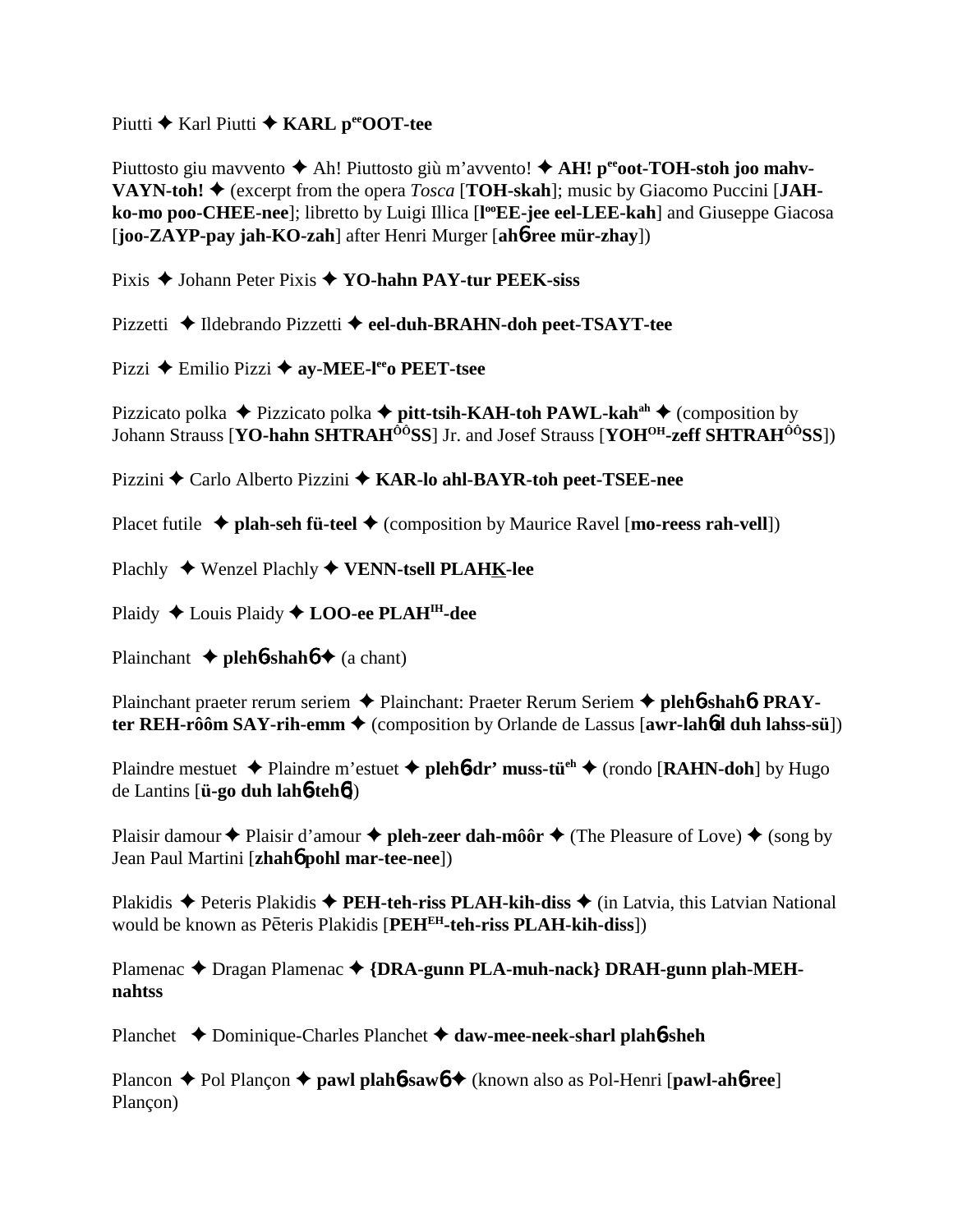Piutti **←** Karl Piutti ← KARL peeOOT-tee

Piuttosto giu mavvento ◆ Ah! Piuttosto giù m'avvento! ◆ AH! p<sup>ee</sup>oot-TOH-stoh joo mahv-**VAYN-toh!**  $\blacklozenge$  (excerpt from the opera *Tosca* [**TOH-skah**]; music by Giacomo Puccini [JAH**ko-mo poo-CHEE-nee**]; libretto by Luigi Illica [l<sup>oo</sup>**EE-jee eel-LEE-kah**] and Giuseppe Giacosa [**joo-ZAYP-pay jah-KO-zah**] after Henri Murger [**ah**6**-ree mür-zhay**])

Pixis ◆ Johann Peter Pixis ◆ YO-hahn PAY-tur PEEK-siss

Pizzetti ◆ Ildebrando Pizzetti ◆ eel-duh-BRAHN-doh peet-TSAYT-tee

Pizzi **←** Emilio Pizzi ← av-MEE-l<sup>ee</sup> PEET-tsee

Pizzicato polka ◆ Pizzicato polka ◆ pitt-tsih-KAH-toh PAWL-kah<sup>ah</sup> ◆ (composition by Johann Strauss [**YO-hahn SHTRAHÔÔSS**] Jr. and Josef Strauss [**YOHOH-zeff SHTRAHÔÔSS**])

Pizzini Carlo Alberto Pizzini **KAR-lo ahl-BAYR-toh peet-TSEE-nee**

Placet futile ◆ plah-seh fü-teel ◆ (composition by Maurice Ravel [mo-reess rah-vell])

Plachly Wenzel Plachly **VENN-tsell PLAHK-lee**

Plaidy ◆ Louis Plaidy ◆ **LOO-ee PLAH<sup>IH</sup>-dee** 

Plainchant  $\triangle$  **pleh<sup>6</sup>-shah<sup>6</sup>**  $\triangle$  (a chant)

Plainchant praeter rerum seriem ◆ Plainchant: Praeter Rerum Seriem ◆ pleh6-shah6: PRAY**ter REH-rôôm SAY-rih-emm ♦** (composition by Orlande de Lassus [**awr-lah6d duh lahss-sü**])

Plaindre mestuet **→** Plaindre m'estuet **→ pleh<sup>6</sup>-dr' muss-tü<sup>eh</sup> →** (rondo [**RAHN-doh**] by Hugo de Lantins [**ü-go duh lah**6**-teh**6])

Plaisir damour  $\triangle$  Plaisir d'amour  $\triangle$  pleh-zeer dah-môôr  $\triangle$  (The Pleasure of Love)  $\triangle$  (song by Jean Paul Martini [**zhah**6 **pohl mar-tee-nee**])

Plakidis  $\triangle$  Peteris Plakidis  $\triangle$  **PEH-teh-riss PLAH-kih-diss**  $\triangle$  (in Latvia, this Latvian National would be known as Pēteris Plakidis [PEH<sup>EH</sup>-teh-riss PLAH-kih-diss])

Plamenac ◆ Dragan Plamenac ◆ {DRA-gunn PLA-muh-nack} DRAH-gunn plah-MEH**nahtss**

Planchet Dominique-Charles Planchet **daw-mee-neek-sharl plah**6**-sheh**

Plancon  $\triangle$  Pol Plancon  $\triangle$  **pawl plah<sub>6</sub>-saw<sub>6</sub>**  $\triangle$  (known also as Pol-Henri [**pawl-ah<sub>6</sub>-ree**] Plançon)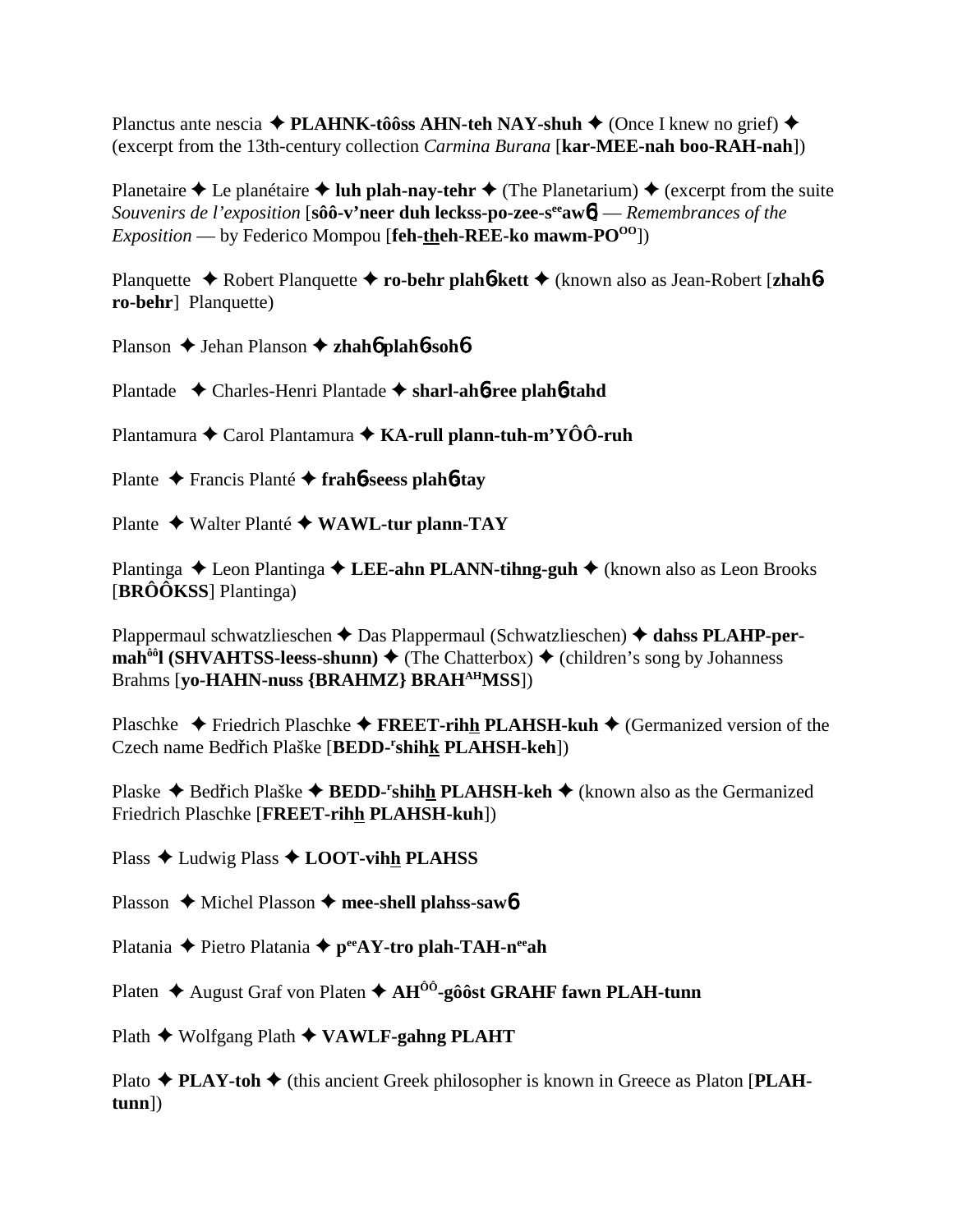Planctus ante nescia  $\triangle$  PLAHNK-tôôss AHN-teh NAY-shuh  $\triangle$  (Once I knew no grief)  $\triangle$ (excerpt from the 13th-century collection *Carmina Burana* [kar-MEE-nah boo-RAH-nah])

Planetaire ♦ Le planétaire ♦ luh plah-nay-tehr ♦ (The Planetarium) ♦ (excerpt from the suite Souvenirs de l'exposition [sôô-v'neer duh leckss-po-zee-s<sup>ee</sup> aw $\phi$ ] — Remembrances of the *Exposition* — by Federico Mompou [feh-theh-REE-ko mawm- $PO^{00}$ ])

Planquette ◆ Robert Planquette ◆ ro-behr plaho-kett ◆ (known also as Jean-Robert [zhahoro-behr] Planquette)

Planson  $\triangle$  Jehan Planson  $\triangle$  zhaho plaho-soho

Plantade ← Charles-Henri Plantade ← sharl-aho-ree plaho-tahd

Plantamura ◆ Carol Plantamura ◆ KA-rull plann-tuh-m'YÔÔ-ruh

Plante ← Francis Plante ← fraho-seess plante-tay

Plante ◆ Walter Planté ◆ WAWL-tur plann-TAY

Plantinga  $\triangle$  Leon Plantinga  $\triangle$  LEE-ahn PLANN-tihng-guh  $\triangle$  (known also as Leon Brooks [BRÔÔKSS] Plantinga)

Plappermaul schwatzlieschen  $\triangle$  Das Plappermaul (Schwatzlieschen)  $\triangle$  dahss PLAHP-per- $\text{mah}^{\hat{\theta}\hat{\theta}}$  (SHVAHTSS-leess-shunn)  $\blacklozenge$  (The Chatterbox)  $\blacklozenge$  (children's song by Johanness Brahms [vo-HAHN-nuss {BRAHMZ} BRAH<sup>AH</sup>MSS])

Plaschke → Friedrich Plaschke → FREET-rihh PLAHSH-kuh → (Germanized version of the Czech name Bedřich Plaške [BEDD-'shihk PLAHSH-keh])

Plaske ◆ Bedřich Plaške ◆ BEDD-'shihh PLAHSH-keh ◆ (known also as the Germanized Friedrich Plaschke [FREET-rihh PLAHSH-kuh])

Plass ◆ Ludwig Plass ◆ LOOT-vihh PLAHSS

Plasson ♦ Michel Plasson ♦ mee-shell plahss-saw 6

Platania  $\blacklozenge$  Pietro Platania  $\blacklozenge$  p<sup>ec</sup>AY-tro plah-TAH-n<sup>ee</sup>ah

Platen ♦ August Graf von Platen ♦  $AH^{00}$ -gôôst GRAHF fawn PLAH-tunn

Plath ♦ Wolfgang Plath ♦ VAWLF-gahng PLAHT

Plato ◆ PLAY-toh ◆ (this ancient Greek philosopher is known in Greece as Platon [PLAH $tunn$ )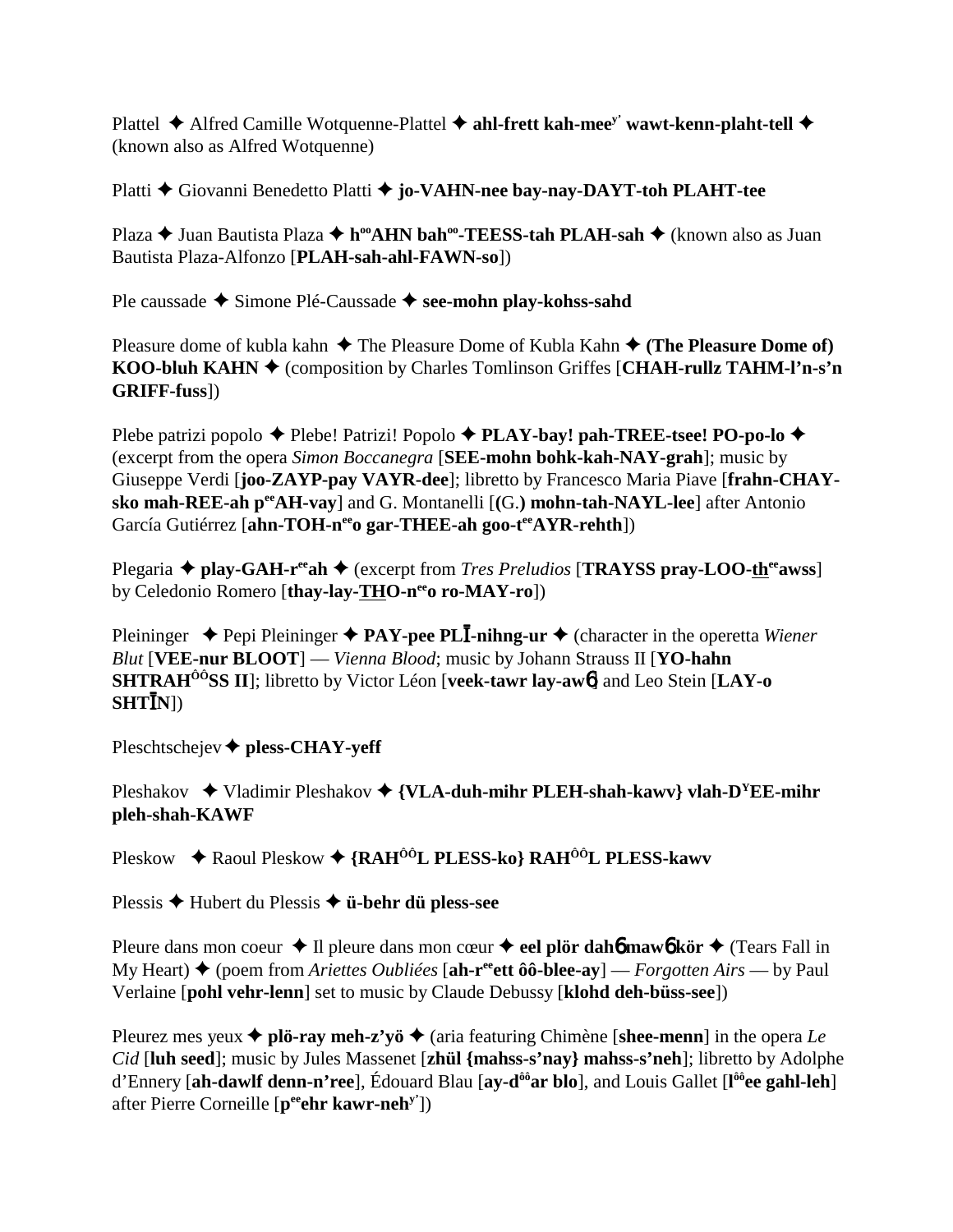Plattel ◆ Alfred Camille Wotquenne-Plattel ◆ ahl-frett kah-mee<sup>y'</sup> wawt-kenn-plaht-tell ◆ (known also as Alfred Wotquenne)

Platti **←** Giovanni Benedetto Platti ← **jo-VAHN-nee bay-nay-DAYT-toh PLAHT-tee** 

Plaza **→** Juan Bautista Plaza → h<sup>oo</sup>AHN bah<sup>oo</sup>-TEESS-tah PLAH-sah → (known also as Juan Bautista Plaza-Alfonzo [**PLAH-sah-ahl-FAWN-so**])

Ple caussade **→** Simone Plé-Caussade → see-mohn play-kohss-sahd

Pleasure dome of kubla kahn  $\triangle$  The Pleasure Dome of Kubla Kahn  $\triangle$  (The Pleasure Dome of) **KOO-bluh KAHN** ♦ (composition by Charles Tomlinson Griffes [CHAH-rullz TAHM-l'n-s'n **GRIFF-fuss**])

Plebe patrizi popolo ◆ Plebe! Patrizi! Popolo ◆ PLAY-bay! pah-TREE-tsee! PO-po-lo ◆ (excerpt from the opera *Simon Boccanegra* [**SEE-mohn bohk-kah-NAY-grah**]; music by Giuseppe Verdi [**joo-ZAYP-pay VAYR-dee**]; libretto by Francesco Maria Piave [**frahn-CHAYsko mah-REE-ah peeAH-vay**] and G. Montanelli [**(**G.**) mohn-tah-NAYL-lee**] after Antonio García Gutiérrez [ahn-TOH-n<sup>ee</sup>o gar-THEE-ah goo-t<sup>ee</sup>AYR-rehth])

Plegaria  $\triangle$  play-GAH-r<sup>ee</sup>ah  $\triangle$  (excerpt from *Tres Preludios* [**TRAYSS** pray-LOO-th<sup>ee</sup>awss] by Celedonio Romero [thay-lay-THO-n<sup>ee</sup>o ro-MAY-ro])

Pleininger ◆ Pepi Pleininger ◆ PAY-pee PL**I-nihng-ur** ◆ (character in the operetta *Wiener Blut* [**VEE-nur BLOOT**] — *Vienna Blood*; music by Johann Strauss II [**YO-hahn SHTRAHÔÔSS II**]; libretto by Victor Léon [**veek-tawr lay-aw**6] and Leo Stein [**LAY-o**  $\textbf{SHT} \mathbf{\bar{I}}\textbf{N}$ ])

Pleschtschejev **pless-CHAY-yeff**

Pleshakov  $\rightarrow$  Vladimir Pleshakov  $\rightarrow$  {VLA-duh-mihr PLEH-shah-kawv} vlah-D<sup>Y</sup>EE-mihr **pleh-shah-KAWF**

Pleskow ◆ Raoul Pleskow ◆ {RAH<sup>ôô</sup>L PLESS-ko} RAH<sup>ôô</sup>L PLESS-kawv

Plessis Hubert du Plessis **ü-behr dü pless-see**

Pleure dans mon coeur  $\triangle$  Il pleure dans mon cœur  $\triangle$  eel plör dah6 maw6 kör  $\triangle$  (Tears Fall in My Heart) (poem from *Ariettes Oubliées* [**ah-reeett ôô-blee-ay**] — *Forgotten Airs* — by Paul Verlaine [**pohl vehr-lenn**] set to music by Claude Debussy [**klohd deh-büss-see**])

Pleurez mes yeux  $\triangle$  plö-ray meh-z'yö  $\triangle$  (aria featuring Chimène [shee-menn] in the opera *Le Cid* [**luh seed**]; music by Jules Massenet [**zhül {mahss-s'nay} mahss-s'neh**]; libretto by Adolphe d'Ennery [**ah-dawlf denn-n'ree**], Édouard Blau [**ay-dôôar blo**], and Louis Gallet [**l ôôee gahl-leh**] after Pierre Corneille [**peeehr kawr-nehy'**])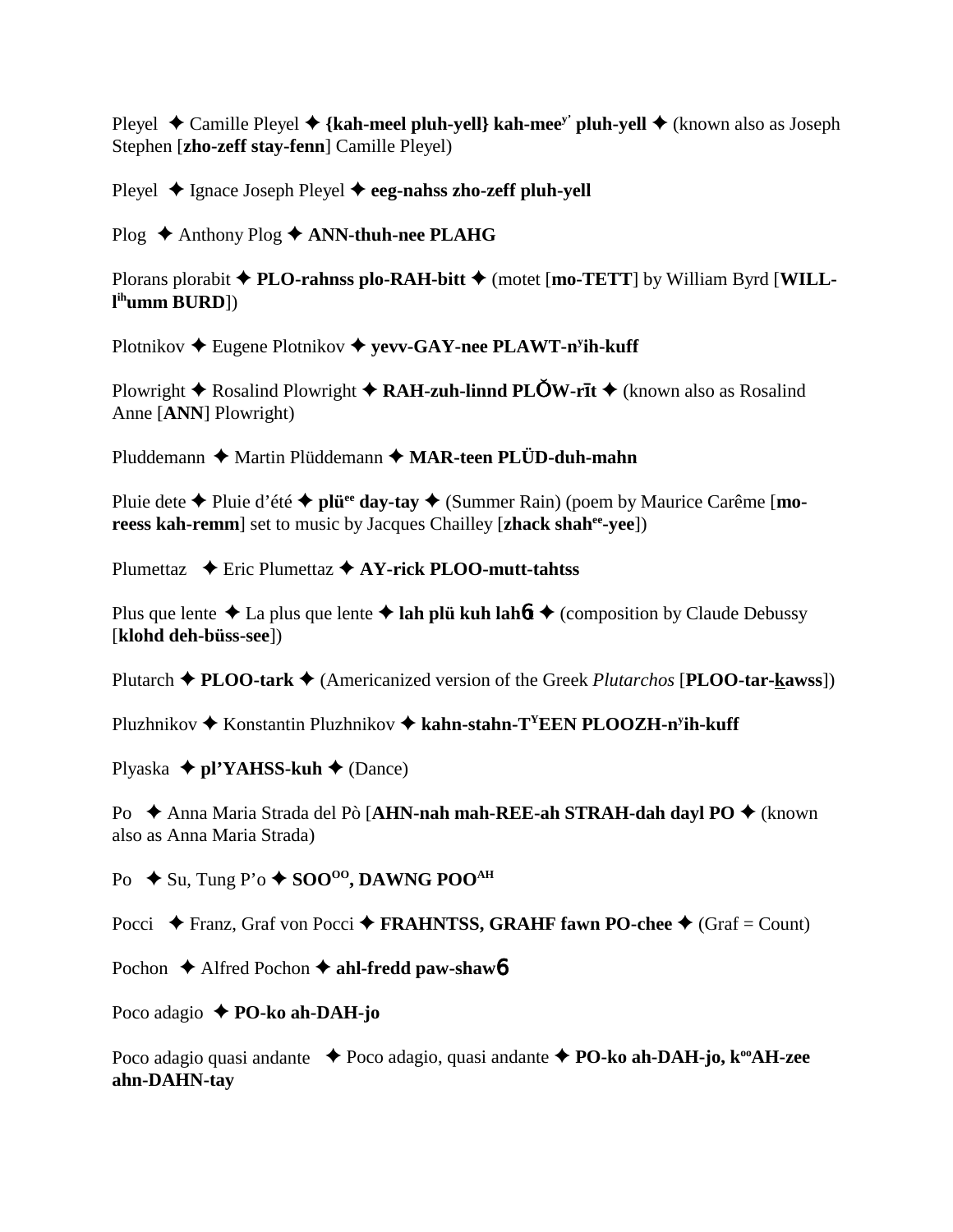Pleyel  $\triangle$  Camille Pleyel  $\triangle$  {kah-meel pluh-yell} kah-mee<sup>y'</sup> pluh-yell  $\triangle$  (known also as Joseph Stephen [**zho-zeff stay-fenn**] Camille Pleyel)

Pleyel **→** Ignace Joseph Pleyel **→ eeg-nahss zho-zeff pluh-yell** 

Plog ◆ Anthony Plog ◆ **ANN-thuh-nee PLAHG** 

Plorans plorabit  $\blacklozenge$  **PLO-rahnss plo-RAH-bitt**  $\blacklozenge$  (motet [**mo-TETT**] by William Byrd [WILL**l ihumm BURD**])

Plotnikov ◆ Eugene Plotnikov ◆ yevv-GAY-nee PLAWT-n<sup>y</sup>ih-kuff

Plowright  $\triangle$  Rosalind Plowright  $\triangle$  **RAH-zuh-linnd PLOW-rit**  $\triangle$  (known also as Rosalind Anne [**ANN**] Plowright)

Pluddemann ◆ Martin Plüddemann ◆ MAR-teen PLÜD-duh-mahn

Pluie dete **→** Pluie d'été **→ plui<sup>ee</sup> day-tay →** (Summer Rain) (poem by Maurice Carême [**moreess kah-remm**] set to music by Jacques Chailley [**zhack shahee-yee**])

Plumettaz **→** Eric Plumettaz → AY-rick PLOO-mutt-tahtss

Plus que lente  $\triangle$  La plus que lente  $\triangle$  lah plü kuh lah*ft*  $\triangle$  (composition by Claude Debussy [**klohd deh-büss-see**])

Plutarch **PLOO-tark** (Americanized version of the Greek *Plutarchos* [**PLOO-tar-kawss**])

Pluzhnikov ◆ Konstantin Pluzhnikov ◆ kahn-stahn-T<sup>Y</sup>EEN PLOOZH-n<sup>y</sup>ih-kuff

Plyaska **← pl'YAHSS-kuh ←** (Dance)

Po  $\triangle$  Anna Maria Strada del Pò [**AHN-nah mah-REE-ah STRAH-dah dayl PO** ◆ (known also as Anna Maria Strada)

Po **→** Su, Tung P'o ◆ SOO<sup>00</sup>, DAWNG POO<sup>AH</sup>

Pocci **→** Franz, Graf von Pocci → FRAHNTSS, GRAHF fawn PO-chee → (Graf = Count)

Pochon **→** Alfred Pochon **→ ahl-fredd paw-shaw6** 

Poco adagio **PO-ko ah-DAH-jo**

Poco adagio quasi andante **→** Poco adagio, quasi andante ◆ **PO-ko ah-DAH-jo, k<sup>oo</sup>AH-zee ahn-DAHN-tay**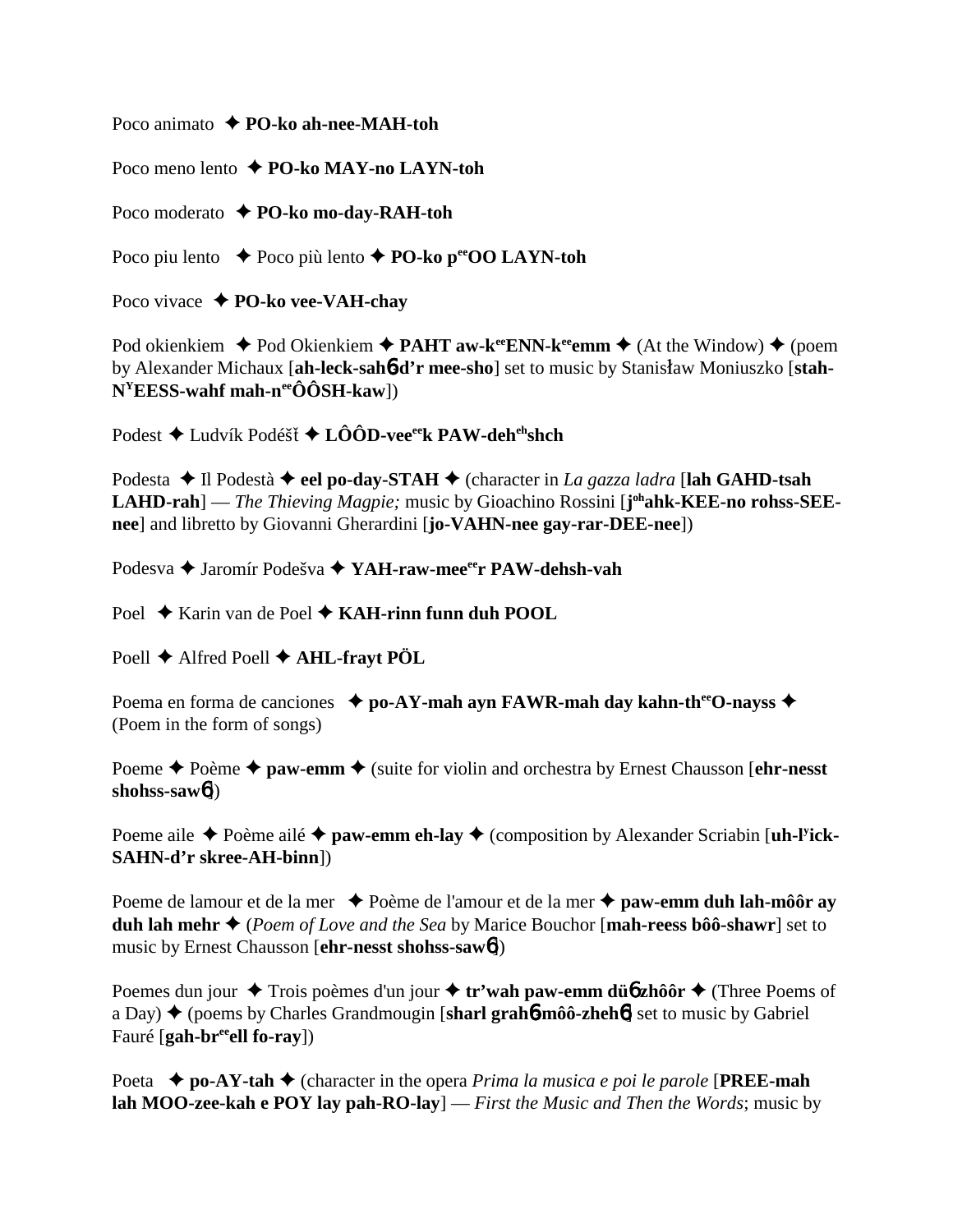Poco animato **← PO-ko ah-nee-MAH-toh** 

Poco meno lento **PO-ko MAY-no LAYN-toh**

Poco moderato **PO-ko mo-day-RAH-toh**

Poco piu lento  $\rightarrow$  Poco più lento  $\rightarrow$  **PO-ko p<sup>ee</sup>OO LAYN-toh** 

Poco vivace **PO-ko vee-VAH-chay**

Pod okienkiem  $\blacklozenge$  Pod Okienkiem  $\blacklozenge$  **PAHT aw-k<sup>ee</sup>ENN-k<sup>ee</sup>emm**  $\blacklozenge$  (At the Window)  $\blacklozenge$  (poem by Alexander Michaux [ah-leck-sah**6-d'r mee-sho**] set to music by Stanisław Moniuszko [stah-**NYEESS-wahf mah-neeÔÔSH-kaw**])

Podest ◆ Ludvík Podéšť ◆ LÔÔD-vee<sup>ee</sup>k PAW-deh<sup>eh</sup>shch

Podesta **→** Il Podestà → eel po-day-STAH → (character in *La gazza ladra* [lah GAHD-tsah LAHD-rah] — *The Thieving Magpie;* music by Gioachino Rossini [j<sup>oh</sup>ahk-KEE-no rohss-SEE**nee**] and libretto by Giovanni Gherardini [**jo-VAHN-nee gay-rar-DEE-nee**])

Podesva **→** Jaromír Podešva → YAH-raw-mee<sup>ee</sup>r PAW-dehsh-vah

Poel **→** Karin van de Poel ◆ **KAH-rinn funn duh POOL** 

Poell **←** Alfred Poell ← **AHL-frayt PÖL** 

Poema en forma de canciones **→ po-AY-mah ayn FAWR-mah day kahn-th<sup>ee</sup>O-nayss →** (Poem in the form of songs)

Poeme  $\triangle$  Poème  $\triangle$  paw-emm  $\triangle$  (suite for violin and orchestra by Ernest Chausson [**ehr-nesst**] **shohss-saw**6])

Poeme aile  $\triangle$  Poème ailé  $\triangle$  paw-emm eh-lay  $\triangle$  (composition by Alexander Scriabin [uh-l<sup>y</sup>ick-**SAHN-d'r skree-AH-binn**])

Poeme de lamour et de la mer ◆ Poème de l'amour et de la mer ◆ paw-emm duh lah-môôr ay **duh lah mehr** (*Poem of Love and the Sea* by Marice Bouchor [**mah-reess bôô-shawr**] set to music by Ernest Chausson [**ehr-nesst shohss-saw**6])

Poemes dun jour  $\triangle$  Trois poèmes d'un jour  $\triangle$  tr'wah paw-emm dü**6** zhôôr  $\triangle$  (Three Poems of a Day) (poems by Charles Grandmougin [**sharl grah**6**-môô-zheh**6] set to music by Gabriel Fauré [**gah-breeell fo-ray**])

Poeta **po-AY-tah** (character in the opera *Prima la musica e poi le parole* [**PREE-mah lah MOO-zee-kah e POY lay pah-RO-lay**] — *First the Music and Then the Words*; music by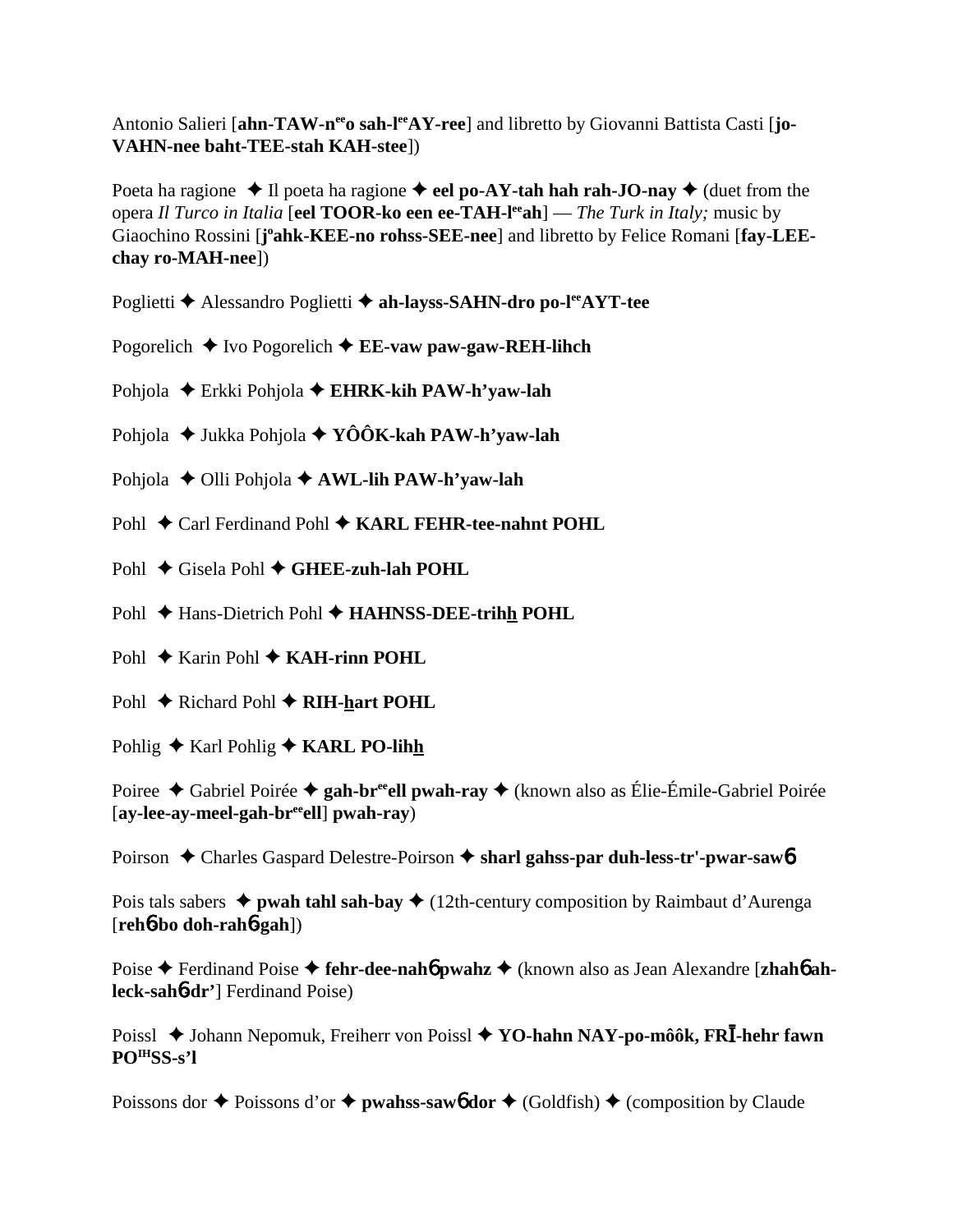Antonio Salieri [ahn-TAW-n<sup>ee</sup>o sah-l<sup>ee</sup>AY-ree] and libretto by Giovanni Battista Casti [jo-**VAHN-nee baht-TEE-stah KAH-stee**])

Poeta ha ragione  $\triangle$  Il poeta ha ragione  $\triangle$  **eel po-AY-tah hah rah-JO-nay**  $\triangle$  (duet from the opera *Il Turco in Italia* [**eel TOOR-ko een ee-TAH-leeah**] — *The Turk in Italy;* music by Giaochino Rossini [j'ahk-KEE-no rohss-SEE-nee] and libretto by Felice Romani [fay-LEE**chay ro-MAH-nee**])

- Poglietti **←** Alessandro Poglietti ← ah-layss-SAHN-dro po-l<sup>ee</sup>AYT-tee
- Pogorelich  $\triangle$  Ivo Pogorelich  $\triangle$  **EE-vaw paw-gaw-REH-lihch**
- Pohjola Erkki Pohjola **EHRK-kih PAW-h'yaw-lah**
- Pohjola ◆ Jukka Pohjola ◆ YÔÔK-kah PAW-h'yaw-lah
- Pohjola **→** Olli Pohjola **→ AWL-lih PAW-h'yaw-lah**
- Pohl ◆ Carl Ferdinand Pohl ◆ KARL FEHR-tee-nahnt POHL
- Pohl **←** Gisela Pohl ← GHEE-zuh-lah POHL
- Pohl **← Hans-Dietrich Pohl ← HAHNSS-DEE-trihh POHL**
- Pohl **→** Karin Pohl **→ KAH-rinn POHL**
- Pohl **←** Richard Pohl ← RIH-hart POHL
- Pohlig **← Karl Pohlig ← KARL PO-lihh**

Poiree ◆ Gabriel Poirée ◆ gah-br<sup>ee</sup>ell pwah-ray ◆ (known also as Élie-Émile-Gabriel Poirée [**ay-lee-ay-meel-gah-breeell**] **pwah-ray**)

Poirson ◆ Charles Gaspard Delestre-Poirson ◆ sharl gahss-par duh-less-tr'-pwar-saw6

Pois tals sabers  $\triangleq$  **pwah tahl sah-bay**  $\triangleq$  (12th-century composition by Raimbaut d'Aurenga [**reh**6**-bo doh-rah**6**-gah**])

Poise **→** Ferdinand Poise → fehr-dee-nah**6** pwahz → (known also as Jean Alexandre [zhah**6** ah**leck-sah**6**-dr'**] Ferdinand Poise)

Poissl ◆ Johann Nepomuk, Freiherr von Poissl ◆ YO-hahn NAY-po-môôk, FRI-hehr fawn **POIHSS-s'l**

Poissons dor  $\triangle$  Poissons d'or  $\triangle$  **pwahss-saw6** dor  $\triangle$  (Goldfish)  $\triangle$  (composition by Claude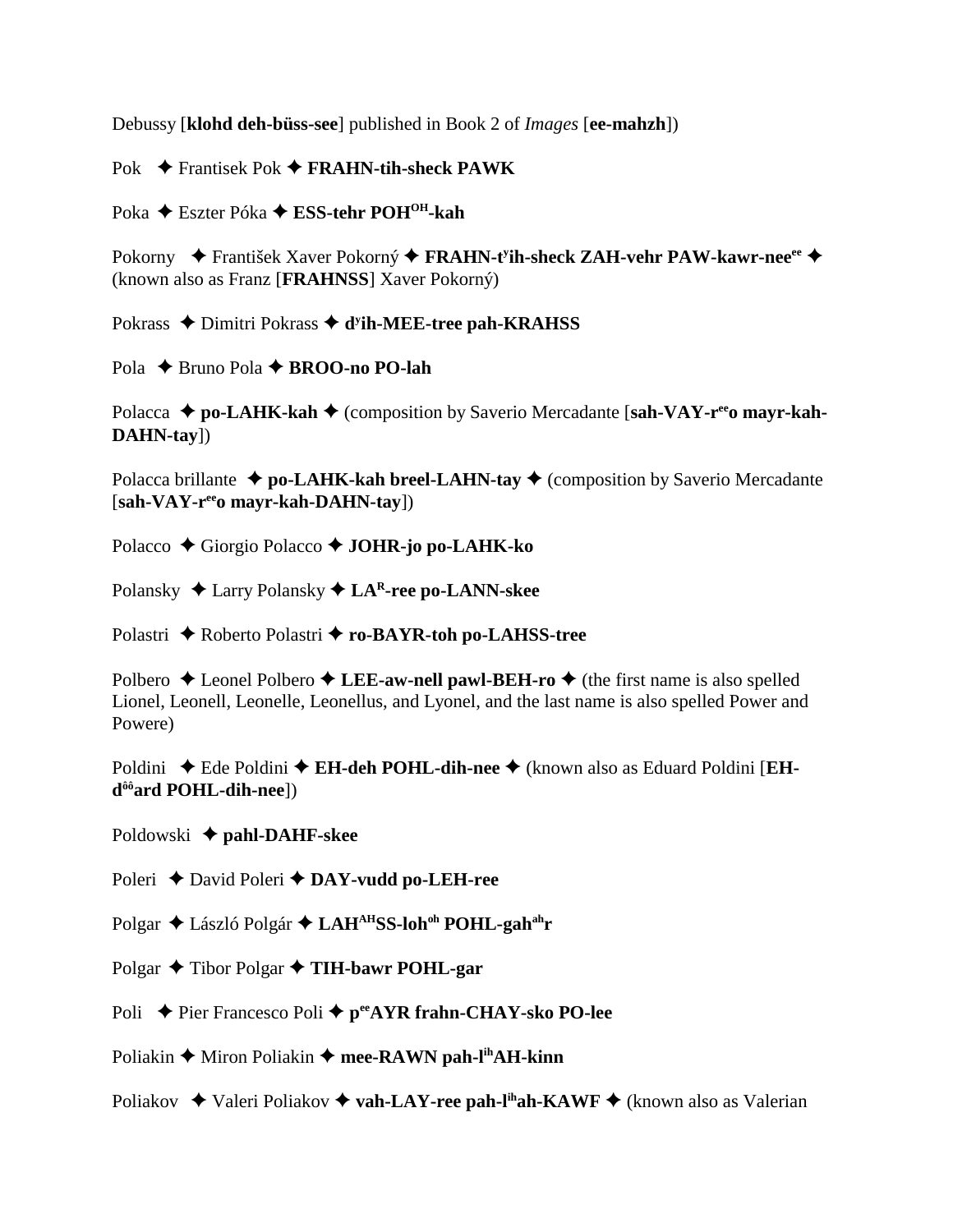Debussy [**klohd deh-büss-see**] published in Book 2 of *Images* [**ee-mahzh**])

Pok **→** Frantisek Pok → FRAHN-tih-sheck PAWK

Poka **←** Eszter Póka ← ESS-tehr POH<sup>OH</sup>-kah

Pokorny ◆ František Xaver Pokorný ◆ FRAHN-t<sup>y</sup>ih-sheck ZAH-vehr PAW-kawr-nee<sup>ee</sup> ◆ (known also as Franz [**FRAHNSS**] Xaver Pokorný)

Pokrass ◆ Dimitri Pokrass ◆ d<sup>y</sup>ih-MEE-tree pah-KRAHSS

Pola **→** Bruno Pola **→ BROO-no PO-lah** 

Polacca ◆ po-LAHK-kah ◆ (composition by Saverio Mercadante [sah-VAY-r<sup>ee</sup>o mayr-kah-**DAHN-tay**])

Polacca brillante  $\triangleq$  po-LAHK-kah breel-LAHN-tay  $\triangleq$  (composition by Saverio Mercadante [**sah-VAY-reeo mayr-kah-DAHN-tay**])

- Polacco ◆ Giorgio Polacco ◆ **JOHR-jo po-LAHK-ko**
- Polansky Larry Polansky **LAR-ree po-LANN-skee**

Polastri ◆ Roberto Polastri ◆ ro-BAYR-toh po-LAHSS-tree

Polbero  $\triangle$  Leonel Polbero  $\triangle$  LEE-aw-nell pawl-BEH-ro  $\triangle$  (the first name is also spelled Lionel, Leonell, Leonelle, Leonellus, and Lyonel, and the last name is also spelled Power and Powere)

Poldini ◆ Ede Poldini ◆ **EH-deh POHL-dih-nee** ◆ (known also as Eduard Poldini [**EHdôôard POHL-dih-nee**])

Poldowski **pahl-DAHF-skee**

Poleri **←** David Poleri ← DAY-vudd po-LEH-ree

Polgar ◆ László Polgár ◆ LAH<sup>AH</sup>SS-loh<sup>oh</sup> POHL-gah<sup>ah</sup>r

Polgar  $\triangle$  Tibor Polgar  $\triangle$  **TIH-bawr POHL-gar** 

Poli **→** Pier Francesco Poli → p<sup>ee</sup>AYR frahn-CHAY-sko PO-lee

Poliakin **→** Miron Poliakin → mee-RAWN pah-l<sup>ih</sup>AH-kinn

Poliakov  $\rightarrow$  Valeri Poliakov  $\rightarrow$  vah-LAY-ree pah-l<sup>ih</sup>ah-KAWF  $\rightarrow$  (known also as Valerian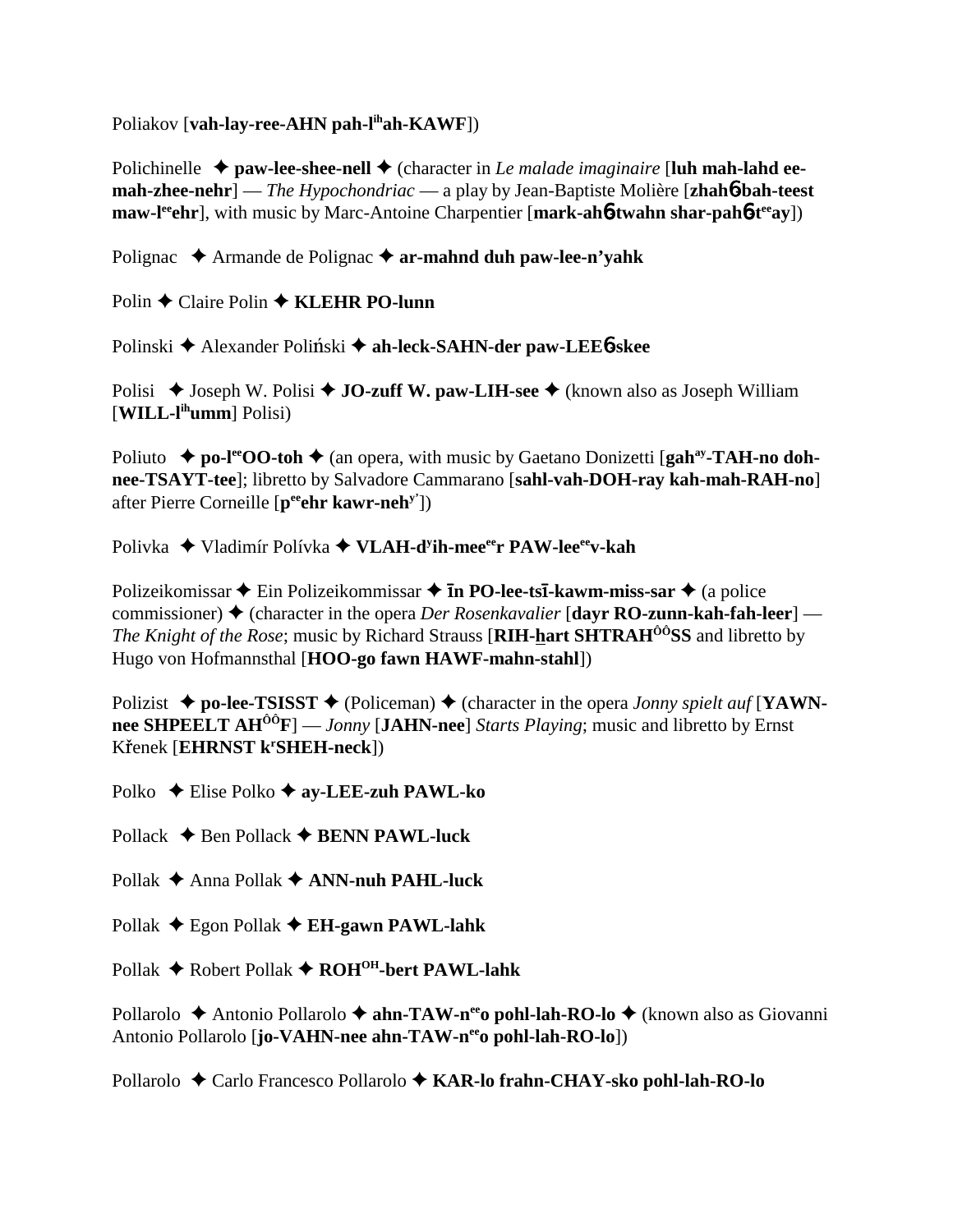Poliakov [**vah-lay-ree-AHN pah-lihah-KAWF**])

Polichinelle  $\triangle$  paw-lee-shee-nell  $\triangle$  (character in *Le malade imaginaire* [luh mah-lahd ee**mah-zhee-nehr**] — *The Hypochondriac* — a play by Jean-Baptiste Molière [**zhah**6**-bah-teest maw-leephr**, with music by Marc-Antoine Charpentier [mark-ah6-twahn shar-pah6-teeay])

Polignac **→** Armande de Polignac → ar-mahnd duh paw-lee-n'yahk

Polin **←** Claire Polin ← **KLEHR PO-lunn** 

Polinski ◆ Alexander Poliński ◆ ah-leck-SAHN-der paw-LEE6-skee

Polisi ◆ Joseph W. Polisi ◆ **JO-zuff W. paw-LIH-see** ◆ (known also as Joseph William [**WILL-lihumm**] Polisi)

Poliuto ◆ **po-l<sup>ee</sup>OO-toh ◆** (an opera, with music by Gaetano Donizetti [**gah<sup>ay</sup>-TAH-no dohnee-TSAYT-tee**]; libretto by Salvadore Cammarano [**sahl-vah-DOH-ray kah-mah-RAH-no**] after Pierre Corneille [**peeehr kawr-nehy'**])

Polivka ◆ Vladimír Polívka ◆ VLAH-d<sup>y</sup>ih-mee<sup>ee</sup>r PAW-lee<sup>ee</sup>v-kah

Polizeikomissar **◆** Ein Polizeikommissar ◆ **īn PO-lee-tsī-kawm-miss-sar** ◆ (a police commissioner) (character in the opera *Der Rosenkavalier* [**dayr RO-zunn-kah-fah-leer**] — *The Knight of the Rose*; music by Richard Strauss [**RIH-hart SHTRAH<sup>ôô</sup>SS** and libretto by Hugo von Hofmannsthal [**HOO-go fawn HAWF-mahn-stahl**])

Polizist  $\triangle$  po-lee-TSISST  $\triangle$  (Policeman)  $\triangle$  (character in the opera *Jonny spielt auf* [YAWN**nee SHPEELT AHÔÔF**] — *Jonny* [**JAHN-nee**] *Starts Playing*; music and libretto by Ernst Křenek [EHRNST k<sup>r</sup>SHEH-neck])

Polko **←** Elise Polko ← ay-LEE-zuh PAWL-ko

Pollack  $\triangle$  Ben Pollack  $\triangle$  **BENN PAWL-luck** 

Pollak **→** Anna Pollak ◆ **ANN-nuh PAHL-luck** 

Pollak Egon Pollak **EH-gawn PAWL-lahk**

Pollak **→** Robert Pollak **→ ROH<sup>OH</sup>-bert PAWL-lahk** 

Pollarolo ◆ Antonio Pollarolo ◆ ahn-TAW-n<sup>ee</sup>o pohl-lah-RO-lo ◆ (known also as Giovanni Antonio Pollarolo [**jo-VAHN-nee ahn-TAW-n<sup>ee</sup>o pohl-lah-RO-lo**])

Pollarolo Carlo Francesco Pollarolo **KAR-lo frahn-CHAY-sko pohl-lah-RO-lo**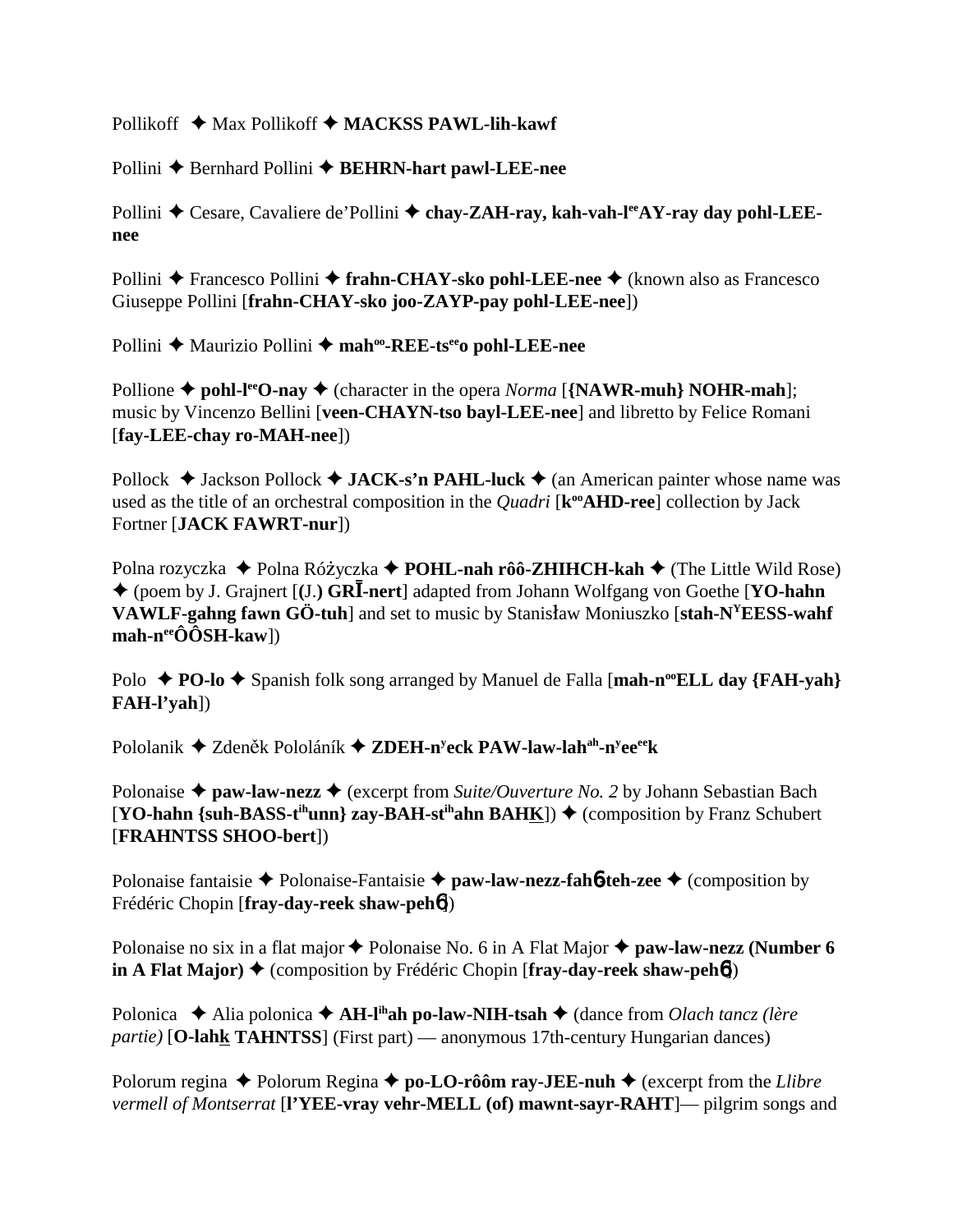Pollikoff ◆ Max Pollikoff ◆ MACKSS PAWL-lih-kawf

Pollini **←** Bernhard Pollini ← **BEHRN-hart pawl-LEE-nee** 

Pollini ◆ Cesare, Cavaliere de'Pollini ◆ chay-ZAH-ray, kah-vah-l<sup>ee</sup>AY-ray day pohl-LEE**nee**

Pollini **◆** Francesco Pollini ◆ frahn-CHAY-sko pohl-LEE-nee ◆ (known also as Francesco Giuseppe Pollini [**frahn-CHAY-sko joo-ZAYP-pay pohl-LEE-nee**])

Pollini ◆ Maurizio Pollini ◆ mah<sup>oo</sup>-REE-ts<sup>ee</sup>o pohl-LEE-nee

Pollione  $\triangle$  pohl-l<sup>ee</sup>O-nay  $\triangle$  (character in the opera *Norma* [{NAWR-muh} NOHR-mah]; music by Vincenzo Bellini [**veen-CHAYN-tso bayl-LEE-nee**] and libretto by Felice Romani [**fay-LEE-chay ro-MAH-nee**])

Pollock  $\triangle$  Jackson Pollock  $\triangle$  JACK-s'n PAHL-luck  $\triangle$  (an American painter whose name was used as the title of an orchestral composition in the *Quadri* [ $\mathbf{k}^{\omega}$ **AHD-ree**] collection by Jack Fortner [**JACK FAWRT-nur**])

Polna rozyczka ◆ Polna Różyczka **◆ POHL-nah rôô-ZHIHCH-kah ◆** (The Little Wild Rose) ◆ (poem by J. Grajnert [(J.) GRI-nert] adapted from Johann Wolfgang von Goethe [YO-hahn **VAWLF-gahng fawn GÖ-tuh**] and set to music by Stanisław Moniuszko [stah-N<sup>Y</sup>EESS-wahf **mah-neeÔÔSH-kaw**])

Polo  $\triangle$  **PO-lo**  $\triangle$  Spanish folk song arranged by Manuel de Falla [**mah-n<sup>oo</sup>ELL day** {**FAH-yah**} **FAH-l'yah**])

Pololanik ◆ Zdeněk Pololáník ◆ ZDEH-n<sup>y</sup>eck PAW-law-lah<sup>ah</sup>-n<sup>y</sup>ee<sup>ee</sup>k

Polonaise **→ paw-law-nezz →** (excerpt from *Suite/Ouverture No. 2* by Johann Sebastian Bach  $[\text{YO-hahn }$  {suh-BASS-t<sup>ih</sup>unn} zay-BAH-st<sup>ih</sup>ahn BAHK])  $\blacklozenge$  (composition by Franz Schubert [**FRAHNTSS SHOO-bert**])

Polonaise fantaisie **◆** Polonaise-Fantaisie **◆ paw-law-nezz-fah6-teh-zee ◆** (composition by Frédéric Chopin [**fray-day-reek shaw-peh**6])

Polonaise no six in a flat major  $\blacklozenge$  Polonaise No. 6 in A Flat Major  $\blacklozenge$  paw-law-nezz (Number 6 **in A Flat Major) ♦** (composition by Frédéric Chopin [fray-day-reek shaw-peh**6**])

Polonica **→** Alia polonica → **AH-l<sup>ih</sup>ah po-law-NIH-tsah** → (dance from *Olach tancz (lère partie)* [**O-lahk TAHNTSS**] (First part) — anonymous 17th-century Hungarian dances)

Polorum regina **→** Polorum Regina **→ po-LO-rôôm ray-JEE-nuh →** (excerpt from the *Llibre vermell of Montserrat* [**l'YEE-vray vehr-MELL (of) mawnt-sayr-RAHT**]— pilgrim songs and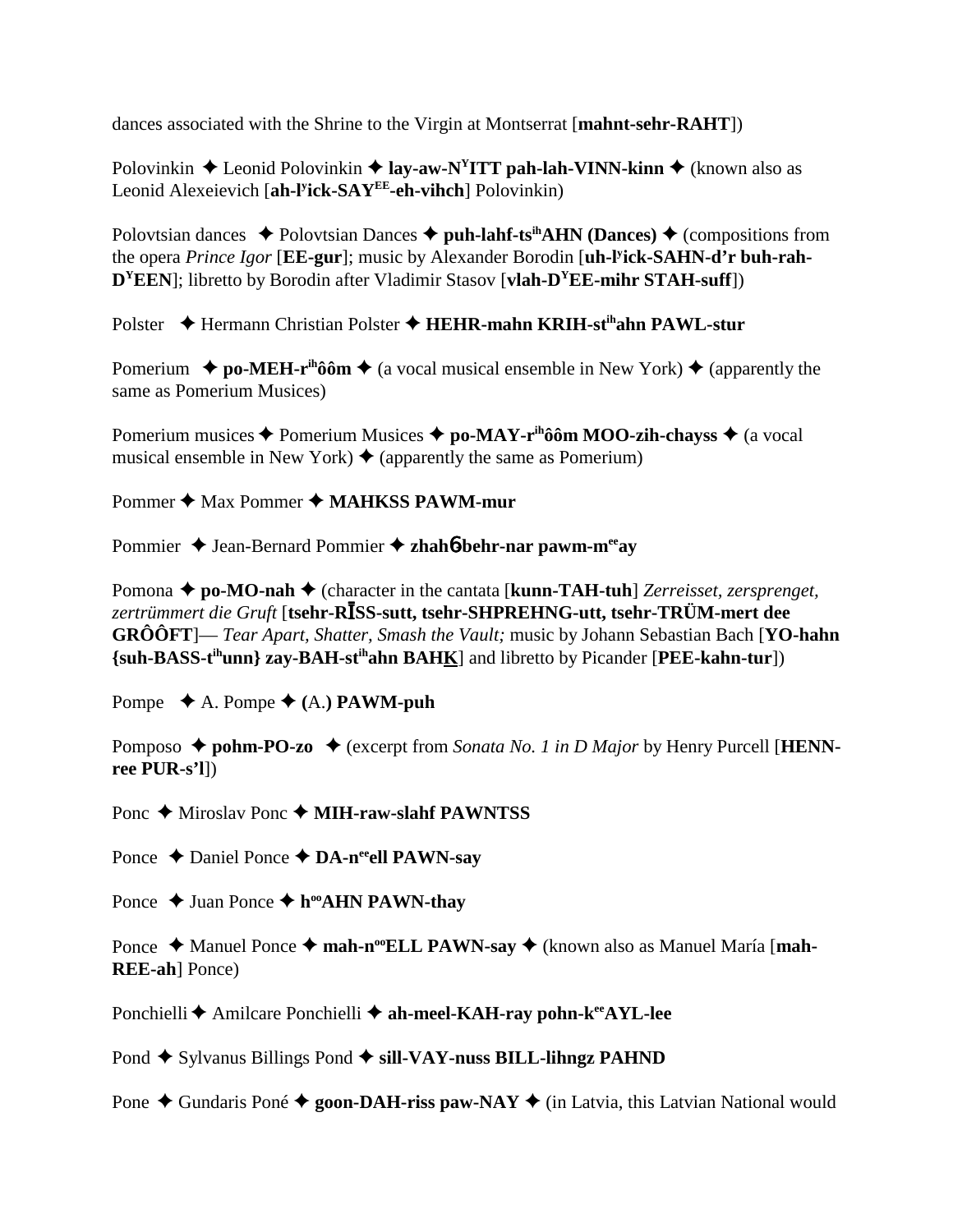dances associated with the Shrine to the Virgin at Montserrat [**mahnt-sehr-RAHT**])

Polovinkin **→** Leonid Polovinkin **→ lay-aw-N<sup>Y</sup>ITT pah-lah-VINN-kinn →** (known also as Leonid Alexeievich [**ah-ly ick-SAYEE-eh-vihch**] Polovinkin)

Polovtsian dances  $\triangle$  Polovtsian Dances  $\triangle$  puh-lahf-ts<sup>ih</sup>AHN (Dances)  $\triangle$  (compositions from the opera *Prince Igor* [**EE-gur**]; music by Alexander Borodin [**uh-ly ick-SAHN-d'r buh-rah-DYEEN**]; libretto by Borodin after Vladimir Stasov [**vlah-DYEE-mihr STAH-suff**])

Polster ◆ Hermann Christian Polster ◆ HEHR-mahn KRIH-st<sup>ih</sup>ahn PAWL-stur

Pomerium  $\rightarrow$  **po-MEH-r<sup>ih</sup>ôôm**  $\rightarrow$  (a vocal musical ensemble in New York)  $\rightarrow$  (apparently the same as Pomerium Musices)

Pomerium musices ◆ Pomerium Musices ◆ po-MAY-r<sup>ih</sup>ôôm MOO-zih-chayss ◆ (a vocal musical ensemble in New York)  $\triangle$  (apparently the same as Pomerium)

Pommer **→** Max Pommer → **MAHKSS PAWM-mur** 

Pommier ♦ Jean-Bernard Pommier ♦ zhah**6**-behr-nar pawm-m<sup>ee</sup>ay

Pomona ◆ po-MO-nah ◆ (character in the cantata [**kunn-TAH-tuh**] *Zerreisset, zersprenget,* zertrümmert die Gruft [**tsehr-RĪSS-sutt, tsehr-SHPREHNG-utt, tsehr-TRÜM-mert dee GRÔÔFT**]— *Tear Apart, Shatter, Smash the Vault;* music by Johann Sebastian Bach [**YO-hahn {suh-BASS-tihunn} zay-BAH-stihahn BAHK**] and libretto by Picander [**PEE-kahn-tur**])

Pompe  $\blacklozenge$  A. Pompe  $\blacklozenge$  (A.) **PAWM-puh** 

Pomposo  $\triangle$  **pohm-PO-zo**  $\triangle$  (excerpt from *Sonata No. 1 in D Major* by Henry Purcell [**HENNree PUR-s'l**])

Ponc **→** Miroslav Ponc **→ MIH-raw-slahf PAWNTSS** 

Ponce **→** Daniel Ponce **→ DA-n<sup>ee</sup>ell PAWN-say** 

Ponce  $\triangle$  Juan Ponce  $\triangle$  h<sup>oo</sup>AHN PAWN-thay

Ponce ◆ Manuel Ponce ◆ mah-n<sup>oo</sup>ELL PAWN-say ◆ (known also as Manuel María [mah-**REE-ah**] Ponce)

Ponchielli ← Amilcare Ponchielli ← ah-meel-KAH-ray pohn-k<sup>ee</sup>AYL-lee

Pond **→** Sylvanus Billings Pond → sill-VAY-nuss BILL-lihngz PAHND

Pone  $\triangle$  Gundaris Poné  $\triangle$  goon-DAH-riss paw-NAY  $\triangle$  (in Latvia, this Latvian National would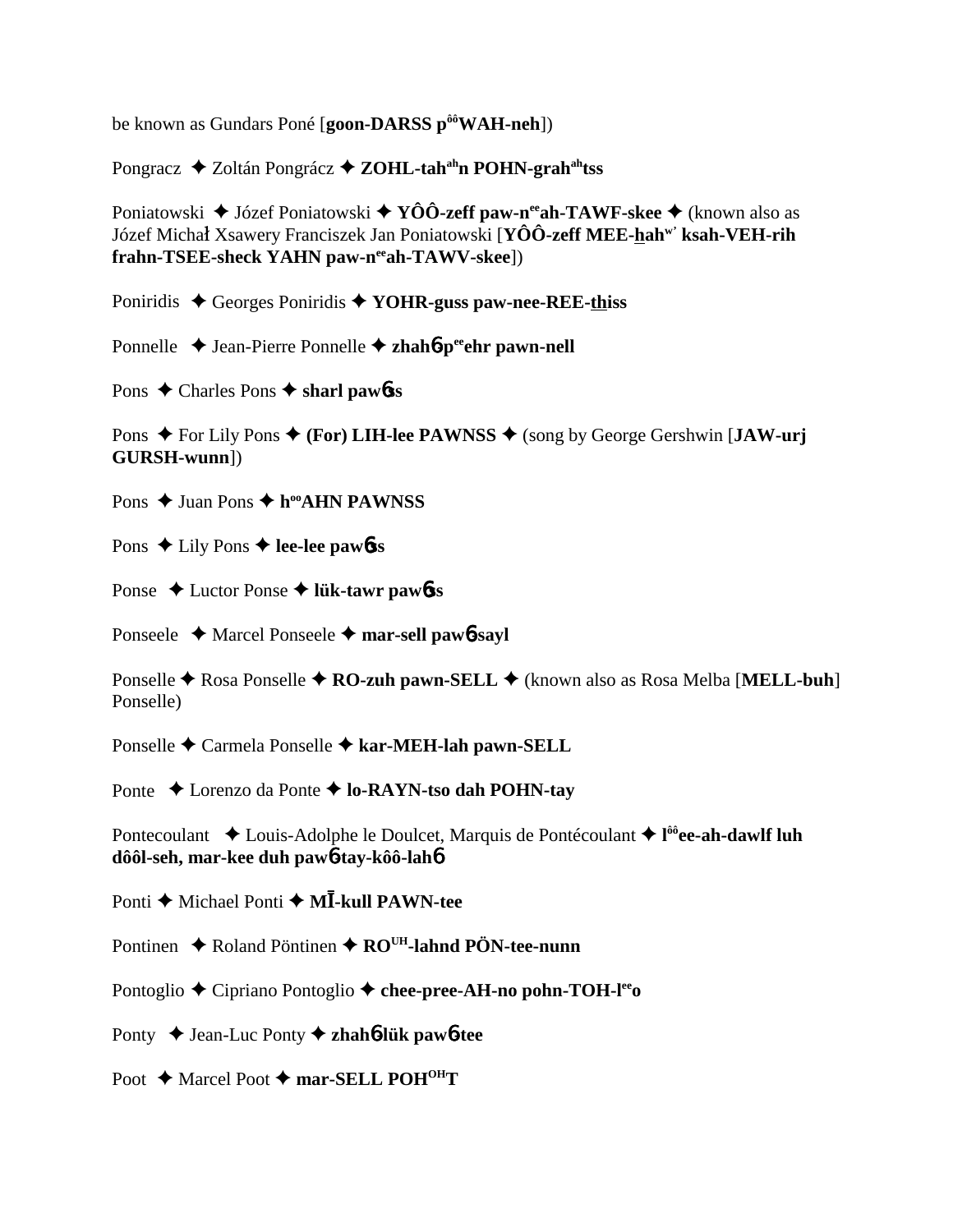be known as Gundars Poné [goon-DARSS p<sup>ôô</sup>WAH-neh])

Pongracz ◆ Zoltán Pongrácz ◆ ZOHL-tah<sup>ah</sup>n POHN-grah<sup>ah</sup>tss

Poniatowski  $\blacklozenge$  Józef Poniatowski  $\blacklozenge$  YÔÔ-zeff paw-n<sup>ee</sup> ah-TAWF-skee  $\blacklozenge$  (known also as Józef Michał Xsawery Franciszek Jan Poniatowski [YÔÔ-zeff MEE-hah<sup>w</sup>' ksah-VEH-rih frahn-TSEE-sheck YAHN paw-n<sup>ee</sup>ah-TAWV-skee])

Poniridis  $\triangle$  Georges Poniridis  $\triangle$  YOHR-guss paw-nee-REE-thiss

Ponnelle  $\triangle$  Jean-Pierre Ponnelle  $\triangle$  zhah**ó-**periodent pawn-nell

Pons  $\triangle$  Charles Pons  $\triangle$  sharl pawbes

Pons  $\triangle$  For Lily Pons  $\triangle$  (For) LIH-lee PAWNSS  $\triangle$  (song by George Gershwin [JAW-urj GURSH-wunn])

Pons  $\triangle$  Juan Pons  $\triangle$  h<sup>oo</sup>AHN PAWNSS

Pons  $\triangle$  Lily Pons  $\triangle$  lee-lee pawbss

Ponse  $\triangle$  Luctor Ponse  $\triangle$  lük-tawr pawbss

Ponseele  $\triangle$  Marcel Ponseele  $\triangle$  mar-sell pawb-sayl

Ponselle  $\triangle$  Rosa Ponselle  $\triangle$  RO-zuh pawn-SELL  $\triangle$  (known also as Rosa Melba [MELL-buh] Ponselle)

Ponselle → Carmela Ponselle → kar-MEH-lah pawn-SELL

Ponte → Lorenzo da Ponte → lo-RAYN-tso dah POHN-tay

Pontecoulant  $\triangle$  Louis-Adolphe le Doulcet, Marquis de Pontécoulant  $\triangle$  l<sup>ôô</sup>ee-ah-dawlf luh dôôl-seh, mar-kee duh paw6-tav-kôô-lah6

Ponti  $\triangle$  Michael Ponti  $\triangle$  M**I**-kull PAWN-tee

Pontinen  $\triangle$  Roland Pöntinen  $\triangle$  RO<sup>UH</sup>-lahnd PÖN-tee-nunn

Pontoglio ◆ Cipriano Pontoglio ◆ chee-pree-AH-no pohn-TOH-lee

Ponty  $\rightarrow$  Jean-Luc Ponty  $\rightarrow$  zhah*b***-lük** paw*b***-tee** 

Poot ♦ Marcel Poot ♦ mar-SELL POH<sup>OH</sup>T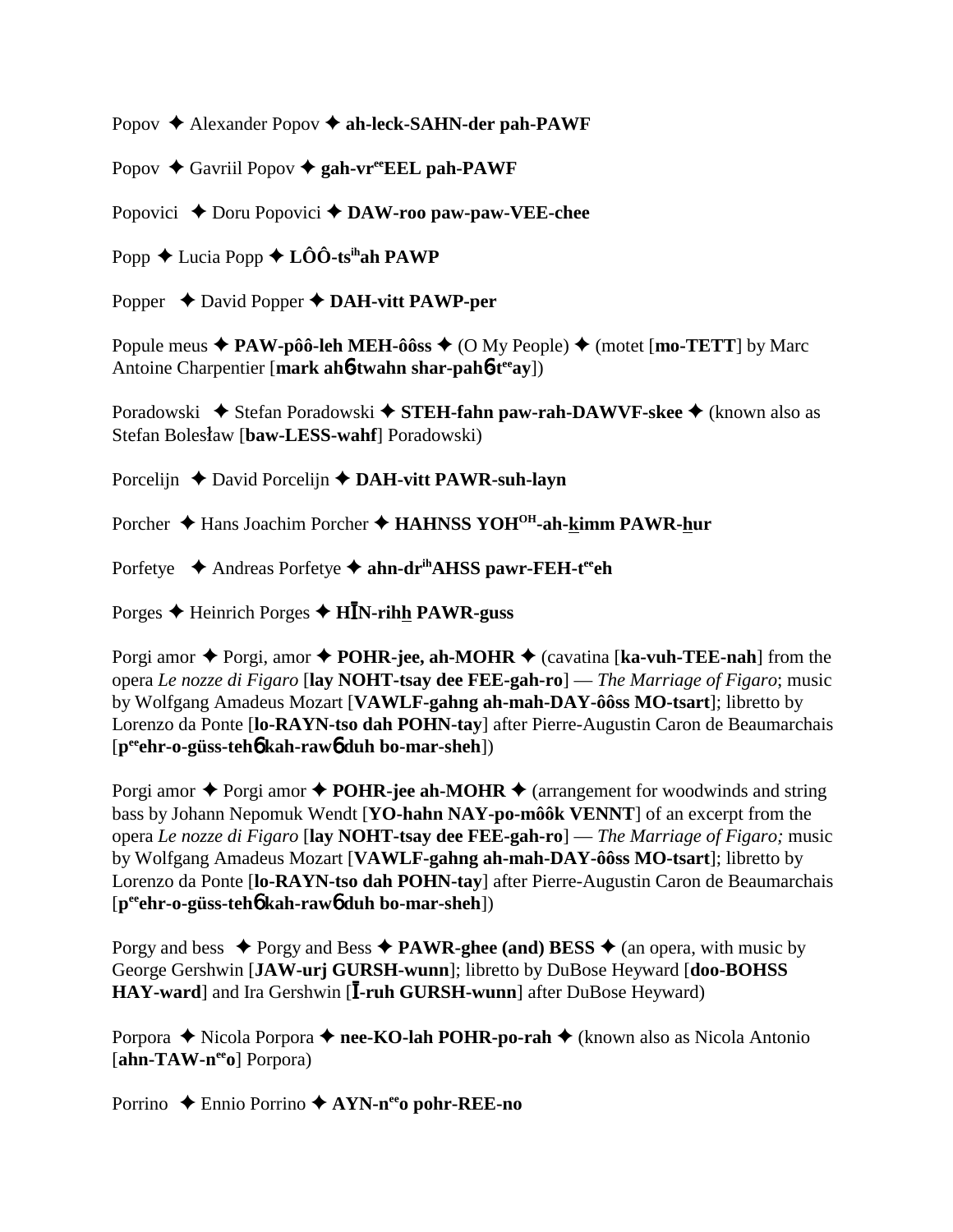Popov Alexander Popov **ah-leck-SAHN-der pah-PAWF**

Popov **→** Gavriil Popov ◆ gah-vr<sup>ee</sup>EEL pah-PAWF

Popovici ◆ Doru Popovici ◆ DAW-roo paw-paw-VEE-chee

Popp  $\triangle$  Lucia Popp  $\triangle$  LÔÔ-ts<sup>ih</sup>ah PAWP

Popper **→** David Popper **→ DAH-vitt PAWP-per** 

Popule meus  $\triangle$  **PAW-pôô-leh MEH-ôôss**  $\triangle$  (O My People)  $\triangle$  (motet [**mo-TETT**] by Marc Antoine Charpentier [**mark ah**6**-twahn shar-pah**6**-teeay**])

Poradowski ◆ Stefan Poradowski ◆ STEH-fahn paw-rah-DAWVF-skee ◆ (known also as Stefan Bolesław [baw-LESS-wahf] Poradowski)

Porcelijn **←** David Porcelijn **← DAH-vitt PAWR-suh-layn** 

Porcher ◆ Hans Joachim Porcher ◆ HAHNSS YOH<sup>OH</sup>-ah-kimm PAWR-hur

Porfetye **→** Andreas Porfetye → ahn-dr<sup>ih</sup>AHSS pawr-FEH-t<sup>ee</sup>ch

Porges ◆ Heinrich Porges ◆ H**ĪN-rih<u>h</u> PAWR-guss** 

Porgi amor ◆ Porgi, amor ◆ **POHR-jee, ah-MOHR** ◆ (cavatina [**ka-vuh-TEE-nah**] from the opera *Le nozze di Figaro* [**lay NOHT-tsay dee FEE-gah-ro**] — *The Marriage of Figaro*; music by Wolfgang Amadeus Mozart [**VAWLF-gahng ah-mah-DAY-ôôss MO-tsart**]; libretto by Lorenzo da Ponte [**lo-RAYN-tso dah POHN-tay**] after Pierre-Augustin Caron de Beaumarchais [**peeehr-o-güss-teh**6 **kah-raw**6 **duh bo-mar-sheh**])

Porgi amor  $\triangle$  Porgi amor  $\triangle$  **POHR-jee ah-MOHR**  $\triangle$  (arrangement for woodwinds and string bass by Johann Nepomuk Wendt [**YO-hahn NAY-po-môôk VENNT**] of an excerpt from the opera *Le nozze di Figaro* [**lay NOHT-tsay dee FEE-gah-ro**] — *The Marriage of Figaro;* music by Wolfgang Amadeus Mozart [**VAWLF-gahng ah-mah-DAY-ôôss MO-tsart**]; libretto by Lorenzo da Ponte [**lo-RAYN-tso dah POHN-tay**] after Pierre-Augustin Caron de Beaumarchais [**peeehr-o-güss-teh**6 **kah-raw**6 **duh bo-mar-sheh**])

Porgy and bess  $\triangle$  Porgy and Bess  $\triangle$  **PAWR-ghee** (and) BESS  $\triangle$  (an opera, with music by George Gershwin [**JAW-urj GURSH-wunn**]; libretto by DuBose Heyward [**doo-BOHSS** HAY-ward] and Ira Gershwin [I-ruh GURSH-wunn] after DuBose Heyward)

Porpora ◆ Nicola Porpora ◆ nee-KO-lah POHR-po-rah ◆ (known also as Nicola Antonio [ahn-TAW-n<sup>ee</sup>o] Porpora)

Porrino ◆ Ennio Porrino **◆ AYN-n<sup>ee</sup>o pohr-REE-no**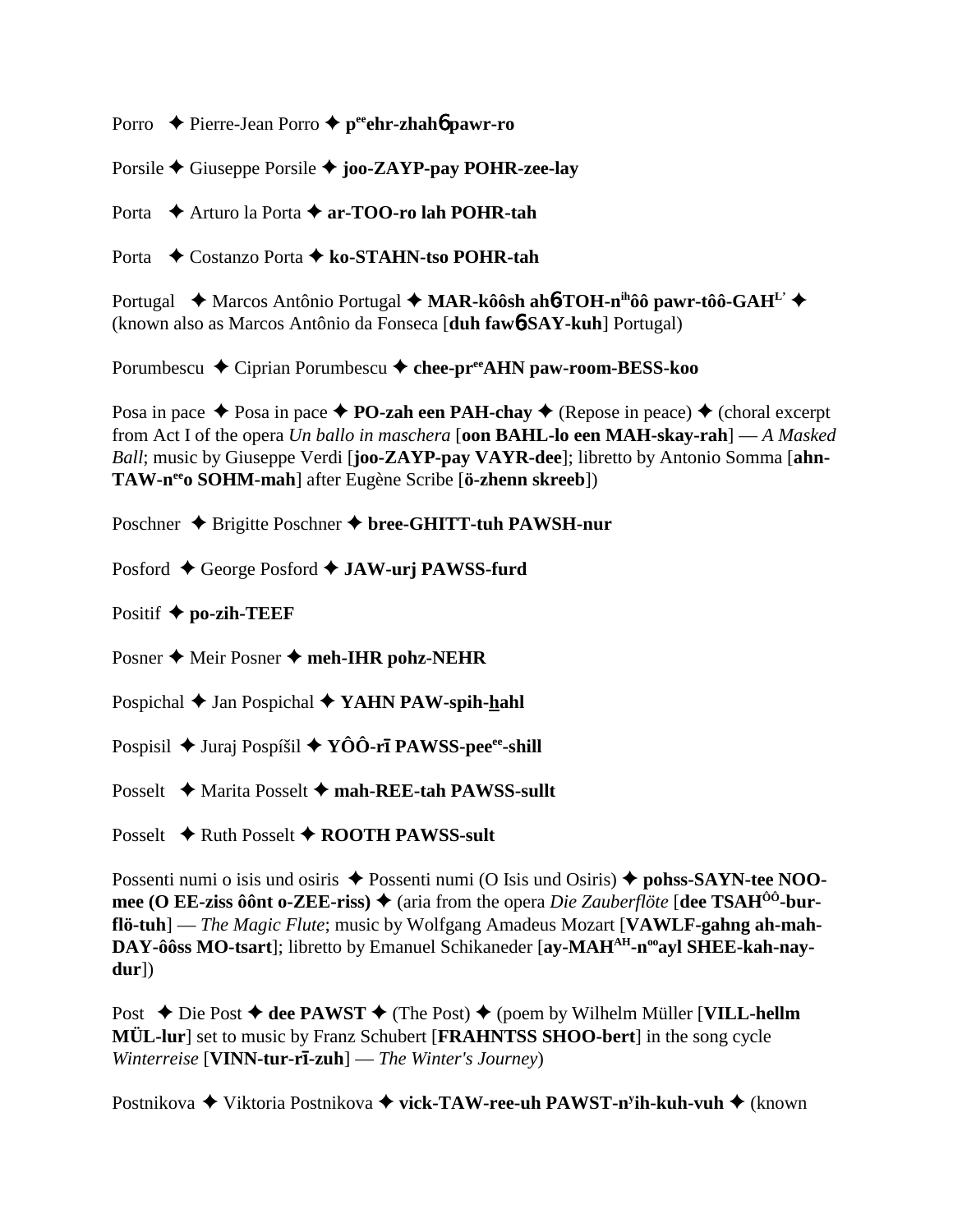Porro Pierre-Jean Porro **peeehr-zhah**6 **pawr-ro**

Porsile Giuseppe Porsile **joo-ZAYP-pay POHR-zee-lay**

Porta **→** Arturo la Porta → **ar-TOO-ro lah POHR-tah** 

Porta Costanzo Porta **ko-STAHN-tso POHR-tah**

Portugal **→** Marcos Antônio Portugal → MAR-kôôsh ah**6**-TOH-n<sup>ih</sup>ôô pawr-tôô-GAH<sup>L'</sup> → (known also as Marcos Antônio da Fonseca [**duh faw**6**-SAY-kuh**] Portugal)

Porumbescu **→** Ciprian Porumbescu → chee-pr<sup>ee</sup>AHN paw-room-BESS-koo

Posa in pace  $\triangle$  Posa in pace  $\triangle$  **PO-zah een PAH-chay**  $\triangle$  (Repose in peace)  $\triangle$  (choral excerpt from Act I of the opera *Un ballo in maschera* [**oon BAHL-lo een MAH-skay-rah**] — *A Masked Ball*; music by Giuseppe Verdi [**joo-ZAYP-pay VAYR-dee**]; libretto by Antonio Somma [**ahn-TAW-neeo SOHM-mah**] after Eugène Scribe [**ö-zhenn skreeb**])

Poschner ◆ Brigitte Poschner ◆ bree-GHITT-tuh PAWSH-nur

Posford ♦ George Posford ♦ **JAW-urj PAWSS-furd** 

Positif **po-zih-TEEF**

Posner ♦ Meir Posner ♦ meh-IHR pohz-NEHR

Pospichal **→** Jan Pospichal **→ YAHN PAW-spih-hahl** 

Pospisil ♦ Juraj Pospíšil ♦ YÔÔ-r**ī PAWSS-pee**<sup>ee</sup>-shill

Posselt **→** Marita Posselt → mah-REE-tah PAWSS-sullt

Posselt **→** Ruth Posselt ◆ ROOTH PAWSS-sult

Possenti numi o isis und osiris  $\triangle$  Possenti numi (O Isis und Osiris)  $\triangle$  pohss-SAYN-tee NOO**mee (O EE-ziss ôônt o-ZEE-riss) ♦ (aria from the opera** *Die Zauberflöte* **[dee TSAH<sup>ôô</sup>-burflö-tuh**] — *The Magic Flute*; music by Wolfgang Amadeus Mozart [**VAWLF-gahng ah-mah-**DAY-ôôss MO-tsart]; libretto by Emanuel Schikaneder [ay-MAH<sup>AH</sup>-n<sup>oo</sup>ayl SHEE-kah-nay**dur**])

Post **→** Die Post **→ dee PAWST** → (The Post) → (poem by Wilhelm Müller [**VILL-hellm MÜL-lur**] set to music by Franz Schubert [**FRAHNTSS SHOO-bert**] in the song cycle *Winterreise* [**VINN-tur-r-zuh**] — *The Winter's Journey*)

Postnikova ◆ Viktoria Postnikova ◆ **vick-TAW-ree-uh PAWST-n<sup>y</sup>ih-kuh-vuh ◆** (known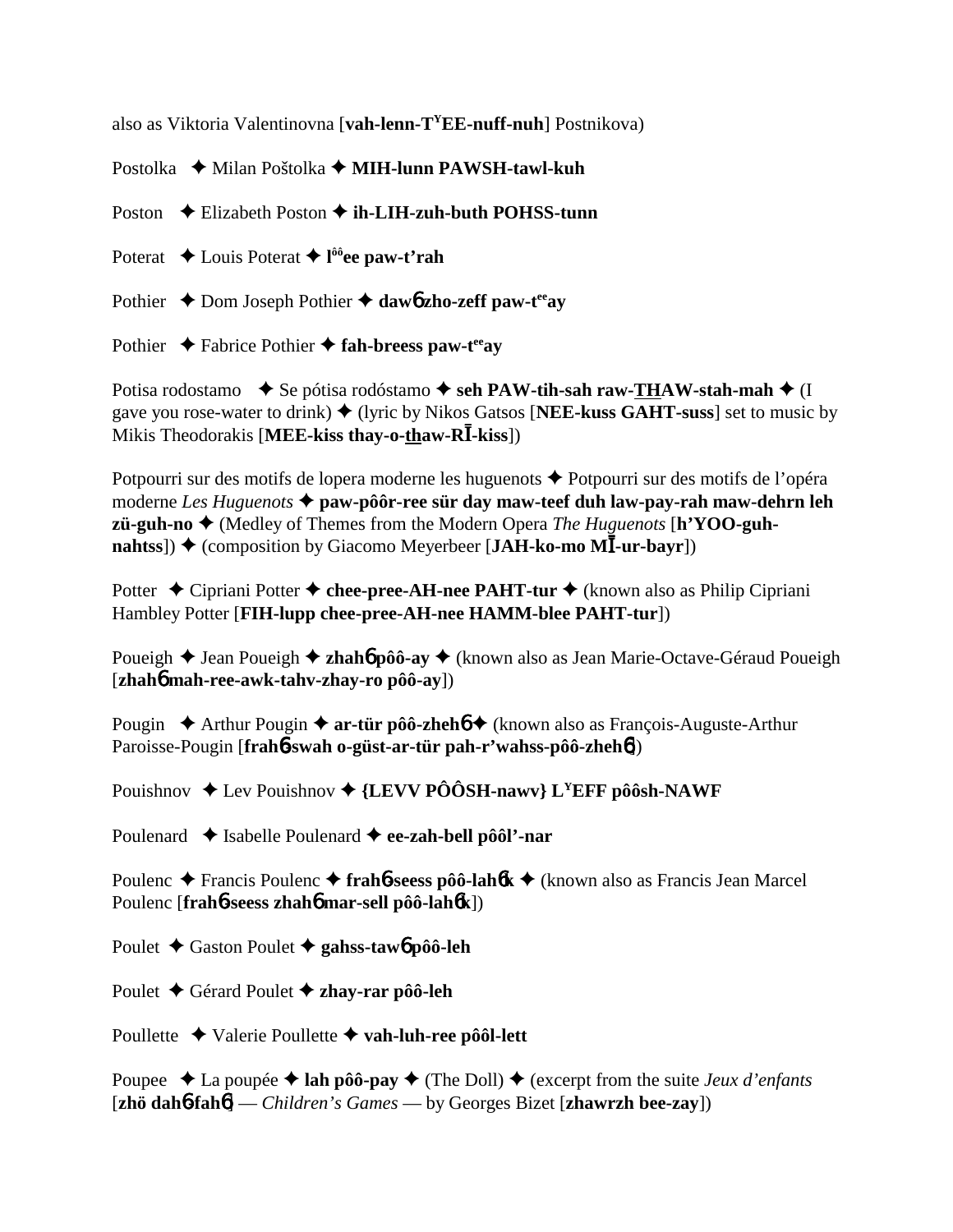also as Viktoria Valentinovna [**vah-lenn-TYEE-nuff-nuh**] Postnikova)

Postolka  **←** Milan Poštolka ← **MIH-lunn PAWSH-tawl-kuh** 

Poston  $\triangle$  Elizabeth Poston  $\triangle$  **ih-LIH-zuh-buth POHSS-tunn** 

Poterat **↓** Louis Poterat **✦ l<sup>ôô</sup>ee paw-t'rah** 

Pothier  $\triangle$  Dom Joseph Pothier  $\triangle$  daw6 zho-zeff paw-t<sup>ee</sup>ay

Pothier  $\rightarrow$  Fabrice Pothier  $\rightarrow$  fah-breess paw-t<sup>ee</sup>ay

Potisa rodostamo  $\blacklozenge$  Se pótisa rodóstamo  $\blacklozenge$  seh PAW-tih-sah raw-THAW-stah-mah  $\blacklozenge$  (I gave you rose-water to drink)  $\triangleq$  (lyric by Nikos Gatsos [NEE-kuss GAHT-suss] set to music by Mikis Theodorakis [MEE-kiss thay-o-thaw-RI-kiss])

Potpourri sur des motifs de lopera moderne les huguenots  $\triangle$  Potpourri sur des motifs de l'opéra moderne *Les Huguenots* **paw-pôôr-ree sür day maw-teef duh law-pay-rah maw-dehrn leh zü-guh-no** (Medley of Themes from the Modern Opera *The Huguenots* [**h'YOO-guhnahtss**]) ◆ (composition by Giacomo Meyerbeer [JAH-ko-mo MI ur-bayr])

Potter **←** Cipriani Potter ← chee-pree-AH-nee PAHT-tur ← (known also as Philip Cipriani Hambley Potter [**FIH-lupp chee-pree-AH-nee HAMM-blee PAHT-tur**])

Poueigh **→** Jean Poueigh **→ zhahó pôô-ay** → (known also as Jean Marie-Octave-Géraud Poueigh [**zhah**6 **mah-ree-awk-tahv-zhay-ro pôô-ay**])

Pougin ◆ Arthur Pougin ◆ **ar-tür pôô-zheh6 ◆** (known also as François-Auguste-Arthur Paroisse-Pougin [**frah**6**-swah o-güst-ar-tür pah-r'wahss-pôô-zheh**6])

Pouishnov  $\triangle$  Lev Pouishnov  $\triangle$  {LEVV PÔÔSH-nawv} L<sup>Y</sup>EFF pôôsh-NAWF

Poulenard ◆ Isabelle Poulenard ◆ ee-zah-bell pôôl'-nar

Poulenc Francis Poulenc **frah**6**-seess pôô-lah**6**k** (known also as Francis Jean Marcel Poulenc [**frah**6**-seess zhah**6 **mar-sell pôô-lah**6**k**])

Poulet Gaston Poulet **gahss-taw**6 **pôô-leh**

Poulet Gérard Poulet **zhay-rar pôô-leh**

Poullette Valerie Poullette **vah-luh-ree pôôl-lett**

Poupee  $\triangle$  La poupée  $\triangle$  **lah pôô-pay**  $\triangle$  (The Doll)  $\triangle$  (excerpt from the suite *Jeux d'enfants* [**zhö dah**6**-fah**6] — *Children's Games* — by Georges Bizet [**zhawrzh bee-zay**])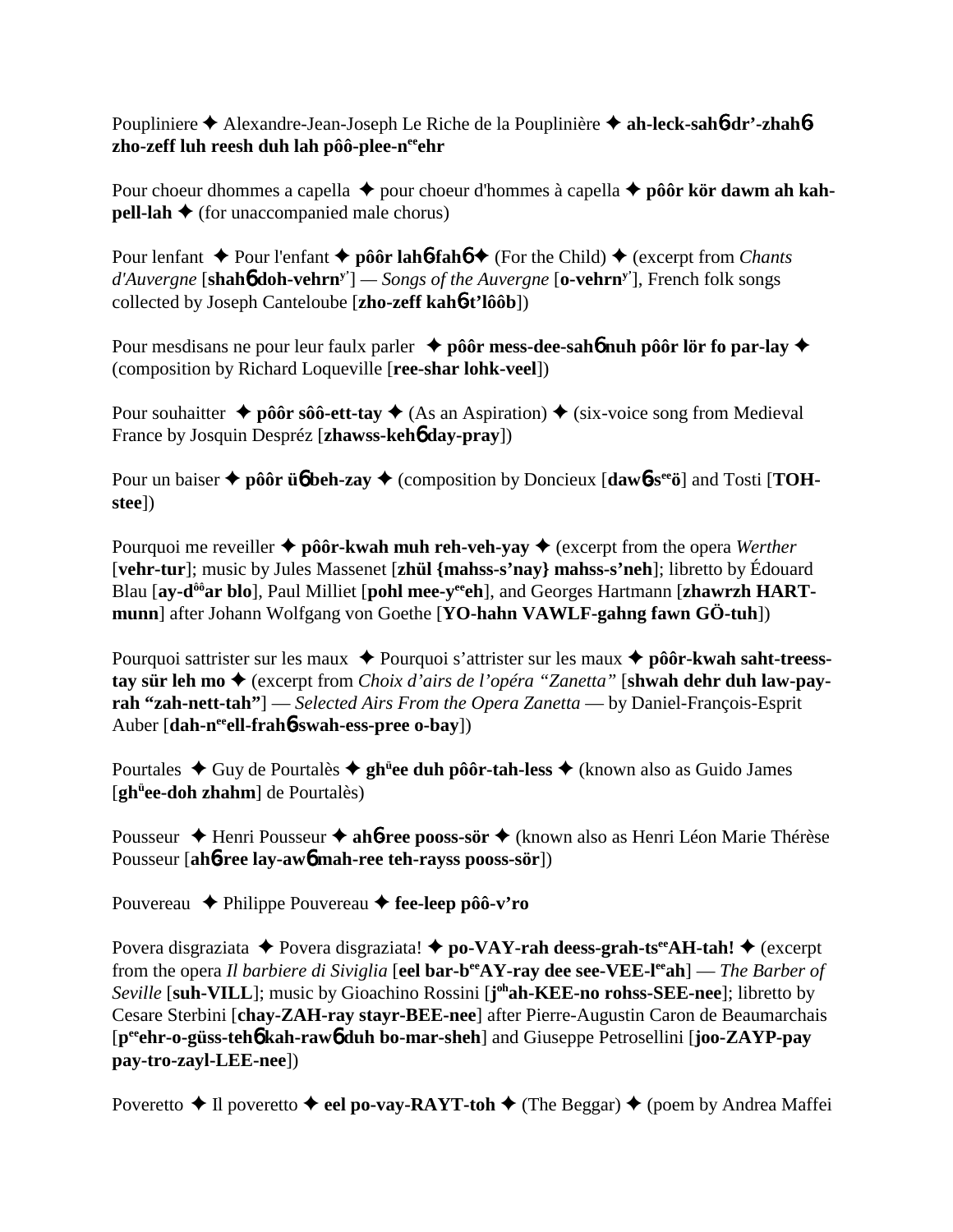Poupliniere **→** Alexandre-Jean-Joseph Le Riche de la Pouplinière → ah-leck-sah**6-dr'-zhah6** zho-zeff luh reesh duh lah pôô-plee-n<sup>ee</sup>ehr

Pour choeur dhommes a capella  $\triangle$  pour choeur d'hommes à capella  $\triangle$  pôôr kör dawm ah kah**pell-lah**  $\triangle$  (for unaccompanied male chorus)

Pour lenfant **→** Pour l'enfant **→ pôôr lah<sup>6</sup>-fah<sup>6</sup> →** (For the Child) → (excerpt from *Chants d'Auvergne* [**shah**6 **doh-vehrny'**] *— Songs of the Auvergne* [**o-vehrny'**], French folk songs collected by Joseph Canteloube [**zho-zeff kah**6**-t'lôôb**])

Pour mesdisans ne pour leur faulx parler **→ pôôr mess-dee-sah6 nuh pôôr lör fo par-lay →** (composition by Richard Loqueville [**ree-shar lohk-veel**])

Pour souhaitter  $\triangle$  pôôr sôô-ett-tay  $\triangle$  (As an Aspiration)  $\triangle$  (six-voice song from Medieval France by Josquin Despréz [**zhawss-keh**6 **day-pray**])

Pour un baiser  $\triangle$  pôôr ü**6** beh-zay  $\triangle$  (composition by Doncieux  $\text{[daw6-s}^{\text{ee}}\ddot{o}\text{]}$ ) and Tosti  $\text{TOH}$ **stee**])

Pourquoi me reveiller  $\triangle$  pôôr-kwah muh reh-veh-yay  $\triangle$  (excerpt from the opera *Werther* [**vehr-tur**]; music by Jules Massenet [**zhül {mahss-s'nay} mahss-s'neh**]; libretto by Édouard Blau [av-d<sup>ôô</sup>ar blo], Paul Milliet [pohl mee-v<sup>ee</sup>eh], and Georges Hartmann [zhawrzh HART**munn**] after Johann Wolfgang von Goethe [**YO-hahn VAWLF-gahng fawn GÖ-tuh**])

Pourquoi sattrister sur les maux  $\triangle$  Pourquoi s'attrister sur les maux  $\triangle$  **pôôr-kwah saht-treesstay sür leh mo ♦** (excerpt from *Choix d'airs de l'opéra "Zanetta"* [shwah dehr duh law-pay**rah "zah-nett-tah"**] — *Selected Airs From the Opera Zanetta* — by Daniel-François-Esprit Auber [**dah-neeell-frah**6**-swah-ess-pree o-bay**])

Pourtales ◆ Guy de Pourtalès ◆ gh<sup>ü</sup>ee duh pôôr-tah-less ◆ (known also as Guido James [**ghü ee-doh zhahm**] de Pourtalès)

Pousseur ◆ Henri Pousseur ◆ ah**6-ree pooss-sör** ◆ (known also as Henri Léon Marie Thérèse Pousseur [**ah**6**-ree lay-aw**6 **mah-ree teh-rayss pooss-sör**])

Pouvereau **←** Philippe Pouvereau ← fee-leep pôô-v'ro

Povera disgraziata  $\triangle$  Povera disgraziata!  $\triangle$  po-VAY-rah deess-grah-ts<sup>ee</sup>AH-tah!  $\triangle$  (excerpt from the opera *Il barbiere di Siviglia* [**eel bar-beeAY-ray dee see-VEE-leeah**] — *The Barber of Seville* [**suh-VILL**]; music by Gioachino Rossini [**j ohah-KEE-no rohss-SEE-nee**]; libretto by Cesare Sterbini [**chay-ZAH-ray stayr-BEE-nee**] after Pierre-Augustin Caron de Beaumarchais [**peeehr-o-güss-teh**6 **kah-raw**6 **duh bo-mar-sheh**] and Giuseppe Petrosellini [**joo-ZAYP-pay pay-tro-zayl-LEE-nee**])

Poveretto  $\triangle$  Il poveretto  $\triangle$  eel po-vay-RAYT-toh  $\triangle$  (The Beggar)  $\triangle$  (poem by Andrea Maffei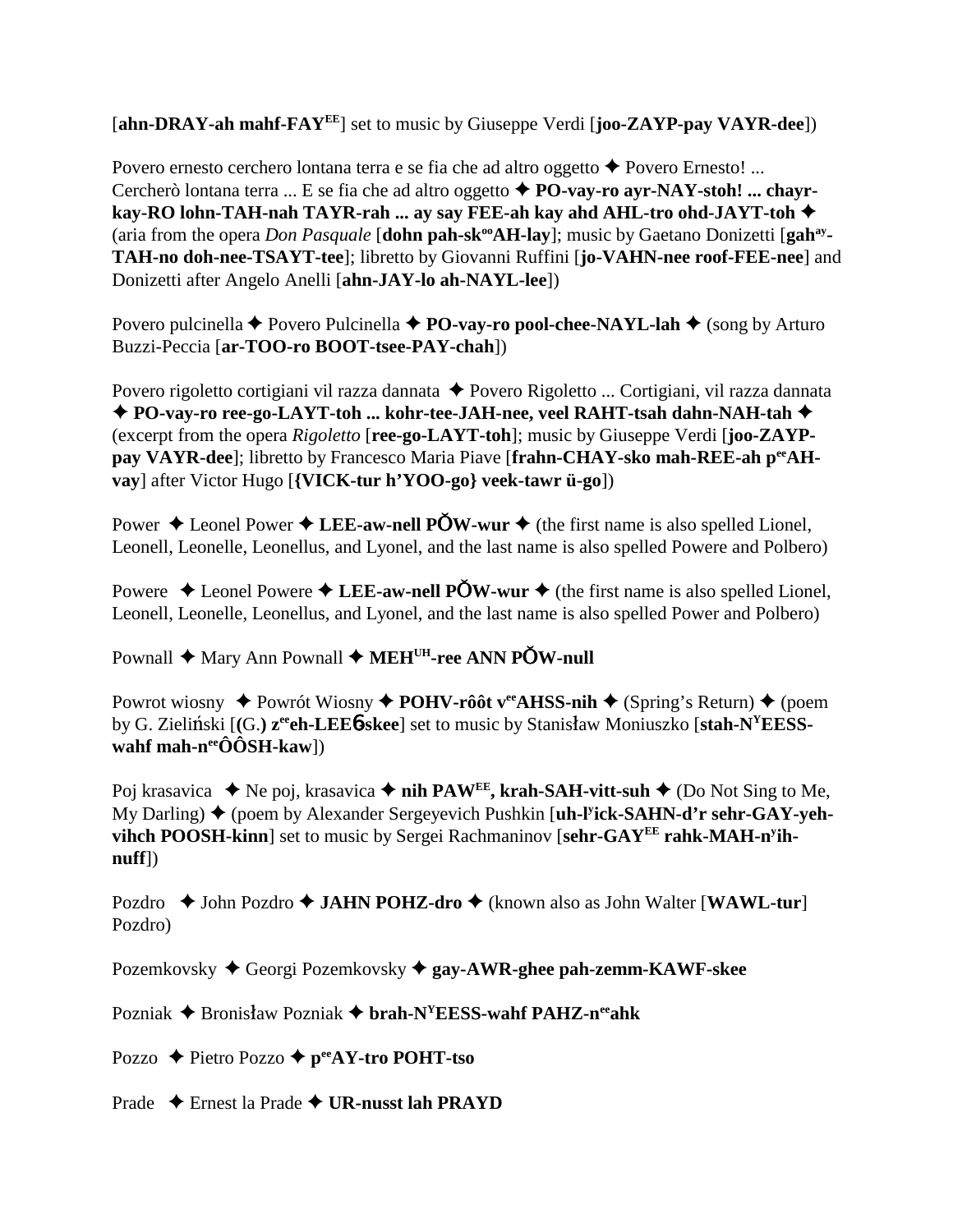[**ahn-DRAY-ah mahf-FAYEE**] set to music by Giuseppe Verdi [**joo-ZAYP-pay VAYR-dee**])

Povero ernesto cerchero lontana terra e se fia che ad altro oggetto ◆ Povero Ernesto! ... Cercherò lontana terra ... E se fia che ad altro oggetto  $\triangle$  **PO-vav-ro avr-NAY-stoh! ... chavrkay-RO lohn-TAH-nah TAYR-rah ... ay say FEE-ah kay ahd AHL-tro ohd-JAYT-toh** (aria from the opera *Don Pasquale* [dohn pah-sk<sup>oo</sup>AH-lay]; music by Gaetano Donizetti [gah<sup>ay</sup>-**TAH-no doh-nee-TSAYT-tee**]; libretto by Giovanni Ruffini [**jo-VAHN-nee roof-FEE-nee**] and Donizetti after Angelo Anelli [**ahn-JAY-lo ah-NAYL-lee**])

Povero pulcinella **←** Povero Pulcinella **← PO-vay-ro pool-chee-NAYL-lah ←** (song by Arturo Buzzi-Peccia [**ar-TOO-ro BOOT-tsee-PAY-chah**])

Povero rigoletto cortigiani vil razza dannata ◆ Povero Rigoletto ... Cortigiani, vil razza dannata **PO-vay-ro ree-go-LAYT-toh ... kohr-tee-JAH-nee, veel RAHT-tsah dahn-NAH-tah** (excerpt from the opera *Rigoletto* [**ree-go-LAYT-toh**]; music by Giuseppe Verdi [**joo-ZAYP**pay VAYR-dee]; libretto by Francesco Maria Piave [frahn-CHAY-sko mah-REE-ah p<sup>ee</sup>AH**vay**] after Victor Hugo [**{VICK-tur h'YOO-go} veek-tawr ü-go**])

Power  $\triangle$  Leonel Power  $\triangle$  LEE-aw-nell POW-wur  $\triangle$  (the first name is also spelled Lionel, Leonell, Leonelle, Leonellus, and Lyonel, and the last name is also spelled Powere and Polbero)

Powere  $\triangle$  Leonel Powere  $\triangle$  LEE-aw-nell POW-wur  $\triangle$  (the first name is also spelled Lionel, Leonell, Leonelle, Leonellus, and Lyonel, and the last name is also spelled Power and Polbero)

Pownall ◆ Mary Ann Pownall ◆ MEH<sup>UH</sup>-ree ANN POW-null

Powrot wiosny  $\triangle$  Powrót Wiosny  $\triangle$  **POHV-rôôt v<sup>ee</sup>AHSS-nih**  $\triangle$  (Spring's Return)  $\triangle$  (poem by G. Zieliński  $[(G. z<sup>ee</sup>eh-LEE<sup>6</sup>-skee]$  set to music by Stanisław Moniuszko [stah-N<sup>Y</sup>EESS**wahf mah-n<sup>ee</sup>ÔÔSH-kaw**])

Poj krasavica ◆ Ne poj, krasavica ◆ nih PAW<sup>EE</sup>, krah-SAH-vitt-suh ◆ (Do Not Sing to Me, My Darling) ◆ (poem by Alexander Sergeyevich Pushkin [**uh-l<sup>y</sup>ick-SAHN-d'r sehr-GAY-yehvihch POOSH-kinn**] set to music by Sergei Rachmaninov [**sehr-GAYEE rahk-MAH-ny ihnuff**])

Pozdro ◆ John Pozdro ◆ **JAHN POHZ-dro** ◆ (known also as John Walter [**WAWL-tur**] Pozdro)

Pozemkovsky Georgi Pozemkovsky **gay-AWR-ghee pah-zemm-KAWF-skee**

Pozniak **→** Bronisław Pozniak → brah-N<sup>Y</sup>EESS-wahf PAHZ-n<sup>ee</sup>ahk

Pozzo ◆ Pietro Pozzo **◆ p<sup>ee</sup>AY-tro POHT-tso** 

Prade Ernest la Prade **UR-nusst lah PRAYD**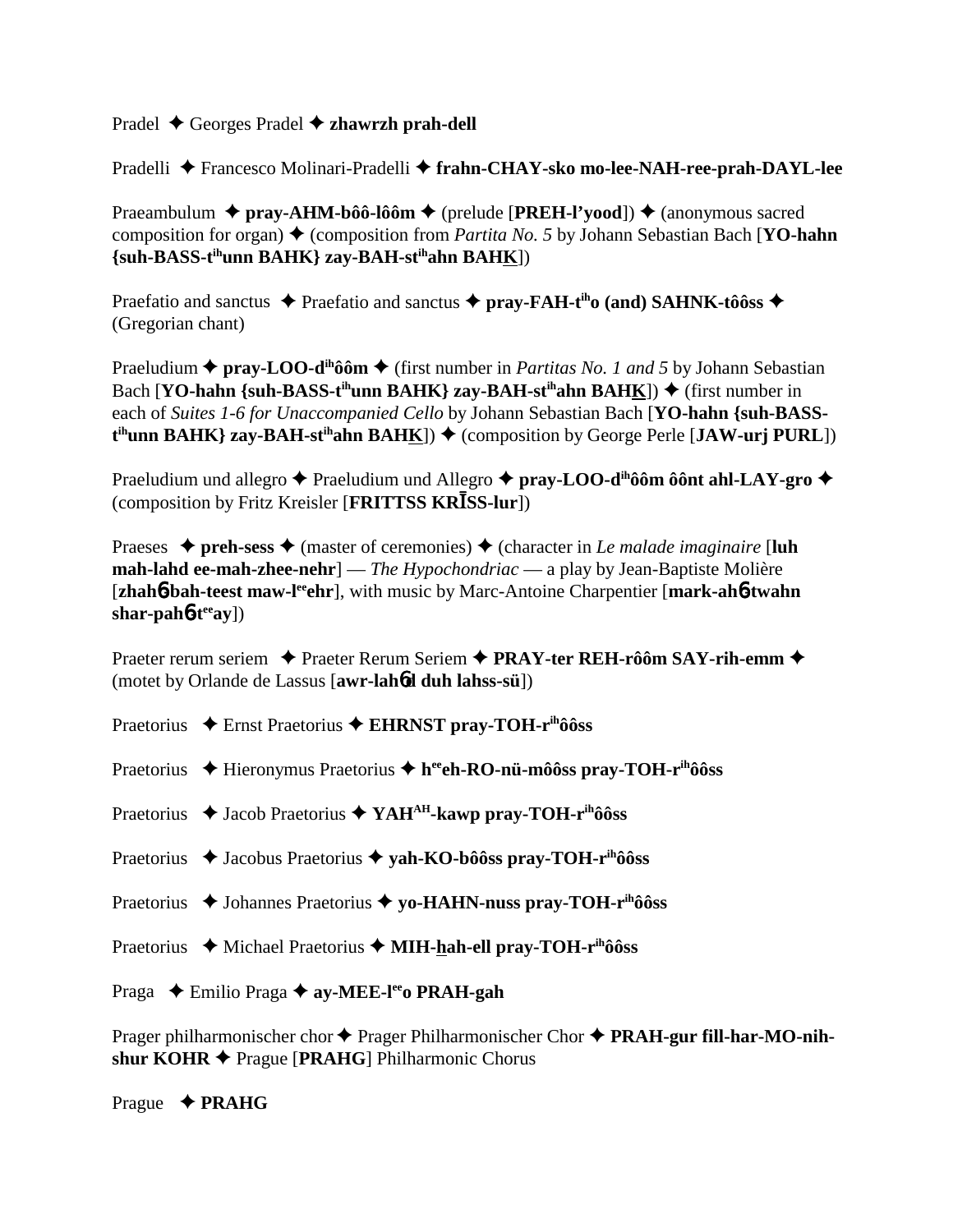## Pradel Georges Pradel **zhawrzh prah-dell**

Pradelli Francesco Molinari-Pradelli **frahn-CHAY-sko mo-lee-NAH-ree-prah-DAYL-lee**

Praeambulum ◆ pray-AHM-bôô-lôôm ◆ (prelude [PREH-l'yood]) ◆ (anonymous sacred composition for organ) (composition from *Partita No. 5* by Johann Sebastian Bach [**YO-hahn {suh-BASS-tihunn BAHK} zay-BAH-stihahn BAHK**])

Praefatio and sanctus  $\blacklozenge$  Praefatio and sanctus  $\blacklozenge$  **pray-FAH-t<sup>ih</sup>o (and) SAHNK-tôôss**  $\blacklozenge$ (Gregorian chant)

Praeludium  $\triangle$  pray-LOO-d<sup>ih</sup>ôôm  $\triangle$  (first number in *Partitas No. 1 and 5* by Johann Sebastian Bach  $[YO\text{-}hahn \{sub-BASS-t<sup>ih</sup>unn BAHK}\$  zay-BAH-st<sup>ih</sup>ahn BAHK $]$ )  $\blacklozenge$  (first number in each of *Suites 1-6 for Unaccompanied Cello* by Johann Sebastian Bach [**YO-hahn {suh-BASSt<sup>ih</sup>unn BAHK} zay-BAH-st<sup>ih</sup>ahn BAH<u>K</u>]) → (composition by George Perle [JAW-urj PURL])** 

Praeludium und allegro **→** Praeludium und Allegro **→ pray-LOO-d<sup>ih</sup>ôôm ôônt ahl-LAY-gro →** (composition by Fritz Kreisler [FRITTSS KRISS-lur])

Praeses  $\triangle$  preh-sess  $\triangle$  (master of ceremonies)  $\triangle$  (character in *Le malade imaginaire* [luh **mah-lahd ee-mah-zhee-nehr**] — *The Hypochondriac* — a play by Jean-Baptiste Molière [**zhah<sup>6</sup>-bah-teest maw-l<sup>ee</sup>ghr**], with music by Marc-Antoine Charpentier [**mark-ah<sup>6</sup>-twahn**] shar-pah**6**-t<sup>ee</sup>ay])

Praeter rerum seriem ◆ Praeter Rerum Seriem ◆ PRAY-ter REH-rôôm SAY-rih-emm ◆ (motet by Orlande de Lassus [**awr-lah**6**d duh lahss-sü**])

- Praetorius ◆ Ernst Praetorius ◆ EHRNST pray-TOH-r<sup>ih</sup>ôôss
- Praetorius ◆ Hieronymus Praetorius ◆ h<sup>ee</sup>eh-RO-nü-môôss pray-TOH-r<sup>ih</sup>ôôss
- Praetorius **→** Jacob Praetorius ◆ YAH<sup>AH</sup>-kawp pray-TOH-r<sup>ih</sup>ôôss
- Praetorius ◆ Jacobus Praetorius ◆ yah-KO-bôôss pray-TOH-r<sup>ih</sup>ôôss
- Praetorius ◆ Johannes Praetorius ◆ yo-HAHN-nuss pray-TOH-r<sup>ih</sup>ôôss
- Praetorius ◆ Michael Praetorius ◆ MIH-hah-ell pray-TOH-r<sup>ih</sup>ôôss

Praga  **←** Emilio Praga ← ay-MEE-lee **PRAH-gah** 

Prager philharmonischer chor ♦ Prager Philharmonischer Chor ♦ **PRAH-gur fill-har-MO-nih**shur KOHR **◆** Prague [PRAHG] Philharmonic Chorus

Prague **PRAHG**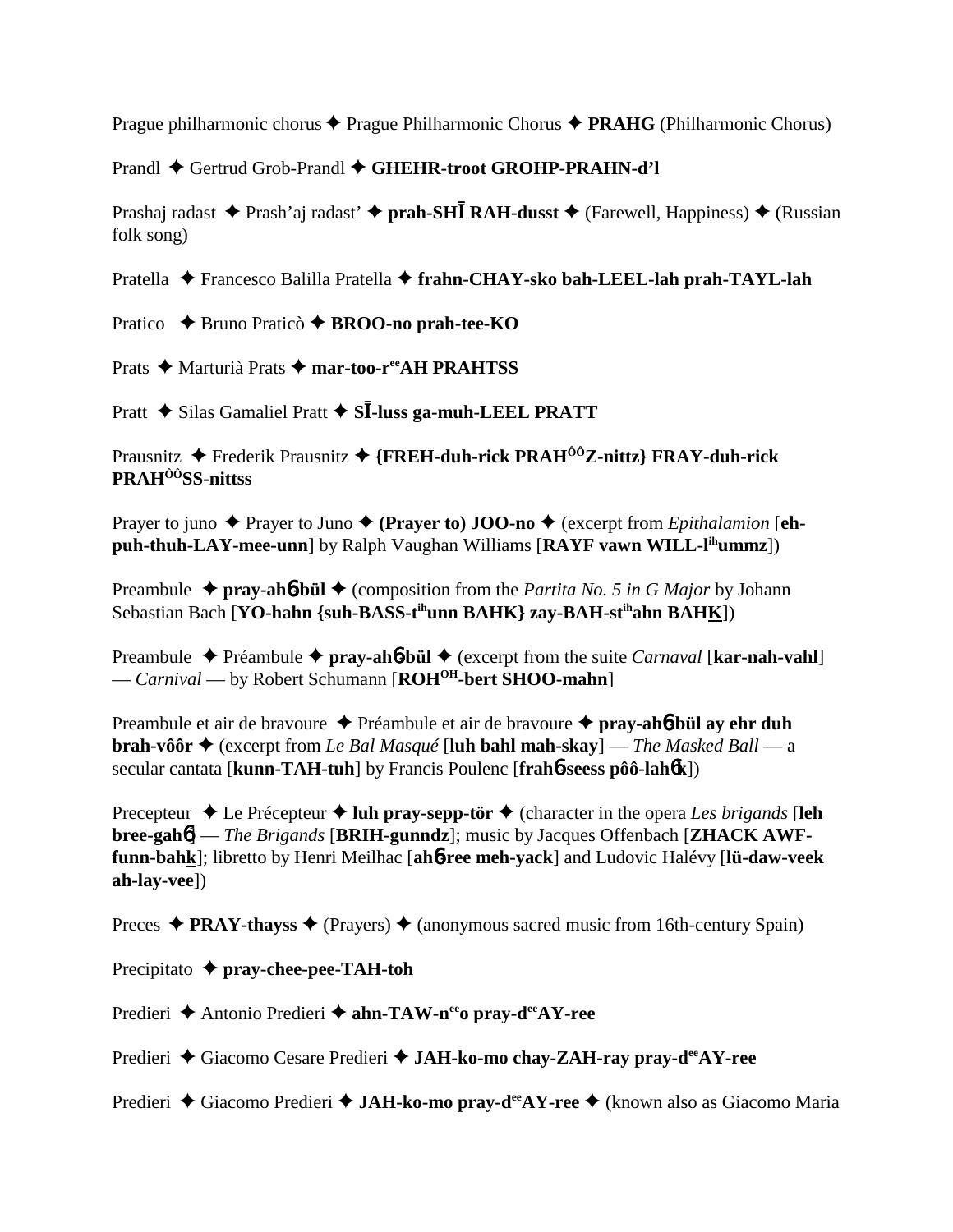Prague philharmonic chorus **◆** Prague Philharmonic Chorus ◆ **PRAHG** (Philharmonic Chorus)

Prandl ◆ Gertrud Grob-Prandl ◆ GHEHR-troot GROHP-PRAHN-d'l

Prashaj radast ◆ Prash'aj radast' ◆ prah-SH**I** RAH-dusst ◆ (Farewell, Happiness) ◆ (Russian folk song)

Pratella Francesco Balilla Pratella **frahn-CHAY-sko bah-LEEL-lah prah-TAYL-lah**

Pratico **→** Bruno Praticò → **BROO-no prah-tee-KO** 

Prats ◆ Marturià Prats ◆ mar-too-r<sup>ee</sup>AH PRAHTSS

Pratt ◆ Silas Gamaliel Pratt ◆ S**I-luss ga-muh-LEEL PRATT** 

Prausnitz Frederik Prausnitz **{FREH-duh-rick PRAHÔÔZ-nittz} FRAY-duh-rick PRAHÔÔSS-nittss**

Prayer to juno  $\triangle$  Prayer to Juno  $\triangle$  (Prayer to) **JOO-no**  $\triangle$  (excerpt from *Epithalamion* [eh**puh-thuh-LAY-mee-unn**] by Ralph Vaughan Williams [RAYF vawn WILL-l<sup>ih</sup>ummz])

Preambule  $\triangleq$  pray-ah**6**-bül  $\triangleq$  (composition from the *Partita No. 5 in G Major* by Johann Sebastian Bach [**YO-hahn {suh-BASS-tihunn BAHK} zay-BAH-stihahn BAHK**])

Preambule Préambule **pray-ah**6**-bül** (excerpt from the suite *Carnaval* [**kar-nah-vahl**] — *Carnival* — by Robert Schumann [**ROHOH-bert SHOO-mahn**]

Preambule et air de bravoure Préambule et air de bravoure **pray-ah**6**-bül ay ehr duh brah-vôôr ♦** (excerpt from *Le Bal Masqué* [**luh bahl mah-skay**] — *The Masked Ball* — a secular cantata [**kunn-TAH-tuh**] by Francis Poulenc [**frah**6**-seess pôô-lah**6**k**])

Precepteur  $\triangle$  Le Précepteur  $\triangle$  **luh pray-sepp-tör**  $\triangle$  (character in the opera *Les brigands* [**leh bree-gah**6] — *The Brigands* [**BRIH-gunndz**]; music by Jacques Offenbach [**ZHACK AWFfunn-bahk**]; libretto by Henri Meilhac [**ah**6**-ree meh-yack**] and Ludovic Halévy [**lü-daw-veek ah-lay-vee**])

Preces  $\triangle$  **PRAY-thayss**  $\triangle$  (Prayers)  $\triangle$  (anonymous sacred music from 16th-century Spain)

Precipitato **pray-chee-pee-TAH-toh**

Predieri **→** Antonio Predieri → ahn-TAW-n<sup>ee</sup>o pray-d<sup>ee</sup>AY-ree

Predieri ◆ Giacomo Cesare Predieri ◆ **JAH-ko-mo chay-ZAH-ray pray-d<sup>ee</sup>AY-ree** 

Predieri ◆ Giacomo Predieri ◆ **JAH-ko-mo pray-d<sup>ee</sup>AY-ree** ◆ (known also as Giacomo Maria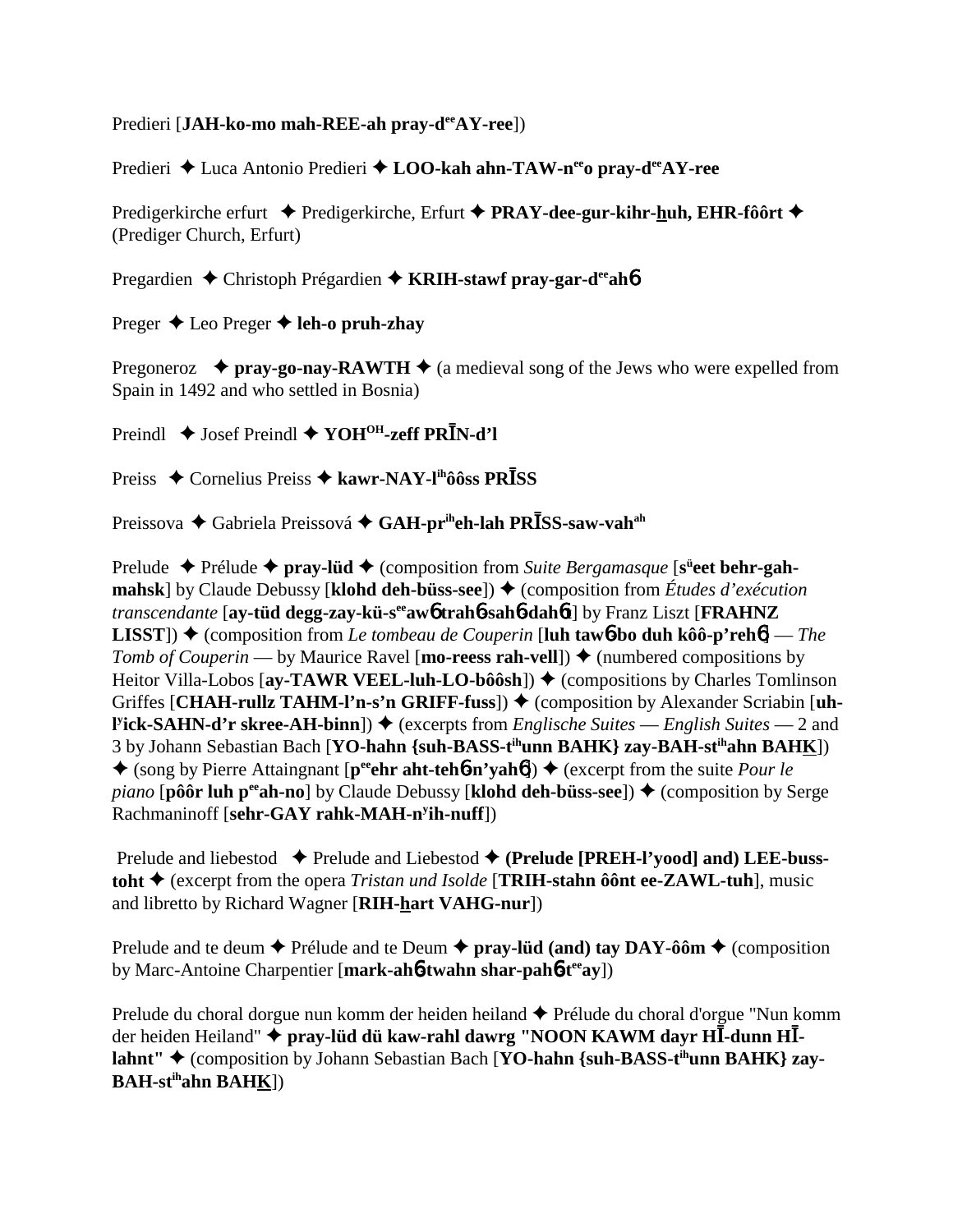## Predieri [JA**H-ko-mo mah-REE-ah pray-d<sup>ee</sup>AY-ree**])

Predieri ◆ Luca Antonio Predieri ◆ LOO-kah ahn-TAW-n<sup>ee</sup>o pray-d<sup>ee</sup>AY-ree

Predigerkirche erfurt ◆ Predigerkirche, Erfurt ◆ PRAY-dee-gur-kihr-huh, EHR-fôôrt ◆ (Prediger Church, Erfurt)

Pregardien **←** Christoph Prégardien ← **KRIH-stawf pray-gar-d<sup>ee</sup>ah**6

Preger **→** Leo Preger **→ leh-o pruh-zhay** 

Pregoneroz  $\rightarrow$  pray-go-nay-RAWTH  $\rightarrow$  (a medieval song of the Jews who were expelled from Spain in 1492 and who settled in Bosnia)

Preindl ◆ Josef Preindl ◆ YOH<sup>OH</sup>-zeff PR<sup>I</sup>N-d'l

Preiss ◆ Cornelius Preiss ◆ kawr-NAY-l<sup>ih</sup>ôôss PR**I**SS

Preissova ◆ Gabriela Preissová ◆ **GAH-pr<sup>ih</sup>eh-lah PRĪSS-saw-vah<sup>ah</sup>** 

Prelude ◆ Prélude ◆ pray-lüd ◆ (composition from *Suite Bergamasque* [s<sup>ü</sup>eet behr-gah**mahsk**] by Claude Debussy [**klohd deh-büss-see**])  $\triangle$  (composition from *Études d'exécution transcendante* [**ay-tüd degg-zay-kü-seeaw**6 **trah**6**-sah**6**-dah**6**t**] by Franz Liszt [**FRAHNZ LISST**)  $\triangle$  (composition from *Le tombeau de Couperin* [**luh taw6-bo duh kôô-p'reh6**] — *The Tomb of Couperin* — by Maurice Ravel [**mo-reess rah-vell**])  $\triangle$  (numbered compositions by Heitor Villa-Lobos [**ay-TAWR VEEL-luh-LO-bôôsh**]) ♦ (compositions by Charles Tomlinson Griffes [CHAH-rullz TAHM-l'n-s'n GRIFF-fuss])  $\blacklozenge$  (composition by Alexander Scriabin [uh-**Pick-SAHN-d'r skree-AH-binn**]) ◆ (excerpts from *Englische Suites* — *English Suites* — 2 and 3 by Johann Sebastian Bach [**YO-hahn {suh-BASS-tihunn BAHK} zay-BAH-stihahn BAHK**])  $\bullet$  (song by Pierre Attaingnant [p<sup>ee</sup>ehr aht-teh**6-n'yah6**])  $\bullet$  (excerpt from the suite *Pour le piano* [**pôôr luh p<sup>ee</sup>ah-no**] by Claude Debussy [**klohd deh-büss-see**])  $\triangle$  (composition by Serge Rachmaninoff [**sehr-GAY rahk-MAH-ny ih-nuff**])

Prelude and liebestod **→** Prelude and Liebestod ◆ (Prelude [PREH-l'yood] and) LEE-buss**toht** (excerpt from the opera *Tristan und Isolde* [**TRIH-stahn ôônt ee-ZAWL-tuh**], music and libretto by Richard Wagner [**RIH-hart VAHG-nur**])

Prelude and te deum  $\triangle$  Prélude and te Deum  $\triangle$  pray-lüd (and) tay DAY-ôôm  $\triangle$  (composition by Marc-Antoine Charpentier [**mark-ah**6**-twahn shar-pah**6**-teeay**])

Prelude du choral dorgue nun komm der heiden heiland ◆ Prélude du choral d'orgue "Nun komm der heiden Heiland" �� **pray-lüd dü kaw-rahl dawrg ''NOON KAWM dayr HĪ-dunn HĪ**lahnt" ♦ (composition by Johann Sebastian Bach [**YO-hahn** {suh-BASS-t<sup>ih</sup>unn BAHK} zay-**BAH-stihahn BAHK**])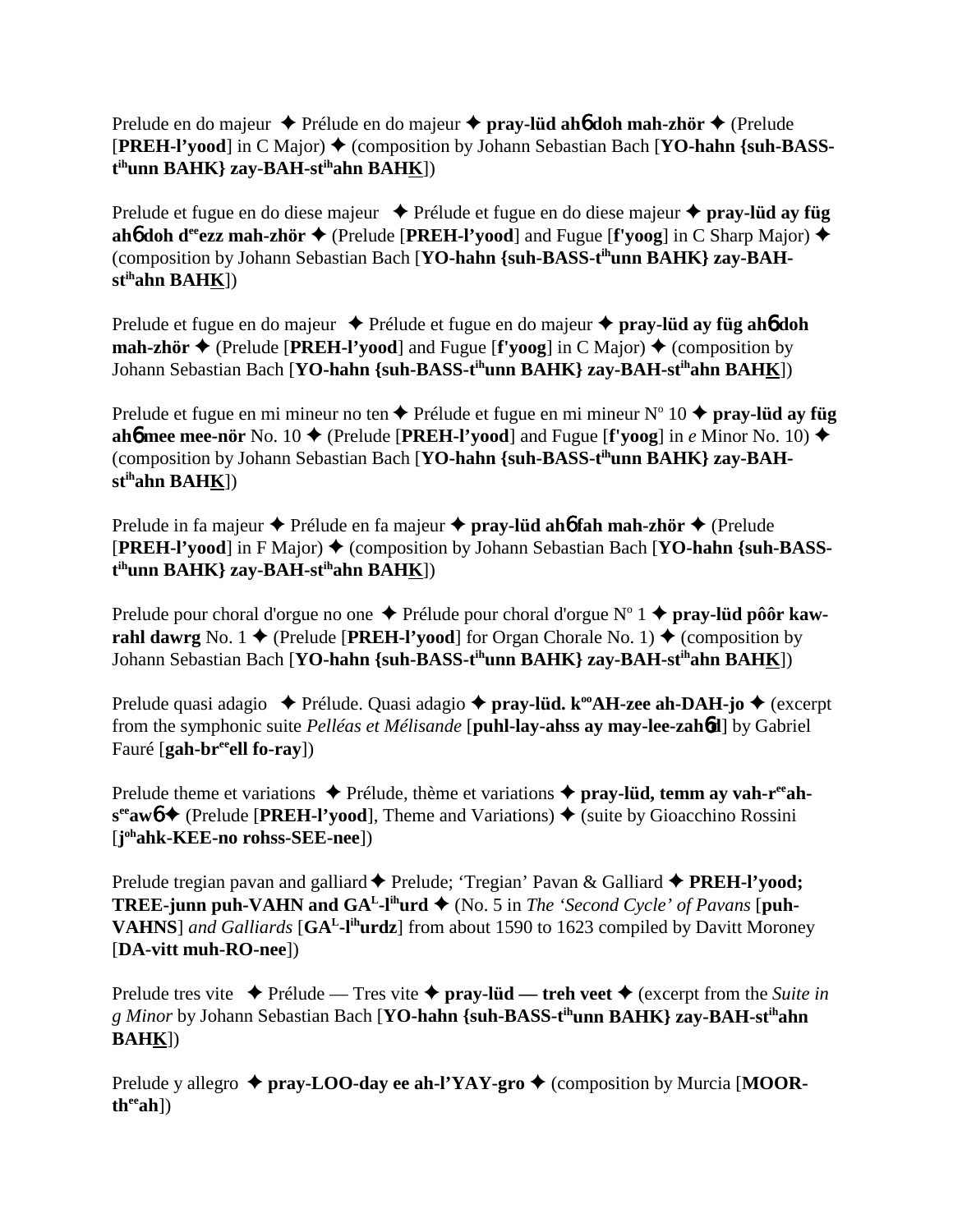Prelude en do majeur Prélude en do majeur **pray-lüd ah**6 **doh mah-zhör** (Prelude **[PREH-l'vood**] in C Major)  $\blacklozenge$  (composition by Johann Sebastian Bach [YO-hahn {suh-BASS-] **t ihunn BAHK} zay-BAH-stihahn BAHK**])

Prelude et fugue en do diese majeur **→** Prélude et fugue en do diese majeur ◆ **pray-lüd ay füg ah6** doh d<sup>ee</sup>ezz mah-zhör  $\triangle$  (Prelude [PREH-l'yood] and Fugue [f'yoog] in C Sharp Major)  $\triangle$ (composition by Johann Sebastian Bach [**YO-hahn {suh-BASS-tihunn BAHK} zay-BAHstihahn BAHK**])

Prelude et fugue en do majeur Prélude et fugue en do majeur **pray-lüd ay füg ah**6 **doh mah-zhör**  $\blacklozenge$  (Prelude [**PREH-l'yood**] and Fugue [**f'yoog**] in C Major)  $\blacklozenge$  (composition by Johann Sebastian Bach [**YO-hahn {suh-BASS-tihunn BAHK} zay-BAH-stihahn BAHK**])

Prelude et fugue en mi mineur no ten ◆ Prélude et fugue en mi mineur N° 10 ◆ **pray-lüd ay füg ah6** mee mee-nör No. 10  $\blacklozenge$  (Prelude [PREH-l'yood] and Fugue [f'yoog] in *e* Minor No. 10)  $\blacklozenge$ (composition by Johann Sebastian Bach [**YO-hahn {suh-BASS-tihunn BAHK} zay-BAHstihahn BAHK**])

Prelude in fa majeur Prélude en fa majeur **pray-lüd ah**6 **fah mah-zhör** (Prelude **[PREH-l'yood**] in F Major)  $\blacklozenge$  (composition by Johann Sebastian Bach [YO-hahn {suh-BASS**t ihunn BAHK} zay-BAH-stihahn BAHK**])

Prelude pour choral d'orgue no one ◆ Prélude pour choral d'orgue N° 1 ◆ **pray-lüd pôôr kawrahl dawrg** No. 1  $\blacklozenge$  (Prelude [**PREH-l'vood**] for Organ Chorale No. 1)  $\blacklozenge$  (composition by Johann Sebastian Bach [**YO-hahn {suh-BASS-tihunn BAHK} zay-BAH-stihahn BAHK**])

Prelude quasi adagio ◆ Prélude. Quasi adagio ◆ pray-l**üd. k<sup>oo</sup>AH-zee ah-DAH-jo ◆** (excerpt from the symphonic suite *Pelléas et Mélisande* [**puhl-lay-ahss ay may-lee-zah**6**d**] by Gabriel Fauré [**gah-breeell fo-ray**])

Prelude theme et variations **→** Prélude, thème et variations **→ pray-lüd, temm ay vah-r<sup>ee</sup>ah**s<sup>ee</sup>aw**6 →** (Prelude [**PREH-l'vood**], Theme and Variations) ◆ (suite by Gioacchino Rossini [**j ohahk-KEE-no rohss-SEE-nee**])

Prelude tregian pavan and galliard ♦ Prelude; 'Tregian' Pavan & Galliard ♦ PREH-l'yood; **TREE-junn puh-VAHN and**  $GA<sup>L</sup>$ **-l<sup>ih</sup>urd**  $\blacklozenge$  (No. 5 in *The 'Second Cycle' of Pavans* [puh-**VAHNS**] *and Galliards* [**GAL-lihurdz**] from about 1590 to 1623 compiled by Davitt Moroney [**DA-vitt muh-RO-nee**])

Prelude tres vite  $\triangle$  Prélude — Tres vite  $\triangle$  pray-lüd — treh veet  $\triangle$  (excerpt from the *Suite in g Minor* by Johann Sebastian Bach [**YO-hahn {suh-BASS-tihunn BAHK} zay-BAH-stihahn BAHK**])

Prelude y allegro  $\triangle$  pray-LOO-day ee ah-l'YAY-gro  $\triangle$  (composition by Murcia [MOOR**theeah**])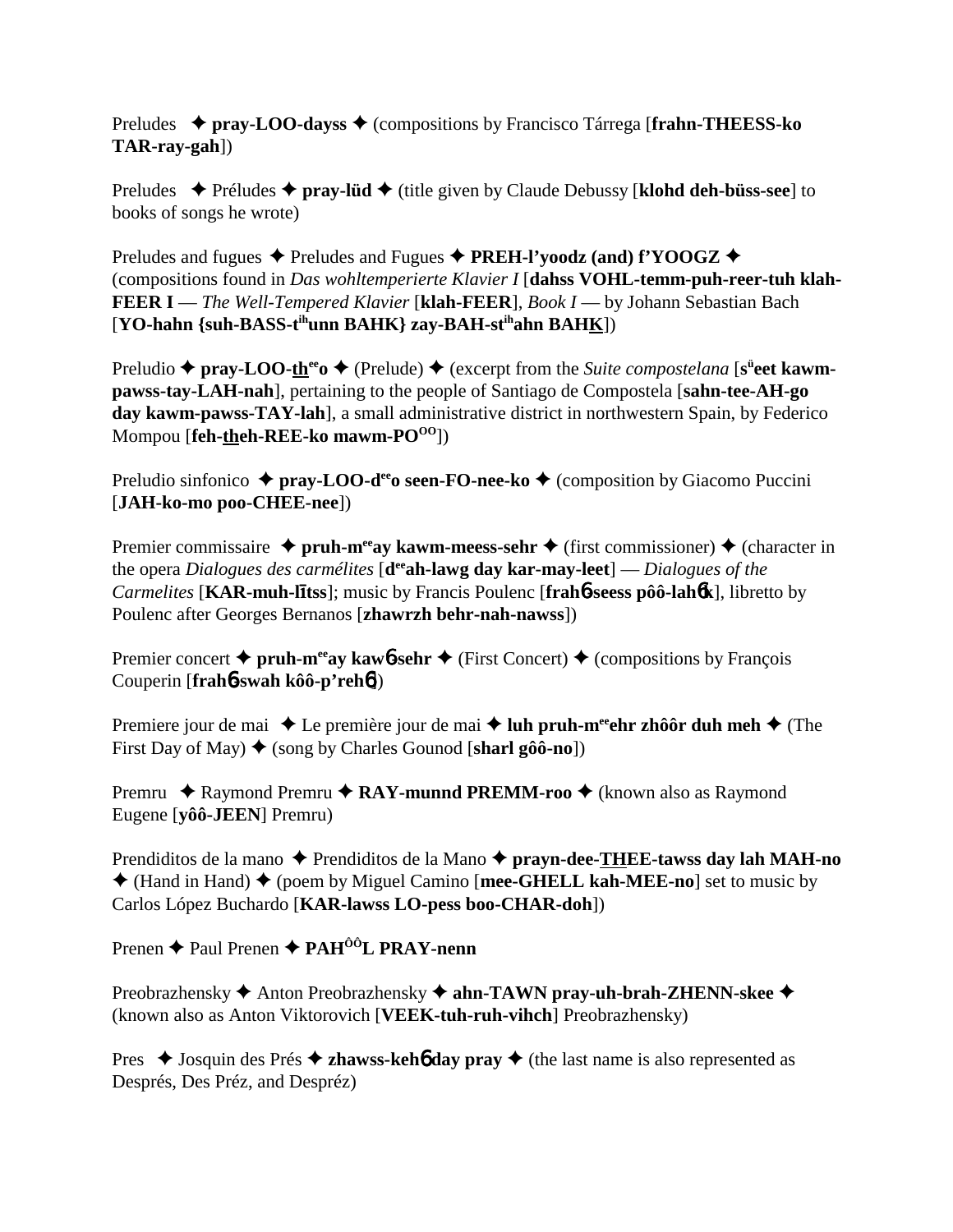Preludes **pray-LOO-dayss** (compositions by Francisco Tárrega [**frahn-THEESS-ko TAR-ray-gah**])

Preludes  $\rightarrow$  Préludes  $\rightarrow$  **pray-lüd**  $\rightarrow$  (title given by Claude Debussy [**klohd deh-büss-see**] to books of songs he wrote)

Preludes and fugues  $\triangle$  Preludes and Fugues  $\triangle$  **PREH-l'yoodz** (and) f'YOOGZ  $\triangle$ (compositions found in *Das wohltemperierte Klavier I* [**dahss VOHL-temm-puh-reer-tuh klah-FEER I** — *The Well-Tempered Klavier* [**klah-FEER**], *Book I* — by Johann Sebastian Bach [**YO-hahn {suh-BASS-tihunn BAHK} zay-BAH-stihahn BAHK**])

Preludio ◆ pray-LOO-the<sup>eo</sup> ◆ (Prelude) ◆ (excerpt from the *Suite compostelana* [s<sup>ü</sup>eet kawm**pawss-tay-LAH-nah**], pertaining to the people of Santiago de Compostela [**sahn-tee-AH-go day kawm-pawss-TAY-lah**], a small administrative district in northwestern Spain, by Federico Mompou [**feh-theh-REE-ko mawm-PO<sup>OO</sup>]**)

Preludio sinfonico  $\triangle$  pray-LOO-d<sup>ee</sup> oseen-FO-nee-ko  $\triangle$  (composition by Giacomo Puccini [**JAH-ko-mo poo-CHEE-nee**])

Premier commissaire  $\triangle$  pruh-m<sup>ee</sup>ay kawm-meess-sehr  $\triangle$  (first commissioner)  $\triangle$  (character in the opera *Dialogues des carmélites* [**deeah-lawg day kar-may-leet**] — *Dialogues of the Carmelites* [**KAR-muh-ltss**]; music by Francis Poulenc [**frah**6**-seess pôô-lah**6**k**], libretto by Poulenc after Georges Bernanos [**zhawrzh behr-nah-nawss**])

Premier concert  $\triangle$  pruh-m<sup>ee</sup>ay kawb-sehr  $\triangle$  (First Concert)  $\triangle$  (compositions by François Couperin [**frah**6**-swah kôô-p'reh**6])

Premiere jour de mai ◆ Le première jour de mai ◆ luh pruh-m<sup>ee</sup>ehr zhôôr duh meh ◆ (The First Day of May)  $\blacklozenge$  (song by Charles Gounod [sharl gôô-no])

Premru ◆ Raymond Premru ◆ RAY-munnd PREMM-roo ◆ (known also as Ravmond Eugene [**yôô-JEEN**] Premru)

Prendiditos de la mano ◆ Prendiditos de la Mano ◆ prayn-dee-THEE-tawss day lah MAH-no (Hand in Hand) (poem by Miguel Camino [**mee-GHELL kah-MEE-no**] set to music by Carlos López Buchardo [**KAR-lawss LO-pess boo-CHAR-doh**])

Prenen **→** Paul Prenen → PAH<sup>ÔÔ</sup>L PRAY-nenn

Preobrazhensky **→** Anton Preobrazhensky → ahn-TAWN pray-uh-brah-ZHENN-skee → (known also as Anton Viktorovich [**VEEK-tuh-ruh-vihch**] Preobrazhensky)

Pres  $\triangle$  Josquin des Prés  $\triangle$  **zhawss-kehô day pray**  $\triangle$  (the last name is also represented as Després, Des Préz, and Despréz)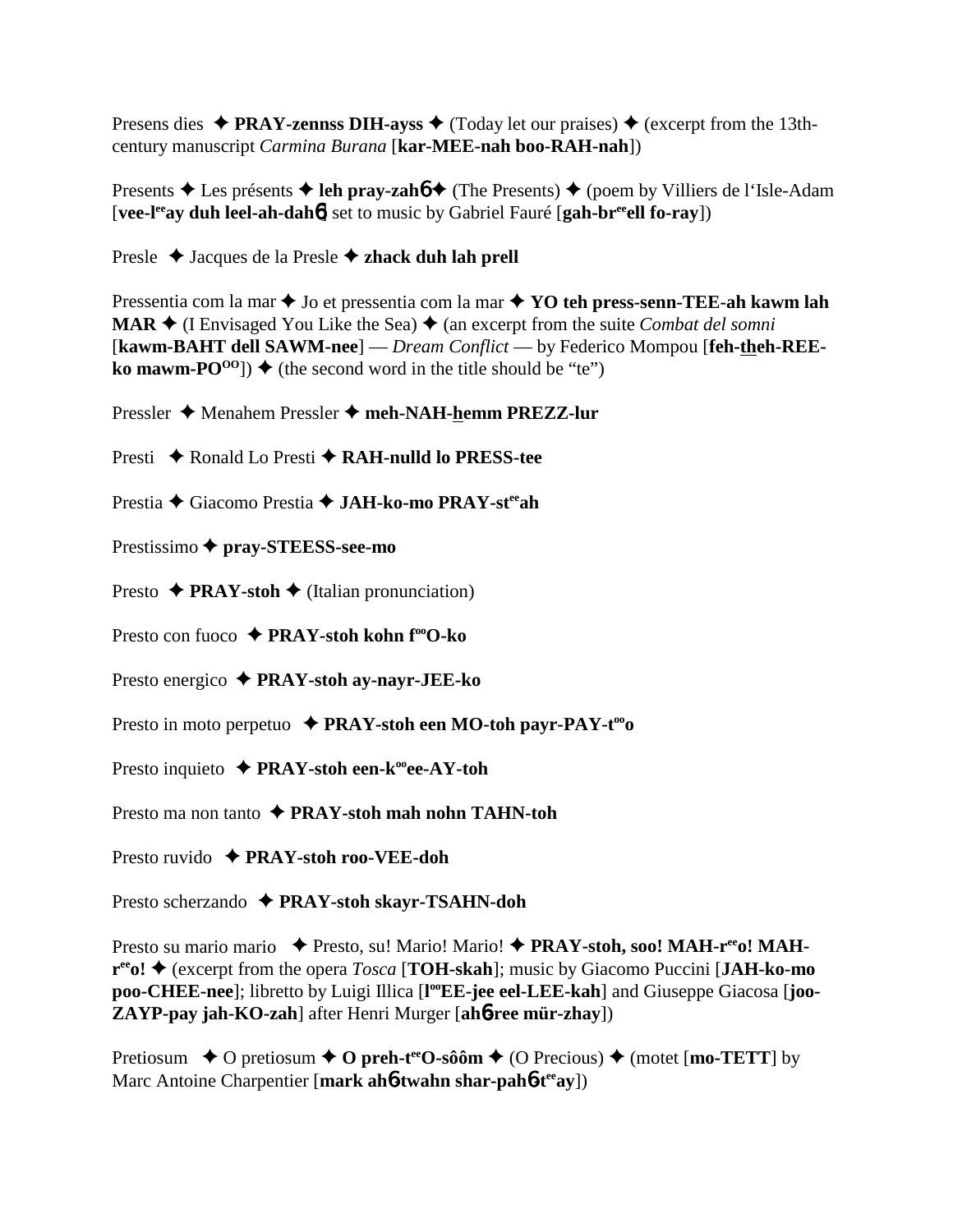Presens dies  $\triangle$  PRAY-zennss DIH-ayss  $\triangle$  (Today let our praises)  $\triangle$  (excerpt from the 13thcentury manuscript Carmina Burana [kar-MEE-nah boo-RAH-nah])

Presents ♦ Les présents ♦ leh pray-zaho ♦ (The Presents) ♦ (poem by Villiers de l'Isle-Adam [vee-l<sup>ee</sup>ay duh leel-ah-dah<sup>6</sup>] set to music by Gabriel Fauré [gah-br<sup>ee</sup>ell fo-ray])

Presle  $\triangle$  Jacques de la Presle  $\triangle$  zhack duh lah prell

Pressentia com la mar  $\triangle$  Jo et pressentia com la mar  $\triangle$  YO teh press-senn-TEE-ah kawm lah **MAR**  $\blacklozenge$  (I Envisaged You Like the Sea)  $\blacklozenge$  (an excerpt from the suite *Combat del somni* [kawm-BAHT dell SAWM-nee] — Dream Conflict — by Federico Mompou [feh-theh-REE**ko mawm-PO**<sup>00</sup>]  $\blacklozenge$  (the second word in the title should be "te")

Pressler ♦ Menahem Pressler ♦ meh-NAH-hemm PREZZ-lur

Presti  $\triangle$  Ronald Lo Presti ← RAH-nulld lo PRESS-tee

Prestia ◆ Giacomo Prestia ◆ JAH-ko-mo PRAY-st<sup>ee</sup>ah

Prestissimo ◆ pray-STEESS-see-mo

Presto  $\rightarrow$  **PRAY-stoh**  $\rightarrow$  (Italian pronunciation)

Presto con fuoco  $\rightarrow$  PRAY-stoh kohn f<sup>oo</sup>O-ko

Presto energico  $\triangle$  PRAY-stoh ay-nayr-JEE-ko

Presto in moto perpetuo  $\rightarrow$  PRAY-stoh een MO-toh payr-PAY-t<sup>oo</sup>o

Presto inquieto  $\triangle$  PRAY-stoh een-k<sup>oo</sup>ee-AY-toh

Presto ma non tanto  $\rightarrow$  PRAY-stoh mah nohn TAHN-toh

Presto ruvido  $\rightarrow$  PRAY-stoh roo-VEE-doh

Presto scherzando ◆ PRAY-stoh skayr-TSAHN-doh

Presto su mario mario → Presto, su! Mario! Mario! → PRAY-stoh, soo! MAH-r<sup>ee</sup>o! MAH- $\mathbf{r}^{\text{ee}}$ o!  $\blacklozenge$  (excerpt from the opera *Tosca* [**TOH-skah**]; music by Giacomo Puccini [JAH-ko-mo] poo-CHEE-nee]; libretto by Luigi Illica [I°EE-jee eel-LEE-kah] and Giuseppe Giacosa [joo-ZAYP-pay jah-KO-zah] after Henri Murger [ah6-ree mür-zhay])

Pretiosum  $\rightarrow$  O pretiosum  $\rightarrow$  O preh-t<sup>ee</sup>O-sôôm  $\rightarrow$  (O Precious)  $\rightarrow$  (motet [mo-TETT] by Marc Antoine Charpentier [mark ah6-twahn shar-pah6-teeav])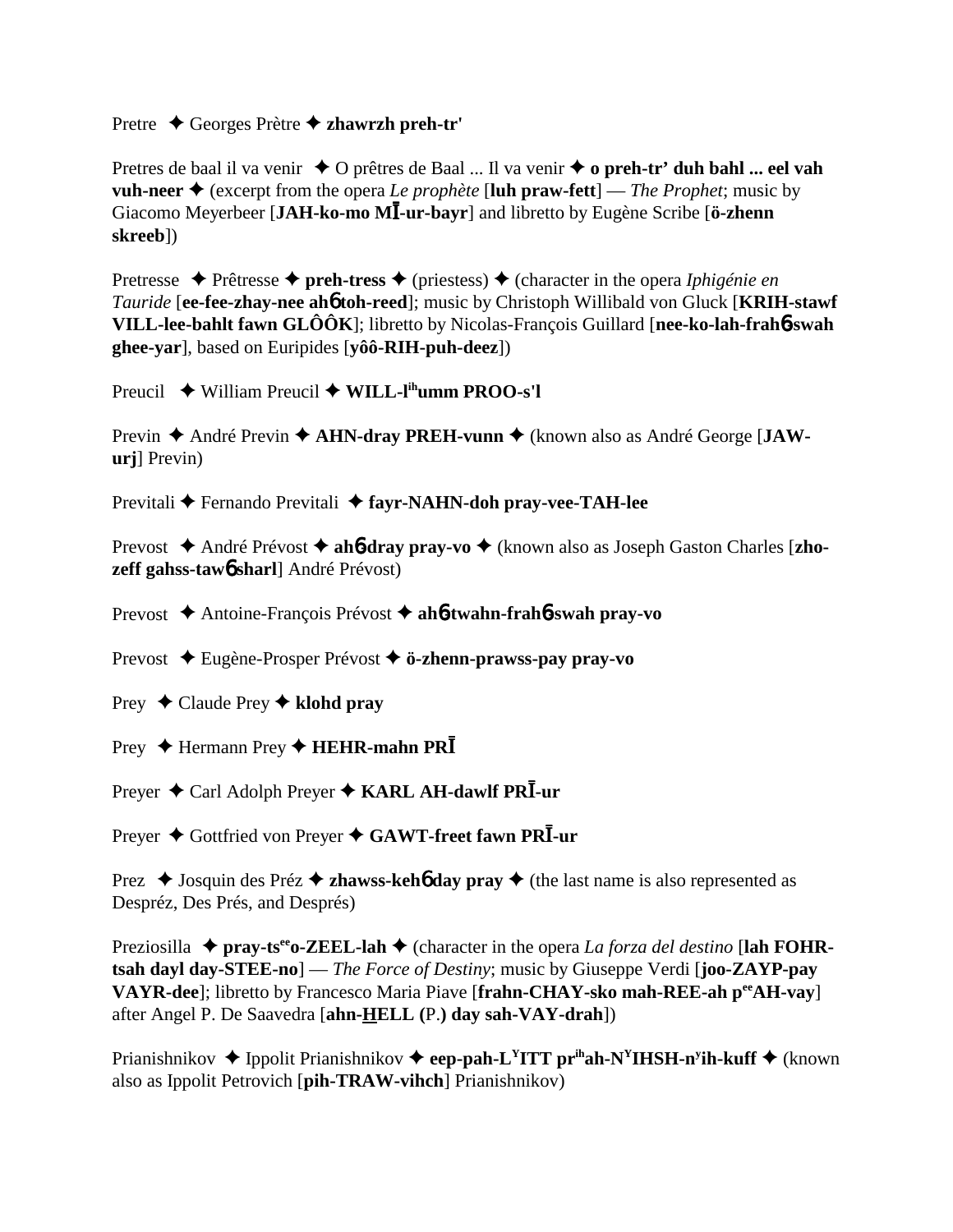## Pretre Georges Prètre **zhawrzh preh-tr'**

Pretres de baal il va venir  $\triangle$  O prêtres de Baal ... Il va venir  $\triangle$  o preh-tr' duh bahl ... eel vah **vuh-neer**  $\triangle$  (excerpt from the opera *Le prophète* [**luh praw-fett**] — *The Prophet*; music by Giacomo Meyerbeer [JAH-ko-mo MI-ur-bayr] and libretto by Eugène Scribe [ö-zhenn **skreeb**])

Pretresse  $\triangle$  Prêtresse  $\triangle$  preh-tress  $\triangle$  (priestess)  $\triangle$  (character in the opera *Iphigénie en Tauride* [**ee-fee-zhay-nee ah**6 **toh-reed**]; music by Christoph Willibald von Gluck [**KRIH-stawf VILL-lee-bahlt fawn GLÔÔK**]; libretto by Nicolas-François Guillard [**nee-ko-lah-frah**6**-swah ghee-yar**], based on Euripides [**yôô-RIH-puh-deez**])

Preucil **→** William Preucil ◆ **WILL-l<sup>ih</sup>umm PROO-s'l** 

Previn ◆ André Previn ◆ AHN-dray PREH-vunn ◆ (known also as André George [JAW**urj**] Previn)

Previtali **←** Fernando Previtali ← fayr-NAHN-doh pray-vee-TAH-lee

Prevost ◆ André Prévost ◆ ah**6-dray pray-vo** ◆ (known also as Joseph Gaston Charles [zho**zeff gahss-taw**6 **sharl**] André Prévost)

Prevost Antoine-François Prévost **ah**6**-twahn-frah**6**-swah pray-vo**

Prevost Eugène-Prosper Prévost **ö-zhenn-prawss-pay pray-vo**

Prey Claude Prey **klohd pray**

Prey ◆ Hermann Prey ◆ HEHR-mahn PR<sup>T</sup>

Preyer ♦ Carl Adolph Preyer ♦ KARL AH-dawlf PRI-ur

Preyer ◆ Gottfried von Preyer ◆ GAWT-freet fawn PRI-ur

Prez  $\triangleleft$  Josquin des Préz  $\triangleleft$  **zhawss-kehô day pray**  $\triangleleft$  (the last name is also represented as Despréz, Des Prés, and Després)

Preziosilla  $\triangle$  pray-ts<sup>ee</sup> o-ZEEL-lah  $\triangle$  (character in the opera *La forza del destino* [lah FOHR**tsah dayl day-STEE-no**] — *The Force of Destiny*; music by Giuseppe Verdi [**joo-ZAYP-pay VAYR-dee**]; libretto by Francesco Maria Piave [**frahn-CHAY-sko mah-REE-ah peeAH-vay**] after Angel P. De Saavedra [**ahn-HELL (**P.**) day sah-VAY-drah**])

Prianishnikov ◆ Ippolit Prianishnikov ◆ eep-pah-L<sup>Y</sup>ITT pr<sup>ih</sup>ah-N<sup>Y</sup>IHSH-n<sup>y</sup>ih-kuff ◆ (known also as Ippolit Petrovich [**pih-TRAW-vihch**] Prianishnikov)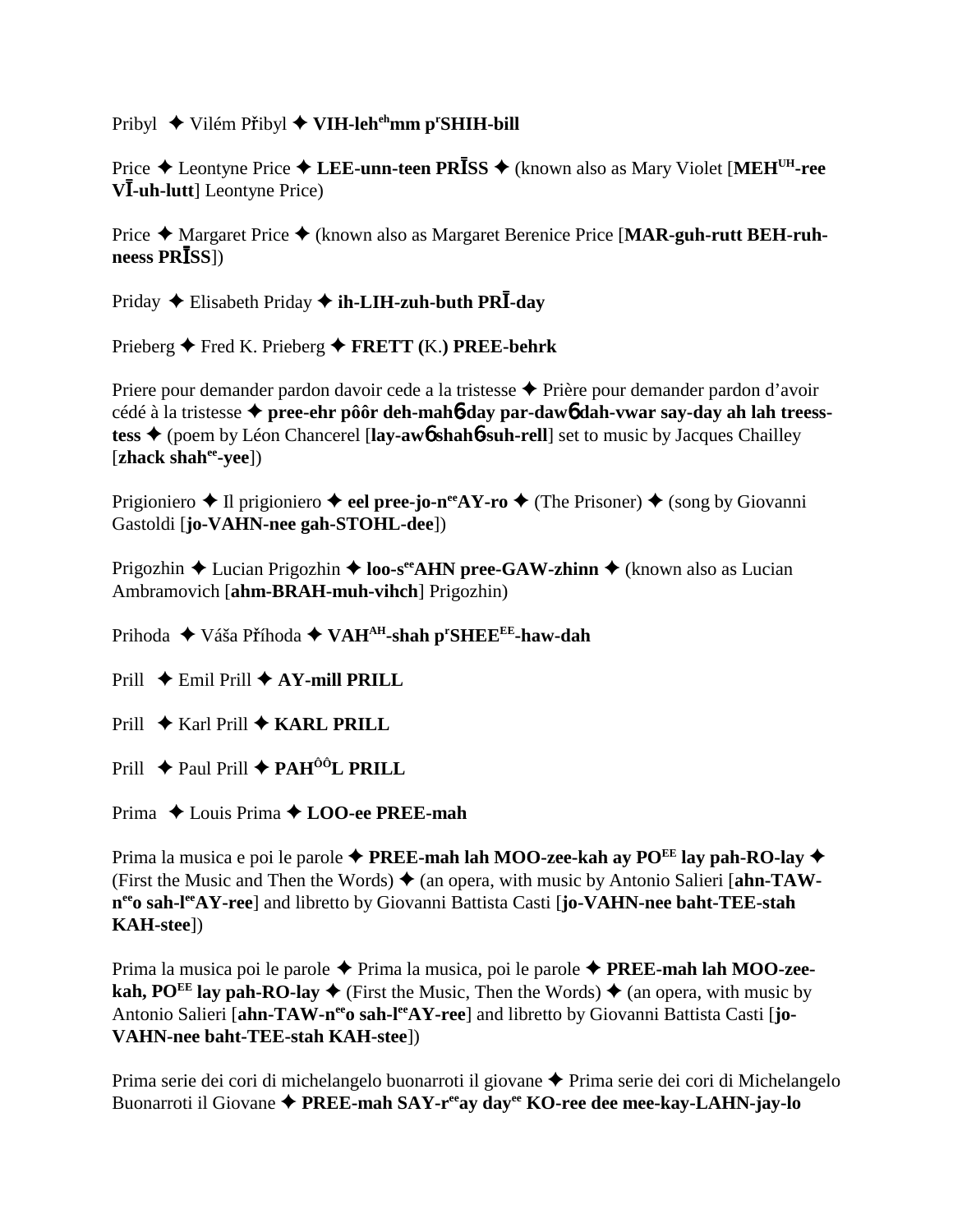Pribyl ◆ Vilém Přibyl ◆ VIH-leh<sup>eh</sup>mm p<sup>r</sup>SHIH-bill

Price ♦ Leontyne Price ♦ LEE-unn-teen PRISS ♦ (known also as Mary Violet [MEH<sup>UH</sup>-ree  $V\bar{l}$ -uh-lutt] Leontyne Price)

Price  $\triangle$  Margaret Price  $\triangle$  (known also as Margaret Berenice Price [MAR-guh-rutt BEH-ruh $ness PR<sub>BS</sub>$ ])

Priday ← Elisabeth Priday ← ih-LIH-zuh-buth PR $\overline{I}$ -day

Prieberg  $\blacklozenge$  Fred K. Prieberg  $\blacklozenge$  FRETT (K.) PREE-behrk

Priere pour demander pardon davoir cede a la tristesse ◆ Prière pour demander pardon d'avoir cédé à la tristesse  $\triangle$  pree-ehr pô ôr deh-mah b-day par-daw b dah-vwar say-day ah lah treesstess  $\triangle$  (poem by Léon Chancerel [lay-awb shahb-suh-rell] set to music by Jacques Chailley [zhack shah<sup>ee</sup>-yee])

Prigioniero  $\triangle$  Il prigioniero  $\triangle$  eel pree-jo-n<sup>ee</sup>AY-ro  $\triangle$  (The Prisoner)  $\triangle$  (song by Giovanni Gastoldi [jo-VAHN-nee gah-STOHL-dee])

Prigozhin ◆ Lucian Prigozhin ◆ loo-s<sup>ee</sup>AHN pree-GAW-zhinn ◆ (known also as Lucian Ambramovich [ahm-BRAH-muh-vihch] Prigozhin)

Prihoda ◆ Váša Příhoda ◆ VAH<sup>AH</sup>-shah p<sup>r</sup>SHEE<sup>EE</sup>-haw-dah

Prill  $\triangle$  Emil Prill  $\triangle$  AY-mill PRILL

Prill  $\bigstar$  Karl Prill  $\bigstar$  KARL PRILL

Prill  $\triangle$  Paul Prill  $\triangle$  PAH<sup>ÔÔ</sup>L PRILL

Prima  $\triangle$  Louis Prima  $\triangle$  LOO-ee PREE-mah

Prima la musica e poi le parole  $\triangle$  PREE-mah lah MOO-zee-kah ay PO<sup>EE</sup> lay pah-RO-lay  $\triangle$ (First the Music and Then the Words)  $\triangle$  (an opera, with music by Antonio Salieri [ahn-TAWn<sup>ee</sup>o sah-l<sup>ee</sup>AY-ree] and libretto by Giovanni Battista Casti [jo-VAHN-nee baht-TEE-stah **KAH-stee**])

Prima la musica poi le parole  $\triangle$  Prima la musica, poi le parole  $\triangle$  **PREE-mah lah MOO-zee**kah, PO<sup>EE</sup> lay pah-RO-lay  $\triangle$  (First the Music, Then the Words)  $\triangle$  (an opera, with music by Antonio Salieri [ahn-TAW-n<sup>ee</sup>o sah-l<sup>ee</sup>AY-ree] and libretto by Giovanni Battista Casti [jo-**VAHN-nee baht-TEE-stah KAH-steel)** 

Prima serie dei cori di michelangelo buonarroti il giovane ◆ Prima serie dei cori di Michelangelo Buonarroti il Giovane ◆ PREE-mah SAY-ree day dayee KO-ree dee mee-kay-LAHN-jay-lo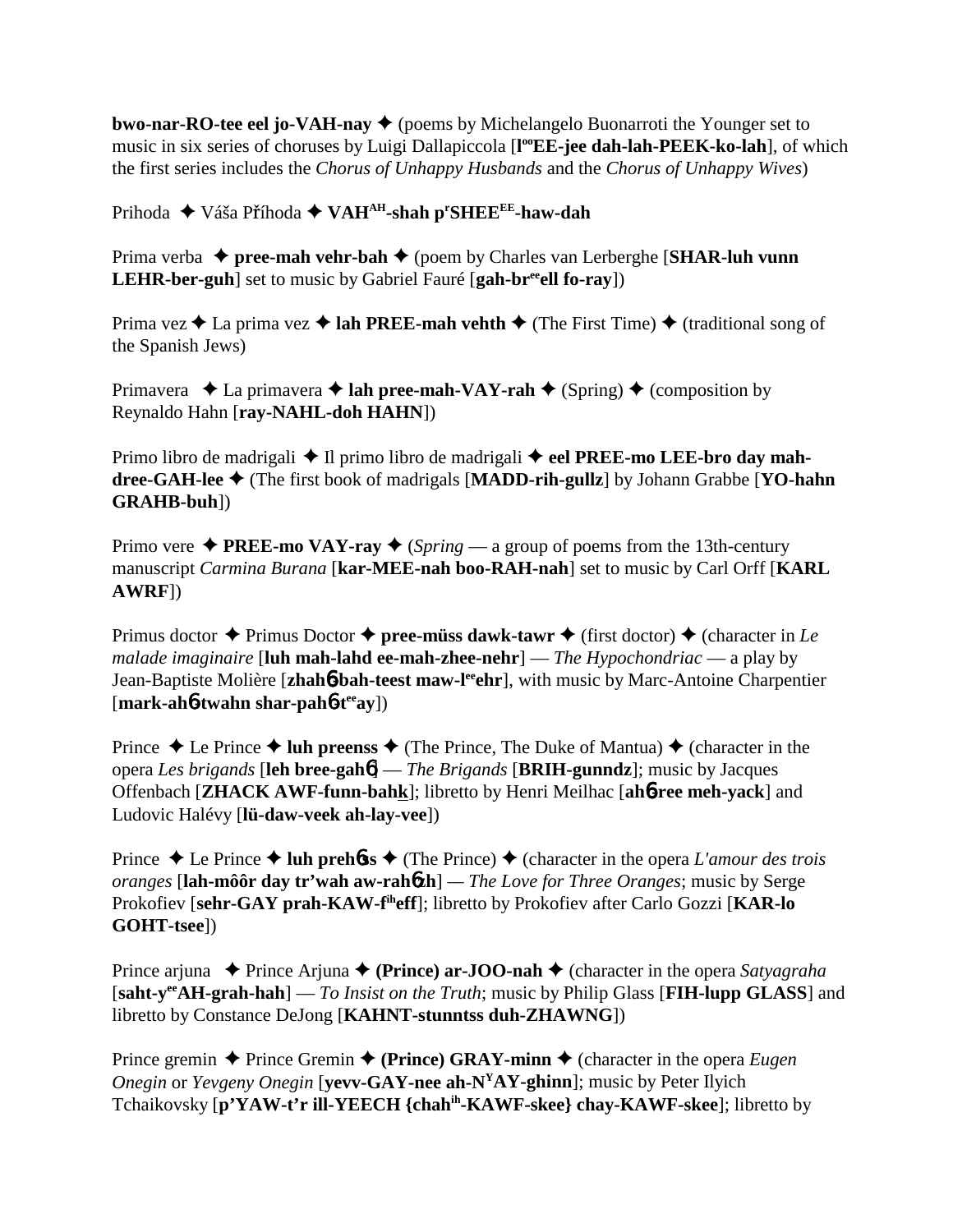**bwo-nar-RO-tee eel jo-VAH-nay**  $\blacklozenge$  (poems by Michelangelo Buonarroti the Younger set to music in six series of choruses by Luigi Dallapiccola [l<sup>oo</sup>EE-jee dah-lah-PEEK-ko-lah], of which the first series includes the *Chorus of Unhappy Husbands* and the *Chorus of Unhappy Wives*)

Prihoda ◆ Váša Příhoda ◆ VAH<sup>AH</sup>-shah p<sup>r</sup>SHEE<sup>EE</sup>-haw-dah

Prima verba **→ pree-mah vehr-bah →** (poem by Charles van Lerberghe [**SHAR-luh vunn LEHR-ber-guh**] set to music by Gabriel Fauré [gah-br<sup>ee</sup>ell fo-ray])

Prima vez  $\triangle$  La prima vez  $\triangle$  **lah PREE-mah vehth**  $\triangle$  (The First Time)  $\triangle$  (traditional song of the Spanish Jews)

Primavera  $\triangle$  La primavera  $\triangle$  **lah pree-mah-VAY-rah**  $\triangle$  (Spring)  $\triangle$  (composition by Reynaldo Hahn [**ray-NAHL-doh HAHN**])

Primo libro de madrigali **→** Il primo libro de madrigali **→ eel PREE-mo LEE-bro day mahdree-GAH-lee** (The first book of madrigals [**MADD-rih-gullz**] by Johann Grabbe [**YO-hahn GRAHB-buh**])

Primo vere  $\triangle$  **PREE-mo VAY-ray**  $\triangle$  (*Spring* — a group of poems from the 13th-century manuscript *Carmina Burana* [**kar-MEE-nah boo-RAH-nah**] set to music by Carl Orff [**KARL AWRF**])

Primus doctor  $\triangle$  Primus Doctor  $\triangle$  **pree-müss dawk-tawr**  $\triangle$  (first doctor)  $\triangle$  (character in *Le malade imaginaire* [**luh mah-lahd ee-mah-zhee-nehr**] — *The Hypochondriac* — a play by Jean-Baptiste Molière [zhah**6-bah-teest maw-l<sup>ee</sup>ehr**], with music by Marc-Antoine Charpentier [**mark-ah**6**-twahn shar-pah**6**-teeay**])

Prince  $\triangle$  Le Prince  $\triangle$  **luh preenss**  $\triangle$  (The Prince, The Duke of Mantua)  $\triangle$  (character in the opera *Les brigands* [**leh bree-gah**6] — *The Brigands* [**BRIH-gunndz**]; music by Jacques Offenbach [**ZHACK AWF-funn-bahk**]; libretto by Henri Meilhac [**ah**6**-ree meh-yack**] and Ludovic Halévy [**lü-daw-veek ah-lay-vee**])

Prince  $\triangle$  Le Prince  $\triangle$  **luh prehoss**  $\triangle$  (The Prince)  $\triangle$  (character in the opera *L'amour des trois oranges* [**lah-môôr day tr'wah aw-rah**6**zh**] *— The Love for Three Oranges*; music by Serge Prokofiev [**sehr-GAY prah-KAW-fiheff**]; libretto by Prokofiev after Carlo Gozzi [**KAR-lo GOHT-tsee**])

Prince arjuna ◆ Prince Arjuna ◆ (**Prince**) ar-**JOO-nah** ◆ (character in the opera *Satyagraha* [**saht-yeeAH-grah-hah**] — *To Insist on the Truth*; music by Philip Glass [**FIH-lupp GLASS**] and libretto by Constance DeJong [**KAHNT-stunntss duh-ZHAWNG**])

Prince gremin  $\triangle$  Prince Gremin  $\triangle$  (Prince) GRAY-minn  $\triangle$  (character in the opera *Eugen Onegin* or *Yevgeny Onegin* [**yevv-GAY-nee ah-NYAY-ghinn**]; music by Peter Ilyich Tchaikovsky [**p'YAW-t'r ill-YEECH {chahih-KAWF-skee} chay-KAWF-skee**]; libretto by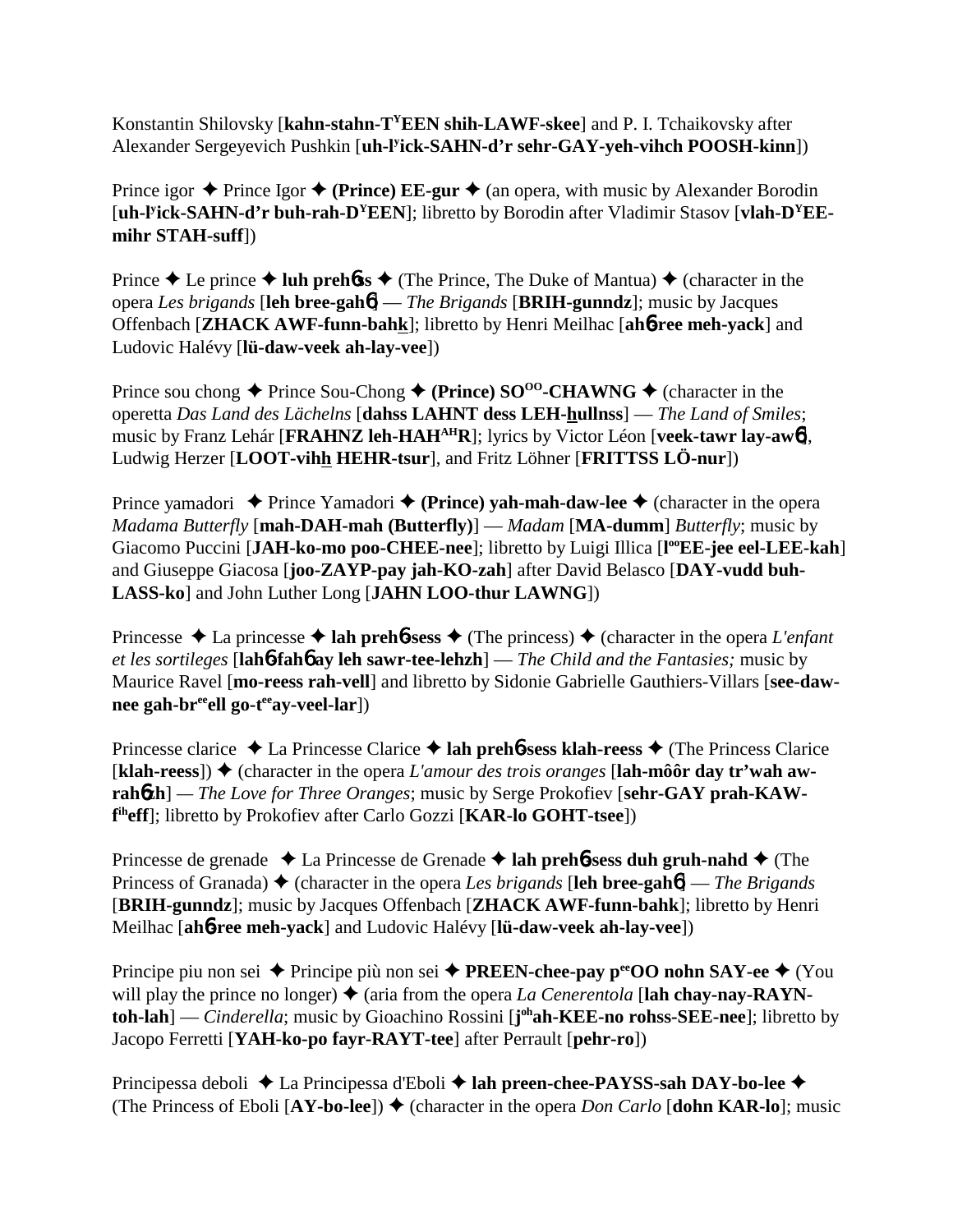Konstantin Shilovsky [**kahn-stahn-TYEEN shih-LAWF-skee**] and P. I. Tchaikovsky after Alexander Sergeyevich Pushkin [**uh-ly ick-SAHN-d'r sehr-GAY-yeh-vihch POOSH-kinn**])

Prince igor  $\triangle$  Prince Igor  $\triangle$  (**Prince**) **EE-gur**  $\triangle$  (an opera, with music by Alexander Borodin [**uh-ly ick-SAHN-d'r buh-rah-DYEEN**]; libretto by Borodin after Vladimir Stasov [**vlah-DYEEmihr STAH-suff**])

Prince  $\triangle$  Le prince  $\triangle$  luh preh**6ss**  $\triangle$  (The Prince, The Duke of Mantua)  $\triangle$  (character in the opera *Les brigands* [**leh bree-gah**6] — *The Brigands* [**BRIH-gunndz**]; music by Jacques Offenbach [**ZHACK AWF-funn-bahk**]; libretto by Henri Meilhac [**ah**6**-ree meh-yack**] and Ludovic Halévy [**lü-daw-veek ah-lay-vee**])

Prince sou chong  $\triangle$  Prince Sou-Chong  $\triangle$  (Prince) SO<sup>oo</sup>-CHAWNG  $\triangle$  (character in the operetta *Das Land des Lächelns* [**dahss LAHNT dess LEH-hullnss**] — *The Land of Smiles*; music by Franz Lehár [**FRAHNZ leh-HAHAHR**]; lyrics by Victor Léon [**veek-tawr lay-aw**6], Ludwig Herzer [**LOOT-vihh HEHR-tsur**], and Fritz Löhner [**FRITTSS LÖ-nur**])

Prince yamadori  $\triangle$  Prince Yamadori  $\triangle$  (Prince) yah-mah-daw-lee  $\triangle$  (character in the opera *Madama Butterfly* [**mah-DAH-mah (Butterfly)**] — *Madam* [**MA-dumm**] *Butterfly*; music by Giacomo Puccini [JAH-ko-mo poo-CHEE-nee]; libretto by Luigi Illica [l<sup>oo</sup>EE-jee eel-LEE-kah] and Giuseppe Giacosa [**joo-ZAYP-pay jah-KO-zah**] after David Belasco [**DAY-vudd buh-LASS-ko**] and John Luther Long [**JAHN LOO-thur LAWNG**])

Princesse  $\triangle$  La princesse  $\triangle$  **lah preh<sup>6</sup>-sess**  $\triangle$  (The princess)  $\triangle$  (character in the opera *L'enfant et les sortileges* [**lah**6**-fah**6 **ay leh sawr-tee-lehzh**] — *The Child and the Fantasies;* music by Maurice Ravel [**mo-reess rah-vell**] and libretto by Sidonie Gabrielle Gauthiers-Villars [**see-daw**nee gah-br<sup>ee</sup>ell go-t<sup>ee</sup>ay-veel-lar])

Princesse clarice La Princesse Clarice **lah preh**6**-sess klah-reess** (The Princess Clarice  $[klah-reess]$ )  $\blacklozenge$  (character in the opera *L'amour des trois oranges* [lah-môôr day tr'wah awrahozh] — The Love for Three Oranges; music by Serge Prokofiev [sehr-GAY prah-KAW**f iheff**]; libretto by Prokofiev after Carlo Gozzi [**KAR-lo GOHT-tsee**])

Princesse de grenade La Princesse de Grenade **lah preh**6**-sess duh gruh-nahd** (The Princess of Granada) **→** (character in the opera *Les brigands* [leh bree-gah**6**] — *The Brigands* [**BRIH-gunndz**]; music by Jacques Offenbach [**ZHACK AWF-funn-bahk**]; libretto by Henri Meilhac [**ah**6**-ree meh-yack**] and Ludovic Halévy [**lü-daw-veek ah-lay-vee**])

Principe piu non sei ◆ Principe più non sei ◆ **PREEN-chee-pay p<sup>ee</sup>OO nohn SAY-ee** ◆ (You will play the prince no longer)  $\triangle$  (aria from the opera *La Cenerentola* [lah chay-nay-RAYN**toh-lah**] — *Cinderella*; music by Gioachino Rossini [**j**<sup>oh</sup>**ah-KEE-no rohss-SEE-nee**]; libretto by Jacopo Ferretti [**YAH-ko-po fayr-RAYT-tee**] after Perrault [**pehr-ro**])

Principessa deboli ◆ La Principessa d'Eboli ◆ lah preen-chee-PAYSS-sah DAY-bo-lee ◆ (The Princess of Eboli  $[AY-bo-lee]$ )  $\blacklozenge$  (character in the opera *Don Carlo*  $[John KAR-lo]$ ; music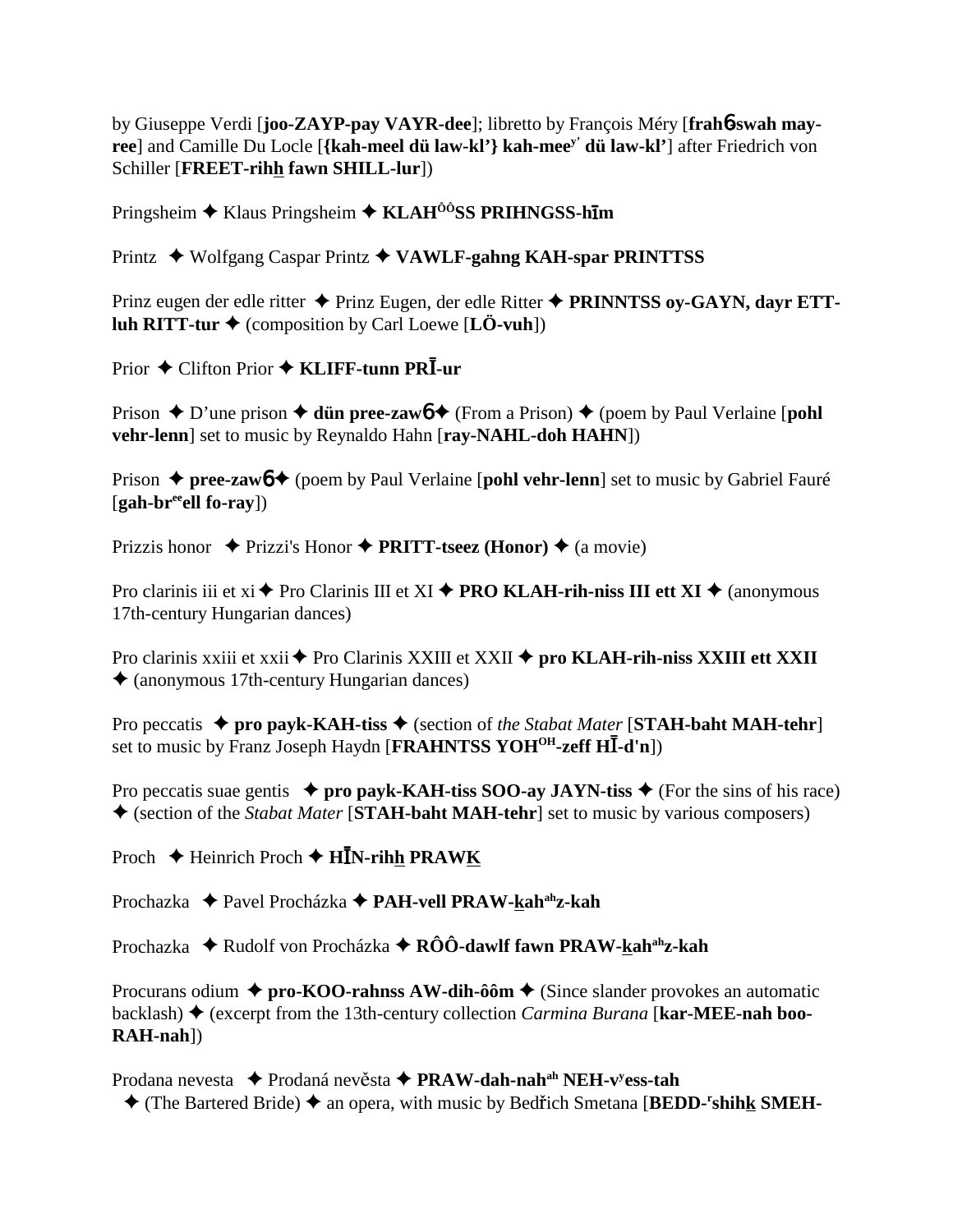by Giuseppe Verdi [**joo-ZAYP-pay VAYR-dee**]; libretto by François Méry [**frah**6**-swah mayree**] and Camille Du Locle [**{kah-meel dü law-kl'} kah-meey' dü law-kl'**] after Friedrich von Schiller [**FREET-rihh fawn SHILL-lur**])

Pringsheim Klaus Pringsheim **KLAHÔÔSS PRIHNGSS-hm**

Printz Wolfgang Caspar Printz **VAWLF-gahng KAH-spar PRINTTSS**

Prinz eugen der edle ritter **→** Prinz Eugen, der edle Ritter ◆ **PRINNTSS ov-GAYN, dayr ETTluh RITT-tur**  $\blacklozenge$  (composition by Carl Loewe [**LÖ-vuh**])

Prior ◆ Clifton Prior ◆ KLIFF-tunn PRI-ur

Prison  $\triangle$  D'une prison  $\triangle$  **dün pree-zaw6**  $\triangle$  (From a Prison)  $\triangle$  (poem by Paul Verlaine [**pohl vehr-lenn**] set to music by Reynaldo Hahn [**ray-NAHL-doh HAHN**])

Prison ◆ pree-zawb ◆ (poem by Paul Verlaine [pohl vehr-lenn] set to music by Gabriel Fauré [**gah-breeell fo-ray**])

Prizzis honor ◆ Prizzi's Honor ◆ **PRITT-tseez (Honor)** ◆ (a movie)

Pro clarinis iii et xi  $\triangle$  Pro Clarinis III et XI  $\triangle$  **PRO KLAH-rih-niss III ett XI**  $\triangle$  (anonymous 17th-century Hungarian dances)

Pro clarinis xxiii et xxii ◆ Pro Clarinis XXIII et XXII ◆ pro **KLAH-rih-niss XXIII ett XXII**  $\triangle$  (anonymous 17th-century Hungarian dances)

Pro peccatis ◆ pro payk-KAH-tiss ◆ (section of *the Stabat Mater* [STAH-baht MAH-tehr] set to music by Franz Joseph Haydn [FRAHNTSS YOH<sup>OH</sup>-zeff HI-d'n])

Pro peccatis suae gentis  $\rightarrow$  pro payk-KAH-tiss SOO-ay JAYN-tiss  $\rightarrow$  (For the sins of his race) (section of the *Stabat Mater* [**STAH-baht MAH-tehr**] set to music by various composers)

Proch ◆ Heinrich Proch ◆ H**I**N-rihh PRAWK

Prochazka **←** Pavel Procházka ← PAH-vell PRAW-kah<sup>ah</sup>z-kah

Prochazka ◆ Rudolf von Procházka ◆ **RÔÔ-dawlf fawn PRAW-kah<sup>ah</sup>z-kah** 

Procurans odium **↓ pro-KOO-rahnss AW-dih-ôôm ◆** (Since slander provokes an automatic backlash) (excerpt from the 13th-century collection *Carmina Burana* [**kar-MEE-nah boo-RAH-nah**])

Prodana nevesta ◆ Prodaná nevěsta ◆ PRAW-dah-nah<sup>ah</sup> NEH-v<sup>y</sup>ess-tah

◆ (The Bartered Bride) ◆ an opera, with music by Bedřich Smetana [BEDD-<sup>r</sup>shihk SMEH-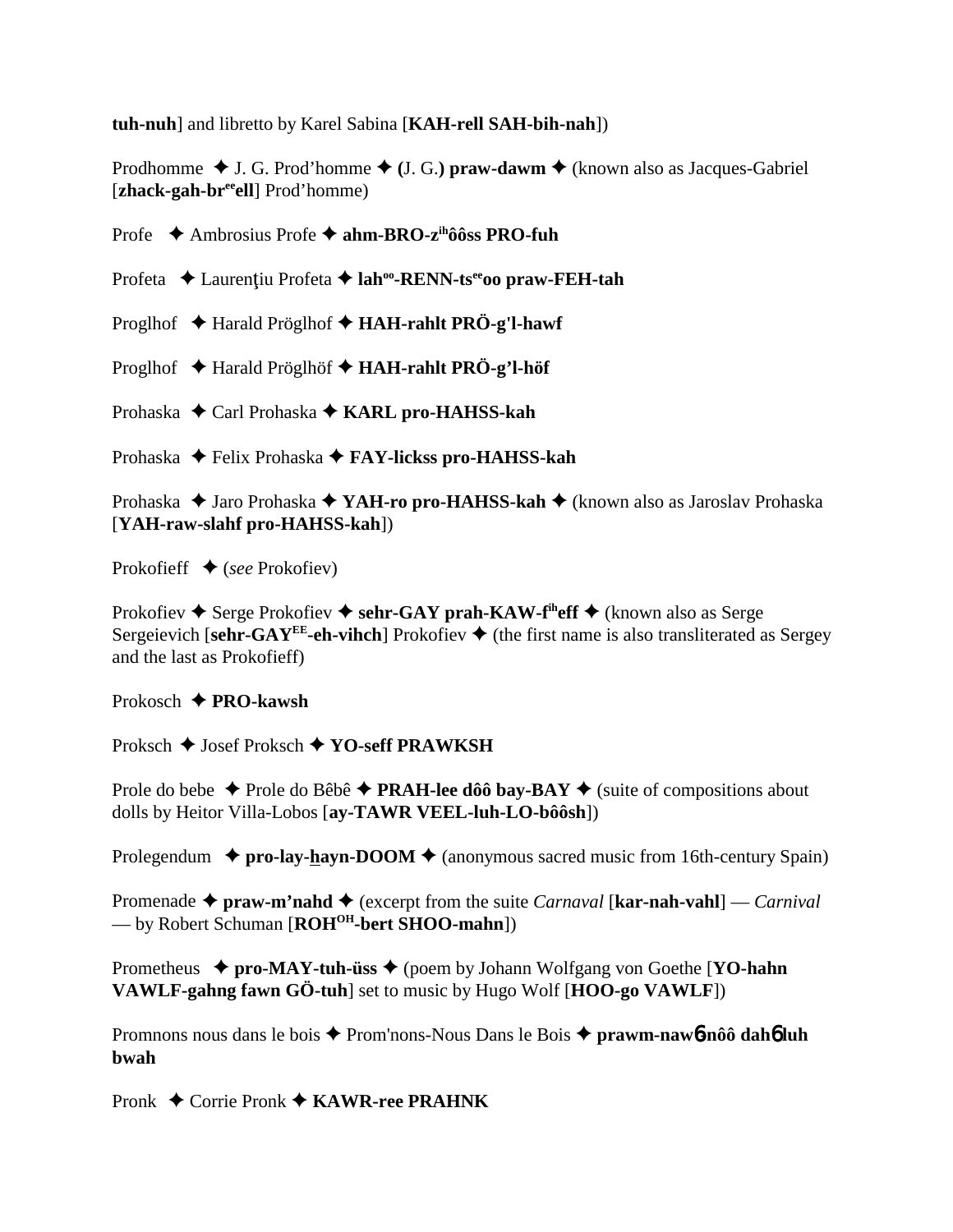**tuh-nuh**] and libretto by Karel Sabina [**KAH-rell SAH-bih-nah**])

Prodhomme  $\blacklozenge$  J. G. Prod'homme  $\blacklozenge$  (J. G.) praw-dawm  $\blacklozenge$  (known also as Jacques-Gabriel [zhack-gah-br<sup>ee</sup>ell] Prod'homme)

Profe Ambrosius Profe **ahm-BRO-zihôôss PRO-fuh**

Profeta ◆ Laurențiu Profeta ◆ lah<sup>oo</sup>-RENN-ts<sup>ee</sup>oo praw-FEH-tah

Proglhof Harald Pröglhof **HAH-rahlt PRÖ-g'l-hawf**

Proglhof Harald Pröglhöf **HAH-rahlt PRÖ-g'l-höf**

Prohaska ◆ Carl Prohaska ◆ KARL pro-HAHSS-kah

Prohaska **→** Felix Prohaska → **FAY-lickss pro-HAHSS-kah** 

Prohaska ◆ Jaro Prohaska ◆ YAH-ro pro-HAHSS-kah ◆ (known also as Jaroslav Prohaska [**YAH-raw-slahf pro-HAHSS-kah**])

Prokofieff (*see* Prokofiev)

Prokofiev  $\triangle$  Serge Prokofiev  $\triangle$  sehr-GAY prah-KAW-f<sup>th</sup>eff  $\triangle$  (known also as Serge Sergeievich [sehr-GAY<sup>EE</sup>-eh-vihch] Prokofiev  $\triangle$  (the first name is also transliterated as Sergey and the last as Prokofieff)

Prokosch **PRO-kawsh**

Proksch ◆ Josef Proksch ◆ YO-seff PRAWKSH

Prole do bebe  $\triangle$  Prole do Bêbê  $\triangle$  **PRAH-lee dôô bay-BAY**  $\triangle$  (suite of compositions about dolls by Heitor Villa-Lobos [**ay-TAWR VEEL-luh-LO-bôôsh**])

Prolegendum  $\rightarrow$  pro-lay-hayn-DOOM  $\rightarrow$  (anonymous sacred music from 16th-century Spain)

Promenade  $\triangle$  praw-m'nahd  $\triangle$  (excerpt from the suite *Carnaval* [**kar-nah-vahl**] — *Carnival* — by Robert Schuman [**ROHOH-bert SHOO-mahn**])

Prometheus ◆ pro-MAY-tuh-üss ◆ (poem by Johann Wolfgang von Goethe [**YO-hahn**] **VAWLF-gahng fawn GÖ-tuh**] set to music by Hugo Wolf [**HOO-go VAWLF**])

Promnons nous dans le bois Prom'nons-Nous Dans le Bois **prawm-naw**6**-nôô dah**6 **luh bwah**

Pronk ◆ Corrie Pronk ◆ KAWR-ree PRAHNK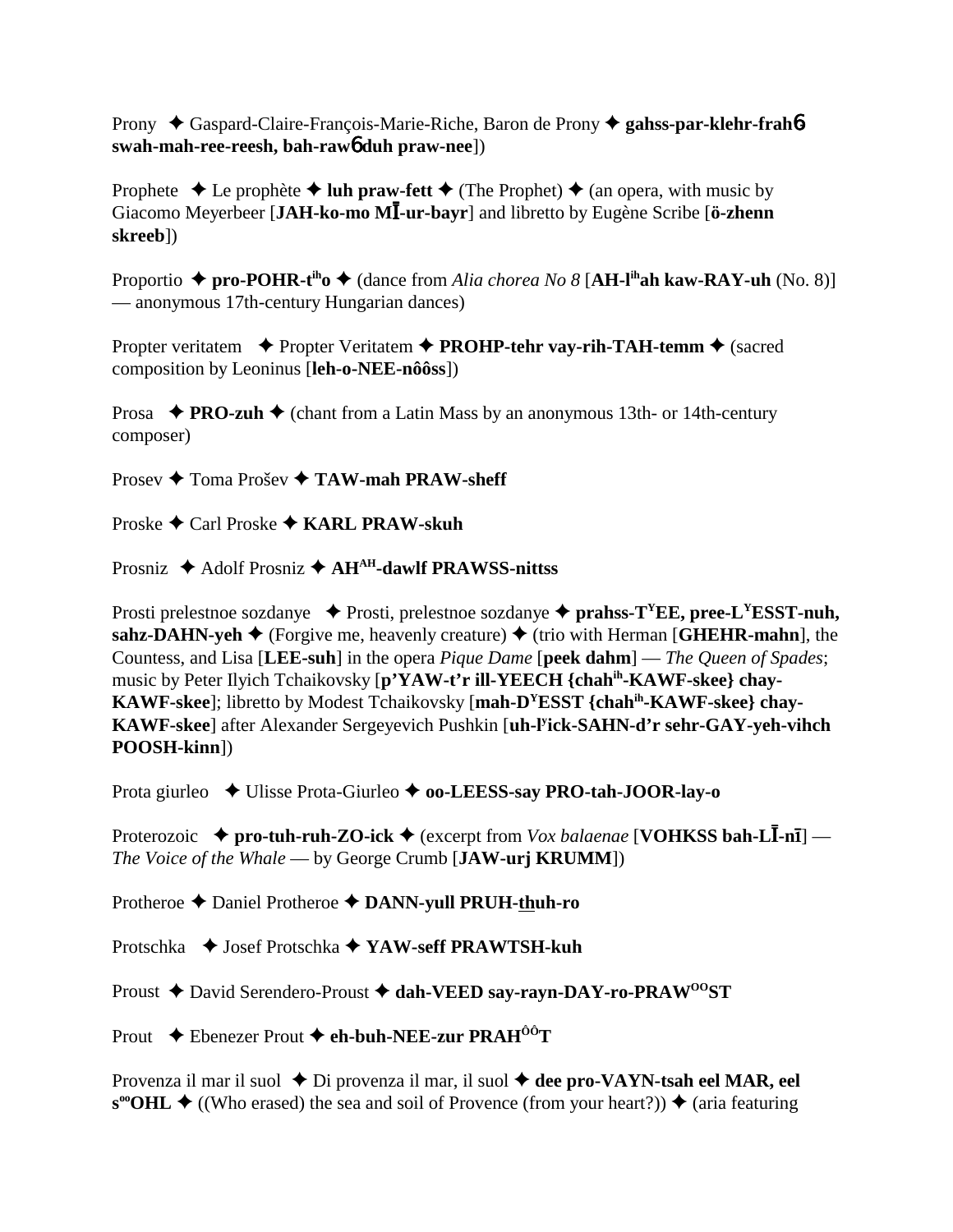Prony Gaspard-Claire-François-Marie-Riche, Baron de Prony **gahss-par-klehr-frah**6 **swah-mah-ree-reesh, bah-raw**6 **duh praw-nee**])

Prophete  $\triangle$  Le prophète  $\triangle$  luh praw-fett  $\triangle$  (The Prophet)  $\triangle$  (an opera, with music by Giacomo Meyerbeer [JAH-ko-mo MI-ur-bayr] and libretto by Eugène Scribe [ö-zhenn] **skreeb**])

Proportio ◆ pro-POHR-t<sup>ih</sup>o ◆ (dance from *Alia chorea No 8* [AH-l<sup>ih</sup>ah kaw-RAY-uh (No. 8)] — anonymous 17th-century Hungarian dances)

Propter veritatem ◆ Propter Veritatem ◆ PROHP-tehr vay-rih-TAH-temm ◆ (sacred composition by Leoninus [**leh-o-NEE-nôôss**])

**Prosa**  $\triangle$  **PRO-zuh**  $\triangle$  (chant from a Latin Mass by an anonymous 13th- or 14th-century composer)

Prosev ◆ Toma Prošev ◆ TAW-mah PRAW-sheff

Proske Carl Proske **KARL PRAW-skuh**

Prosniz ♦ Adolf Prosniz ♦ AH<sup>AH</sup>-dawlf PRAWSS-nittss

Prosti prelestnoe sozdanye  $\blacklozenge$  Prosti, prelestnoe sozdanye  $\blacklozenge$  **prahss-T<sup>Y</sup>EE**, pree-L<sup>Y</sup>ESST-nuh, **sahz-DAHN-yeh**  $\blacklozenge$  (Forgive me, heavenly creature)  $\blacklozenge$  (trio with Herman [**GHEHR-mahn**], the Countess, and Lisa [**LEE-suh**] in the opera *Pique Dame* [**peek dahm**] — *The Queen of Spades*; music by Peter Ilyich Tchaikovsky [**p'YAW-t'r ill-YEECH {chahih-KAWF-skee} chay-KAWF-skee**]; libretto by Modest Tchaikovsky [**mah-DYESST {chahih-KAWF-skee} chay-KAWF-skee**] after Alexander Sergeyevich Pushkin [**uh-ly ick-SAHN-d'r sehr-GAY-yeh-vihch POOSH-kinn**])

Prota giurleo ◆ Ulisse Prota-Giurleo ◆ **oo-LEESS-say PRO-tah-JOOR-lay-o** 

Proterozoic  $\rightarrow$  pro-tuh-ruh-ZO-ick  $\rightarrow$  (excerpt from *Vox balaenae* [**VOHKSS bah-L**I-n<sub>I</sub>] — *The Voice of the Whale* — by George Crumb [**JAW-urj KRUMM**])

Protheroe **←** Daniel Protheroe ← DANN-yull PRUH-thuh-ro

Protschka Josef Protschka **YAW-seff PRAWTSH-kuh**

Proust ◆ David Serendero-Proust ◆ dah-VEED say-rayn-DAY-ro-PRAW<sup>00</sup>ST

Prout **←** Ebenezer Prout ← eh-buh-NEF-zur PRAH<sup>ÔÔ</sup>T

Provenza il mar il suol  $\triangle$  Di provenza il mar, il suol  $\triangle$  dee pro-VAYN-tsah eel MAR, eel  $s^{\omega}$ **OHL**  $\blacklozenge$  ((Who erased) the sea and soil of Provence (from your heart?))  $\blacklozenge$  (aria featuring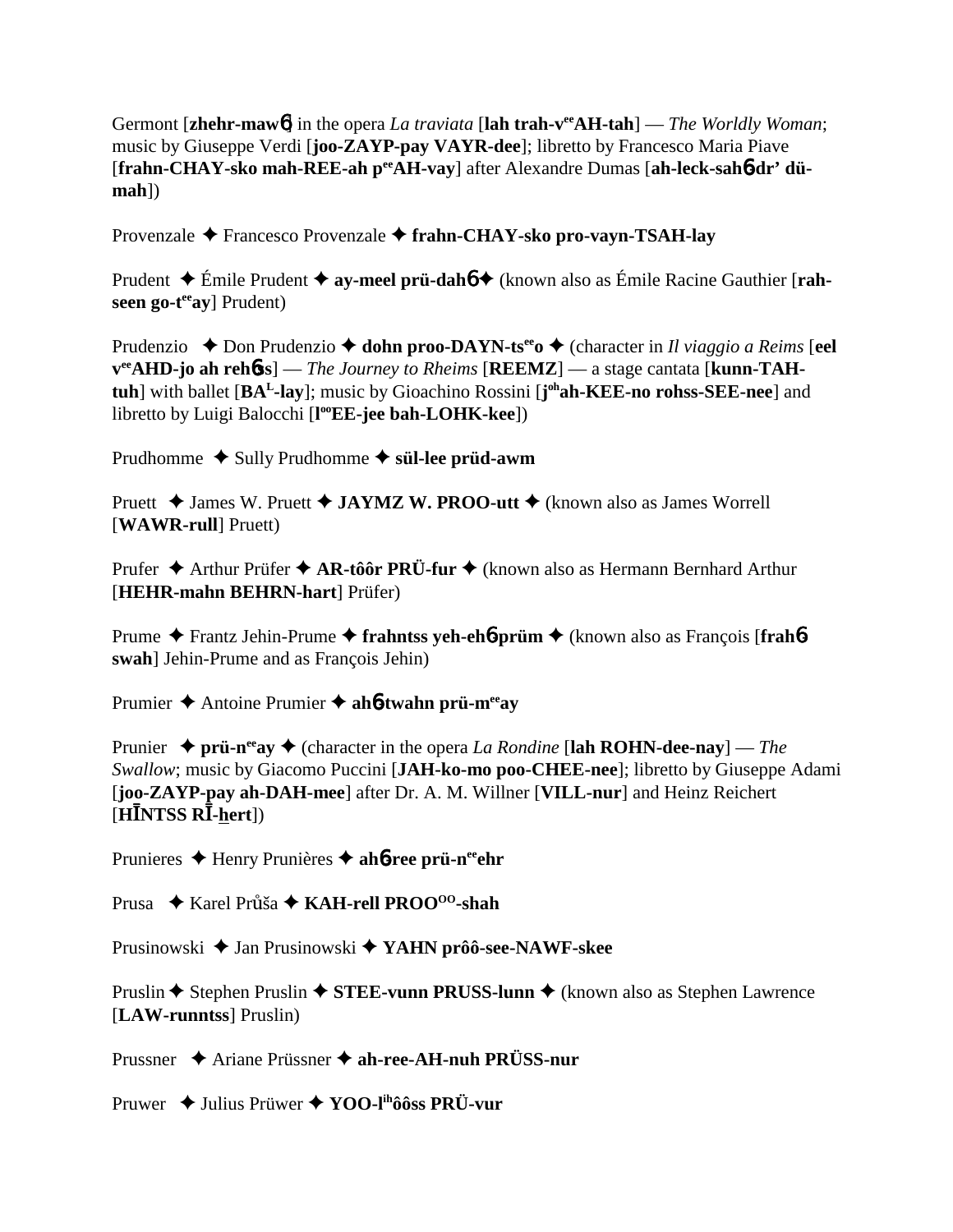Germont [**zhehr-maw**6] in the opera *La traviata* [**lah trah-veeAH-tah**] — *The Worldly Woman*; music by Giuseppe Verdi [**joo-ZAYP-pay VAYR-dee**]; libretto by Francesco Maria Piave [frahn-CHAY-sko mah-REE-ah peeAH-vay] after Alexandre Dumas [ah-leck-sah6-dr' dü**mah**])

Provenzale Francesco Provenzale **frahn-CHAY-sko pro-vayn-TSAH-lay**

Prudent Émile Prudent **ay-meel prü-dah**6 (known also as Émile Racine Gauthier [**rahseen go-t<sup>ee</sup>ay**] Prudent)

Prudenzio  $\triangle$  Don Prudenzio  $\triangle$  **dohn proo-DAYN-ts<sup>ee</sup>o**  $\triangle$  (character in *Il viaggio a Reims* [eel  $v^{ee}$ AHD-jo ah rehbss] — *The Journey to Rheims* [REEMZ] — a stage cantata [kunn-TAH**tuh**] with ballet [BA<sup>L</sup>-lay]; music by Gioachino Rossini [j<sup>oh</sup>ah-KEE-no rohss-SEE-nee] and libretto by Luigi Balocchi [**l ooEE-jee bah-LOHK-kee**])

Prudhomme  $\triangle$  Sully Prudhomme  $\triangle$  s**ül-lee prüd-awm** 

Pruett **→** James W. Pruett **→ JAYMZ W. PROO-utt** → (known also as James Worrell [**WAWR-rull**] Pruett)

Prufer **→** Arthur Prüfer **→ AR-tôôr PRÜ-fur →** (known also as Hermann Bernhard Arthur [**HEHR-mahn BEHRN-hart**] Prüfer)

Prume Frantz Jehin-Prume **frahntss yeh-eh**6**-prüm** (known also as François [**frah**6 **swah**] Jehin-Prume and as François Jehin)

Prumier Antoine Prumier **ah**6**-twahn prü-meeay**

Prunier  $\triangle$  prü-n<sup>ee</sup>ay  $\triangle$  (character in the opera *La Rondine* [lah ROHN-dee-nay] — *The Swallow*; music by Giacomo Puccini [**JAH-ko-mo poo-CHEE-nee**]; libretto by Giuseppe Adami [**joo-ZAYP-pay ah-DAH-mee**] after Dr. A. M. Willner [**VILL-nur**] and Heinz Reichert  $\tilde{H}$ INTSS RĪ-<u>h</u>ert])

Prunieres ◆ Henry Prunières ◆ ah**6-ree prü-n<sup>ee</sup>ehr** 

Prusa **← Karel Průša ← KAH-rell PROO<sup>00</sup>-shah** 

Prusinowski ◆ Jan Prusinowski ◆ YAHN prôô-see-NAWF-skee

Pruslin ◆ Stephen Pruslin ◆ STEE-vunn PRUSS-lunn ◆ (known also as Stephen Lawrence [**LAW-runntss**] Pruslin)

Prussner Ariane Prüssner **ah-ree-AH-nuh PRÜSS-nur**

Pruwer Julius Prüwer **YOO-lihôôss PRÜ-vur**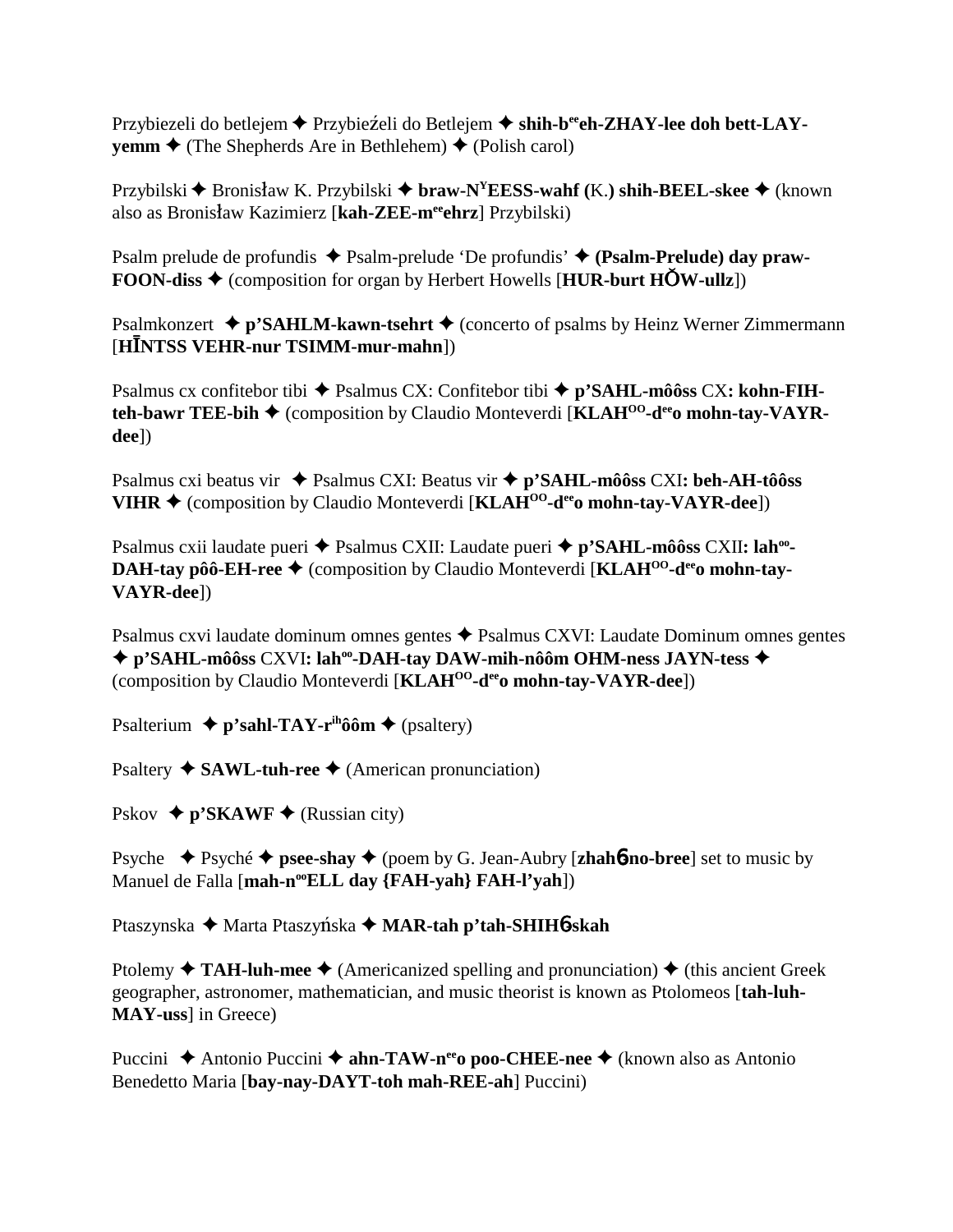Przybiezeli do betlejem **←** Przybieźeli do Betlejem ← shih-b<sup>ee</sup>eh-ZHAY-lee doh bett-LAY**vemm**  $\triangle$  (The Shepherds Are in Bethlehem)  $\triangle$  (Polish carol)

Przybilski ◆ Bronisław K. Przybilski ◆ br**aw-N<sup>Y</sup>EESS-wahf** (K.) shih-BEEL-skee ◆ (known also as Bronisław Kazimierz [kah-ZEE-meehrz] Przybilski)

Psalm prelude de profundis ◆ Psalm-prelude 'De profundis' ◆ (Psalm-Prelude) day praw-**FOON-diss**  $\triangle$  (composition for organ by Herbert Howells [HUR-burt HOW-ullz])

Psalmkonzert **↓ p'SAHLM-kawn-tsehrt ↓** (concerto of psalms by Heinz Werner Zimmermann [HĪNTSS VEHR-nur TSIMM-mur-mahn])

Psalmus cx confitebor tibi ◆ Psalmus CX: Confitebor tibi ◆ p'SAHL-môôss CX: kohn-FIH**teh-bawr TEE-bih ♦** (composition by Claudio Monteverdi [KLAH<sup>OO</sup>-d<sup>ee</sup>o mohn-tay-VAYR**dee**])

Psalmus cxi beatus vir Psalmus CXI: Beatus vir **p'SAHL-môôss** CXI**: beh-AH-tôôss VIHR**  $\triangle$  (composition by Claudio Monteverdi [KLAH<sup>00</sup>-d<sup>ee</sup>o mohn-tay-VAYR-dee])

Psalmus cxii laudate pueri ◆ Psalmus CXII: Laudate pueri ◆ p'SAHL-môôss CXII: lah<sup>oo</sup>-**DAH-tay pôô-EH-ree ♦** (composition by Claudio Monteverdi [KLAH<sup>OO</sup>-d<sup>ee</sup>o mohn-tay-**VAYR-dee**])

Psalmus cxvi laudate dominum omnes gentes Psalmus CXVI: Laudate Dominum omnes gentes ◆ p'SAHL-môôss CXVI**:** lah<sup>oo</sup>-DAH-tay DAW-mih-nôôm OHM-ness JAYN-tess ◆ (composition by Claudio Monteverdi [**KLAHOO-deeo mohn-tay-VAYR-dee**])

Psalterium **↓ p'sahl-TAY-r<sup>ih</sup>ôôm ◆** (psaltery)

Psaltery **◆ SAWL-tuh-ree ◆** (American pronunciation)

Pskov  $\triangleq$  p'SKAWF  $\triangleq$  (Russian city)

Psyche  $\blacklozenge$  Psyché  $\blacklozenge$  psee-shay  $\blacklozenge$  (poem by G. Jean-Aubry [**zhah<sup>6</sup>-no-bree**] set to music by Manuel de Falla [mah-n<sup>oo</sup>ELL day {FAH-yah} FAH-l'yah])

Ptaszynska **→** Marta Ptaszyńska → MAR-tah p'tah-SHIH6-skah

Ptolemy  $\triangle$  **TAH-luh-mee**  $\triangle$  (Americanized spelling and pronunciation)  $\triangle$  (this ancient Greek geographer, astronomer, mathematician, and music theorist is known as Ptolomeos [**tah-luh-MAY-uss**] in Greece)

Puccini **→** Antonio Puccini → **ahn-TAW-n<sup>ee</sup>o poo-CHEE-nee** → (known also as Antonio Benedetto Maria [**bay-nay-DAYT-toh mah-REE-ah**] Puccini)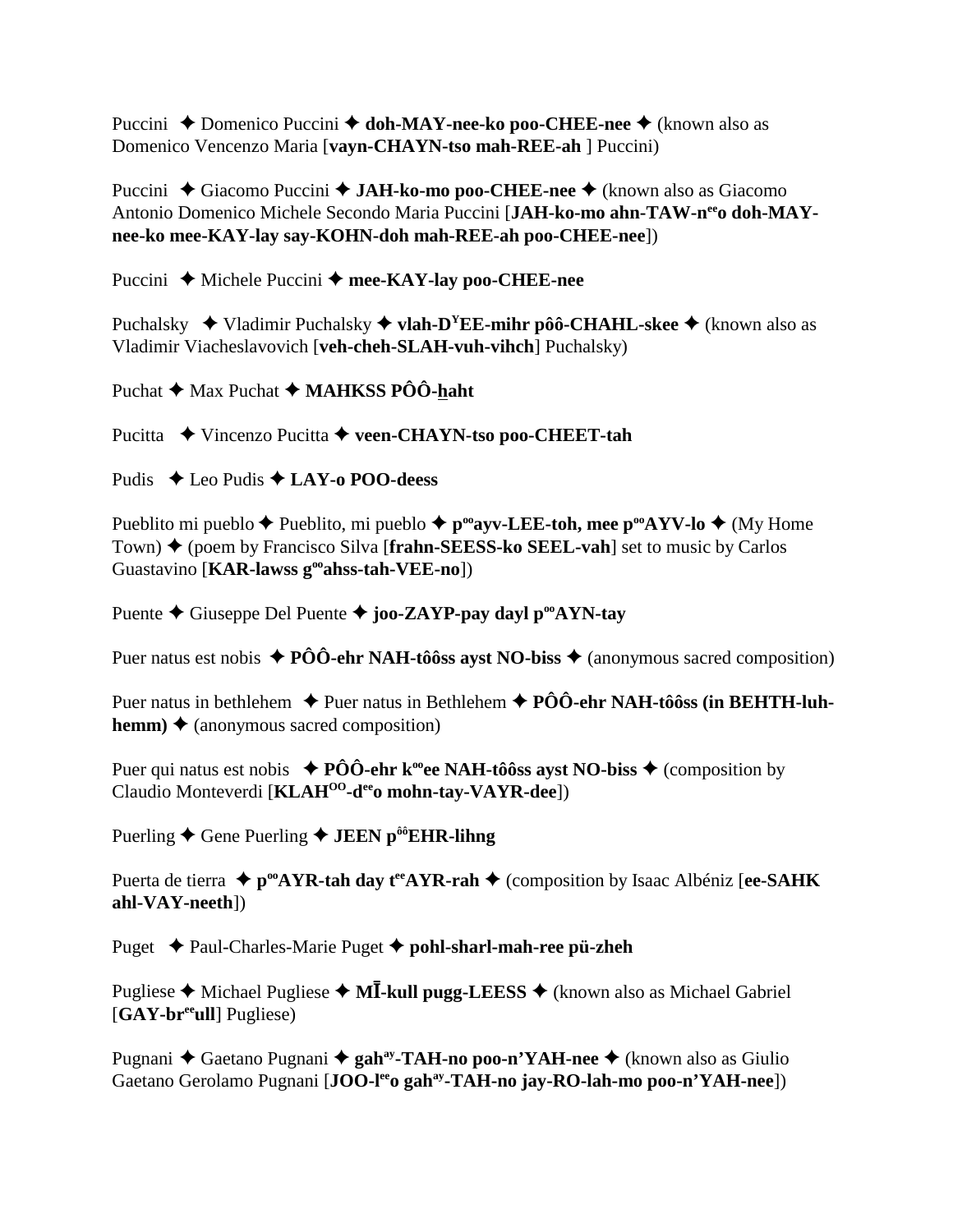Puccini **→** Domenico Puccini **→ doh-MAY-nee-ko poo-CHEE-nee →** (known also as Domenico Vencenzo Maria [**vayn-CHAYN-tso mah-REE-ah** ] Puccini)

Puccini ◆ Giacomo Puccini ◆ **JAH-ko-mo poo-CHEE-nee** ◆ (known also as Giacomo Antonio Domenico Michele Secondo Maria Puccini [JAH-ko-mo ahn-TAW-n<sup>ee</sup>o doh-MAY**nee-ko mee-KAY-lay say-KOHN-doh mah-REE-ah poo-CHEE-nee**])

Puccini ◆ Michele Puccini ◆ mee-KAY-lay poo-CHEE-nee

Puchalsky **→** Vladimir Puchalsky → **vlah-D<sup>Y</sup>EE-mihr pôô-CHAHL-skee** → (known also as Vladimir Viacheslavovich [**veh-cheh-SLAH-vuh-vihch**] Puchalsky)

Puchat **→** Max Puchat ◆ MAHKSS PÔÔ-haht

Pucitta ◆ Vincenzo Pucitta ◆ veen-CHAYN-tso poo-CHEET-tah

Pudis ◆ Leo Pudis **◆ LAY-o POO-deess** 

Pueblito mi pueblo  $\blacklozenge$  Pueblito, mi pueblo  $\blacklozenge$  **p**<sup>oo</sup>**ayv-LEE-toh, mee p<sup>oo</sup>AYV-lo**  $\blacklozenge$  (My Home Town) ♦ (poem by Francisco Silva [**frahn-SEESS-ko SEEL-vah**] set to music by Carlos Guastavino [**KAR-lawss gooahss-tah-VEE-no**])

Puente **←** Giuseppe Del Puente ← joo-ZAYP-pay dayl p<sup>oo</sup>AYN-tay

Puer natus est nobis  $\triangle$  **PÔÔ-ehr NAH-tôôss ayst NO-biss**  $\triangle$  (anonymous sacred composition)

Puer natus in bethlehem **→** Puer natus in Bethlehem ◆ **PÔÔ-ehr NAH-tôôss (in BEHTH-luhhemm)**  $\triangle$  (anonymous sacred composition)

Puer qui natus est nobis  $\blacklozenge$  **PÔÔ-ehr k**<sup>oo</sup>ee **NAH-tôôss ayst NO-biss**  $\blacklozenge$  (composition by Claudio Monteverdi [**KLAHOO-deeo mohn-tay-VAYR-dee**])

Puerling ◆ Gene Puerling ◆ **JEEN p<sup>ôô</sup>EHR-lihng** 

Puerta de tierra  $\triangle$  p<sup>oo</sup>AYR-tah day t<sup>ee</sup>AYR-rah  $\triangle$  (composition by Isaac Albéniz [ee-SAHK] **ahl-VAY-neeth**])

Puget **→** Paul-Charles-Marie Puget → pohl-sharl-mah-ree pü-zheh

Pugliese ◆ Michael Pugliese ◆ M**I-kull pugg-LEESS** ◆ (known also as Michael Gabriel [**GAY-breeull**] Pugliese)

Pugnani ◆ Gaetano Pugnani ◆ gah<sup>ay</sup>-TAH-no poo-n'YAH-nee ◆ (known also as Giulio Gaetano Gerolamo Pugnani [**JOO-leeo gahay-TAH-no jay-RO-lah-mo poo-n'YAH-nee**])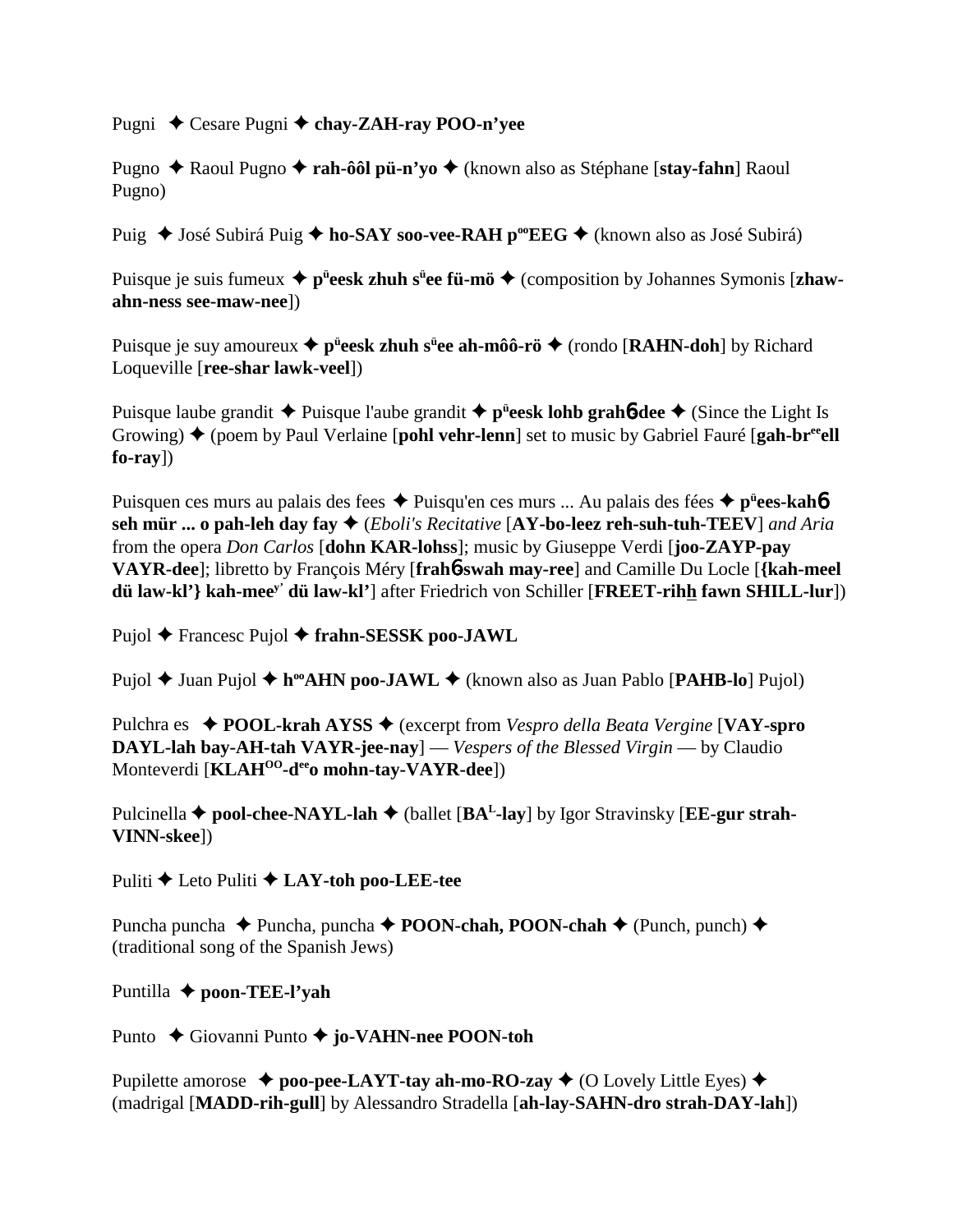Pugni ◆ Cesare Pugni **◆ chay-ZAH-ray POO-n'yee** 

Pugno Raoul Pugno **rah-ôôl pü-n'yo** (known also as Stéphane [**stay-fahn**] Raoul Pugno)

Puig ◆ José Subirá Puig ◆ ho-SAY soo-vee-RAH p<sup>oo</sup>EEG ◆ (known also as José Subirá)

Puisque je suis fumeux ◆ p<sup>ü</sup>eesk zhuh s<sup>ü</sup>ee fü-mö ◆ (composition by Johannes Symonis [zhaw**ahn-ness see-maw-nee**])

Puisque je suy amoureux ◆ p<sup>ü</sup>ees**k zhuh s<sup>ü</sup>ee ah-môô-rö ◆** (rondo [**RAHN-doh**] by Richard Loqueville [**ree-shar lawk-veel**])

Puisque laube grandit ◆ Puisque l'aube grandit ◆ p<sup>ü</sup>eesk lohb grah6-dee ◆ (Since the Light Is Growing)  $\triangle$  (poem by Paul Verlaine [**pohl vehr-lenn**] set to music by Gabriel Fauré [**gah-br**<sup>ee</sup>**ell**] **fo-ray**])

Puisquen ces murs au palais des fees Puisqu'en ces murs ... Au palais des fées **pü ees-kah**6 **seh mür ... o pah-leh day fay** (*Eboli's Recitative* [**AY-bo-leez reh-suh-tuh-TEEV**] *and Aria* from the opera *Don Carlos* [**dohn KAR-lohss**]; music by Giuseppe Verdi [**joo-ZAYP-pay VAYR-dee**]; libretto by François Méry [**frah**6**-swah may-ree**] and Camille Du Locle [**{kah-meel dü law-kl'} kah-meey' dü law-kl'**] after Friedrich von Schiller [**FREET-rihh fawn SHILL-lur**])

Pujol **←** Francesc Pujol ← frahn-SESSK poo-JAWL

Pujol **→** Juan Pujol ◆ h<sup>oo</sup>AHN poo-JAWL ◆ (known also as Juan Pablo [PAHB-lo] Pujol)

Pulchra es **POOL-krah AYSS** (excerpt from *Vespro della Beata Vergine* [**VAY-spro DAYL-lah bay-AH-tah VAYR-jee-nay**] — *Vespers of the Blessed Virgin* — by Claudio Monteverdi [**KLAHOO-deeo mohn-tay-VAYR-dee**])

Pulcinella  $\blacklozenge$  pool-chee-NAYL-lah  $\blacklozenge$  (ballet [BA<sup>L</sup>-lay] by Igor Stravinsky [EE-gur strah-**VINN-skee**])

Puliti **←** Leto Puliti ← LAY-toh poo-LEE-tee

Puncha puncha **→** Puncha, puncha → **POON-chah, POON-chah** → (Punch, punch) → (traditional song of the Spanish Jews)

Puntilla **← poon-TEE-l'yah** 

Punto Giovanni Punto **jo-VAHN-nee POON-toh**

Pupilette amorose  $\triangle$  **poo-pee-LAYT-tay ah-mo-RO-zay**  $\triangle$  (O Lovely Little Eyes)  $\triangle$ (madrigal [**MADD-rih-gull**] by Alessandro Stradella [**ah-lay-SAHN-dro strah-DAY-lah**])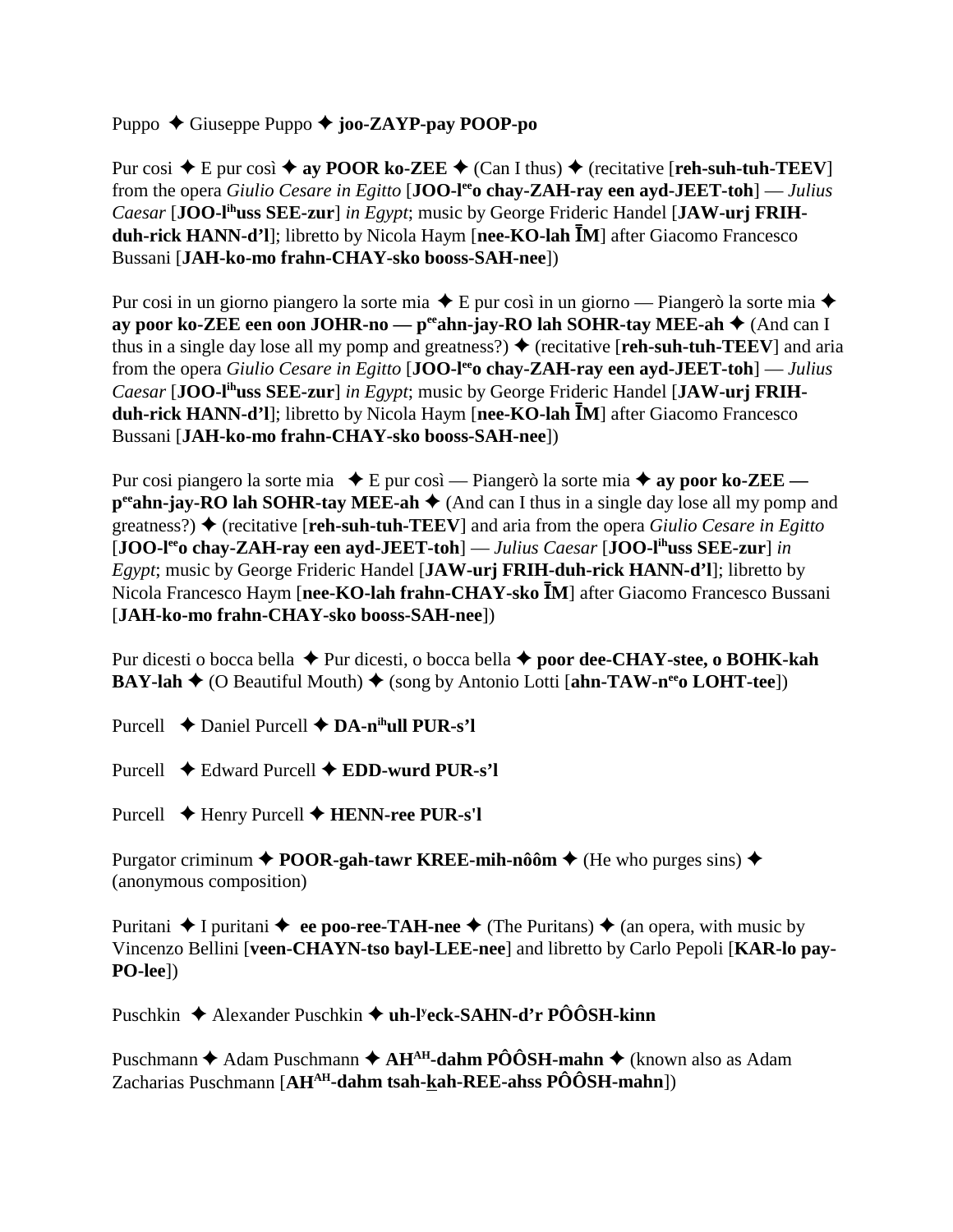Puppo Giuseppe Puppo **joo-ZAYP-pay POOP-po**

Pur cosi  $\blacklozenge$  E pur così  $\blacklozenge$  ay **POOR ko-ZEE**  $\blacklozenge$  (Can I thus)  $\blacklozenge$  (recitative [**reh-suh-tuh-TEEV**] from the opera *Giulio Cesare in Egitto* [**JOO-leeo chay-ZAH-ray een ayd-JEET-toh**] — *Julius Caesar* [**JOO-lihuss SEE-zur**] *in Egypt*; music by George Frideric Handel [**JAW-urj FRIHduh-rick HANN-d'l**]; libretto by Nicola Haym [nee-KO-lah IM] after Giacomo Francesco Bussani [**JAH-ko-mo frahn-CHAY-sko booss-SAH-nee**])

Pur cosi in un giorno piangero la sorte mia  $\triangle$  E pur così in un giorno — Piangerò la sorte mia  $\triangle$ **ay poor ko-ZEE een oon JOHR-no — p<sup>ee</sup>ahn-jay-RO lah SOHR-tay MEE-ah ♦ (And can I** thus in a single day lose all my pomp and greatness?)  $\blacklozenge$  (recitative [**reh-suh-tuh-TEEV**] and aria from the opera *Giulio Cesare in Egitto* [**JOO-leeo chay-ZAH-ray een ayd-JEET-toh**] — *Julius Caesar* [**JOO-lihuss SEE-zur**] *in Egypt*; music by George Frideric Handel [**JAW-urj FRIHduh-rick HANN-d'l**]; libretto by Nicola Haym [nee-KO-lah IM] after Giacomo Francesco Bussani [**JAH-ko-mo frahn-CHAY-sko booss-SAH-nee**])

Pur cosi piangero la sorte mia **→** E pur così — Piangerò la sorte mia **→ ay poor ko-ZEE p<sup>ee</sup>ahn-jay-RO lah SOHR-tay MEE-ah**  $\blacklozenge$  (And can I thus in a single day lose all my pomp and greatness?)  $\blacklozenge$  (recitative [**reh-suh-tuh-TEEV**] and aria from the opera *Giulio Cesare in Egitto* [**JOO-leeo chay-ZAH-ray een ayd-JEET-toh**] — *Julius Caesar* [**JOO-lihuss SEE-zur**] *in Egypt*; music by George Frideric Handel [**JAW-urj FRIH-duh-rick HANN-d'l**]; libretto by Nicola Francesco Haym [nee-KO-lah frahn-CHAY-sko <sup>[M]</sup> after Giacomo Francesco Bussani [**JAH-ko-mo frahn-CHAY-sko booss-SAH-nee**])

Pur dicesti o bocca bella **→** Pur dicesti, o bocca bella **→ poor dee-CHAY-stee, o BOHK-kah BAY-lah**  $\blacklozenge$  (O Beautiful Mouth)  $\blacklozenge$  (song by Antonio Lotti [ahn-TAW-n<sup>ee</sup> LOHT-tee])

Purcell  $\triangle$  Daniel Purcell  $\triangle$  **DA-n<sup>ih</sup>ull PUR-s'l** 

Purcell Edward Purcell **EDD-wurd PUR-s'l**

Purcell Henry Purcell **HENN-ree PUR-s'l**

Purgator criminum **→ POOR-gah-tawr KREE-mih-nôôm →** (He who purges sins) → (anonymous composition)

Puritani  $\triangle$  I puritani  $\triangle$  ee poo-ree-TAH-nee  $\triangle$  (The Puritans)  $\triangle$  (an opera, with music by Vincenzo Bellini [**veen-CHAYN-tso bayl-LEE-nee**] and libretto by Carlo Pepoli [**KAR-lo pay-PO-lee**])

Puschkin ◆ Alexander Puschkin ◆ uh-l<sup>y</sup>eck-SAHN-d'r PÔÔSH-kinn

Puschmann **◆** Adam Puschmann ◆ AH<sup>AH</sup>-dahm PÔÔSH-mahn ◆ (known also as Adam Zacharias Puschmann [**AHAH-dahm tsah-kah-REE-ahss PÔÔSH-mahn**])